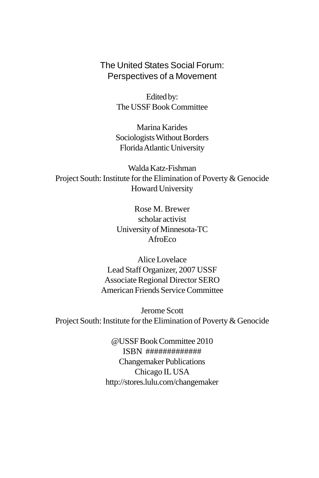The United States Social Forum: Perspectives of a Movement

> Edited by: The USSF Book Committee

Marina Karides Sociologists Without Borders Florida Atlantic University

Walda Katz-Fishman Project South: Institute for the Elimination of Poverty & Genocide Howard University

> Rose M. Brewer scholar activist University of Minnesota-TC AfroEco

Alice Lovelace Lead Staff Organizer, 2007 USSF Associate Regional Director SERO American Friends Service Committee

Jerome Scott Project South: Institute for the Elimination of Poverty & Genocide

> @USSF Book Committee 2010 ISBN ############# Changemaker Publications Chicago IL USA http://stores.lulu.com/changemaker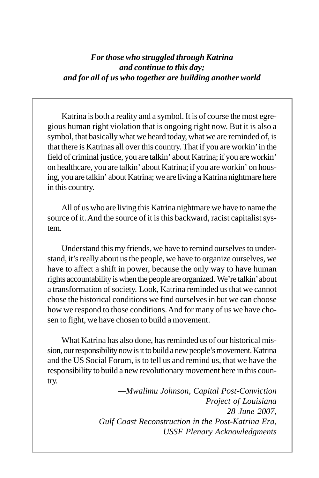### *For those who struggled through Katrina and continue to this day; and for all of us who together are building another world*

Katrina is both a reality and a symbol. It is of course the most egregious human right violation that is ongoing right now. But it is also a symbol, that basically what we heard today, what we are reminded of, is that there is Katrinas all over this country. That if you are workin' in the field of criminal justice, you are talkin' about Katrina; if you are workin' on healthcare, you are talkin' about Katrina; if you are workin' on housing, you are talkin' about Katrina; we are living a Katrina nightmare here in this country.

All of us who are living this Katrina nightmare we have to name the source of it. And the source of it is this backward, racist capitalist system.

Understand this my friends, we have to remind ourselves to understand, it's really about us the people, we have to organize ourselves, we have to affect a shift in power, because the only way to have human rights accountability is when the people are organized. We're talkin' about a transformation of society. Look, Katrina reminded us that we cannot chose the historical conditions we find ourselves in but we can choose how we respond to those conditions. And for many of us we have chosen to fight, we have chosen to build a movement.

What Katrina has also done, has reminded us of our historical mission, our responsibility now is it to build a new people's movement. Katrina and the US Social Forum, is to tell us and remind us, that we have the responsibility to build a new revolutionary movement here in this country.

> *—Mwalimu Johnson, Capital Post-Conviction Project of Louisiana 28 June 2007, Gulf Coast Reconstruction in the Post-Katrina Era, USSF Plenary Acknowledgments*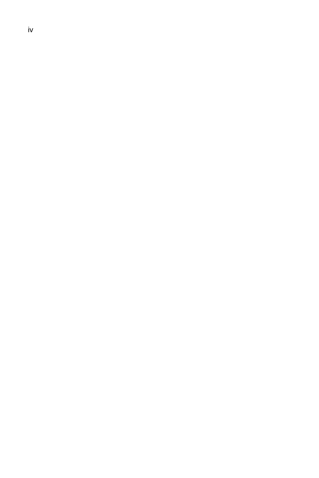iv *The United States Social Forum: Perspectives of a Movement*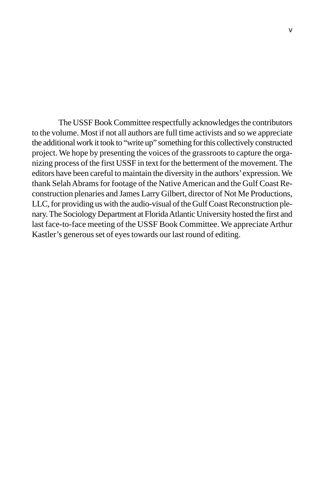The USSF Book Committee respectfully acknowledges the contributors to the volume. Most if not all authors are full time activists and so we appreciate the additional work it took to "write up" something for this collectively constructed project. We hope by presenting the voices of the grassroots to capture the organizing process of the first USSF in text for the betterment of the movement. The editors have been careful to maintain the diversity in the authors' expression. We thank Selah Abrams for footage of the Native American and the Gulf Coast Reconstruction plenaries and James Larry Gilbert, director of Not Me Productions, LLC, for providing us with the audio-visual of the Gulf Coast Reconstruction plenary. The Sociology Department at Florida Atlantic University hosted the first and last face-to-face meeting of the USSF Book Committee. We appreciate Arthur Kastler's generous set of eyes towards our last round of editing.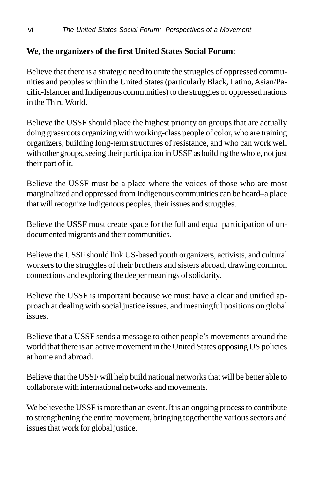### **We, the organizers of the first United States Social Forum**:

Believe that there is a strategic need to unite the struggles of oppressed communities and peoples within the United States (particularly Black, Latino, Asian/Pacific-Islander and Indigenous communities) to the struggles of oppressed nations in the Third World.

Believe the USSF should place the highest priority on groups that are actually doing grassroots organizing with working-class people of color, who are training organizers, building long-term structures of resistance, and who can work well with other groups, seeing their participation in USSF as building the whole, not just their part of it.

Believe the USSF must be a place where the voices of those who are most marginalized and oppressed from Indigenous communities can be heard–a place that will recognize Indigenous peoples, their issues and struggles.

Believe the USSF must create space for the full and equal participation of undocumented migrants and their communities.

Believe the USSF should link US-based youth organizers, activists, and cultural workers to the struggles of their brothers and sisters abroad, drawing common connections and exploring the deeper meanings of solidarity.

Believe the USSF is important because we must have a clear and unified approach at dealing with social justice issues, and meaningful positions on global issues.

Believe that a USSF sends a message to other people's movements around the world that there is an active movement in the United States opposing US policies at home and abroad.

Believe that the USSF will help build national networks that will be better able to collaborate with international networks and movements.

We believe the USSF is more than an event. It is an ongoing process to contribute to strengthening the entire movement, bringing together the various sectors and issues that work for global justice.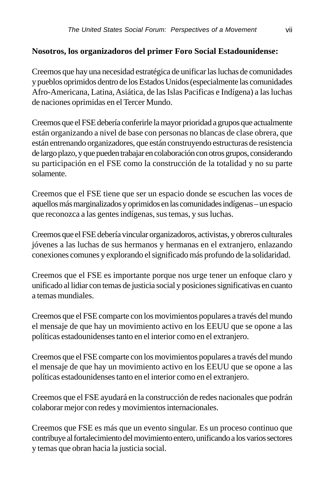## **Nosotros, los organizadoros del primer Foro Social Estadounidense:**

Creemos que hay una necesidad estratégica de unificar las luchas de comunidades y pueblos oprimidos dentro de los Estados Unidos (especialmente las comunidades Afro-Americana, Latina, Asiática, de las Islas Pacificas e Indígena) a las luchas de naciones oprimidas en el Tercer Mundo.

Creemos que el FSE debería conferirle la mayor prioridad a grupos que actualmente están organizando a nivel de base con personas no blancas de clase obrera, que están entrenando organizadores, que están construyendo estructuras de resistencia de largo plazo, y que pueden trabajar en colaboración con otros grupos, considerando su participación en el FSE como la construcción de la totalidad y no su parte solamente.

Creemos que el FSE tiene que ser un espacio donde se escuchen las voces de aquellos más marginalizados y oprimidos en las comunidades indígenas – un espacio que reconozca a las gentes indígenas, sus temas, y sus luchas.

Creemos que el FSE debería vincular organizadoros, activistas, y obreros culturales jóvenes a las luchas de sus hermanos y hermanas en el extranjero, enlazando conexiones comunes y explorando el significado más profundo de la solidaridad.

Creemos que el FSE es importante porque nos urge tener un enfoque claro y unificado al lidiar con temas de justicia social y posiciones significativas en cuanto a temas mundiales.

Creemos que el FSE comparte con los movimientos populares a través del mundo el mensaje de que hay un movimiento activo en los EEUU que se opone a las políticas estadounidenses tanto en el interior como en el extranjero.

Creemos que el FSE comparte con los movimientos populares a través del mundo el mensaje de que hay un movimiento activo en los EEUU que se opone a las políticas estadounidenses tanto en el interior como en el extranjero.

Creemos que el FSE ayudará en la construcción de redes nacionales que podrán colaborar mejor con redes y movimientos internacionales.

Creemos que FSE es más que un evento singular. Es un proceso continuo que contribuye al fortalecimiento del movimiento entero, unificando a los varios sectores y temas que obran hacia la justicia social.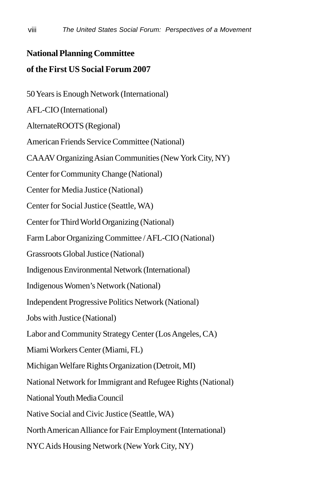#### **National Planning Committee**

#### **of the First US Social Forum 2007**

50 Years is Enough Network (International) AFL-CIO (International) AlternateROOTS (Regional) American Friends Service Committee (National) CAAAV Organizing Asian Communities (New York City, NY) Center for Community Change (National) Center for Media Justice (National) Center for Social Justice (Seattle, WA) Center for Third World Organizing (National) Farm Labor Organizing Committee / AFL-CIO (National) Grassroots Global Justice (National) Indigenous Environmental Network (International) Indigenous Women's Network (National) Independent Progressive Politics Network (National) Jobs with Justice (National) Labor and Community Strategy Center (Los Angeles, CA) Miami Workers Center (Miami, FL) Michigan Welfare Rights Organization (Detroit, MI) National Network for Immigrant and Refugee Rights (National) National Youth Media Council Native Social and Civic Justice (Seattle, WA) North American Alliance for Fair Employment (International) NYC Aids Housing Network (New York City, NY)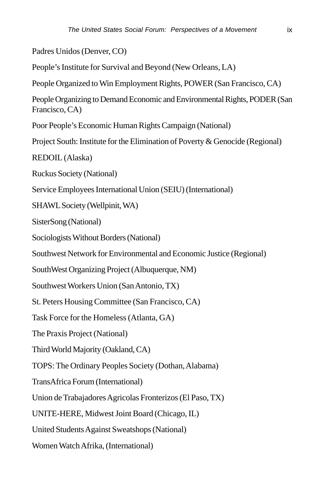Padres Unidos (Denver, CO)

People's Institute for Survival and Beyond (New Orleans, LA)

People Organized to Win Employment Rights, POWER (San Francisco, CA)

People Organizing to Demand Economic and Environmental Rights, PODER (San Francisco, CA)

Poor People's Economic Human Rights Campaign (National)

Project South: Institute for the Elimination of Poverty & Genocide (Regional)

REDOIL (Alaska)

Ruckus Society (National)

Service Employees International Union (SEIU) (International)

SHAWL Society (Wellpinit, WA)

SisterSong (National)

Sociologists Without Borders (National)

Southwest Network for Environmental and Economic Justice (Regional)

SouthWest Organizing Project (Albuquerque, NM)

Southwest Workers Union (San Antonio, TX)

St. Peters Housing Committee (San Francisco, CA)

Task Force for the Homeless (Atlanta, GA)

The Praxis Project (National)

Third World Majority (Oakland, CA)

TOPS: The Ordinary Peoples Society (Dothan, Alabama)

TransAfrica Forum (International)

Union de Trabajadores Agricolas Fronterizos (El Paso, TX)

UNITE-HERE, Midwest Joint Board (Chicago, IL)

United Students Against Sweatshops (National)

Women Watch Afrika, (International)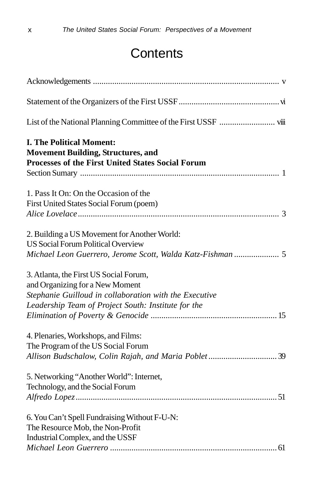# **Contents**

| <b>I. The Political Moment:</b><br><b>Movement Building, Structures, and</b><br>Processes of the First United States Social Forum                                                          |  |
|--------------------------------------------------------------------------------------------------------------------------------------------------------------------------------------------|--|
| 1. Pass It On: On the Occasion of the<br>First United States Social Forum (poem)                                                                                                           |  |
| 2. Building a US Movement for Another World:<br><b>US Social Forum Political Overview</b><br>Michael Leon Guerrero, Jerome Scott, Walda Katz-Fishman  5                                    |  |
| 3. Atlanta, the First US Social Forum,<br>and Organizing for a New Moment<br>Stephanie Guilloud in collaboration with the Executive<br>Leadership Team of Project South: Institute for the |  |
| 4. Plenaries, Workshops, and Films:<br>The Program of the US Social Forum                                                                                                                  |  |
| 5. Networking "Another World": Internet,<br>Technology, and the Social Forum                                                                                                               |  |
| 6. You Can't Spell Fundraising Without F-U-N:<br>The Resource Mob, the Non-Profit<br>Industrial Complex, and the USSF                                                                      |  |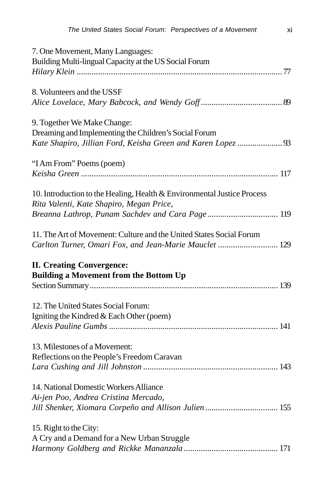| 7. One Movement, Many Languages:<br>Building Multi-lingual Capacity at the US Social Forum |
|--------------------------------------------------------------------------------------------|
|                                                                                            |
| 8. Volunteers and the USSF                                                                 |
|                                                                                            |
| 9. Together We Make Change:                                                                |
| Dreaming and Implementing the Children's Social Forum                                      |
| Kate Shapiro, Jillian Ford, Keisha Green and Karen Lopez  93                               |
| "I Am From" Poems (poem)                                                                   |
|                                                                                            |
| 10. Introduction to the Healing, Health & Environmental Justice Process                    |
| Rita Valenti, Kate Shapiro, Megan Price,                                                   |
| Breanna Lathrop, Punam Sachdev and Cara Page 119                                           |
| 11. The Art of Movement: Culture and the United States Social Forum                        |
| Carlton Turner, Omari Fox, and Jean-Marie Mauclet  129                                     |
| <b>II. Creating Convergence:</b><br><b>Building a Movement from the Bottom Up</b>          |
|                                                                                            |
| 12. The United States Social Forum:                                                        |
| Igniting the Kindred & Each Other (poem)                                                   |
|                                                                                            |
| 13. Milestones of a Movement:                                                              |
| Reflections on the People's Freedom Caravan                                                |
|                                                                                            |
| 14. National Domestic Workers Alliance                                                     |
| Ai-jen Poo, Andrea Cristina Mercado,                                                       |
| Jill Shenker, Xiomara Corpeño and Allison Julien 155                                       |
| 15. Right to the City:                                                                     |
| A Cry and a Demand for a New Urban Struggle                                                |
|                                                                                            |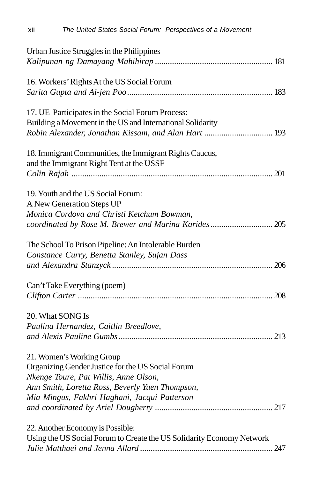| Urban Justice Struggles in the Philippines                            |
|-----------------------------------------------------------------------|
| 16. Workers' Rights At the US Social Forum                            |
|                                                                       |
| 17. UE Participates in the Social Forum Process:                      |
| Building a Movement in the US and International Solidarity            |
| Robin Alexander, Jonathan Kissam, and Alan Hart  193                  |
| 18. Immigrant Communities, the Immigrant Rights Caucus,               |
| and the Immigrant Right Tent at the USSF                              |
|                                                                       |
| 19. Youth and the US Social Forum:                                    |
| A New Generation Steps UP                                             |
| Monica Cordova and Christi Ketchum Bowman,                            |
| coordinated by Rose M. Brewer and Marina Karides 205                  |
| The School To Prison Pipeline: An Intolerable Burden                  |
| Constance Curry, Benetta Stanley, Sujan Dass                          |
|                                                                       |
| Can't Take Everything (poem)                                          |
|                                                                       |
| 20. What SONG Is                                                      |
| Paulina Hernandez, Caitlin Breedlove,                                 |
|                                                                       |
| 21. Women's Working Group                                             |
| Organizing Gender Justice for the US Social Forum                     |
| Nkenge Toure, Pat Willis, Anne Olson,                                 |
| Ann Smith, Loretta Ross, Beverly Yuen Thompson,                       |
| Mia Mingus, Fakhri Haghani, Jacqui Patterson                          |
|                                                                       |
| 22. Another Economy is Possible:                                      |
| Using the US Social Forum to Create the US Solidarity Economy Network |
|                                                                       |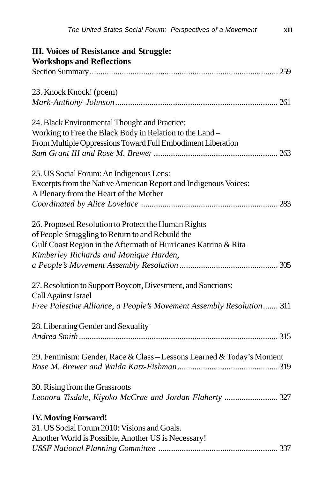| <b>III. Voices of Resistance and Struggle:</b><br><b>Workshops and Reflections</b>                                                                                                                                    |
|-----------------------------------------------------------------------------------------------------------------------------------------------------------------------------------------------------------------------|
|                                                                                                                                                                                                                       |
| 23. Knock Knock! (poem)                                                                                                                                                                                               |
| 24. Black Environmental Thought and Practice:<br>Working to Free the Black Body in Relation to the Land -<br>From Multiple Oppressions Toward Full Embodiment Liberation                                              |
| 25. US Social Forum: An Indigenous Lens:<br>Excerpts from the Native American Report and Indigenous Voices:<br>A Plenary from the Heart of the Mother                                                                 |
| 26. Proposed Resolution to Protect the Human Rights<br>of People Struggling to Return to and Rebuild the<br>Gulf Coast Region in the Aftermath of Hurricanes Katrina & Rita<br>Kimberley Richards and Monique Harden, |
| 27. Resolution to Support Boycott, Divestment, and Sanctions:<br>Call Against Israel<br>Free Palestine Alliance, a People's Movement Assembly Resolution 311                                                          |
| 28. Liberating Gender and Sexuality                                                                                                                                                                                   |
| 29. Feminism: Gender, Race & Class - Lessons Learned & Today's Moment                                                                                                                                                 |
| 30. Rising from the Grassroots                                                                                                                                                                                        |
| <b>IV. Moving Forward!</b><br>31. US Social Forum 2010: Visions and Goals.<br>Another World is Possible, Another US is Necessary!                                                                                     |
|                                                                                                                                                                                                                       |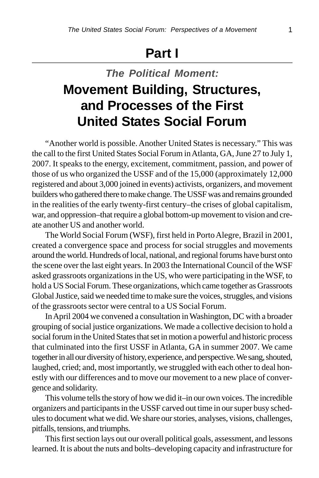# **Part I**

# *The Political Moment:* **Movement Building, Structures, and Processes of the First United States Social Forum**

"Another world is possible. Another United States is necessary." This was the call to the first United States Social Forum in Atlanta, GA, June 27 to July 1, 2007. It speaks to the energy, excitement, commitment, passion, and power of those of us who organized the USSF and of the 15,000 (approximately 12,000 registered and about 3,000 joined in events) activists, organizers, and movement builders who gathered there to make change. The USSF was and remains grounded in the realities of the early twenty-first century–the crises of global capitalism, war, and oppression–that require a global bottom-up movement to vision and create another US and another world.

The World Social Forum (WSF), first held in Porto Alegre, Brazil in 2001, created a convergence space and process for social struggles and movements around the world. Hundreds of local, national, and regional forums have burst onto the scene over the last eight years. In 2003 the International Council of the WSF asked grassroots organizations in the US, who were participating in the WSF, to hold a US Social Forum. These organizations, which came together as Grassroots Global Justice, said we needed time to make sure the voices, struggles, and visions of the grassroots sector were central to a US Social Forum.

In April 2004 we convened a consultation in Washington, DC with a broader grouping of social justice organizations. We made a collective decision to hold a social forum in the United States that set in motion a powerful and historic process that culminated into the first USSF in Atlanta, GA in summer 2007. We came together in all our diversity of history, experience, and perspective. We sang, shouted, laughed, cried; and, most importantly, we struggled with each other to deal honestly with our differences and to move our movement to a new place of convergence and solidarity.

This volume tells the story of how we did it–in our own voices. The incredible organizers and participants in the USSF carved out time in our super busy schedules to document what we did. We share our stories, analyses, visions, challenges, pitfalls, tensions, and triumphs.

This first section lays out our overall political goals, assessment, and lessons learned. It is about the nuts and bolts–developing capacity and infrastructure for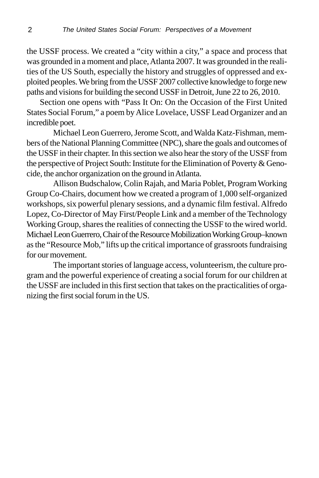the USSF process. We created a "city within a city," a space and process that was grounded in a moment and place, Atlanta 2007. It was grounded in the realities of the US South, especially the history and struggles of oppressed and exploited peoples. We bring from the USSF 2007 collective knowledge to forge new paths and visions for building the second USSF in Detroit, June 22 to 26, 2010.

Section one opens with "Pass It On: On the Occasion of the First United States Social Forum," a poem by Alice Lovelace, USSF Lead Organizer and an incredible poet.

Michael Leon Guerrero, Jerome Scott, and Walda Katz-Fishman, members of the National Planning Committee (NPC), share the goals and outcomes of the USSF in their chapter. In this section we also hear the story of the USSF from the perspective of Project South: Institute for the Elimination of Poverty & Genocide, the anchor organization on the ground in Atlanta.

Allison Budschalow, Colin Rajah, and Maria Poblet, Program Working Group Co-Chairs, document how we created a program of 1,000 self-organized workshops, six powerful plenary sessions, and a dynamic film festival. Alfredo Lopez, Co-Director of May First/People Link and a member of the Technology Working Group, shares the realities of connecting the USSF to the wired world. Michael Leon Guerrero, Chair of the Resource Mobilization Working Group–known as the "Resource Mob," lifts up the critical importance of grassroots fundraising for our movement.

The important stories of language access, volunteerism, the culture program and the powerful experience of creating a social forum for our children at the USSF are included in this first section that takes on the practicalities of organizing the first social forum in the US.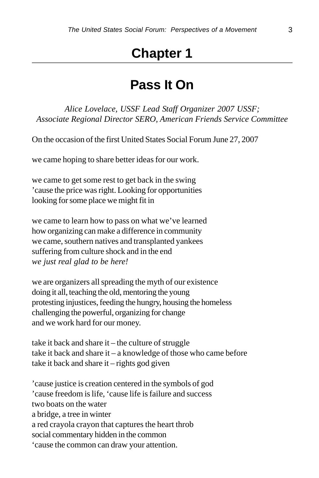# **Chapter 1**

# **Pass It On**

*Alice Lovelace, USSF Lead Staff Organizer 2007 USSF; Associate Regional Director SERO, American Friends Service Committee*

On the occasion of the first United States Social Forum June 27, 2007

we came hoping to share better ideas for our work.

we came to get some rest to get back in the swing 'cause the price was right. Looking for opportunities looking for some place we might fit in

we came to learn how to pass on what we've learned how organizing can make a difference in community we came, southern natives and transplanted yankees suffering from culture shock and in the end *we just real glad to be here!*

we are organizers all spreading the myth of our existence doing it all, teaching the old, mentoring the young protesting injustices, feeding the hungry, housing the homeless challenging the powerful, organizing for change and we work hard for our money.

take it back and share it – the culture of struggle take it back and share it – a knowledge of those who came before take it back and share it – rights god given

'cause justice is creation centered in the symbols of god 'cause freedom is life, 'cause life is failure and success two boats on the water a bridge, a tree in winter a red crayola crayon that captures the heart throb social commentary hidden in the common 'cause the common can draw your attention.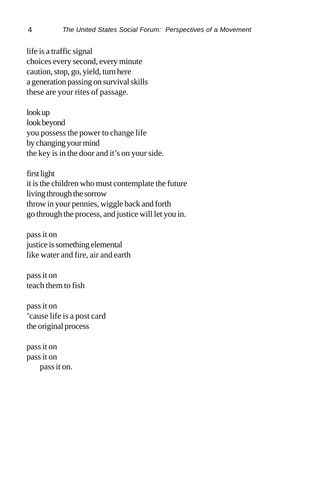life is a traffic signal choices every second, every minute caution, stop, go, yield, turn here a generation passing on survival skills these are your rites of passage.

look up look beyond you possess the power to change life by changing your mind the key is in the door and it's on your side.

first light it is the children who must contemplate the future living through the sorrow throw in your pennies, wiggle back and forth go through the process, and justice will let you in.

pass it on justice is something elemental like water and fire, air and earth

pass it on teach them to fish

pass it on 'cause life is a post card the original process

pass it on pass it on pass it on.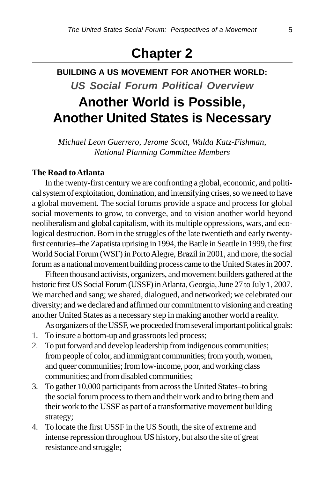# **Chapter 2**

## **BUILDING A US MOVEMENT FOR ANOTHER WORLD:** *US Social Forum Political Overview*

# **Another World is Possible, Another United States is Necessary**

*Michael Leon Guerrero, Jerome Scott, Walda Katz-Fishman, National Planning Committee Members*

#### **The Road to Atlanta**

In the twenty-first century we are confronting a global, economic, and political system of exploitation, domination, and intensifying crises, so we need to have a global movement. The social forums provide a space and process for global social movements to grow, to converge, and to vision another world beyond neoliberalism and global capitalism, with its multiple oppressions, wars, and ecological destruction. Born in the struggles of the late twentieth and early twentyfirst centuries–the Zapatista uprising in 1994, the Battle in Seattle in 1999, the first World Social Forum (WSF) in Porto Alegre, Brazil in 2001, and more, the social forum as a national movement building process came to the United States in 2007.

Fifteen thousand activists, organizers, and movement builders gathered at the historic first US Social Forum (USSF) in Atlanta, Georgia, June 27 to July 1, 2007. We marched and sang; we shared, dialogued, and networked; we celebrated our diversity; and we declared and affirmed our commitment to visioning and creating another United States as a necessary step in making another world a reality.

As organizers of the USSF, we proceeded from several important political goals:

- 1. To insure a bottom-up and grassroots led process;
- 2. To put forward and develop leadership from indigenous communities; from people of color, and immigrant communities; from youth, women, and queer communities; from low-income, poor, and working class communities; and from disabled communities;
- 3. To gather 10,000 participants from across the United States–to bring the social forum process to them and their work and to bring them and their work to the USSF as part of a transformative movement building strategy;
- 4. To locate the first USSF in the US South, the site of extreme and intense repression throughout US history, but also the site of great resistance and struggle;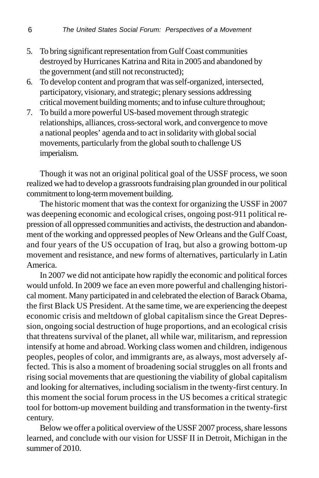- 5. To bring significant representation from Gulf Coast communities destroyed by Hurricanes Katrina and Rita in 2005 and abandoned by the government (and still not reconstructed);
- 6. To develop content and program that was self-organized, intersected, participatory, visionary, and strategic; plenary sessions addressing critical movement building moments; and to infuse culture throughout;
- 7. To build a more powerful US-based movement through strategic relationships, alliances, cross-sectoral work, and convergence to move a national peoples' agenda and to act in solidarity with global social movements, particularly from the global south to challenge US imperialism.

Though it was not an original political goal of the USSF process, we soon realized we had to develop a grassroots fundraising plan grounded in our political commitment to long-term movement building.

The historic moment that was the context for organizing the USSF in 2007 was deepening economic and ecological crises, ongoing post-911 political repression of all oppressed communities and activists, the destruction and abandonment of the working and oppressed peoples of New Orleans and the Gulf Coast, and four years of the US occupation of Iraq, but also a growing bottom-up movement and resistance, and new forms of alternatives, particularly in Latin America.

In 2007 we did not anticipate how rapidly the economic and political forces would unfold. In 2009 we face an even more powerful and challenging historical moment. Many participated in and celebrated the election of Barack Obama, the first Black US President. At the same time, we are experiencing the deepest economic crisis and meltdown of global capitalism since the Great Depression, ongoing social destruction of huge proportions, and an ecological crisis that threatens survival of the planet, all while war, militarism, and repression intensify at home and abroad. Working class women and children, indigenous peoples, peoples of color, and immigrants are, as always, most adversely affected. This is also a moment of broadening social struggles on all fronts and rising social movements that are questioning the viability of global capitalism and looking for alternatives, including socialism in the twenty-first century. In this moment the social forum process in the US becomes a critical strategic tool for bottom-up movement building and transformation in the twenty-first century.

Below we offer a political overview of the USSF 2007 process, share lessons learned, and conclude with our vision for USSF II in Detroit, Michigan in the summer of 2010.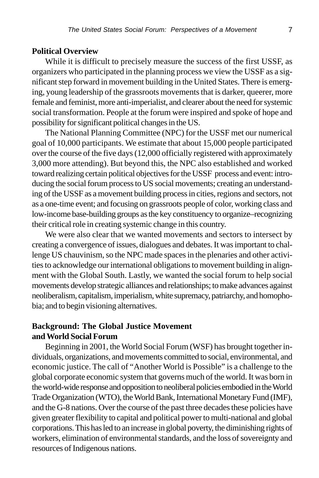#### **Political Overview**

While it is difficult to precisely measure the success of the first USSF, as organizers who participated in the planning process we view the USSF as a significant step forward in movement building in the United States. There is emerging, young leadership of the grassroots movements that is darker, queerer, more female and feminist, more anti-imperialist, and clearer about the need for systemic social transformation. People at the forum were inspired and spoke of hope and possibility for significant political changes in the US.

The National Planning Committee (NPC) for the USSF met our numerical goal of 10,000 participants. We estimate that about 15,000 people participated over the course of the five days (12,000 officially registered with approximately 3,000 more attending). But beyond this, the NPC also established and worked toward realizing certain political objectives for the USSF process and event: introducing the social forum process to US social movements; creating an understanding of the USSF as a movement building process in cities, regions and sectors, not as a one-time event; and focusing on grassroots people of color, working class and low-income base-building groups as the key constituency to organize–recognizing their critical role in creating systemic change in this country.

We were also clear that we wanted movements and sectors to intersect by creating a convergence of issues, dialogues and debates. It was important to challenge US chauvinism, so the NPC made spaces in the plenaries and other activities to acknowledge our international obligations to movement building in alignment with the Global South. Lastly, we wanted the social forum to help social movements develop strategic alliances and relationships; to make advances against neoliberalism, capitalism, imperialism, white supremacy, patriarchy, and homophobia; and to begin visioning alternatives.

#### **Background: The Global Justice Movement and World Social Forum**

Beginning in 2001, the World Social Forum (WSF) has brought together individuals, organizations, and movements committed to social, environmental, and economic justice. The call of "Another World is Possible" is a challenge to the global corporate economic system that governs much of the world. It was born in the world-wide response and opposition to neoliberal policies embodied in the World Trade Organization (WTO), the World Bank, International Monetary Fund (IMF), and the G-8 nations. Over the course of the past three decades these policies have given greater flexibility to capital and political power to multi-national and global corporations. This has led to an increase in global poverty, the diminishing rights of workers, elimination of environmental standards, and the loss of sovereignty and resources of Indigenous nations.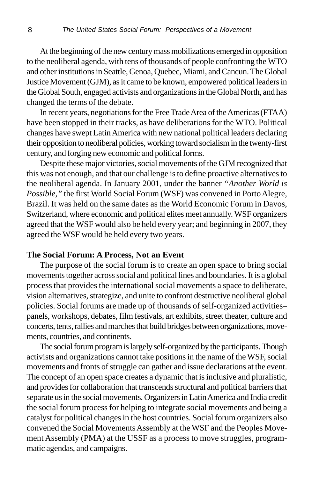At the beginning of the new century mass mobilizations emerged in opposition to the neoliberal agenda, with tens of thousands of people confronting the WTO and other institutions in Seattle, Genoa, Quebec, Miami, and Cancun. The Global Justice Movement (GJM), as it came to be known, empowered political leaders in the Global South, engaged activists and organizations in the Global North, and has changed the terms of the debate.

In recent years, negotiations for the Free Trade Area of the Americas (FTAA) have been stopped in their tracks, as have deliberations for the WTO. Political changes have swept Latin America with new national political leaders declaring their opposition to neoliberal policies, working toward socialism in the twenty-first century, and forging new economic and political forms.

Despite these major victories, social movements of the GJM recognized that this was not enough, and that our challenge is to define proactive alternatives to the neoliberal agenda. In January 2001, under the banner *"Another World is Possible,"* the first World Social Forum (WSF) was convened in Porto Alegre, Brazil. It was held on the same dates as the World Economic Forum in Davos, Switzerland, where economic and political elites meet annually. WSF organizers agreed that the WSF would also be held every year; and beginning in 2007, they agreed the WSF would be held every two years.

#### **The Social Forum: A Process, Not an Event**

The purpose of the social forum is to create an open space to bring social movements together across social and political lines and boundaries. It is a global process that provides the international social movements a space to deliberate, vision alternatives, strategize, and unite to confront destructive neoliberal global policies. Social forums are made up of thousands of self-organized activities– panels, workshops, debates, film festivals, art exhibits, street theater, culture and concerts, tents, rallies and marches that build bridges between organizations, movements, countries, and continents.

The social forum program is largely self-organized by the participants. Though activists and organizations cannot take positions in the name of the WSF, social movements and fronts of struggle can gather and issue declarations at the event. The concept of an open space creates a dynamic that is inclusive and pluralistic, and provides for collaboration that transcends structural and political barriers that separate us in the social movements. Organizers in Latin America and India credit the social forum process for helping to integrate social movements and being a catalyst for political changes in the host countries. Social forum organizers also convened the Social Movements Assembly at the WSF and the Peoples Movement Assembly (PMA) at the USSF as a process to move struggles, programmatic agendas, and campaigns.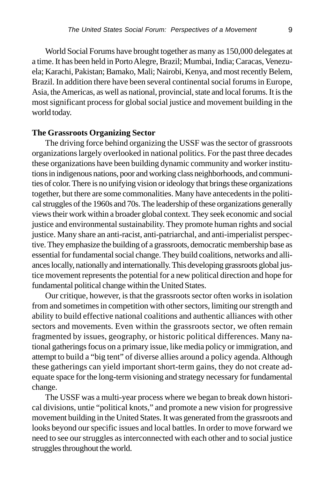World Social Forums have brought together as many as 150,000 delegates at a time. It has been held in Porto Alegre, Brazil; Mumbai, India; Caracas, Venezuela; Karachi, Pakistan; Bamako, Mali; Nairobi, Kenya, and most recently Belem, Brazil. In addition there have been several continental social forums in Europe, Asia, the Americas, as well as national, provincial, state and local forums. It is the most significant process for global social justice and movement building in the world today.

#### **The Grassroots Organizing Sector**

The driving force behind organizing the USSF was the sector of grassroots organizations largely overlooked in national politics. For the past three decades these organizations have been building dynamic community and worker institutions in indigenous nations, poor and working class neighborhoods, and communities of color. There is no unifying vision or ideology that brings these organizations together, but there are some commonalities. Many have antecedents in the political struggles of the 1960s and 70s. The leadership of these organizations generally views their work within a broader global context. They seek economic and social justice and environmental sustainability. They promote human rights and social justice. Many share an anti-racist, anti-patriarchal, and anti-imperialist perspective. They emphasize the building of a grassroots, democratic membership base as essential for fundamental social change. They build coalitions, networks and alliances locally, nationally and internationally. This developing grassroots global justice movement represents the potential for a new political direction and hope for fundamental political change within the United States.

Our critique, however, is that the grassroots sector often works in isolation from and sometimes in competition with other sectors, limiting our strength and ability to build effective national coalitions and authentic alliances with other sectors and movements. Even within the grassroots sector, we often remain fragmented by issues, geography, or historic political differences. Many national gatherings focus on a primary issue, like media policy or immigration, and attempt to build a "big tent" of diverse allies around a policy agenda. Although these gatherings can yield important short-term gains, they do not create adequate space for the long-term visioning and strategy necessary for fundamental change.

The USSF was a multi-year process where we began to break down historical divisions, untie "political knots," and promote a new vision for progressive movement building in the United States. It was generated from the grassroots and looks beyond our specific issues and local battles. In order to move forward we need to see our struggles as interconnected with each other and to social justice struggles throughout the world.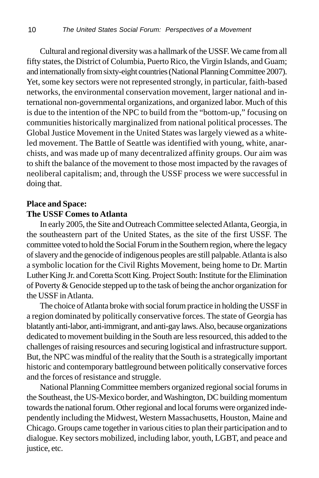Cultural and regional diversity was a hallmark of the USSF. We came from all fifty states, the District of Columbia, Puerto Rico, the Virgin Islands, and Guam; and internationally from sixty-eight countries (National Planning Committee 2007). Yet, some key sectors were not represented strongly, in particular, faith-based networks, the environmental conservation movement, larger national and international non-governmental organizations, and organized labor. Much of this is due to the intention of the NPC to build from the "bottom-up," focusing on communities historically marginalized from national political processes. The Global Justice Movement in the United States was largely viewed as a whiteled movement. The Battle of Seattle was identified with young, white, anarchists, and was made up of many decentralized affinity groups. Our aim was to shift the balance of the movement to those most impacted by the ravages of neoliberal capitalism; and, through the USSF process we were successful in doing that.

## **Place and Space: The USSF Comes to Atlanta**

In early 2005, the Site and Outreach Committee selected Atlanta, Georgia, in the southeastern part of the United States, as the site of the first USSF. The committee voted to hold the Social Forum in the Southern region, where the legacy of slavery and the genocide of indigenous peoples are still palpable. Atlanta is also a symbolic location for the Civil Rights Movement, being home to Dr. Martin Luther King Jr. and Coretta Scott King. Project South: Institute for the Elimination of Poverty & Genocide stepped up to the task of being the anchor organization for the USSF in Atlanta.

The choice of Atlanta broke with social forum practice in holding the USSF in a region dominated by politically conservative forces. The state of Georgia has blatantly anti-labor, anti-immigrant, and anti-gay laws. Also, because organizations dedicated to movement building in the South are less resourced, this added to the challenges of raising resources and securing logistical and infrastructure support. But, the NPC was mindful of the reality that the South is a strategically important historic and contemporary battleground between politically conservative forces and the forces of resistance and struggle.

National Planning Committee members organized regional social forums in the Southeast, the US-Mexico border, and Washington, DC building momentum towards the national forum. Other regional and local forums were organized independently including the Midwest, Western Massachusetts, Houston, Maine and Chicago. Groups came together in various cities to plan their participation and to dialogue. Key sectors mobilized, including labor, youth, LGBT, and peace and justice, etc.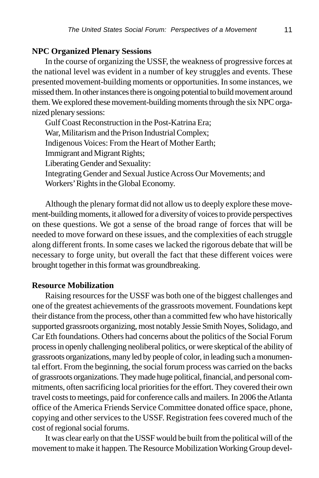#### **NPC Organized Plenary Sessions**

In the course of organizing the USSF, the weakness of progressive forces at the national level was evident in a number of key struggles and events. These presented movement-building moments or opportunities. In some instances, we missed them. In other instances there is ongoing potential to build movement around them. We explored these movement-building moments through the six NPC organized plenary sessions:

Gulf Coast Reconstruction in the Post-Katrina Era; War, Militarism and the Prison Industrial Complex; Indigenous Voices: From the Heart of Mother Earth; Immigrant and Migrant Rights; Liberating Gender and Sexuality: Integrating Gender and Sexual Justice Across Our Movements; and Workers' Rights in the Global Economy.

Although the plenary format did not allow us to deeply explore these movement-building moments, it allowed for a diversity of voices to provide perspectives on these questions. We got a sense of the broad range of forces that will be needed to move forward on these issues, and the complexities of each struggle along different fronts. In some cases we lacked the rigorous debate that will be necessary to forge unity, but overall the fact that these different voices were brought together in this format was groundbreaking.

#### **Resource Mobilization**

Raising resources for the USSF was both one of the biggest challenges and one of the greatest achievements of the grassroots movement. Foundations kept their distance from the process, other than a committed few who have historically supported grassroots organizing, most notably Jessie Smith Noyes, Solidago, and Car Eth foundations. Others had concerns about the politics of the Social Forum process in openly challenging neoliberal politics, or were skeptical of the ability of grassroots organizations, many led by people of color, in leading such a monumental effort. From the beginning, the social forum process was carried on the backs of grassroots organizations. They made huge political, financial, and personal commitments, often sacrificing local priorities for the effort. They covered their own travel costs to meetings, paid for conference calls and mailers. In 2006 the Atlanta office of the America Friends Service Committee donated office space, phone, copying and other services to the USSF. Registration fees covered much of the cost of regional social forums.

It was clear early on that the USSF would be built from the political will of the movement to make it happen. The Resource Mobilization Working Group devel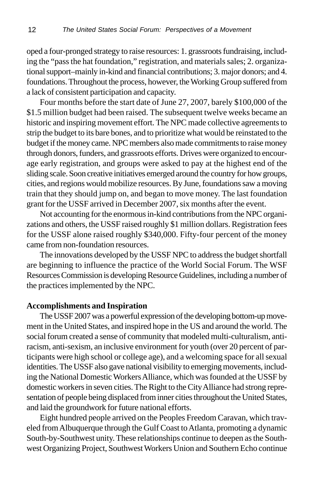oped a four-pronged strategy to raise resources: 1. grassroots fundraising, including the "pass the hat foundation," registration, and materials sales; 2. organizational support–mainly in-kind and financial contributions; 3. major donors; and 4. foundations. Throughout the process, however, the Working Group suffered from a lack of consistent participation and capacity.

Four months before the start date of June 27, 2007, barely \$100,000 of the \$1.5 million budget had been raised. The subsequent twelve weeks became an historic and inspiring movement effort. The NPC made collective agreements to strip the budget to its bare bones, and to prioritize what would be reinstated to the budget if the money came. NPC members also made commitments to raise money through donors, funders, and grassroots efforts. Drives were organized to encourage early registration, and groups were asked to pay at the highest end of the sliding scale. Soon creative initiatives emerged around the country for how groups, cities, and regions would mobilize resources. By June, foundations saw a moving train that they should jump on, and began to move money. The last foundation grant for the USSF arrived in December 2007, six months after the event.

Not accounting for the enormous in-kind contributions from the NPC organizations and others, the USSF raised roughly \$1 million dollars. Registration fees for the USSF alone raised roughly \$340,000. Fifty-four percent of the money came from non-foundation resources.

The innovations developed by the USSF NPC to address the budget shortfall are beginning to influence the practice of the World Social Forum. The WSF Resources Commission is developing Resource Guidelines, including a number of the practices implemented by the NPC.

#### **Accomplishments and Inspiration**

The USSF 2007 was a powerful expression of the developing bottom-up movement in the United States, and inspired hope in the US and around the world. The social forum created a sense of community that modeled multi-culturalism, antiracism, anti-sexism, an inclusive environment for youth (over 20 percent of participants were high school or college age), and a welcoming space for all sexual identities. The USSF also gave national visibility to emerging movements, including the National Domestic Workers Alliance, which was founded at the USSF by domestic workers in seven cities. The Right to the City Alliance had strong representation of people being displaced from inner cities throughout the United States, and laid the groundwork for future national efforts.

Eight hundred people arrived on the Peoples Freedom Caravan, which traveled from Albuquerque through the Gulf Coast to Atlanta, promoting a dynamic South-by-Southwest unity. These relationships continue to deepen as the Southwest Organizing Project, Southwest Workers Union and Southern Echo continue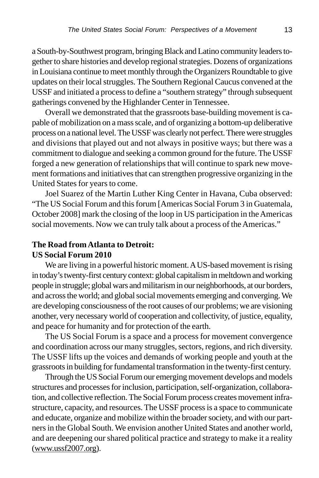a South-by-Southwest program, bringing Black and Latino community leaders together to share histories and develop regional strategies. Dozens of organizations in Louisiana continue to meet monthly through the Organizers Roundtable to give updates on their local struggles. The Southern Regional Caucus convened at the USSF and initiated a process to define a "southern strategy" through subsequent gatherings convened by the Highlander Center in Tennessee.

Overall we demonstrated that the grassroots base-building movement is capable of mobilization on a mass scale, and of organizing a bottom-up deliberative process on a national level. The USSF was clearly not perfect. There were struggles and divisions that played out and not always in positive ways; but there was a commitment to dialogue and seeking a common ground for the future. The USSF forged a new generation of relationships that will continue to spark new movement formations and initiatives that can strengthen progressive organizing in the United States for years to come.

Joel Suarez of the Martin Luther King Center in Havana, Cuba observed: "The US Social Forum and this forum [Americas Social Forum 3 in Guatemala, October 2008] mark the closing of the loop in US participation in the Americas social movements. Now we can truly talk about a process of the Americas."

### **The Road from Atlanta to Detroit: US Social Forum 2010**

We are living in a powerful historic moment. A US-based movement is rising in today's twenty-first century context: global capitalism in meltdown and working people in struggle; global wars and militarism in our neighborhoods, at our borders, and across the world; and global social movements emerging and converging. We are developing consciousness of the root causes of our problems; we are visioning another, very necessary world of cooperation and collectivity, of justice, equality, and peace for humanity and for protection of the earth.

The US Social Forum is a space and a process for movement convergence and coordination across our many struggles, sectors, regions, and rich diversity. The USSF lifts up the voices and demands of working people and youth at the grassroots in building for fundamental transformation in the twenty-first century.

Through the US Social Forum our emerging movement develops and models structures and processes for inclusion, participation, self-organization, collaboration, and collective reflection. The Social Forum process creates movement infrastructure, capacity, and resources. The USSF process is a space to communicate and educate, organize and mobilize within the broader society, and with our partners in the Global South. We envision another United States and another world, and are deepening our shared political practice and strategy to make it a reality (www.ussf2007.org).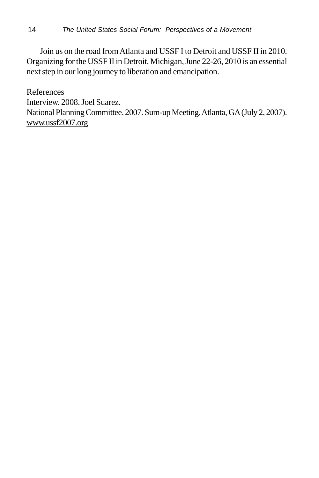Join us on the road from Atlanta and USSF I to Detroit and USSF II in 2010. Organizing for the USSF II in Detroit, Michigan, June 22-26, 2010 is an essential next step in our long journey to liberation and emancipation.

References Interview. 2008. Joel Suarez. National Planning Committee. 2007. Sum-up Meeting, Atlanta, GA (July 2, 2007). www.ussf2007.org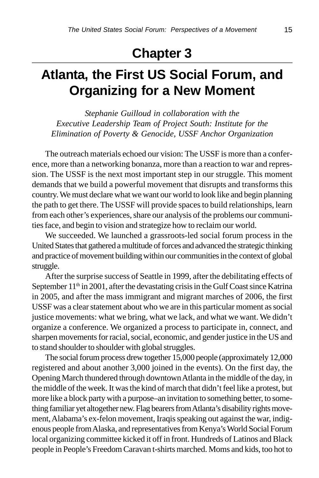# **Chapter 3**

# **Atlanta, the First US Social Forum, and Organizing for a New Moment**

*Stephanie Guilloud in collaboration with the Executive Leadership Team of Project South: Institute for the Elimination of Poverty & Genocide, USSF Anchor Organization*

The outreach materials echoed our vision: The USSF is more than a conference, more than a networking bonanza, more than a reaction to war and repression. The USSF is the next most important step in our struggle. This moment demands that we build a powerful movement that disrupts and transforms this country. We must declare what we want our world to look like and begin planning the path to get there. The USSF will provide spaces to build relationships, learn from each other's experiences, share our analysis of the problems our communities face, and begin to vision and strategize how to reclaim our world.

We succeeded. We launched a grassroots-led social forum process in the United States that gathered a multitude of forces and advanced the strategic thinking and practice of movement building within our communities in the context of global struggle.

After the surprise success of Seattle in 1999, after the debilitating effects of September 11<sup>th</sup> in 2001, after the devastating crisis in the Gulf Coast since Katrina in 2005, and after the mass immigrant and migrant marches of 2006, the first USSF was a clear statement about who we are in this particular moment as social justice movements: what we bring, what we lack, and what we want. We didn't organize a conference. We organized a process to participate in, connect, and sharpen movements for racial, social, economic, and gender justice in the US and to stand shoulder to shoulder with global struggles.

The social forum process drew together 15,000 people (approximately 12,000 registered and about another 3,000 joined in the events). On the first day, the Opening March thundered through downtown Atlanta in the middle of the day, in the middle of the week. It was the kind of march that didn't feel like a protest, but more like a block party with a purpose–an invitation to something better, to something familiar yet altogether new. Flag bearers from Atlanta's disability rights movement, Alabama's ex-felon movement, Iraqis speaking out against the war, indigenous people from Alaska, and representatives from Kenya's World Social Forum local organizing committee kicked it off in front. Hundreds of Latinos and Black people in People's Freedom Caravan t-shirts marched. Moms and kids, too hot to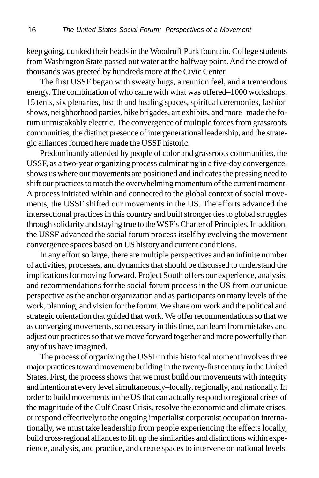keep going, dunked their heads in the Woodruff Park fountain. College students from Washington State passed out water at the halfway point. And the crowd of thousands was greeted by hundreds more at the Civic Center.

The first USSF began with sweaty hugs, a reunion feel, and a tremendous energy. The combination of who came with what was offered–1000 workshops, 15 tents, six plenaries, health and healing spaces, spiritual ceremonies, fashion shows, neighborhood parties, bike brigades, art exhibits, and more–made the forum unmistakably electric. The convergence of multiple forces from grassroots communities, the distinct presence of intergenerational leadership, and the strategic alliances formed here made the USSF historic.

Predominantly attended by people of color and grassroots communities, the USSF, as a two-year organizing process culminating in a five-day convergence, shows us where our movements are positioned and indicates the pressing need to shift our practices to match the overwhelming momentum of the current moment. A process initiated within and connected to the global context of social movements, the USSF shifted our movements in the US. The efforts advanced the intersectional practices in this country and built stronger ties to global struggles through solidarity and staying true to the WSF's Charter of Principles. In addition, the USSF advanced the social forum process itself by evolving the movement convergence spaces based on US history and current conditions.

In any effort so large, there are multiple perspectives and an infinite number of activities, processes, and dynamics that should be discussed to understand the implications for moving forward. Project South offers our experience, analysis, and recommendations for the social forum process in the US from our unique perspective as the anchor organization and as participants on many levels of the work, planning, and vision for the forum. We share our work and the political and strategic orientation that guided that work. We offer recommendations so that we as converging movements, so necessary in this time, can learn from mistakes and adjust our practices so that we move forward together and more powerfully than any of us have imagined.

The process of organizing the USSF in this historical moment involves three major practices toward movement building in the twenty-first century in the United States. First, the process shows that we must build our movements with integrity and intention at every level simultaneously–locally, regionally, and nationally. In order to build movements in the US that can actually respond to regional crises of the magnitude of the Gulf Coast Crisis, resolve the economic and climate crises, or respond effectively to the ongoing imperialist corporatist occupation internationally, we must take leadership from people experiencing the effects locally, build cross-regional alliances to lift up the similarities and distinctions within experience, analysis, and practice, and create spaces to intervene on national levels.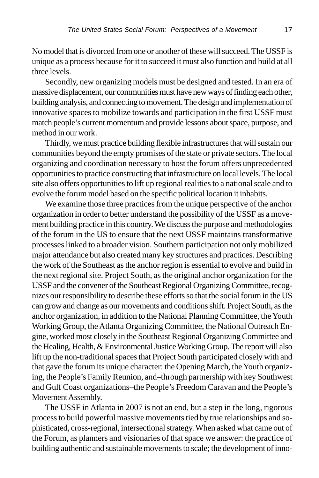No model that is divorced from one or another of these will succeed. The USSF is unique as a process because for it to succeed it must also function and build at all three levels.

Secondly, new organizing models must be designed and tested. In an era of massive displacement, our communities must have new ways of finding each other, building analysis, and connecting to movement. The design and implementation of innovative spaces to mobilize towards and participation in the first USSF must match people's current momentum and provide lessons about space, purpose, and method in our work.

Thirdly, we must practice building flexible infrastructures that will sustain our communities beyond the empty promises of the state or private sectors. The local organizing and coordination necessary to host the forum offers unprecedented opportunities to practice constructing that infrastructure on local levels. The local site also offers opportunities to lift up regional realities to a national scale and to evolve the forum model based on the specific political location it inhabits.

We examine those three practices from the unique perspective of the anchor organization in order to better understand the possibility of the USSF as a movement building practice in this country. We discuss the purpose and methodologies of the forum in the US to ensure that the next USSF maintains transformative processes linked to a broader vision. Southern participation not only mobilized major attendance but also created many key structures and practices. Describing the work of the Southeast as the anchor region is essential to evolve and build in the next regional site. Project South, as the original anchor organization for the USSF and the convener of the Southeast Regional Organizing Committee, recognizes our responsibility to describe these efforts so that the social forum in the US can grow and change as our movements and conditions shift. Project South, as the anchor organization, in addition to the National Planning Committee, the Youth Working Group, the Atlanta Organizing Committee, the National Outreach Engine, worked most closely in the Southeast Regional Organizing Committee and the Healing, Health, & Environmental Justice Working Group. The report will also lift up the non-traditional spaces that Project South participated closely with and that gave the forum its unique character: the Opening March, the Youth organizing, the People's Family Reunion, and–through partnership with key Southwest and Gulf Coast organizations–the People's Freedom Caravan and the People's Movement Assembly.

The USSF in Atlanta in 2007 is not an end, but a step in the long, rigorous process to build powerful massive movements tied by true relationships and sophisticated, cross-regional, intersectional strategy. When asked what came out of the Forum, as planners and visionaries of that space we answer: the practice of building authentic and sustainable movements to scale; the development of inno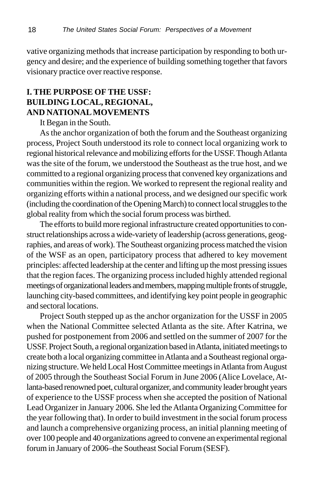vative organizing methods that increase participation by responding to both urgency and desire; and the experience of building something together that favors visionary practice over reactive response.

### **I. THE PURPOSE OF THE USSF: BUILDING LOCAL, REGIONAL, AND NATIONAL MOVEMENTS**

It Began in the South.

As the anchor organization of both the forum and the Southeast organizing process, Project South understood its role to connect local organizing work to regional historical relevance and mobilizing efforts for the USSF. Though Atlanta was the site of the forum, we understood the Southeast as the true host, and we committed to a regional organizing process that convened key organizations and communities within the region. We worked to represent the regional reality and organizing efforts within a national process, and we designed our specific work (including the coordination of the Opening March) to connect local struggles to the global reality from which the social forum process was birthed.

The efforts to build more regional infrastructure created opportunities to construct relationships across a wide-variety of leadership (across generations, geographies, and areas of work). The Southeast organizing process matched the vision of the WSF as an open, participatory process that adhered to key movement principles: affected leadership at the center and lifting up the most pressing issues that the region faces. The organizing process included highly attended regional meetings of organizational leaders and members, mapping multiple fronts of struggle, launching city-based committees, and identifying key point people in geographic and sectoral locations.

Project South stepped up as the anchor organization for the USSF in 2005 when the National Committee selected Atlanta as the site. After Katrina, we pushed for postponement from 2006 and settled on the summer of 2007 for the USSF. Project South, a regional organization based in Atlanta, initiated meetings to create both a local organizing committee in Atlanta and a Southeast regional organizing structure. We held Local Host Committee meetings in Atlanta from August of 2005 through the Southeast Social Forum in June 2006 (Alice Lovelace, Atlanta-based renowned poet, cultural organizer, and community leader brought years of experience to the USSF process when she accepted the position of National Lead Organizer in January 2006. She led the Atlanta Organizing Committee for the year following that). In order to build investment in the social forum process and launch a comprehensive organizing process, an initial planning meeting of over 100 people and 40 organizations agreed to convene an experimental regional forum in January of 2006–the Southeast Social Forum (SESF).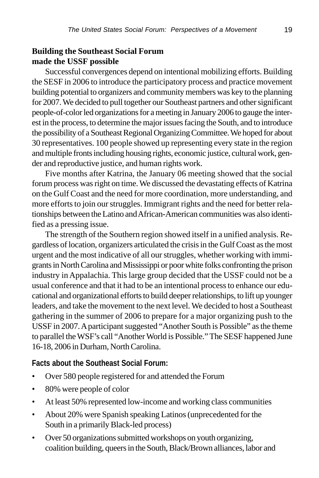#### **Building the Southeast Social Forum made the USSF possible**

Successful convergences depend on intentional mobilizing efforts. Building the SESF in 2006 to introduce the participatory process and practice movement building potential to organizers and community members was key to the planning for 2007. We decided to pull together our Southeast partners and other significant people-of-color led organizations for a meeting in January 2006 to gauge the interest in the process, to determine the major issues facing the South, and to introduce the possibility of a Southeast Regional Organizing Committee. We hoped for about 30 representatives. 100 people showed up representing every state in the region and multiple fronts including housing rights, economic justice, cultural work, gender and reproductive justice, and human rights work.

Five months after Katrina, the January 06 meeting showed that the social forum process was right on time. We discussed the devastating effects of Katrina on the Gulf Coast and the need for more coordination, more understanding, and more efforts to join our struggles. Immigrant rights and the need for better relationships between the Latino and African-American communities was also identified as a pressing issue.

The strength of the Southern region showed itself in a unified analysis. Regardless of location, organizers articulated the crisis in the Gulf Coast as the most urgent and the most indicative of all our struggles, whether working with immigrants in North Carolina and Mississippi or poor white folks confronting the prison industry in Appalachia. This large group decided that the USSF could not be a usual conference and that it had to be an intentional process to enhance our educational and organizational efforts to build deeper relationships, to lift up younger leaders, and take the movement to the next level. We decided to host a Southeast gathering in the summer of 2006 to prepare for a major organizing push to the USSF in 2007. A participant suggested "Another South is Possible" as the theme to parallel the WSF's call "Another World is Possible." The SESF happened June 16-18, 2006 in Durham, North Carolina.

#### **Facts about the Southeast Social Forum:**

- Over 580 people registered for and attended the Forum
- 80% were people of color
- At least 50% represented low-income and working class communities
- About 20% were Spanish speaking Latinos (unprecedented for the South in a primarily Black-led process)
- Over 50 organizations submitted workshops on youth organizing, coalition building, queers in the South, Black/Brown alliances, labor and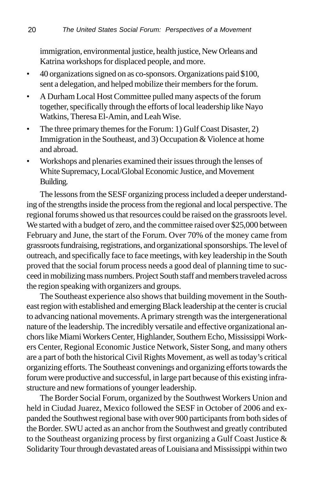immigration, environmental justice, health justice, New Orleans and Katrina workshops for displaced people, and more.

- 40 organizations signed on as co-sponsors. Organizations paid \$100, sent a delegation, and helped mobilize their members for the forum.
- A Durham Local Host Committee pulled many aspects of the forum together, specifically through the efforts of local leadership like Nayo Watkins, Theresa El-Amin, and Leah Wise.
- The three primary themes for the Forum: 1) Gulf Coast Disaster, 2) Immigration in the Southeast, and 3) Occupation & Violence at home and abroad.
- Workshops and plenaries examined their issues through the lenses of White Supremacy, Local/Global Economic Justice, and Movement Building.

The lessons from the SESF organizing process included a deeper understanding of the strengths inside the process from the regional and local perspective. The regional forums showed us that resources could be raised on the grassroots level. We started with a budget of zero, and the committee raised over \$25,000 between February and June, the start of the Forum. Over 70% of the money came from grassroots fundraising, registrations, and organizational sponsorships. The level of outreach, and specifically face to face meetings, with key leadership in the South proved that the social forum process needs a good deal of planning time to succeed in mobilizing mass numbers. Project South staff and members traveled across the region speaking with organizers and groups.

The Southeast experience also shows that building movement in the Southeast region with established and emerging Black leadership at the center is crucial to advancing national movements. A primary strength was the intergenerational nature of the leadership. The incredibly versatile and effective organizational anchors like Miami Workers Center, Highlander, Southern Echo, Mississippi Workers Center, Regional Economic Justice Network, Sister Song, and many others are a part of both the historical Civil Rights Movement, as well as today's critical organizing efforts. The Southeast convenings and organizing efforts towards the forum were productive and successful, in large part because of this existing infrastructure and new formations of younger leadership.

The Border Social Forum, organized by the Southwest Workers Union and held in Ciudad Juarez, Mexico followed the SESF in October of 2006 and expanded the Southwest regional base with over 900 participants from both sides of the Border. SWU acted as an anchor from the Southwest and greatly contributed to the Southeast organizing process by first organizing a Gulf Coast Justice & Solidarity Tour through devastated areas of Louisiana and Mississippi within two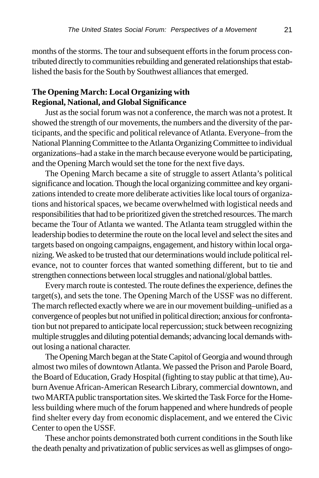months of the storms. The tour and subsequent efforts in the forum process contributed directly to communities rebuilding and generated relationships that established the basis for the South by Southwest alliances that emerged.

### **The Opening March: Local Organizing with Regional, National, and Global Significance**

Just as the social forum was not a conference, the march was not a protest. It showed the strength of our movements, the numbers and the diversity of the participants, and the specific and political relevance of Atlanta. Everyone–from the National Planning Committee to the Atlanta Organizing Committee to individual organizations–had a stake in the march because everyone would be participating, and the Opening March would set the tone for the next five days.

The Opening March became a site of struggle to assert Atlanta's political significance and location. Though the local organizing committee and key organizations intended to create more deliberate activities like local tours of organizations and historical spaces, we became overwhelmed with logistical needs and responsibilities that had to be prioritized given the stretched resources. The march became the Tour of Atlanta we wanted. The Atlanta team struggled within the leadership bodies to determine the route on the local level and select the sites and targets based on ongoing campaigns, engagement, and history within local organizing. We asked to be trusted that our determinations would include political relevance, not to counter forces that wanted something different, but to tie and strengthen connections between local struggles and national/global battles.

Every march route is contested. The route defines the experience, defines the target(s), and sets the tone. The Opening March of the USSF was no different. The march reflected exactly where we are in our movement building–unified as a convergence of peoples but not unified in political direction; anxious for confrontation but not prepared to anticipate local repercussion; stuck between recognizing multiple struggles and diluting potential demands; advancing local demands without losing a national character.

The Opening March began at the State Capitol of Georgia and wound through almost two miles of downtown Atlanta. We passed the Prison and Parole Board, the Board of Education, Grady Hospital (fighting to stay public at that time), Auburn Avenue African-American Research Library, commercial downtown, and two MARTA public transportation sites. We skirted the Task Force for the Homeless building where much of the forum happened and where hundreds of people find shelter every day from economic displacement, and we entered the Civic Center to open the USSF.

These anchor points demonstrated both current conditions in the South like the death penalty and privatization of public services as well as glimpses of ongo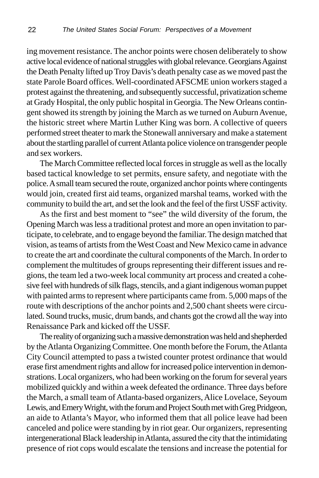ing movement resistance. The anchor points were chosen deliberately to show active local evidence of national struggles with global relevance. Georgians Against the Death Penalty lifted up Troy Davis's death penalty case as we moved past the state Parole Board offices. Well-coordinated AFSCME union workers staged a protest against the threatening, and subsequently successful, privatization scheme at Grady Hospital, the only public hospital in Georgia. The New Orleans contingent showed its strength by joining the March as we turned on Auburn Avenue, the historic street where Martin Luther King was born. A collective of queers performed street theater to mark the Stonewall anniversary and make a statement about the startling parallel of current Atlanta police violence on transgender people and sex workers.

The March Committee reflected local forces in struggle as well as the locally based tactical knowledge to set permits, ensure safety, and negotiate with the police. A small team secured the route, organized anchor points where contingents would join, created first aid teams, organized marshal teams, worked with the community to build the art, and set the look and the feel of the first USSF activity.

As the first and best moment to "see" the wild diversity of the forum, the Opening March was less a traditional protest and more an open invitation to participate, to celebrate, and to engage beyond the familiar. The design matched that vision, as teams of artists from the West Coast and New Mexico came in advance to create the art and coordinate the cultural components of the March. In order to complement the multitudes of groups representing their different issues and regions, the team led a two-week local community art process and created a cohesive feel with hundreds of silk flags, stencils, and a giant indigenous woman puppet with painted arms to represent where participants came from. 5,000 maps of the route with descriptions of the anchor points and 2,500 chant sheets were circulated. Sound trucks, music, drum bands, and chants got the crowd all the way into Renaissance Park and kicked off the USSF.

The reality of organizing such a massive demonstration was held and shepherded by the Atlanta Organizing Committee. One month before the Forum, the Atlanta City Council attempted to pass a twisted counter protest ordinance that would erase first amendment rights and allow for increased police intervention in demonstrations. Local organizers, who had been working on the forum for several years mobilized quickly and within a week defeated the ordinance. Three days before the March, a small team of Atlanta-based organizers, Alice Lovelace, Seyoum Lewis, and Emery Wright, with the forum and Project South met with Greg Pridgeon, an aide to Atlanta's Mayor, who informed them that all police leave had been canceled and police were standing by in riot gear. Our organizers, representing intergenerational Black leadership in Atlanta, assured the city that the intimidating presence of riot cops would escalate the tensions and increase the potential for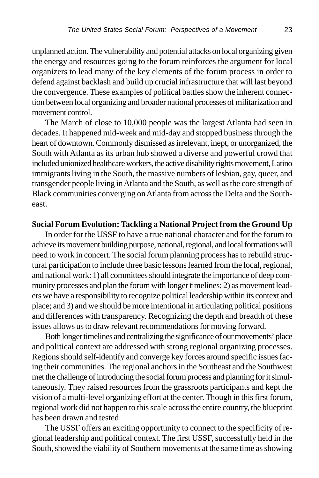unplanned action. The vulnerability and potential attacks on local organizing given the energy and resources going to the forum reinforces the argument for local organizers to lead many of the key elements of the forum process in order to defend against backlash and build up crucial infrastructure that will last beyond the convergence. These examples of political battles show the inherent connection between local organizing and broader national processes of militarization and movement control.

The March of close to 10,000 people was the largest Atlanta had seen in decades. It happened mid-week and mid-day and stopped business through the heart of downtown. Commonly dismissed as irrelevant, inept, or unorganized, the South with Atlanta as its urban hub showed a diverse and powerful crowd that included unionized healthcare workers, the active disability rights movement, Latino immigrants living in the South, the massive numbers of lesbian, gay, queer, and transgender people living in Atlanta and the South, as well as the core strength of Black communities converging on Atlanta from across the Delta and the Southeast.

#### **Social Forum Evolution: Tackling a National Project from the Ground Up**

In order for the USSF to have a true national character and for the forum to achieve its movement building purpose, national, regional, and local formations will need to work in concert. The social forum planning process has to rebuild structural participation to include three basic lessons learned from the local, regional, and national work: 1) all committees should integrate the importance of deep community processes and plan the forum with longer timelines; 2) as movement leaders we have a responsibility to recognize political leadership within its context and place; and 3) and we should be more intentional in articulating political positions and differences with transparency. Recognizing the depth and breadth of these issues allows us to draw relevant recommendations for moving forward.

Both longer timelines and centralizing the significance of our movements' place and political context are addressed with strong regional organizing processes. Regions should self-identify and converge key forces around specific issues facing their communities. The regional anchors in the Southeast and the Southwest met the challenge of introducing the social forum process and planning for it simultaneously. They raised resources from the grassroots participants and kept the vision of a multi-level organizing effort at the center. Though in this first forum, regional work did not happen to this scale across the entire country, the blueprint has been drawn and tested.

The USSF offers an exciting opportunity to connect to the specificity of regional leadership and political context. The first USSF, successfully held in the South, showed the viability of Southern movements at the same time as showing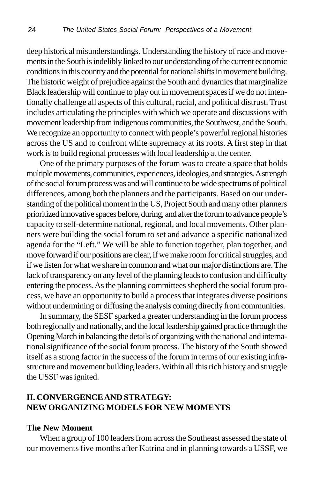deep historical misunderstandings. Understanding the history of race and movements in the South is indelibly linked to our understanding of the current economic conditions in this country and the potential for national shifts in movement building. The historic weight of prejudice against the South and dynamics that marginalize Black leadership will continue to play out in movement spaces if we do not intentionally challenge all aspects of this cultural, racial, and political distrust. Trust includes articulating the principles with which we operate and discussions with movement leadership from indigenous communities, the Southwest, and the South. We recognize an opportunity to connect with people's powerful regional histories across the US and to confront white supremacy at its roots. A first step in that work is to build regional processes with local leadership at the center.

One of the primary purposes of the forum was to create a space that holds multiple movements, communities, experiences, ideologies, and strategies. A strength of the social forum process was and will continue to be wide spectrums of political differences, among both the planners and the participants. Based on our understanding of the political moment in the US, Project South and many other planners prioritized innovative spaces before, during, and after the forum to advance people's capacity to self-determine national, regional, and local movements. Other planners were building the social forum to set and advance a specific nationalized agenda for the "Left." We will be able to function together, plan together, and move forward if our positions are clear, if we make room for critical struggles, and if we listen for what we share in common and what our major distinctions are. The lack of transparency on any level of the planning leads to confusion and difficulty entering the process. As the planning committees shepherd the social forum process, we have an opportunity to build a process that integrates diverse positions without undermining or diffusing the analysis coming directly from communities.

In summary, the SESF sparked a greater understanding in the forum process both regionally and nationally, and the local leadership gained practice through the Opening March in balancing the details of organizing with the national and international significance of the social forum process. The history of the South showed itself as a strong factor in the success of the forum in terms of our existing infrastructure and movement building leaders. Within all this rich history and struggle the USSF was ignited.

## **II. CONVERGENCE AND STRATEGY: NEW ORGANIZING MODELS FOR NEW MOMENTS**

#### **The New Moment**

When a group of 100 leaders from across the Southeast assessed the state of our movements five months after Katrina and in planning towards a USSF, we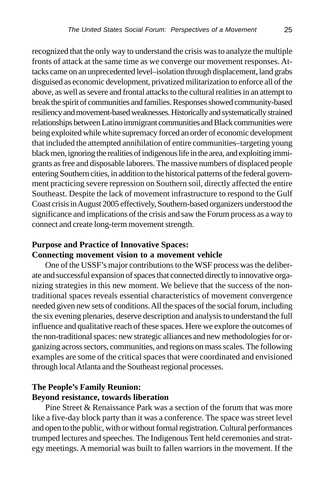recognized that the only way to understand the crisis was to analyze the multiple fronts of attack at the same time as we converge our movement responses. Attacks came on an unprecedented level–isolation through displacement, land grabs disguised as economic development, privatized militarization to enforce all of the above, as well as severe and frontal attacks to the cultural realities in an attempt to break the spirit of communities and families. Responses showed community-based resiliency and movement-based weaknesses. Historically and systematically strained relationships between Latino immigrant communities and Black communities were being exploited while white supremacy forced an order of economic development that included the attempted annihilation of entire communities–targeting young black men, ignoring the realities of indigenous life in the area, and exploiting immigrants as free and disposable laborers. The massive numbers of displaced people entering Southern cities, in addition to the historical patterns of the federal government practicing severe repression on Southern soil, directly affected the entire Southeast. Despite the lack of movement infrastructure to respond to the Gulf Coast crisis in August 2005 effectively, Southern-based organizers understood the significance and implications of the crisis and saw the Forum process as a way to connect and create long-term movement strength.

## **Purpose and Practice of Innovative Spaces: Connecting movement vision to a movement vehicle**

One of the USSF's major contributions to the WSF process was the deliberate and successful expansion of spaces that connected directly to innovative organizing strategies in this new moment. We believe that the success of the nontraditional spaces reveals essential characteristics of movement convergence needed given new sets of conditions. All the spaces of the social forum, including the six evening plenaries, deserve description and analysis to understand the full influence and qualitative reach of these spaces. Here we explore the outcomes of the non-traditional spaces: new strategic alliances and new methodologies for organizing across sectors, communities, and regions on mass scales. The following examples are some of the critical spaces that were coordinated and envisioned through local Atlanta and the Southeast regional processes.

## **The People's Family Reunion: Beyond resistance, towards liberation**

Pine Street & Renaissance Park was a section of the forum that was more like a five-day block party than it was a conference. The space was street level and open to the public, with or without formal registration. Cultural performances trumped lectures and speeches. The Indigenous Tent held ceremonies and strategy meetings. A memorial was built to fallen warriors in the movement. If the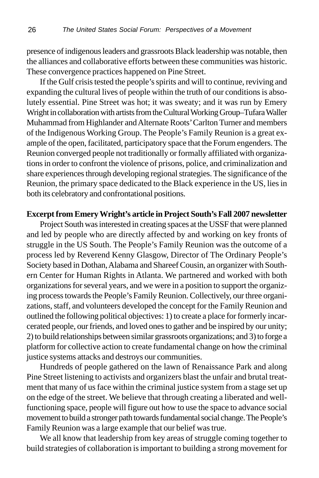presence of indigenous leaders and grassroots Black leadership was notable, then the alliances and collaborative efforts between these communities was historic. These convergence practices happened on Pine Street.

If the Gulf crisis tested the people's spirits and will to continue, reviving and expanding the cultural lives of people within the truth of our conditions is absolutely essential. Pine Street was hot; it was sweaty; and it was run by Emery Wright in collaboration with artists from the Cultural Working Group–Tufara Waller Muhammad from Highlander and Alternate Roots' Carlton Turner and members of the Indigenous Working Group. The People's Family Reunion is a great example of the open, facilitated, participatory space that the Forum engenders. The Reunion converged people not traditionally or formally affiliated with organizations in order to confront the violence of prisons, police, and criminalization and share experiences through developing regional strategies. The significance of the Reunion, the primary space dedicated to the Black experience in the US, lies in both its celebratory and confrontational positions.

## **Excerpt from Emery Wright's article in Project South's Fall 2007 newsletter**

Project South was interested in creating spaces at the USSF that were planned and led by people who are directly affected by and working on key fronts of struggle in the US South. The People's Family Reunion was the outcome of a process led by Reverend Kenny Glasgow, Director of The Ordinary People's Society based in Dothan, Alabama and Shareef Cousin, an organizer with Southern Center for Human Rights in Atlanta. We partnered and worked with both organizations for several years, and we were in a position to support the organizing process towards the People's Family Reunion. Collectively, our three organizations, staff, and volunteers developed the concept for the Family Reunion and outlined the following political objectives: 1) to create a place for formerly incarcerated people, our friends, and loved ones to gather and be inspired by our unity; 2) to build relationships between similar grassroots organizations; and 3) to forge a platform for collective action to create fundamental change on how the criminal justice systems attacks and destroys our communities.

Hundreds of people gathered on the lawn of Renaissance Park and along Pine Street listening to activists and organizers blast the unfair and brutal treatment that many of us face within the criminal justice system from a stage set up on the edge of the street. We believe that through creating a liberated and wellfunctioning space, people will figure out how to use the space to advance social movement to build a stronger path towards fundamental social change. The People's Family Reunion was a large example that our belief was true.

We all know that leadership from key areas of struggle coming together to build strategies of collaboration is important to building a strong movement for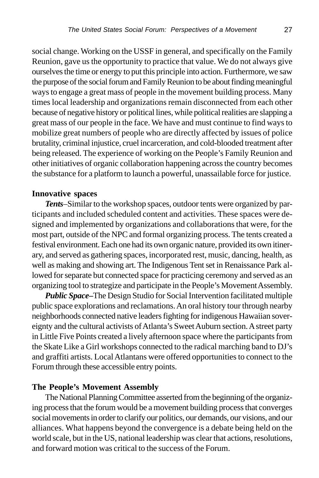social change. Working on the USSF in general, and specifically on the Family Reunion, gave us the opportunity to practice that value. We do not always give ourselves the time or energy to put this principle into action. Furthermore, we saw the purpose of the social forum and Family Reunion to be about finding meaningful ways to engage a great mass of people in the movement building process. Many times local leadership and organizations remain disconnected from each other because of negative history or political lines, while political realities are slapping a great mass of our people in the face. We have and must continue to find ways to mobilize great numbers of people who are directly affected by issues of police brutality, criminal injustice, cruel incarceration, and cold-blooded treatment after being released. The experience of working on the People's Family Reunion and other initiatives of organic collaboration happening across the country becomes the substance for a platform to launch a powerful, unassailable force for justice.

## **Innovative spaces**

*Tents*–Similar to the workshop spaces, outdoor tents were organized by participants and included scheduled content and activities. These spaces were designed and implemented by organizations and collaborations that were, for the most part, outside of the NPC and formal organizing process. The tents created a festival environment. Each one had its own organic nature, provided its own itinerary, and served as gathering spaces, incorporated rest, music, dancing, health, as well as making and showing art. The Indigenous Tent set in Renaissance Park allowed for separate but connected space for practicing ceremony and served as an organizing tool to strategize and participate in the People's Movement Assembly.

*Public Space***–**The Design Studio for Social Intervention facilitated multiple public space explorations and reclamations. An oral history tour through nearby neighborhoods connected native leaders fighting for indigenous Hawaiian sovereignty and the cultural activists of Atlanta's Sweet Auburn section. A street party in Little Five Points created a lively afternoon space where the participants from the Skate Like a Girl workshops connected to the radical marching band to DJ's and graffiti artists. Local Atlantans were offered opportunities to connect to the Forum through these accessible entry points.

#### **The People's Movement Assembly**

The National Planning Committee asserted from the beginning of the organizing process that the forum would be a movement building process that converges social movements in order to clarify our politics, our demands, our visions, and our alliances. What happens beyond the convergence is a debate being held on the world scale, but in the US, national leadership was clear that actions, resolutions, and forward motion was critical to the success of the Forum.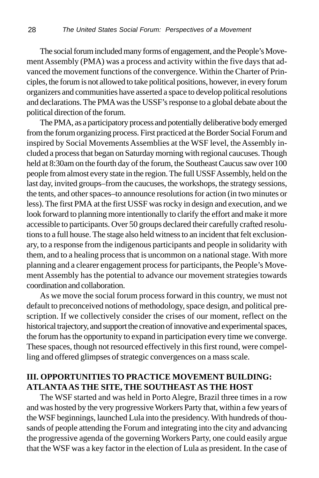The social forum included many forms of engagement, and the People's Movement Assembly (PMA) was a process and activity within the five days that advanced the movement functions of the convergence. Within the Charter of Principles, the forum is not allowed to take political positions, however, in every forum organizers and communities have asserted a space to develop political resolutions and declarations. The PMA was the USSF's response to a global debate about the political direction of the forum.

The PMA, as a participatory process and potentially deliberative body emerged from the forum organizing process. First practiced at the Border Social Forum and inspired by Social Movements Assemblies at the WSF level, the Assembly included a process that began on Saturday morning with regional caucuses. Though held at 8:30am on the fourth day of the forum, the Southeast Caucus saw over 100 people from almost every state in the region. The full USSF Assembly, held on the last day, invited groups–from the caucuses, the workshops, the strategy sessions, the tents, and other spaces–to announce resolutions for action (in two minutes or less). The first PMA at the first USSF was rocky in design and execution, and we look forward to planning more intentionally to clarify the effort and make it more accessible to participants. Over 50 groups declared their carefully crafted resolutions to a full house. The stage also held witness to an incident that felt exclusionary, to a response from the indigenous participants and people in solidarity with them, and to a healing process that is uncommon on a national stage. With more planning and a clearer engagement process for participants, the People's Movement Assembly has the potential to advance our movement strategies towards coordination and collaboration.

As we move the social forum process forward in this country, we must not default to preconceived notions of methodology, space design, and political prescription. If we collectively consider the crises of our moment, reflect on the historical trajectory, and support the creation of innovative and experimental spaces, the forum has the opportunity to expand in participation every time we converge. These spaces, though not resourced effectively in this first round, were compelling and offered glimpses of strategic convergences on a mass scale.

## **III. OPPORTUNITIES TO PRACTICE MOVEMENT BUILDING: ATLANTA AS THE SITE, THE SOUTHEAST AS THE HOST**

The WSF started and was held in Porto Alegre, Brazil three times in a row and was hosted by the very progressive Workers Party that, within a few years of the WSF beginnings, launched Lula into the presidency. With hundreds of thousands of people attending the Forum and integrating into the city and advancing the progressive agenda of the governing Workers Party, one could easily argue that the WSF was a key factor in the election of Lula as president. In the case of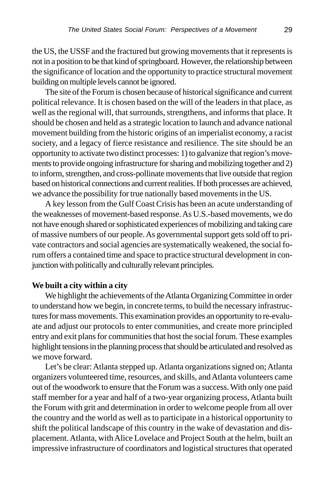the US, the USSF and the fractured but growing movements that it represents is not in a position to be that kind of springboard. However, the relationship between the significance of location and the opportunity to practice structural movement building on multiple levels cannot be ignored.

The site of the Forum is chosen because of historical significance and current political relevance. It is chosen based on the will of the leaders in that place, as well as the regional will, that surrounds, strengthens, and informs that place. It should be chosen and held as a strategic location to launch and advance national movement building from the historic origins of an imperialist economy, a racist society, and a legacy of fierce resistance and resilience. The site should be an opportunity to activate two distinct processes: 1) to galvanize that region's movements to provide ongoing infrastructure for sharing and mobilizing together and 2) to inform, strengthen, and cross-pollinate movements that live outside that region based on historical connections and current realities. If both processes are achieved, we advance the possibility for true nationally based movements in the US.

A key lesson from the Gulf Coast Crisis has been an acute understanding of the weaknesses of movement-based response. As U.S.-based movements, we do not have enough shared or sophisticated experiences of mobilizing and taking care of massive numbers of our people. As governmental support gets sold off to private contractors and social agencies are systematically weakened, the social forum offers a contained time and space to practice structural development in conjunction with politically and culturally relevant principles.

## **We built a city within a city**

We highlight the achievements of the Atlanta Organizing Committee in order to understand how we begin, in concrete terms, to build the necessary infrastructures for mass movements. This examination provides an opportunity to re-evaluate and adjust our protocols to enter communities, and create more principled entry and exit plans for communities that host the social forum. These examples highlight tensions in the planning process that should be articulated and resolved as we move forward.

Let's be clear: Atlanta stepped up. Atlanta organizations signed on; Atlanta organizers volunteered time, resources, and skills, and Atlanta volunteers came out of the woodwork to ensure that the Forum was a success. With only one paid staff member for a year and half of a two-year organizing process, Atlanta built the Forum with grit and determination in order to welcome people from all over the country and the world as well as to participate in a historical opportunity to shift the political landscape of this country in the wake of devastation and displacement. Atlanta, with Alice Lovelace and Project South at the helm, built an impressive infrastructure of coordinators and logistical structures that operated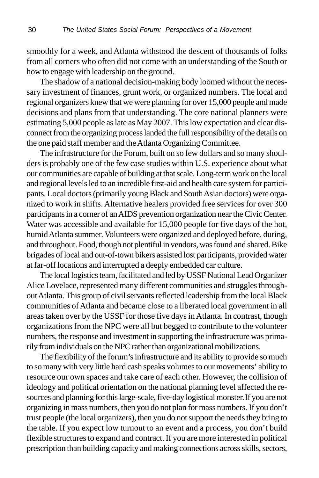smoothly for a week, and Atlanta withstood the descent of thousands of folks from all corners who often did not come with an understanding of the South or how to engage with leadership on the ground.

The shadow of a national decision-making body loomed without the necessary investment of finances, grunt work, or organized numbers. The local and regional organizers knew that we were planning for over 15,000 people and made decisions and plans from that understanding. The core national planners were estimating 5,000 people as late as May 2007. This low expectation and clear disconnect from the organizing process landed the full responsibility of the details on the one paid staff member and the Atlanta Organizing Committee.

The infrastructure for the Forum, built on so few dollars and so many shoulders is probably one of the few case studies within U.S. experience about what our communities are capable of building at that scale. Long-term work on the local and regional levels led to an incredible first-aid and health care system for participants. Local doctors (primarily young Black and South Asian doctors) were organized to work in shifts. Alternative healers provided free services for over 300 participants in a corner of an AIDS prevention organization near the Civic Center. Water was accessible and available for 15,000 people for five days of the hot, humid Atlanta summer. Volunteers were organized and deployed before, during, and throughout. Food, though not plentiful in vendors, was found and shared. Bike brigades of local and out-of-town bikers assisted lost participants, provided water at far-off locations and interrupted a deeply embedded car culture.

The local logistics team, facilitated and led by USSF National Lead Organizer Alice Lovelace, represented many different communities and struggles throughout Atlanta. This group of civil servants reflected leadership from the local Black communities of Atlanta and became close to a liberated local government in all areas taken over by the USSF for those five days in Atlanta. In contrast, though organizations from the NPC were all but begged to contribute to the volunteer numbers, the response and investment in supporting the infrastructure was primarily from individuals on the NPC rather than organizational mobilizations.

The flexibility of the forum's infrastructure and its ability to provide so much to so many with very little hard cash speaks volumes to our movements' ability to resource our own spaces and take care of each other. However, the collision of ideology and political orientation on the national planning level affected the resources and planning for this large-scale, five-day logistical monster.If you are not organizing in mass numbers, then you do not plan for mass numbers. If you don't trust people (the local organizers), then you do not support the needs they bring to the table. If you expect low turnout to an event and a process, you don't build flexible structures to expand and contract. If you are more interested in political prescription than building capacity and making connections across skills, sectors,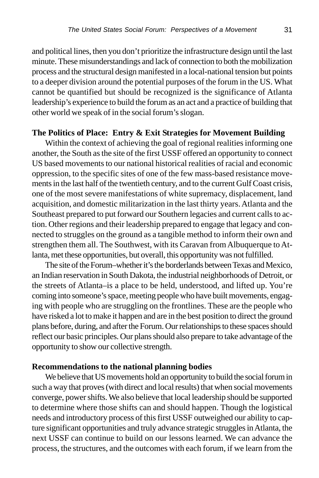and political lines, then you don't prioritize the infrastructure design until the last minute. These misunderstandings and lack of connection to both the mobilization process and the structural design manifested in a local-national tension but points to a deeper division around the potential purposes of the forum in the US. What cannot be quantified but should be recognized is the significance of Atlanta leadership's experience to build the forum as an act and a practice of building that other world we speak of in the social forum's slogan.

## **The Politics of Place: Entry & Exit Strategies for Movement Building**

Within the context of achieving the goal of regional realities informing one another, the South as the site of the first USSF offered an opportunity to connect US based movements to our national historical realities of racial and economic oppression, to the specific sites of one of the few mass-based resistance movements in the last half of the twentieth century, and to the current Gulf Coast crisis, one of the most severe manifestations of white supremacy, displacement, land acquisition, and domestic militarization in the last thirty years. Atlanta and the Southeast prepared to put forward our Southern legacies and current calls to action. Other regions and their leadership prepared to engage that legacy and connected to struggles on the ground as a tangible method to inform their own and strengthen them all. The Southwest, with its Caravan from Albuquerque to Atlanta, met these opportunities, but overall, this opportunity was not fulfilled.

The site of the Forum–whether it's the borderlands between Texas and Mexico, an Indian reservation in South Dakota, the industrial neighborhoods of Detroit, or the streets of Atlanta–is a place to be held, understood, and lifted up. You're coming into someone's space, meeting people who have built movements, engaging with people who are struggling on the frontlines. These are the people who have risked a lot to make it happen and are in the best position to direct the ground plans before, during, and after the Forum. Our relationships to these spaces should reflect our basic principles. Our plans should also prepare to take advantage of the opportunity to show our collective strength.

#### **Recommendations to the national planning bodies**

We believe that US movements hold an opportunity to build the social forum in such a way that proves (with direct and local results) that when social movements converge, power shifts. We also believe that local leadership should be supported to determine where those shifts can and should happen. Though the logistical needs and introductory process of this first USSF outweighed our ability to capture significant opportunities and truly advance strategic struggles in Atlanta, the next USSF can continue to build on our lessons learned. We can advance the process, the structures, and the outcomes with each forum, if we learn from the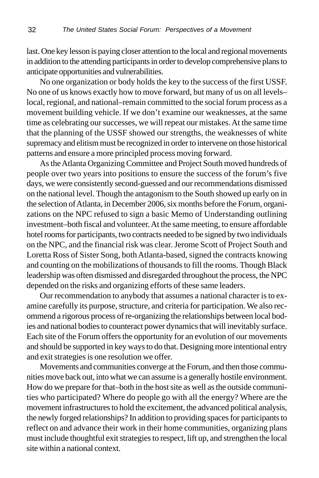last. One key lesson is paying closer attention to the local and regional movements in addition to the attending participants in order to develop comprehensive plans to anticipate opportunities and vulnerabilities.

No one organization or body holds the key to the success of the first USSF. No one of us knows exactly how to move forward, but many of us on all levels– local, regional, and national–remain committed to the social forum process as a movement building vehicle. If we don't examine our weaknesses, at the same time as celebrating our successes, we will repeat our mistakes. At the same time that the planning of the USSF showed our strengths, the weaknesses of white supremacy and elitism must be recognized in order to intervene on those historical patterns and ensure a more principled process moving forward.

As the Atlanta Organizing Committee and Project South moved hundreds of people over two years into positions to ensure the success of the forum's five days, we were consistently second-guessed and our recommendations dismissed on the national level. Though the antagonism to the South showed up early on in the selection of Atlanta, in December 2006, six months before the Forum, organizations on the NPC refused to sign a basic Memo of Understanding outlining investment–both fiscal and volunteer. At the same meeting, to ensure affordable hotel rooms for participants, two contracts needed to be signed by two individuals on the NPC, and the financial risk was clear. Jerome Scott of Project South and Loretta Ross of Sister Song, both Atlanta-based, signed the contracts knowing and counting on the mobilizations of thousands to fill the rooms. Though Black leadership was often dismissed and disregarded throughout the process, the NPC depended on the risks and organizing efforts of these same leaders.

Our recommendation to anybody that assumes a national character is to examine carefully its purpose, structure, and criteria for participation. We also recommend a rigorous process of re-organizing the relationships between local bodies and national bodies to counteract power dynamics that will inevitably surface. Each site of the Forum offers the opportunity for an evolution of our movements and should be supported in key ways to do that. Designing more intentional entry and exit strategies is one resolution we offer.

Movements and communities converge at the Forum, and then those communities move back out, into what we can assume is a generally hostile environment. How do we prepare for that–both in the host site as well as the outside communities who participated? Where do people go with all the energy? Where are the movement infrastructures to hold the excitement, the advanced political analysis, the newly forged relationships? In addition to providing spaces for participants to reflect on and advance their work in their home communities, organizing plans must include thoughtful exit strategies to respect, lift up, and strengthen the local site within a national context.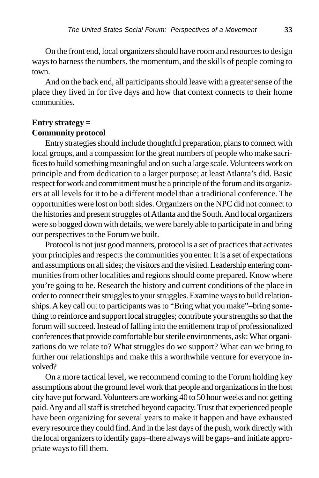On the front end, local organizers should have room and resources to design ways to harness the numbers, the momentum, and the skills of people coming to town.

And on the back end, all participants should leave with a greater sense of the place they lived in for five days and how that context connects to their home communities.

## **Entry strategy = Community protocol**

Entry strategies should include thoughtful preparation, plans to connect with local groups, and a compassion for the great numbers of people who make sacrifices to build something meaningful and on such a large scale. Volunteers work on principle and from dedication to a larger purpose; at least Atlanta's did. Basic respect for work and commitment must be a principle of the forum and its organizers at all levels for it to be a different model than a traditional conference. The opportunities were lost on both sides. Organizers on the NPC did not connect to the histories and present struggles of Atlanta and the South. And local organizers were so bogged down with details, we were barely able to participate in and bring our perspectives to the Forum we built.

Protocol is not just good manners, protocol is a set of practices that activates your principles and respects the communities you enter. It is a set of expectations and assumptions on all sides; the visitors and the visited. Leadership entering communities from other localities and regions should come prepared. Know where you're going to be. Research the history and current conditions of the place in order to connect their struggles to your struggles. Examine ways to build relationships. A key call out to participants was to "Bring what you make"–bring something to reinforce and support local struggles; contribute your strengths so that the forum will succeed. Instead of falling into the entitlement trap of professionalized conferences that provide comfortable but sterile environments, ask: What organizations do we relate to? What struggles do we support? What can we bring to further our relationships and make this a worthwhile venture for everyone involved?

On a more tactical level, we recommend coming to the Forum holding key assumptions about the ground level work that people and organizations in the host city have put forward. Volunteers are working 40 to 50 hour weeks and not getting paid. Any and all staff is stretched beyond capacity. Trust that experienced people have been organizing for several years to make it happen and have exhausted every resource they could find. And in the last days of the push, work directly with the local organizers to identify gaps–there always will be gaps–and initiate appropriate ways to fill them.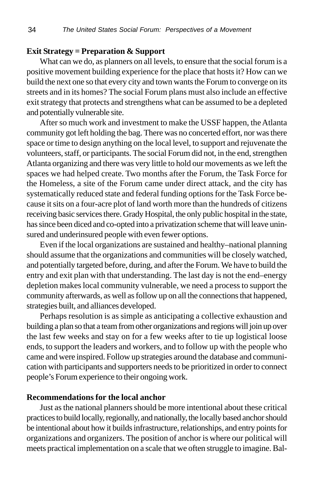### **Exit Strategy = Preparation & Support**

What can we do, as planners on all levels, to ensure that the social forum is a positive movement building experience for the place that hosts it? How can we build the next one so that every city and town wants the Forum to converge on its streets and in its homes? The social Forum plans must also include an effective exit strategy that protects and strengthens what can be assumed to be a depleted and potentially vulnerable site.

After so much work and investment to make the USSF happen, the Atlanta community got left holding the bag. There was no concerted effort, nor was there space or time to design anything on the local level, to support and rejuvenate the volunteers, staff, or participants. The social Forum did not, in the end, strengthen Atlanta organizing and there was very little to hold our movements as we left the spaces we had helped create. Two months after the Forum, the Task Force for the Homeless, a site of the Forum came under direct attack, and the city has systematically reduced state and federal funding options for the Task Force because it sits on a four-acre plot of land worth more than the hundreds of citizens receiving basic services there. Grady Hospital, the only public hospital in the state, has since been diced and co-opted into a privatization scheme that will leave uninsured and underinsured people with even fewer options.

Even if the local organizations are sustained and healthy–national planning should assume that the organizations and communities will be closely watched, and potentially targeted before, during, and after the Forum. We have to build the entry and exit plan with that understanding. The last day is not the end–energy depletion makes local community vulnerable, we need a process to support the community afterwards, as well as follow up on all the connections that happened, strategies built, and alliances developed.

Perhaps resolution is as simple as anticipating a collective exhaustion and building a plan so that a team from other organizations and regions will join up over the last few weeks and stay on for a few weeks after to tie up logistical loose ends, to support the leaders and workers, and to follow up with the people who came and were inspired. Follow up strategies around the database and communication with participants and supporters needs to be prioritized in order to connect people's Forum experience to their ongoing work.

#### **Recommendations for the local anchor**

Just as the national planners should be more intentional about these critical practices to build locally, regionally, and nationally, the locally based anchor should be intentional about how it builds infrastructure, relationships, and entry points for organizations and organizers. The position of anchor is where our political will meets practical implementation on a scale that we often struggle to imagine. Bal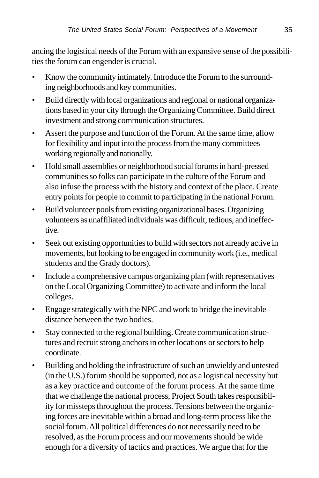ancing the logistical needs of the Forum with an expansive sense of the possibilities the forum can engender is crucial.

- Know the community intimately. Introduce the Forum to the surrounding neighborhoods and key communities.
- Build directly with local organizations and regional or national organizations based in your city through the Organizing Committee. Build direct investment and strong communication structures.
- Assert the purpose and function of the Forum. At the same time, allow for flexibility and input into the process from the many committees working regionally and nationally.
- Hold small assemblies or neighborhood social forums in hard-pressed communities so folks can participate in the culture of the Forum and also infuse the process with the history and context of the place. Create entry points for people to commit to participating in the national Forum.
- Build volunteer pools from existing organizational bases. Organizing volunteers as unaffiliated individuals was difficult, tedious, and ineffective.
- Seek out existing opportunities to build with sectors not already active in movements, but looking to be engaged in community work (i.e., medical students and the Grady doctors).
- Include a comprehensive campus organizing plan (with representatives on the Local Organizing Committee) to activate and inform the local colleges.
- Engage strategically with the NPC and work to bridge the inevitable distance between the two bodies.
- Stay connected to the regional building. Create communication structures and recruit strong anchors in other locations or sectors to help coordinate.
- Building and holding the infrastructure of such an unwieldy and untested (in the U.S.) forum should be supported, not as a logistical necessity but as a key practice and outcome of the forum process. At the same time that we challenge the national process, Project South takes responsibility for missteps throughout the process. Tensions between the organizing forces are inevitable within a broad and long-term process like the social forum. All political differences do not necessarily need to be resolved, as the Forum process and our movements should be wide enough for a diversity of tactics and practices. We argue that for the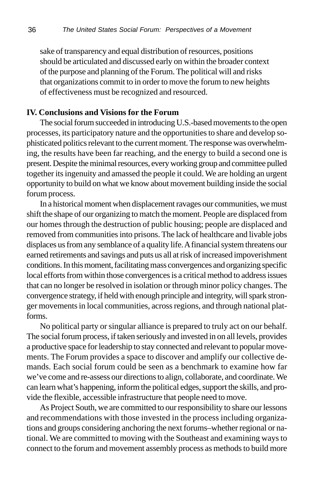sake of transparency and equal distribution of resources, positions should be articulated and discussed early on within the broader context of the purpose and planning of the Forum. The political will and risks that organizations commit to in order to move the forum to new heights of effectiveness must be recognized and resourced.

## **IV. Conclusions and Visions for the Forum**

The social forum succeeded in introducing U.S.-based movements to the open processes, its participatory nature and the opportunities to share and develop sophisticated politics relevant to the current moment. The response was overwhelming, the results have been far reaching, and the energy to build a second one is present. Despite the minimal resources, every working group and committee pulled together its ingenuity and amassed the people it could. We are holding an urgent opportunity to build on what we know about movement building inside the social forum process.

In a historical moment when displacement ravages our communities, we must shift the shape of our organizing to match the moment. People are displaced from our homes through the destruction of public housing; people are displaced and removed from communities into prisons. The lack of healthcare and livable jobs displaces us from any semblance of a quality life. A financial system threatens our earned retirements and savings and puts us all at risk of increased impoverishment conditions. In this moment, facilitating mass convergences and organizing specific local efforts from within those convergences is a critical method to address issues that can no longer be resolved in isolation or through minor policy changes. The convergence strategy, if held with enough principle and integrity, will spark stronger movements in local communities, across regions, and through national platforms.

No political party or singular alliance is prepared to truly act on our behalf. The social forum process, if taken seriously and invested in on all levels, provides a productive space for leadership to stay connected and relevant to popular movements. The Forum provides a space to discover and amplify our collective demands. Each social forum could be seen as a benchmark to examine how far we've come and re-assess our directions to align, collaborate, and coordinate. We can learn what's happening, inform the political edges, support the skills, and provide the flexible, accessible infrastructure that people need to move.

As Project South, we are committed to our responsibility to share our lessons and recommendations with those invested in the process including organizations and groups considering anchoring the next forums–whether regional or national. We are committed to moving with the Southeast and examining ways to connect to the forum and movement assembly process as methods to build more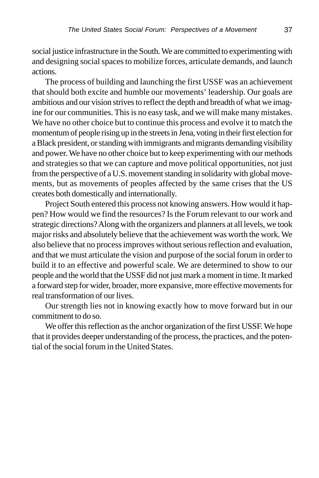social justice infrastructure in the South. We are committed to experimenting with and designing social spaces to mobilize forces, articulate demands, and launch actions.

The process of building and launching the first USSF was an achievement that should both excite and humble our movements' leadership. Our goals are ambitious and our vision strives to reflect the depth and breadth of what we imagine for our communities. This is no easy task, and we will make many mistakes. We have no other choice but to continue this process and evolve it to match the momentum of people rising up in the streets in Jena, voting in their first election for a Black president, or standing with immigrants and migrants demanding visibility and power. We have no other choice but to keep experimenting with our methods and strategies so that we can capture and move political opportunities, not just from the perspective of a U.S. movement standing in solidarity with global movements, but as movements of peoples affected by the same crises that the US creates both domestically and internationally.

Project South entered this process not knowing answers. How would it happen? How would we find the resources? Is the Forum relevant to our work and strategic directions? Along with the organizers and planners at all levels, we took major risks and absolutely believe that the achievement was worth the work. We also believe that no process improves without serious reflection and evaluation, and that we must articulate the vision and purpose of the social forum in order to build it to an effective and powerful scale. We are determined to show to our people and the world that the USSF did not just mark a moment in time. It marked a forward step for wider, broader, more expansive, more effective movements for real transformation of our lives.

Our strength lies not in knowing exactly how to move forward but in our commitment to do so.

We offer this reflection as the anchor organization of the first USSF. We hope that it provides deeper understanding of the process, the practices, and the potential of the social forum in the United States.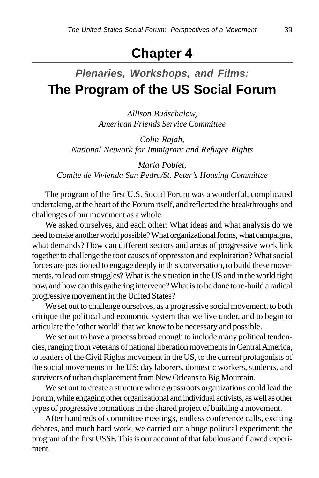## **Chapter 4**

# *Plenaries, Workshops, and Films:* **The Program of the US Social Forum**

*Allison Budschalow, American Friends Service Committee*

*Colin Rajah, National Network for Immigrant and Refugee Rights*

*Maria Poblet, Comite de Vivienda San Pedro/St. Peter's Housing Committee*

The program of the first U.S. Social Forum was a wonderful, complicated undertaking, at the heart of the Forum itself, and reflected the breakthroughs and challenges of our movement as a whole.

We asked ourselves, and each other: What ideas and what analysis do we need to make another world possible? What organizational forms, what campaigns, what demands? How can different sectors and areas of progressive work link together to challenge the root causes of oppression and exploitation? What social forces are positioned to engage deeply in this conversation, to build these movements, to lead our struggles? What is the situation in the US and in the world right now, and how can this gathering intervene? What is to be done to re-build a radical progressive movement in the United States?

We set out to challenge ourselves, as a progressive social movement, to both critique the political and economic system that we live under, and to begin to articulate the 'other world' that we know to be necessary and possible.

We set out to have a process broad enough to include many political tendencies, ranging from veterans of national liberation movements in Central America, to leaders of the Civil Rights movement in the US, to the current protagonists of the social movements in the US: day laborers, domestic workers, students, and survivors of urban displacement from New Orleans to Big Mountain.

We set out to create a structure where grassroots organizations could lead the Forum, while engaging other organizational and individual activists, as well as other types of progressive formations in the shared project of building a movement.

After hundreds of committee meetings, endless conference calls, exciting debates, and much hard work, we carried out a huge political experiment: the program of the first USSF. This is our account of that fabulous and flawed experiment.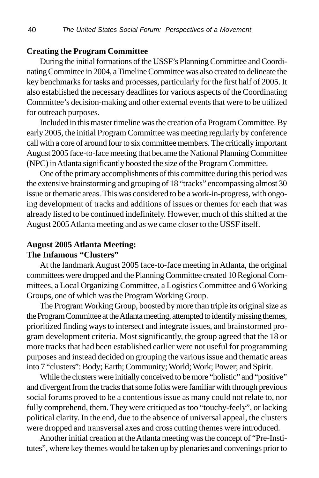#### **Creating the Program Committee**

During the initial formations of the USSF's Planning Committee and Coordinating Committee in 2004, a Timeline Committee was also created to delineate the key benchmarks for tasks and processes, particularly for the first half of 2005. It also established the necessary deadlines for various aspects of the Coordinating Committee's decision-making and other external events that were to be utilized for outreach purposes.

Included in this master timeline was the creation of a Program Committee. By early 2005, the initial Program Committee was meeting regularly by conference call with a core of around four to six committee members. The critically important August 2005 face-to-face meeting that became the National Planning Committee (NPC) in Atlanta significantly boosted the size of the Program Committee.

One of the primary accomplishments of this committee during this period was the extensive brainstorming and grouping of 18 "tracks" encompassing almost 30 issue or thematic areas. This was considered to be a work-in-progress, with ongoing development of tracks and additions of issues or themes for each that was already listed to be continued indefinitely. However, much of this shifted at the August 2005 Atlanta meeting and as we came closer to the USSF itself.

## **August 2005 Atlanta Meeting: The Infamous "Clusters"**

At the landmark August 2005 face-to-face meeting in Atlanta, the original committees were dropped and the Planning Committee created 10 Regional Committees, a Local Organizing Committee, a Logistics Committee and 6 Working Groups, one of which was the Program Working Group.

The Program Working Group, boosted by more than triple its original size as the Program Committee at the Atlanta meeting, attempted to identify missing themes, prioritized finding ways to intersect and integrate issues, and brainstormed program development criteria. Most significantly, the group agreed that the 18 or more tracks that had been established earlier were not useful for programming purposes and instead decided on grouping the various issue and thematic areas into 7 "clusters": Body; Earth; Community; World; Work; Power; and Spirit.

While the clusters were initially conceived to be more "holistic" and "positive" and divergent from the tracks that some folks were familiar with through previous social forums proved to be a contentious issue as many could not relate to, nor fully comprehend, them. They were critiqued as too "touchy-feely", or lacking political clarity. In the end, due to the absence of universal appeal, the clusters were dropped and transversal axes and cross cutting themes were introduced.

Another initial creation at the Atlanta meeting was the concept of "Pre-Institutes", where key themes would be taken up by plenaries and convenings prior to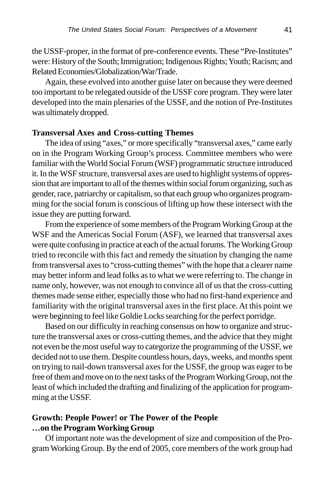the USSF-proper, in the format of pre-conference events. These "Pre-Institutes" were: History of the South; Immigration; Indigenous Rights; Youth; Racism; and Related Economies/Globalization/War/Trade.

Again, these evolved into another guise later on because they were deemed too important to be relegated outside of the USSF core program. They were later developed into the main plenaries of the USSF, and the notion of Pre-Institutes was ultimately dropped.

#### **Transversal Axes and Cross-cutting Themes**

The idea of using "axes," or more specifically "transversal axes," came early on in the Program Working Group's process. Committee members who were familiar with the World Social Forum (WSF) programmatic structure introduced it. In the WSF structure, transversal axes are used to highlight systems of oppression that are important to all of the themes within social forum organizing, such as gender, race, patriarchy or capitalism, so that each group who organizes programming for the social forum is conscious of lifting up how these intersect with the issue they are putting forward.

From the experience of some members of the Program Working Group at the WSF and the Americas Social Forum (ASF), we learned that transversal axes were quite confusing in practice at each of the actual forums. The Working Group tried to reconcile with this fact and remedy the situation by changing the name from transversal axes to "cross-cutting themes" with the hope that a clearer name may better inform and lead folks as to what we were referring to. The change in name only, however, was not enough to convince all of us that the cross-cutting themes made sense either, especially those who had no first-hand experience and familiarity with the original transversal axes in the first place. At this point we were beginning to feel like Goldie Locks searching for the perfect porridge.

Based on our difficulty in reaching consensus on how to organize and structure the transversal axes or cross-cutting themes, and the advice that they might not even be the most useful way to categorize the programming of the USSF, we decided not to use them. Despite countless hours, days, weeks, and months spent on trying to nail-down transversal axes for the USSF, the group was eager to be free of them and move on to the next tasks of the Program Working Group, not the least of which included the drafting and finalizing of the application for programming at the USSF.

## **Growth: People Power! or The Power of the People …on the Program Working Group**

Of important note was the development of size and composition of the Program Working Group. By the end of 2005, core members of the work group had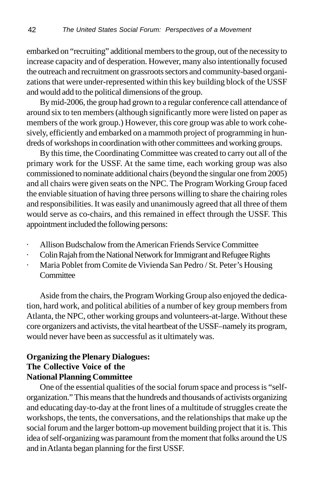embarked on "recruiting" additional members to the group, out of the necessity to increase capacity and of desperation. However, many also intentionally focused the outreach and recruitment on grassroots sectors and community-based organizations that were under-represented within this key building block of the USSF and would add to the political dimensions of the group.

By mid-2006, the group had grown to a regular conference call attendance of around six to ten members (although significantly more were listed on paper as members of the work group.) However, this core group was able to work cohesively, efficiently and embarked on a mammoth project of programming in hundreds of workshops in coordination with other committees and working groups.

By this time, the Coordinating Committee was created to carry out all of the primary work for the USSF. At the same time, each working group was also commissioned to nominate additional chairs (beyond the singular one from 2005) and all chairs were given seats on the NPC. The Program Working Group faced the enviable situation of having three persons willing to share the chairing roles and responsibilities. It was easily and unanimously agreed that all three of them would serve as co-chairs, and this remained in effect through the USSF. This appointment included the following persons:

- · Allison Budschalow from the American Friends Service Committee
- · Colin Rajah from the National Network for Immigrant and Refugee Rights
- · Maria Poblet from Comite de Vivienda San Pedro / St. Peter's Housing **Committee**

Aside from the chairs, the Program Working Group also enjoyed the dedication, hard work, and political abilities of a number of key group members from Atlanta, the NPC, other working groups and volunteers-at-large. Without these core organizers and activists, the vital heartbeat of the USSF–namely its program, would never have been as successful as it ultimately was.

## **Organizing the Plenary Dialogues: The Collective Voice of the National Planning Committee**

One of the essential qualities of the social forum space and process is "selforganization." This means that the hundreds and thousands of activists organizing and educating day-to-day at the front lines of a multitude of struggles create the workshops, the tents, the conversations, and the relationships that make up the social forum and the larger bottom-up movement building project that it is. This idea of self-organizing was paramount from the moment that folks around the US and in Atlanta began planning for the first USSF.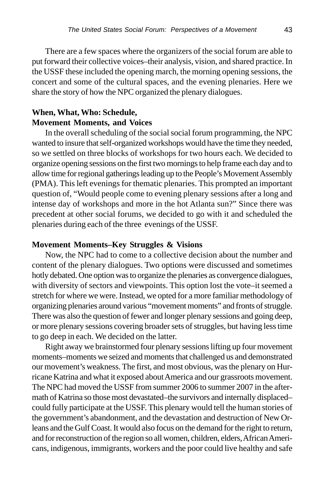There are a few spaces where the organizers of the social forum are able to put forward their collective voices–their analysis, vision, and shared practice. In the USSF these included the opening march, the morning opening sessions, the concert and some of the cultural spaces, and the evening plenaries. Here we share the story of how the NPC organized the plenary dialogues.

## **When, What, Who: Schedule, Movement Moments, and Voices**

In the overall scheduling of the social social forum programming, the NPC wanted to insure that self-organized workshops would have the time they needed, so we settled on three blocks of workshops for two hours each. We decided to organize opening sessions on the first two mornings to help frame each day and to allow time for regional gatherings leading up to the People's Movement Assembly (PMA). This left evenings for thematic plenaries. This prompted an important question of, "Would people come to evening plenary sessions after a long and intense day of workshops and more in the hot Atlanta sun?" Since there was precedent at other social forums, we decided to go with it and scheduled the plenaries during each of the three evenings of the USSF.

## **Movement Moments–Key Struggles & Visions**

Now, the NPC had to come to a collective decision about the number and content of the plenary dialogues. Two options were discussed and sometimes hotly debated. One option was to organize the plenaries as convergence dialogues, with diversity of sectors and viewpoints. This option lost the vote–it seemed a stretch for where we were. Instead, we opted for a more familiar methodology of organizing plenaries around various "movement moments" and fronts of struggle. There was also the question of fewer and longer plenary sessions and going deep, or more plenary sessions covering broader sets of struggles, but having less time to go deep in each. We decided on the latter.

Right away we brainstormed four plenary sessions lifting up four movement moments–moments we seized and moments that challenged us and demonstrated our movement's weakness. The first, and most obvious, was the plenary on Hurricane Katrina and what it exposed about America and our grassroots movement. The NPC had moved the USSF from summer 2006 to summer 2007 in the aftermath of Katrina so those most devastated–the survivors and internally displaced– could fully participate at the USSF. This plenary would tell the human stories of the government's abandonment, and the devastation and destruction of New Orleans and the Gulf Coast. It would also focus on the demand for the right to return, and for reconstruction of the region so all women, children, elders, African Americans, indigenous, immigrants, workers and the poor could live healthy and safe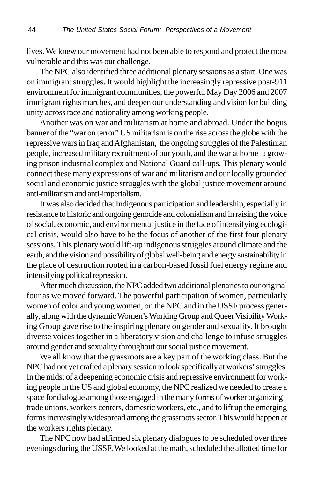lives. We knew our movement had not been able to respond and protect the most vulnerable and this was our challenge.

The NPC also identified three additional plenary sessions as a start. One was on immigrant struggles. It would highlight the increasingly repressive post-911 environment for immigrant communities, the powerful May Day 2006 and 2007 immigrant rights marches, and deepen our understanding and vision for building unity across race and nationality among working people.

Another was on war and militarism at home and abroad. Under the bogus banner of the "war on terror" US militarism is on the rise across the globe with the repressive wars in Iraq and Afghanistan, the ongoing struggles of the Palestinian people, increased military recruitment of our youth, and the war at home–a growing prison industrial complex and National Guard call-ups. This plenary would connect these many expressions of war and militarism and our locally grounded social and economic justice struggles with the global justice movement around anti-militarism and anti-imperialism.

It was also decided that Indigenous participation and leadership, especially in resistance to historic and ongoing genocide and colonialism and in raising the voice of social, economic, and environmental justice in the face of intensifying ecological crisis, would also have to be the focus of another of the first four plenary sessions. This plenary would lift-up indigenous struggles around climate and the earth, and the vision and possibility of global well-being and energy sustainability in the place of destruction rooted in a carbon-based fossil fuel energy regime and intensifying political repression.

After much discussion, the NPC added two additional plenaries to our original four as we moved forward. The powerful participation of women, particularly women of color and young women, on the NPC and in the USSF process generally, along with the dynamic Women's Working Group and Queer Visibility Working Group gave rise to the inspiring plenary on gender and sexuality. It brought diverse voices together in a liberatory vision and challenge to infuse struggles around gender and sexuality throughout our social justice movement.

We all know that the grassroots are a key part of the working class. But the NPC had not yet crafted a plenary session to look specifically at workers' struggles. In the midst of a deepening economic crisis and repressive environment for working people in the US and global economy, the NPC realized we needed to create a space for dialogue among those engaged in the many forms of worker organizing– trade unions, workers centers, domestic workers, etc., and to lift up the emerging forms increasingly widespread among the grassroots sector. This would happen at the workers rights plenary.

The NPC now had affirmed six plenary dialogues to be scheduled over three evenings during the USSF. We looked at the math, scheduled the allotted time for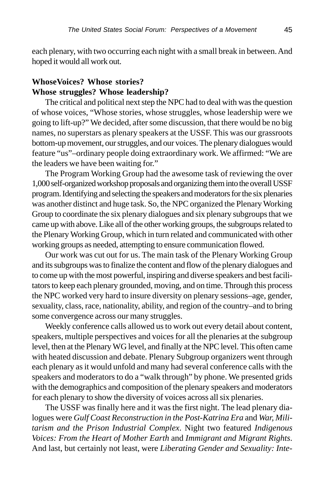each plenary, with two occurring each night with a small break in between. And hoped it would all work out.

## **WhoseVoices? Whose stories? Whose struggles? Whose leadership?**

The critical and political next step the NPC had to deal with was the question of whose voices, "Whose stories, whose struggles, whose leadership were we going to lift-up?" We decided, after some discussion, that there would be no big names, no superstars as plenary speakers at the USSF. This was our grassroots bottom-up movement, our struggles, and our voices. The plenary dialogues would feature "us"–ordinary people doing extraordinary work. We affirmed: "We are the leaders we have been waiting for."

The Program Working Group had the awesome task of reviewing the over 1,000 self-organized workshop proposals and organizing them into the overall USSF program. Identifying and selecting the speakers and moderators for the six plenaries was another distinct and huge task. So, the NPC organized the Plenary Working Group to coordinate the six plenary dialogues and six plenary subgroups that we came up with above. Like all of the other working groups, the subgroups related to the Plenary Working Group, which in turn related and communicated with other working groups as needed, attempting to ensure communication flowed.

Our work was cut out for us. The main task of the Plenary Working Group and its subgroups was to finalize the content and flow of the plenary dialogues and to come up with the most powerful, inspiring and diverse speakers and best facilitators to keep each plenary grounded, moving, and on time. Through this process the NPC worked very hard to insure diversity on plenary sessions–age, gender, sexuality, class, race, nationality, ability, and region of the country–and to bring some convergence across our many struggles.

Weekly conference calls allowed us to work out every detail about content, speakers, multiple perspectives and voices for all the plenaries at the subgroup level, then at the Plenary WG level, and finally at the NPC level. This often came with heated discussion and debate. Plenary Subgroup organizers went through each plenary as it would unfold and many had several conference calls with the speakers and moderators to do a "walk through" by phone. We presented grids with the demographics and composition of the plenary speakers and moderators for each plenary to show the diversity of voices across all six plenaries.

The USSF was finally here and it was the first night. The lead plenary dialogues were *Gulf Coast Reconstruction in the Post-Katrina Era* and *War, Militarism and the Prison Industrial Complex*. Night two featured *Indigenous Voices: From the Heart of Mother Earth* and *Immigrant and Migrant Rights*. And last, but certainly not least, were *Liberating Gender and Sexuality: Inte-*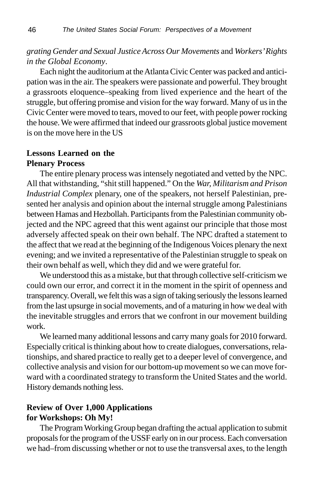## *grating Gender and Sexual Justice Across Our Movements* and *Workers' Rights in the Global Economy*.

Each night the auditorium at the Atlanta Civic Center was packed and anticipation was in the air. The speakers were passionate and powerful. They brought a grassroots eloquence–speaking from lived experience and the heart of the struggle, but offering promise and vision for the way forward. Many of us in the Civic Center were moved to tears, moved to our feet, with people power rocking the house. We were affirmed that indeed our grassroots global justice movement is on the move here in the US

## **Lessons Learned on the Plenary Process**

The entire plenary process was intensely negotiated and vetted by the NPC. All that withstanding, "shit still happened." On the *War, Militarism and Prison Industrial Complex* plenary, one of the speakers, not herself Palestinian, presented her analysis and opinion about the internal struggle among Palestinians between Hamas and Hezbollah. Participants from the Palestinian community objected and the NPC agreed that this went against our principle that those most adversely affected speak on their own behalf. The NPC drafted a statement to the affect that we read at the beginning of the Indigenous Voices plenary the next evening; and we invited a representative of the Palestinian struggle to speak on their own behalf as well, which they did and we were grateful for.

We understood this as a mistake, but that through collective self-criticism we could own our error, and correct it in the moment in the spirit of openness and transparency. Overall, we felt this was a sign of taking seriously the lessons learned from the last upsurge in social movements, and of a maturing in how we deal with the inevitable struggles and errors that we confront in our movement building work.

We learned many additional lessons and carry many goals for 2010 forward. Especially critical is thinking about how to create dialogues, conversations, relationships, and shared practice to really get to a deeper level of convergence, and collective analysis and vision for our bottom-up movement so we can move forward with a coordinated strategy to transform the United States and the world. History demands nothing less.

## **Review of Over 1,000 Applications for Workshops: Oh My!**

The Program Working Group began drafting the actual application to submit proposals for the program of the USSF early on in our process. Each conversation we had–from discussing whether or not to use the transversal axes, to the length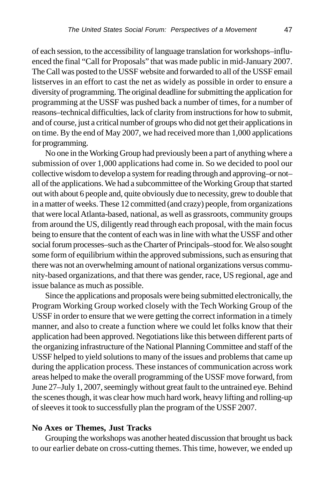of each session, to the accessibility of language translation for workshops–influenced the final "Call for Proposals" that was made public in mid-January 2007. The Call was posted to the USSF website and forwarded to all of the USSF email listserves in an effort to cast the net as widely as possible in order to ensure a diversity of programming. The original deadline for submitting the application for programming at the USSF was pushed back a number of times, for a number of reasons–technical difficulties, lack of clarity from instructions for how to submit, and of course, just a critical number of groups who did not get their applications in on time. By the end of May 2007, we had received more than 1,000 applications for programming.

No one in the Working Group had previously been a part of anything where a submission of over 1,000 applications had come in. So we decided to pool our collective wisdom to develop a system for reading through and approving–or not– all of the applications. We had a subcommittee of the Working Group that started out with about 6 people and, quite obviously due to necessity, grew to double that in a matter of weeks. These 12 committed (and crazy) people, from organizations that were local Atlanta-based, national, as well as grassroots, community groups from around the US, diligently read through each proposal, with the main focus being to ensure that the content of each was in line with what the USSF and other social forum processes–such as the Charter of Principals–stood for. We also sought some form of equilibrium within the approved submissions, such as ensuring that there was not an overwhelming amount of national organizations versus community-based organizations, and that there was gender, race, US regional, age and issue balance as much as possible.

Since the applications and proposals were being submitted electronically, the Program Working Group worked closely with the Tech Working Group of the USSF in order to ensure that we were getting the correct information in a timely manner, and also to create a function where we could let folks know that their application had been approved. Negotiations like this between different parts of the organizing infrastructure of the National Planning Committee and staff of the USSF helped to yield solutions to many of the issues and problems that came up during the application process. These instances of communication across work areas helped to make the overall programming of the USSF move forward, from June 27–July 1, 2007, seemingly without great fault to the untrained eye. Behind the scenes though, it was clear how much hard work, heavy lifting and rolling-up of sleeves it took to successfully plan the program of the USSF 2007.

#### **No Axes or Themes, Just Tracks**

Grouping the workshops was another heated discussion that brought us back to our earlier debate on cross-cutting themes. This time, however, we ended up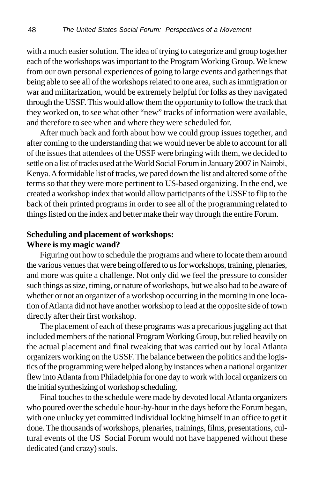with a much easier solution. The idea of trying to categorize and group together each of the workshops was important to the Program Working Group. We knew from our own personal experiences of going to large events and gatherings that being able to see all of the workshops related to one area, such as immigration or war and militarization, would be extremely helpful for folks as they navigated through the USSF. This would allow them the opportunity to follow the track that they worked on, to see what other "new" tracks of information were available, and therefore to see when and where they were scheduled for.

After much back and forth about how we could group issues together, and after coming to the understanding that we would never be able to account for all of the issues that attendees of the USSF were bringing with them, we decided to settle on a list of tracks used at the World Social Forum in January 2007 in Nairobi, Kenya. A formidable list of tracks, we pared down the list and altered some of the terms so that they were more pertinent to US-based organizing. In the end, we created a workshop index that would allow participants of the USSF to flip to the back of their printed programs in order to see all of the programming related to things listed on the index and better make their way through the entire Forum.

## **Scheduling and placement of workshops: Where is my magic wand?**

Figuring out how to schedule the programs and where to locate them around the various venues that were being offered to us for workshops, training, plenaries, and more was quite a challenge. Not only did we feel the pressure to consider such things as size, timing, or nature of workshops, but we also had to be aware of whether or not an organizer of a workshop occurring in the morning in one location of Atlanta did not have another workshop to lead at the opposite side of town directly after their first workshop.

The placement of each of these programs was a precarious juggling act that included members of the national Program Working Group, but relied heavily on the actual placement and final tweaking that was carried out by local Atlanta organizers working on the USSF. The balance between the politics and the logistics of the programming were helped along by instances when a national organizer flew into Atlanta from Philadelphia for one day to work with local organizers on the initial synthesizing of workshop scheduling.

Final touches to the schedule were made by devoted local Atlanta organizers who poured over the schedule hour-by-hour in the days before the Forum began, with one unlucky yet committed individual locking himself in an office to get it done. The thousands of workshops, plenaries, trainings, films, presentations, cultural events of the US Social Forum would not have happened without these dedicated (and crazy) souls.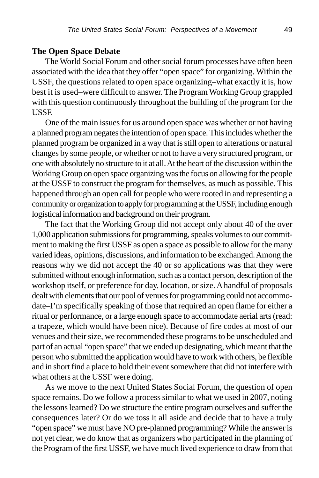## **The Open Space Debate**

The World Social Forum and other social forum processes have often been associated with the idea that they offer "open space" for organizing. Within the USSF, the questions related to open space organizing–what exactly it is, how best it is used–were difficult to answer. The Program Working Group grappled with this question continuously throughout the building of the program for the USSF.

One of the main issues for us around open space was whether or not having a planned program negates the intention of open space. This includes whether the planned program be organized in a way that is still open to alterations or natural changes by some people, or whether or not to have a very structured program, or one with absolutely no structure to it at all. At the heart of the discussion within the Working Group on open space organizing was the focus on allowing for the people at the USSF to construct the program for themselves, as much as possible. This happened through an open call for people who were rooted in and representing a community or organization to apply for programming at the USSF, including enough logistical information and background on their program.

The fact that the Working Group did not accept only about 40 of the over 1,000 application submissions for programming, speaks volumes to our commitment to making the first USSF as open a space as possible to allow for the many varied ideas, opinions, discussions, and information to be exchanged. Among the reasons why we did not accept the 40 or so applications was that they were submitted without enough information, such as a contact person, description of the workshop itself, or preference for day, location, or size. A handful of proposals dealt with elements that our pool of venues for programming could not accommodate–I'm specifically speaking of those that required an open flame for either a ritual or performance, or a large enough space to accommodate aerial arts (read: a trapeze, which would have been nice). Because of fire codes at most of our venues and their size, we recommended these programs to be unscheduled and part of an actual "open space" that we ended up designating, which meant that the person who submitted the application would have to work with others, be flexible and in short find a place to hold their event somewhere that did not interfere with what others at the USSF were doing.

As we move to the next United States Social Forum, the question of open space remains. Do we follow a process similar to what we used in 2007, noting the lessons learned? Do we structure the entire program ourselves and suffer the consequences later? Or do we toss it all aside and decide that to have a truly "open space" we must have NO pre-planned programming? While the answer is not yet clear, we do know that as organizers who participated in the planning of the Program of the first USSF, we have much lived experience to draw from that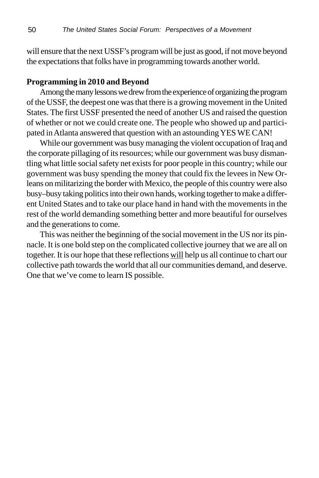will ensure that the next USSF's program will be just as good, if not move beyond the expectations that folks have in programming towards another world.

#### **Programming in 2010 and Beyond**

Among the many lessons we drew from the experience of organizing the program of the USSF, the deepest one was that there is a growing movement in the United States. The first USSF presented the need of another US and raised the question of whether or not we could create one. The people who showed up and participated in Atlanta answered that question with an astounding YES WE CAN!

While our government was busy managing the violent occupation of Iraq and the corporate pillaging of its resources; while our government was busy dismantling what little social safety net exists for poor people in this country; while our government was busy spending the money that could fix the levees in New Orleans on militarizing the border with Mexico, the people of this country were also busy–busy taking politics into their own hands, working together to make a different United States and to take our place hand in hand with the movements in the rest of the world demanding something better and more beautiful for ourselves and the generations to come.

This was neither the beginning of the social movement in the US nor its pinnacle. It is one bold step on the complicated collective journey that we are all on together. It is our hope that these reflections will help us all continue to chart our collective path towards the world that all our communities demand, and deserve. One that we've come to learn IS possible.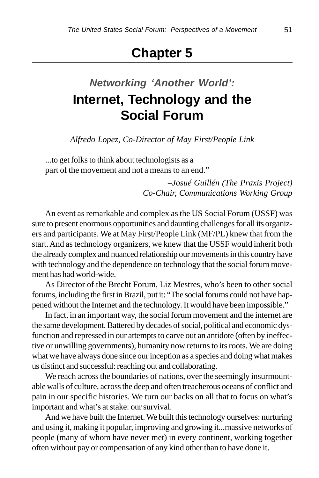## **Chapter 5**

# *Networking 'Another World':* **Internet, Technology and the Social Forum**

*Alfredo Lopez, Co-Director of May First/People Link*

...to get folks to think about technologists as a part of the movement and not a means to an end."

> *–Josué Guillén (The Praxis Project) Co-Chair, Communications Working Group*

An event as remarkable and complex as the US Social Forum (USSF) was sure to present enormous opportunities and daunting challenges for all its organizers and participants. We at May First/People Link (MF/PL) knew that from the start. And as technology organizers, we knew that the USSF would inherit both the already complex and nuanced relationship our movements in this country have with technology and the dependence on technology that the social forum movement has had world-wide.

As Director of the Brecht Forum, Liz Mestres, who's been to other social forums, including the first in Brazil, put it: "The social forums could not have happened without the Internet and the technology. It would have been impossible."

In fact, in an important way, the social forum movement and the internet are the same development. Battered by decades of social, political and economic dysfunction and repressed in our attempts to carve out an antidote (often by ineffective or unwilling governments), humanity now returns to its roots. We are doing what we have always done since our inception as a species and doing what makes us distinct and successful: reaching out and collaborating.

We reach across the boundaries of nations, over the seemingly insurmountable walls of culture, across the deep and often treacherous oceans of conflict and pain in our specific histories. We turn our backs on all that to focus on what's important and what's at stake: our survival.

And we have built the Internet. We built this technology ourselves: nurturing and using it, making it popular, improving and growing it...massive networks of people (many of whom have never met) in every continent, working together often without pay or compensation of any kind other than to have done it.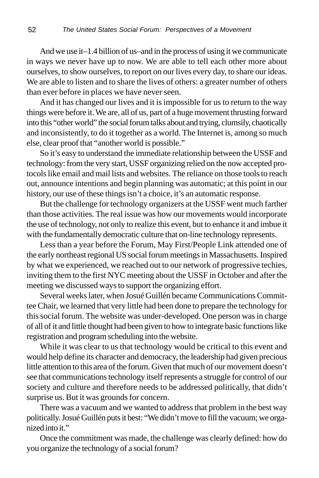And we use it–1.4 billion of us–and in the process of using it we communicate in ways we never have up to now. We are able to tell each other more about ourselves, to show ourselves, to report on our lives every day, to share our ideas. We are able to listen and to share the lives of others: a greater number of others than ever before in places we have never seen.

And it has changed our lives and it is impossible for us to return to the way things were before it. We are, all of us, part of a huge movement thrusting forward into this "other world" the social forum talks about and trying, clumsily, chaotically and inconsistently, to do it together as a world. The Internet is, among so much else, clear proof that "another world is possible."

So it's easy to understand the immediate relationship between the USSF and technology: from the very start, USSF organizing relied on the now accepted protocols like email and mail lists and websites. The reliance on those tools to reach out, announce intentions and begin planning was automatic; at this point in our history, our use of these things isn't a choice, it's an automatic response.

But the challenge for technology organizers at the USSF went much farther than those activities. The real issue was how our movements would incorporate the use of technology, not only to realize this event, but to enhance it and imbue it with the fundamentally democratic culture that on-line technology represents.

Less than a year before the Forum, May First/People Link attended one of the early northeast regional US social forum meetings in Massachusetts. Inspired by what we experienced, we reached out to our network of progressive techies, inviting them to the first NYC meeting about the USSF in October and after the meeting we discussed ways to support the organizing effort.

Several weeks later, when Josué Guillén became Communications Committee Chair, we learned that very little had been done to prepare the technology for this social forum. The website was under-developed. One person was in charge of all of it and little thought had been given to how to integrate basic functions like registration and program scheduling into the website.

While it was clear to us that technology would be critical to this event and would help define its character and democracy, the leadership had given precious little attention to this area of the forum. Given that much of our movement doesn't see that communications technology itself represents a struggle for control of our society and culture and therefore needs to be addressed politically, that didn't surprise us. But it was grounds for concern.

There was a vacuum and we wanted to address that problem in the best way politically. Josué Guillén puts it best: "We didn't move to fill the vacuum; we organized into it."

Once the commitment was made, the challenge was clearly defined: how do you organize the technology of a social forum?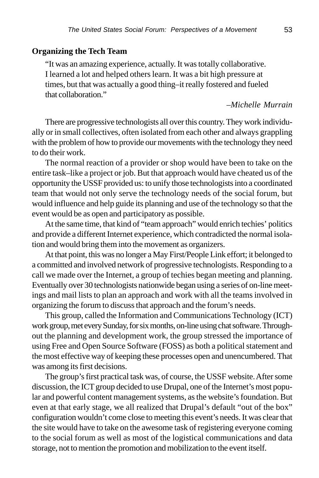### **Organizing the Tech Team**

"It was an amazing experience, actually. It was totally collaborative. I learned a lot and helped others learn. It was a bit high pressure at times, but that was actually a good thing–it really fostered and fueled that collaboration."

*–Michelle Murrain*

There are progressive technologists all over this country. They work individually or in small collectives, often isolated from each other and always grappling with the problem of how to provide our movements with the technology they need to do their work.

The normal reaction of a provider or shop would have been to take on the entire task–like a project or job. But that approach would have cheated us of the opportunity the USSF provided us: to unify those technologists into a coordinated team that would not only serve the technology needs of the social forum, but would influence and help guide its planning and use of the technology so that the event would be as open and participatory as possible.

At the same time, that kind of "team approach" would enrich techies' politics and provide a different Internet experience, which contradicted the normal isolation and would bring them into the movement as organizers.

At that point, this was no longer a May First/People Link effort; it belonged to a committed and involved network of progressive technologists. Responding to a call we made over the Internet, a group of techies began meeting and planning. Eventually over 30 technologists nationwide began using a series of on-line meetings and mail lists to plan an approach and work with all the teams involved in organizing the forum to discuss that approach and the forum's needs.

This group, called the Information and Communications Technology (ICT) work group, met every Sunday, for six months, on-line using chat software. Throughout the planning and development work, the group stressed the importance of using Free and Open Source Software (FOSS) as both a political statement and the most effective way of keeping these processes open and unencumbered. That was among its first decisions.

The group's first practical task was, of course, the USSF website. After some discussion, the ICT group decided to use Drupal, one of the Internet's most popular and powerful content management systems, as the website's foundation. But even at that early stage, we all realized that Drupal's default "out of the box" configuration wouldn't come close to meeting this event's needs. It was clear that the site would have to take on the awesome task of registering everyone coming to the social forum as well as most of the logistical communications and data storage, not to mention the promotion and mobilization to the event itself.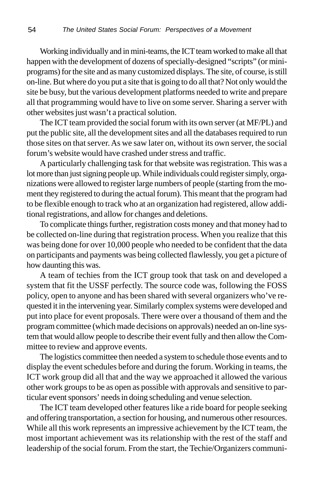Working individually and in mini-teams, the ICT team worked to make all that happen with the development of dozens of specially-designed "scripts" (or miniprograms) for the site and as many customized displays. The site, of course, is still on-line. But where do you put a site that is going to do all that? Not only would the site be busy, but the various development platforms needed to write and prepare all that programming would have to live on some server. Sharing a server with other websites just wasn't a practical solution.

The ICT team provided the social forum with its own server (at MF/PL) and put the public site, all the development sites and all the databases required to run those sites on that server. As we saw later on, without its own server, the social forum's website would have crashed under stress and traffic.

A particularly challenging task for that website was registration. This was a lot more than just signing people up. While individuals could register simply, organizations were allowed to register large numbers of people (starting from the moment they registered to during the actual forum). This meant that the program had to be flexible enough to track who at an organization had registered, allow additional registrations, and allow for changes and deletions.

To complicate things further, registration costs money and that money had to be collected on-line during that registration process. When you realize that this was being done for over 10,000 people who needed to be confident that the data on participants and payments was being collected flawlessly, you get a picture of how daunting this was.

A team of techies from the ICT group took that task on and developed a system that fit the USSF perfectly. The source code was, following the FOSS policy, open to anyone and has been shared with several organizers who've requested it in the intervening year. Similarly complex systems were developed and put into place for event proposals. There were over a thousand of them and the program committee (which made decisions on approvals) needed an on-line system that would allow people to describe their event fully and then allow the Committee to review and approve events.

The logistics committee then needed a system to schedule those events and to display the event schedules before and during the forum. Working in teams, the ICT work group did all that and the way we approached it allowed the various other work groups to be as open as possible with approvals and sensitive to particular event sponsors' needs in doing scheduling and venue selection.

The ICT team developed other features like a ride board for people seeking and offering transportation, a section for housing, and numerous other resources. While all this work represents an impressive achievement by the ICT team, the most important achievement was its relationship with the rest of the staff and leadership of the social forum. From the start, the Techie/Organizers communi-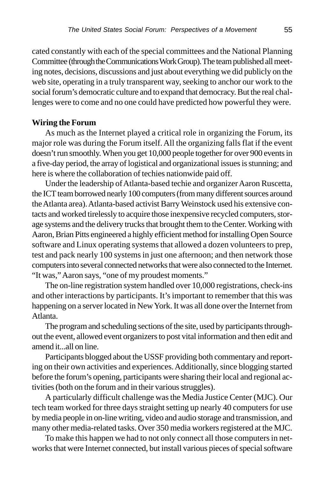cated constantly with each of the special committees and the National Planning Committee (through the Communications Work Group). The team published all meeting notes, decisions, discussions and just about everything we did publicly on the web site, operating in a truly transparent way, seeking to anchor our work to the social forum's democratic culture and to expand that democracy. But the real challenges were to come and no one could have predicted how powerful they were.

## **Wiring the Forum**

As much as the Internet played a critical role in organizing the Forum, its major role was during the Forum itself. All the organizing falls flat if the event doesn't run smoothly. When you get 10,000 people together for over 900 events in a five-day period, the array of logistical and organizational issues is stunning; and here is where the collaboration of techies nationwide paid off.

Under the leadership of Atlanta-based techie and organizer Aaron Ruscetta, the ICT team borrowed nearly 100 computers (from many different sources around the Atlanta area). Atlanta-based activist Barry Weinstock used his extensive contacts and worked tirelessly to acquire those inexpensive recycled computers, storage systems and the delivery trucks that brought them to the Center. Working with Aaron, Brian Pitts engineered a highly efficient method for installing Open Source software and Linux operating systems that allowed a dozen volunteers to prep, test and pack nearly 100 systems in just one afternoon; and then network those computers into several connected networks that were also connected to the Internet. "It was," Aaron says, "one of my proudest moments."

The on-line registration system handled over 10,000 registrations, check-ins and other interactions by participants. It's important to remember that this was happening on a server located in New York. It was all done over the Internet from Atlanta.

The program and scheduling sections of the site, used by participants throughout the event, allowed event organizers to post vital information and then edit and amend it...all on line.

Participants blogged about the USSF providing both commentary and reporting on their own activities and experiences. Additionally, since blogging started before the forum's opening, participants were sharing their local and regional activities (both on the forum and in their various struggles).

A particularly difficult challenge was the Media Justice Center (MJC). Our tech team worked for three days straight setting up nearly 40 computers for use by media people in on-line writing, video and audio storage and transmission, and many other media-related tasks. Over 350 media workers registered at the MJC.

To make this happen we had to not only connect all those computers in networks that were Internet connected, but install various pieces of special software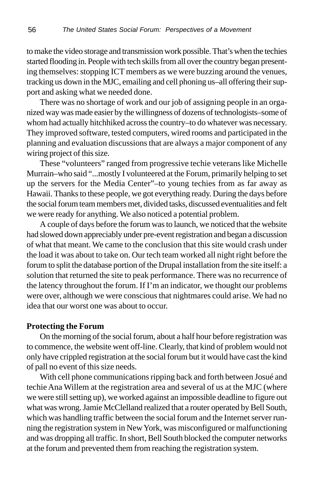to make the video storage and transmission work possible. That's when the techies started flooding in. People with tech skills from all over the country began presenting themselves: stopping ICT members as we were buzzing around the venues, tracking us down in the MJC, emailing and cell phoning us–all offering their support and asking what we needed done.

There was no shortage of work and our job of assigning people in an organized way was made easier by the willingness of dozens of technologists–some of whom had actually hitchhiked across the country–to do whatever was necessary. They improved software, tested computers, wired rooms and participated in the planning and evaluation discussions that are always a major component of any wiring project of this size.

These "volunteers" ranged from progressive techie veterans like Michelle Murrain–who said "...mostly I volunteered at the Forum, primarily helping to set up the servers for the Media Center"–to young techies from as far away as Hawaii. Thanks to these people, we got everything ready. During the days before the social forum team members met, divided tasks, discussed eventualities and felt we were ready for anything. We also noticed a potential problem.

A couple of days before the forum was to launch, we noticed that the website had slowed down appreciably under pre-event registration and began a discussion of what that meant. We came to the conclusion that this site would crash under the load it was about to take on. Our tech team worked all night right before the forum to split the database portion of the Drupal installation from the site itself: a solution that returned the site to peak performance. There was no recurrence of the latency throughout the forum. If I'm an indicator, we thought our problems were over, although we were conscious that nightmares could arise. We had no idea that our worst one was about to occur.

#### **Protecting the Forum**

On the morning of the social forum, about a half hour before registration was to commence, the website went off-line. Clearly, that kind of problem would not only have crippled registration at the social forum but it would have cast the kind of pall no event of this size needs.

With cell phone communications ripping back and forth between Josué and techie Ana Willem at the registration area and several of us at the MJC (where we were still setting up), we worked against an impossible deadline to figure out what was wrong. Jamie McClelland realized that a router operated by Bell South, which was handling traffic between the social forum and the Internet server running the registration system in New York, was misconfigured or malfunctioning and was dropping all traffic. In short, Bell South blocked the computer networks at the forum and prevented them from reaching the registration system.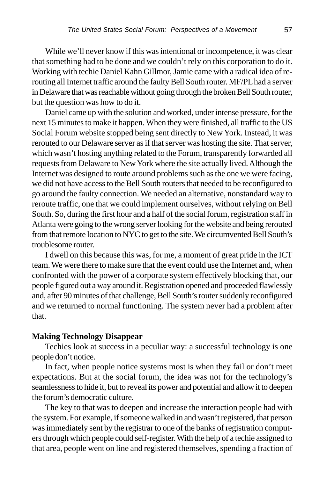While we'll never know if this was intentional or incompetence, it was clear that something had to be done and we couldn't rely on this corporation to do it. Working with techie Daniel Kahn Gillmor, Jamie came with a radical idea of rerouting all Internet traffic around the faulty Bell South router. MF/PL had a server in Delaware that was reachable without going through the broken Bell South router, but the question was how to do it.

Daniel came up with the solution and worked, under intense pressure, for the next 15 minutes to make it happen. When they were finished, all traffic to the US Social Forum website stopped being sent directly to New York. Instead, it was rerouted to our Delaware server as if that server was hosting the site. That server, which wasn't hosting anything related to the Forum, transparently forwarded all requests from Delaware to New York where the site actually lived. Although the Internet was designed to route around problems such as the one we were facing, we did not have access to the Bell South routers that needed to be reconfigured to go around the faulty connection. We needed an alternative, nonstandard way to reroute traffic, one that we could implement ourselves, without relying on Bell South. So, during the first hour and a half of the social forum, registration staff in Atlanta were going to the wrong server looking for the website and being rerouted from that remote location to NYC to get to the site. We circumvented Bell South's troublesome router.

I dwell on this because this was, for me, a moment of great pride in the ICT team. We were there to make sure that the event could use the Internet and, when confronted with the power of a corporate system effectively blocking that, our people figured out a way around it. Registration opened and proceeded flawlessly and, after 90 minutes of that challenge, Bell South's router suddenly reconfigured and we returned to normal functioning. The system never had a problem after that.

#### **Making Technology Disappear**

Techies look at success in a peculiar way: a successful technology is one people don't notice.

In fact, when people notice systems most is when they fail or don't meet expectations. But at the social forum, the idea was not for the technology's seamlessness to hide it, but to reveal its power and potential and allow it to deepen the forum's democratic culture.

The key to that was to deepen and increase the interaction people had with the system. For example, if someone walked in and wasn't registered, that person was immediately sent by the registrar to one of the banks of registration computers through which people could self-register. With the help of a techie assigned to that area, people went on line and registered themselves, spending a fraction of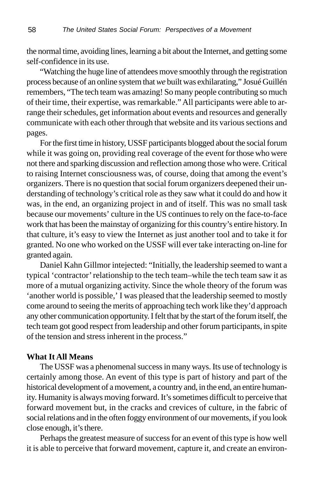the normal time, avoiding lines, learning a bit about the Internet, and getting some self-confidence in its use.

"Watching the huge line of attendees move smoothly through the registration process because of an online system that *we* built was exhilarating," Josué Guillén remembers, "The tech team was amazing! So many people contributing so much of their time, their expertise, was remarkable." All participants were able to arrange their schedules, get information about events and resources and generally communicate with each other through that website and its various sections and pages.

For the first time in history, USSF participants blogged about the social forum while it was going on, providing real coverage of the event for those who were not there and sparking discussion and reflection among those who were. Critical to raising Internet consciousness was, of course, doing that among the event's organizers. There is no question that social forum organizers deepened their understanding of technology's critical role as they saw what it could do and how it was, in the end, an organizing project in and of itself. This was no small task because our movements' culture in the US continues to rely on the face-to-face work that has been the mainstay of organizing for this country's entire history. In that culture, it's easy to view the Internet as just another tool and to take it for granted. No one who worked on the USSF will ever take interacting on-line for granted again.

Daniel Kahn Gillmor intejected: "Initially, the leadership seemed to want a typical 'contractor' relationship to the tech team–while the tech team saw it as more of a mutual organizing activity. Since the whole theory of the forum was 'another world is possible,' I was pleased that the leadership seemed to mostly come around to seeing the merits of approaching tech work like they'd approach any other communication opportunity. I felt that by the start of the forum itself, the tech team got good respect from leadership and other forum participants, in spite of the tension and stress inherent in the process."

#### **What It All Means**

The USSF was a phenomenal success in many ways. Its use of technology is certainly among those. An event of this type is part of history and part of the historical development of a movement, a country and, in the end, an entire humanity. Humanity is always moving forward. It's sometimes difficult to perceive that forward movement but, in the cracks and crevices of culture, in the fabric of social relations and in the often foggy environment of our movements, if you look close enough, it's there.

Perhaps the greatest measure of success for an event of this type is how well it is able to perceive that forward movement, capture it, and create an environ-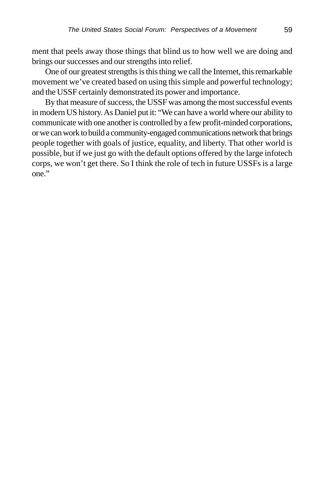ment that peels away those things that blind us to how well we are doing and brings our successes and our strengths into relief.

One of our greatest strengths is this thing we call the Internet, this remarkable movement we've created based on using this simple and powerful technology; and the USSF certainly demonstrated its power and importance.

By that measure of success, the USSF was among the most successful events in modern US history. As Daniel put it: "We can have a world where our ability to communicate with one another is controlled by a few profit-minded corporations, or we can work to build a community-engaged communications network that brings people together with goals of justice, equality, and liberty. That other world is possible, but if we just go with the default options offered by the large infotech corps, we won't get there. So I think the role of tech in future USSFs is a large one."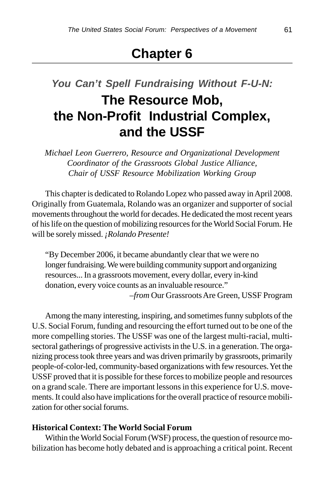# **Chapter 6**

## *You Can't Spell Fundraising Without F-U-N:*

# **The Resource Mob, the Non-Profit Industrial Complex, and the USSF**

*Michael Leon Guerrero, Resource and Organizational Development Coordinator of the Grassroots Global Justice Alliance, Chair of USSF Resource Mobilization Working Group*

This chapter is dedicated to Rolando Lopez who passed away in April 2008. Originally from Guatemala, Rolando was an organizer and supporter of social movements throughout the world for decades. He dedicated the most recent years of his life on the question of mobilizing resources for the World Social Forum. He will be sorely missed. *¡Rolando Presente!*

"By December 2006, it became abundantly clear that we were no longer fundraising. We were building community support and organizing resources... In a grassroots movement, every dollar, every in-kind donation, every voice counts as an invaluable resource."

–*from* Our Grassroots Are Green, USSF Program

Among the many interesting, inspiring, and sometimes funny subplots of the U.S. Social Forum, funding and resourcing the effort turned out to be one of the more compelling stories. The USSF was one of the largest multi-racial, multisectoral gatherings of progressive activists in the U.S. in a generation. The organizing process took three years and was driven primarily by grassroots, primarily people-of-color-led, community-based organizations with few resources. Yet the USSF proved that it is possible for these forces to mobilize people and resources on a grand scale. There are important lessons in this experience for U.S. movements. It could also have implications for the overall practice of resource mobilization for other social forums.

### **Historical Context: The World Social Forum**

Within the World Social Forum (WSF) process, the question of resource mobilization has become hotly debated and is approaching a critical point. Recent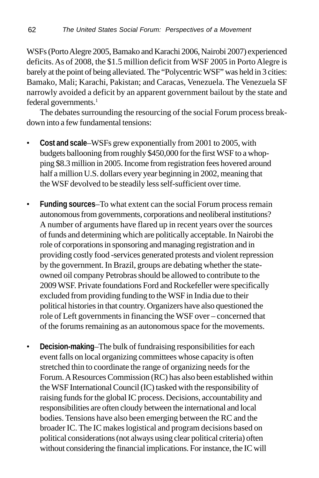WSFs (Porto Alegre 2005, Bamako and Karachi 2006, Nairobi 2007) experienced deficits. As of 2008, the \$1.5 million deficit from WSF 2005 in Porto Alegre is barely at the point of being alleviated. The "Polycentric WSF" was held in 3 cities: Bamako, Mali; Karachi, Pakistan; and Caracas, Venezuela. The Venezuela SF narrowly avoided a deficit by an apparent government bailout by the state and federal governments.<sup>1</sup>

The debates surrounding the resourcing of the social Forum process breakdown into a few fundamental tensions:

- **Cost and scale**–WSFs grew exponentially from 2001 to 2005, with budgets ballooning from roughly \$450,000 for the first WSF to a whopping \$8.3 million in 2005. Income from registration fees hovered around half a million U.S. dollars every year beginning in 2002, meaning that the WSF devolved to be steadily less self-sufficient over time.
- **Funding sources**–To what extent can the social Forum process remain autonomous from governments, corporations and neoliberal institutions? A number of arguments have flared up in recent years over the sources of funds and determining which are politically acceptable. In Nairobi the role of corporations in sponsoring and managing registration and in providing costly food -services generated protests and violent repression by the government. In Brazil, groups are debating whether the stateowned oil company Petrobras should be allowed to contribute to the 2009 WSF. Private foundations Ford and Rockefeller were specifically excluded from providing funding to the WSF in India due to their political histories in that country. Organizers have also questioned the role of Left governments in financing the WSF over – concerned that of the forums remaining as an autonomous space for the movements.
- **Decision-making**–The bulk of fundraising responsibilities for each event falls on local organizing committees whose capacity is often stretched thin to coordinate the range of organizing needs for the Forum. A Resources Commission (RC) has also been established within the WSF International Council (IC) tasked with the responsibility of raising funds for the global IC process. Decisions, accountability and responsibilities are often cloudy between the international and local bodies. Tensions have also been emerging between the RC and the broader IC. The IC makes logistical and program decisions based on political considerations (not always using clear political criteria) often without considering the financial implications. For instance, the IC will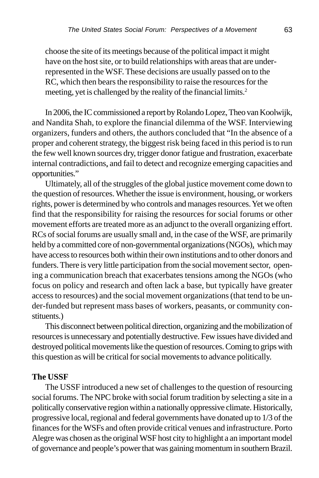choose the site of its meetings because of the political impact it might have on the host site, or to build relationships with areas that are underrepresented in the WSF. These decisions are usually passed on to the RC, which then bears the responsibility to raise the resources for the meeting, yet is challenged by the reality of the financial limits.<sup>2</sup>

In 2006, the IC commissioned a report by Rolando Lopez, Theo van Koolwijk, and Nandita Shah, to explore the financial dilemma of the WSF. Interviewing organizers, funders and others, the authors concluded that "In the absence of a proper and coherent strategy, the biggest risk being faced in this period is to run the few well known sources dry, trigger donor fatigue and frustration, exacerbate internal contradictions, and fail to detect and recognize emerging capacities and opportunities."

Ultimately, all of the struggles of the global justice movement come down to the question of resources. Whether the issue is environment, housing, or workers rights, power is determined by who controls and manages resources. Yet we often find that the responsibility for raising the resources for social forums or other movement efforts are treated more as an adjunct to the overall organizing effort. RCs of social forums are usually small and, in the case of the WSF, are primarily held by a committed core of non-governmental organizations (NGOs), which may have access to resources both within their own institutions and to other donors and funders. There is very little participation from the social movement sector, opening a communication breach that exacerbates tensions among the NGOs (who focus on policy and research and often lack a base, but typically have greater access to resources) and the social movement organizations (that tend to be under-funded but represent mass bases of workers, peasants, or community constituents.)

This disconnect between political direction, organizing and the mobilization of resources is unnecessary and potentially destructive. Few issues have divided and destroyed political movements like the question of resources. Coming to grips with this question as will be critical for social movements to advance politically.

### **The USSF**

The USSF introduced a new set of challenges to the question of resourcing social forums. The NPC broke with social forum tradition by selecting a site in a politically conservative region within a nationally oppressive climate. Historically, progressive local, regional and federal governments have donated up to 1/3 of the finances for the WSFs and often provide critical venues and infrastructure. Porto Alegre was chosen as the original WSF host city to highlight a an important model of governance and people's power that was gaining momentum in southern Brazil.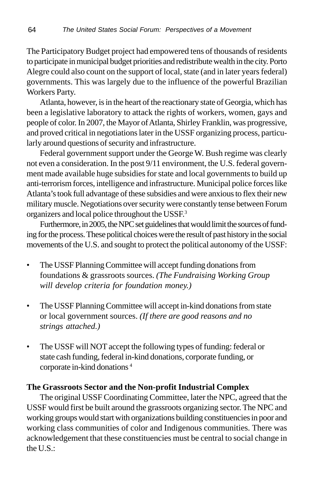The Participatory Budget project had empowered tens of thousands of residents to participate in municipal budget priorities and redistribute wealth in the city. Porto Alegre could also count on the support of local, state (and in later years federal) governments. This was largely due to the influence of the powerful Brazilian Workers Party.

Atlanta, however, is in the heart of the reactionary state of Georgia, which has been a legislative laboratory to attack the rights of workers, women, gays and people of color. In 2007, the Mayor of Atlanta, Shirley Franklin, was progressive, and proved critical in negotiations later in the USSF organizing process, particularly around questions of security and infrastructure.

Federal government support under the George W. Bush regime was clearly not even a consideration. In the post 9/11 environment, the U.S. federal government made available huge subsidies for state and local governments to build up anti-terrorism forces, intelligence and infrastructure. Municipal police forces like Atlanta's took full advantage of these subsidies and were anxious to flex their new military muscle. Negotiations over security were constantly tense between Forum organizers and local police throughout the USSF.3

Furthermore, in 2005, the NPC set guidelines that would limit the sources of funding for the process. These political choices were the result of past history in the social movements of the U.S. and sought to protect the political autonomy of the USSF:

- The USSF Planning Committee will accept funding donations from foundations & grassroots sources. *(The Fundraising Working Group will develop criteria for foundation money.)*
- The USSF Planning Committee will accept in-kind donations from state or local government sources. *(If there are good reasons and no strings attached.)*
- The USSF will NOT accept the following types of funding: federal or state cash funding, federal in-kind donations, corporate funding, or corporate in-kind donations 4

### **The Grassroots Sector and the Non-profit Industrial Complex**

The original USSF Coordinating Committee, later the NPC, agreed that the USSF would first be built around the grassroots organizing sector. The NPC and working groups would start with organizations building constituencies in poor and working class communities of color and Indigenous communities. There was acknowledgement that these constituencies must be central to social change in the  $U.S.$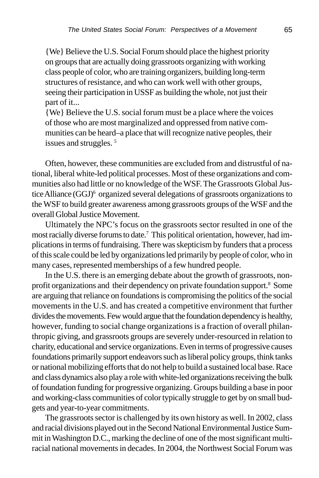{We} Believe the U.S. Social Forum should place the highest priority on groups that are actually doing grassroots organizing with working class people of color, who are training organizers, building long-term structures of resistance, and who can work well with other groups, seeing their participation in USSF as building the whole, not just their part of it...

{We} Believe the U.S. social forum must be a place where the voices of those who are most marginalized and oppressed from native communities can be heard–a place that will recognize native peoples, their issues and struggles.<sup>5</sup>

Often, however, these communities are excluded from and distrustful of national, liberal white-led political processes. Most of these organizations and communities also had little or no knowledge of the WSF. The Grassroots Global Justice Alliance (GGJ)<sup>6</sup> organized several delegations of grassroots organizations to the WSF to build greater awareness among grassroots groups of the WSF and the overall Global Justice Movement.

Ultimately the NPC's focus on the grassroots sector resulted in one of the most racially diverse forums to date.7 This political orientation, however, had implications in terms of fundraising. There was skepticism by funders that a process of this scale could be led by organizations led primarily by people of color, who in many cases, represented memberships of a few hundred people.

In the U.S. there is an emerging debate about the growth of grassroots, nonprofit organizations and their dependency on private foundation support.8 Some are arguing that reliance on foundations is compromising the politics of the social movements in the U.S. and has created a competitive environment that further divides the movements. Few would argue that the foundation dependency is healthy, however, funding to social change organizations is a fraction of overall philanthropic giving, and grassroots groups are severely under-resourced in relation to charity, educational and service organizations. Even in terms of progressive causes foundations primarily support endeavors such as liberal policy groups, think tanks or national mobilizing efforts that do not help to build a sustained local base. Race and class dynamics also play a role with white-led organizations receiving the bulk of foundation funding for progressive organizing. Groups building a base in poor and working-class communities of color typically struggle to get by on small budgets and year-to-year commitments.

The grassroots sector is challenged by its own history as well. In 2002, class and racial divisions played out in the Second National Environmental Justice Summit in Washington D.C., marking the decline of one of the most significant multiracial national movements in decades. In 2004, the Northwest Social Forum was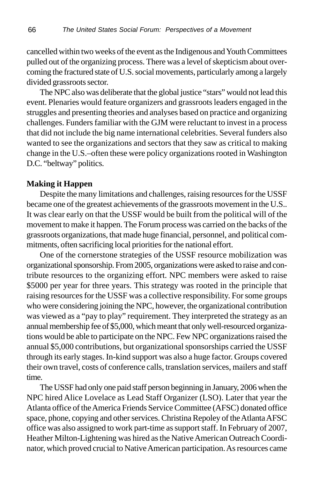cancelled within two weeks of the event as the Indigenous and Youth Committees pulled out of the organizing process. There was a level of skepticism about overcoming the fractured state of U.S. social movements, particularly among a largely divided grassroots sector.

The NPC also was deliberate that the global justice "stars" would not lead this event. Plenaries would feature organizers and grassroots leaders engaged in the struggles and presenting theories and analyses based on practice and organizing challenges. Funders familiar with the GJM were reluctant to invest in a process that did not include the big name international celebrities. Several funders also wanted to see the organizations and sectors that they saw as critical to making change in the U.S.–often these were policy organizations rooted in Washington D.C. "beltway" politics.

### **Making it Happen**

Despite the many limitations and challenges, raising resources for the USSF became one of the greatest achievements of the grassroots movement in the U.S.. It was clear early on that the USSF would be built from the political will of the movement to make it happen. The Forum process was carried on the backs of the grassroots organizations, that made huge financial, personnel, and political commitments, often sacrificing local priorities for the national effort.

One of the cornerstone strategies of the USSF resource mobilization was organizational sponsorship. From 2005, organizations were asked to raise and contribute resources to the organizing effort. NPC members were asked to raise \$5000 per year for three years. This strategy was rooted in the principle that raising resources for the USSF was a collective responsibility. For some groups who were considering joining the NPC, however, the organizational contribution was viewed as a "pay to play" requirement. They interpreted the strategy as an annual membership fee of \$5,000, which meant that only well-resourced organizations would be able to participate on the NPC. Few NPC organizations raised the annual \$5,000 contributions, but organizational sponsorships carried the USSF through its early stages. In-kind support was also a huge factor. Groups covered their own travel, costs of conference calls, translation services, mailers and staff time.

The USSF had only one paid staff person beginning in January, 2006 when the NPC hired Alice Lovelace as Lead Staff Organizer (LSO). Later that year the Atlanta office of the America Friends Service Committee (AFSC) donated office space, phone, copying and other services. Christina Repoley of the Atlanta AFSC office was also assigned to work part-time as support staff. In February of 2007, Heather Milton-Lightening was hired as the Native American Outreach Coordinator, which proved crucial to Native American participation. As resources came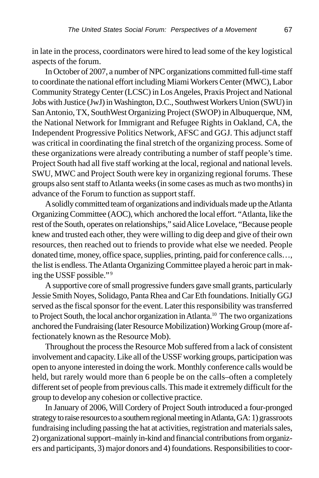in late in the process, coordinators were hired to lead some of the key logistical aspects of the forum.

In October of 2007, a number of NPC organizations committed full-time staff to coordinate the national effort including Miami Workers Center (MWC), Labor Community Strategy Center (LCSC) in Los Angeles, Praxis Project and National Jobs with Justice (JwJ) in Washington, D.C., Southwest Workers Union (SWU) in San Antonio, TX, SouthWest Organizing Project (SWOP) in Albuquerque, NM, the National Network for Immigrant and Refugee Rights in Oakland, CA, the Independent Progressive Politics Network, AFSC and GGJ. This adjunct staff was critical in coordinating the final stretch of the organizing process. Some of these organizations were already contributing a number of staff people's time. Project South had all five staff working at the local, regional and national levels. SWU, MWC and Project South were key in organizing regional forums. These groups also sent staff to Atlanta weeks (in some cases as much as two months) in advance of the Forum to function as support staff.

A solidly committed team of organizations and individuals made up the Atlanta Organizing Committee (AOC), which anchored the local effort. "Atlanta, like the rest of the South, operates on relationships," said Alice Lovelace, "Because people knew and trusted each other, they were willing to dig deep and give of their own resources, then reached out to friends to provide what else we needed. People donated time, money, office space, supplies, printing, paid for conference calls…, the list is endless. The Atlanta Organizing Committee played a heroic part in making the USSF possible." 9

A supportive core of small progressive funders gave small grants, particularly Jessie Smith Noyes, Solidago, Panta Rhea and Car Eth foundations. Initially GGJ served as the fiscal sponsor for the event. Later this responsibility was transferred to Project South, the local anchor organization in Atlanta.10 The two organizations anchored the Fundraising (later Resource Mobilization) Working Group (more affectionately known as the Resource Mob).

Throughout the process the Resource Mob suffered from a lack of consistent involvement and capacity. Like all of the USSF working groups, participation was open to anyone interested in doing the work. Monthly conference calls would be held, but rarely would more than 6 people be on the calls–often a completely different set of people from previous calls. This made it extremely difficult for the group to develop any cohesion or collective practice.

In January of 2006, Will Cordery of Project South introduced a four-pronged strategy to raise resources to a southern regional meeting in Atlanta, GA: 1) grassroots fundraising including passing the hat at activities, registration and materials sales, 2) organizational support–mainly in-kind and financial contributions from organizers and participants, 3) major donors and 4) foundations. Responsibilities to coor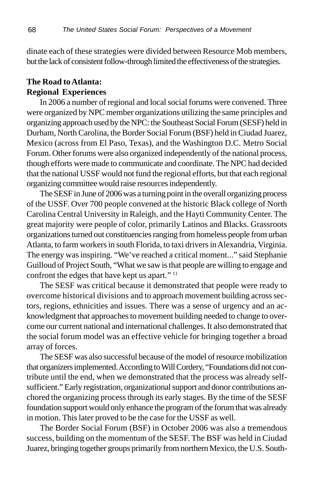dinate each of these strategies were divided between Resource Mob members, but the lack of consistent follow-through limited the effectiveness of the strategies.

### **The Road to Atlanta: Regional Experiences**

In 2006 a number of regional and local social forums were convened. Three were organized by NPC member organizations utilizing the same principles and organizing approach used by the NPC: the Southeast Social Forum (SESF) held in Durham, North Carolina, the Border Social Forum (BSF) held in Ciudad Juarez, Mexico (across from El Paso, Texas), and the Washington D.C. Metro Social Forum. Other forums were also organized independently of the national process, though efforts were made to communicate and coordinate. The NPC had decided that the national USSF would not fund the regional efforts, but that each regional organizing committee would raise resources independently.

The SESF in June of 2006 was a turning point in the overall organizing process of the USSF. Over 700 people convened at the historic Black college of North Carolina Central University in Raleigh, and the Hayti Community Center. The great majority were people of color, primarily Latinos and Blacks. Grassroots organizations turned out constituencies ranging from homeless people from urban Atlanta, to farm workers in south Florida, to taxi drivers in Alexandria, Virginia. The energy was inspiring. "We've reached a critical moment..." said Stephanie Guilloud of Project South, "What we saw is that people are willing to engage and confront the edges that have kept us apart." 11

The SESF was critical because it demonstrated that people were ready to overcome historical divisions and to approach movement building across sectors, regions, ethnicities and issues. There was a sense of urgency and an acknowledgment that approaches to movement building needed to change to overcome our current national and international challenges. It also demonstrated that the social forum model was an effective vehicle for bringing together a broad array of forces.

The SESF was also successful because of the model of resource mobilization that organizers implemented. According to Will Cordery, "Foundations did not contribute until the end, when we demonstrated that the process was already selfsufficient." Early registration, organizational support and donor contributions anchored the organizing process through its early stages. By the time of the SESF foundation support would only enhance the program of the forum that was already in motion. This later proved to be the case for the USSF as well.

The Border Social Forum (BSF) in October 2006 was also a tremendous success, building on the momentum of the SESF. The BSF was held in Ciudad Juarez, bringing together groups primarily from northern Mexico, the U.S. South-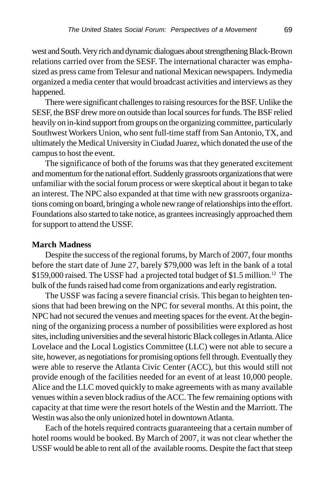west and South. Very rich and dynamic dialogues about strengthening Black-Brown relations carried over from the SESF. The international character was emphasized as press came from Telesur and national Mexican newspapers. Indymedia organized a media center that would broadcast activities and interviews as they happened.

There were significant challenges to raising resources for the BSF. Unlike the SESF, the BSF drew more on outside than local sources for funds. The BSF relied heavily on in-kind support from groups on the organizing committee, particularly Southwest Workers Union, who sent full-time staff from San Antonio, TX, and ultimately the Medical University in Ciudad Juarez, which donated the use of the campus to host the event.

The significance of both of the forums was that they generated excitement and momentum for the national effort. Suddenly grassroots organizations that were unfamiliar with the social forum process or were skeptical about it began to take an interest. The NPC also expanded at that time with new grassroots organizations coming on board, bringing a whole new range of relationships into the effort. Foundations also started to take notice, as grantees increasingly approached them for support to attend the USSF.

### **March Madness**

Despite the success of the regional forums, by March of 2007, four months before the start date of June 27, barely \$79,000 was left in the bank of a total \$159,000 raised. The USSF had a projected total budget of \$1.5 million.12 The bulk of the funds raised had come from organizations and early registration.

The USSF was facing a severe financial crisis. This began to heighten tensions that had been brewing on the NPC for several months. At this point, the NPC had not secured the venues and meeting spaces for the event. At the beginning of the organizing process a number of possibilities were explored as host sites, including universities and the several historic Black colleges in Atlanta. Alice Lovelace and the Local Logistics Committee (LLC) were not able to secure a site, however, as negotiations for promising options fell through. Eventually they were able to reserve the Atlanta Civic Center (ACC), but this would still not provide enough of the facilities needed for an event of at least 10,000 people. Alice and the LLC moved quickly to make agreements with as many available venues within a seven block radius of the ACC. The few remaining options with capacity at that time were the resort hotels of the Westin and the Marriott. The Westin was also the only unionized hotel in downtown Atlanta.

Each of the hotels required contracts guaranteeing that a certain number of hotel rooms would be booked. By March of 2007, it was not clear whether the USSF would be able to rent all of the available rooms. Despite the fact that steep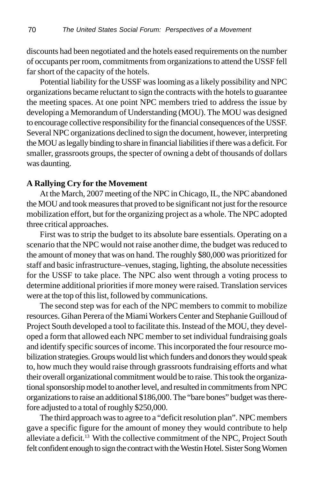discounts had been negotiated and the hotels eased requirements on the number of occupants per room, commitments from organizations to attend the USSF fell far short of the capacity of the hotels.

Potential liability for the USSF was looming as a likely possibility and NPC organizations became reluctant to sign the contracts with the hotels to guarantee the meeting spaces. At one point NPC members tried to address the issue by developing a Memorandum of Understanding (MOU). The MOU was designed to encourage collective responsibility for the financial consequences of the USSF. Several NPC organizations declined to sign the document, however, interpreting the MOU as legally binding to share in financial liabilities if there was a deficit. For smaller, grassroots groups, the specter of owning a debt of thousands of dollars was daunting.

### **A Rallying Cry for the Movement**

At the March, 2007 meeting of the NPC in Chicago, IL, the NPC abandoned the MOU and took measures that proved to be significant not just for the resource mobilization effort, but for the organizing project as a whole. The NPC adopted three critical approaches.

First was to strip the budget to its absolute bare essentials. Operating on a scenario that the NPC would not raise another dime, the budget was reduced to the amount of money that was on hand. The roughly \$80,000 was prioritized for staff and basic infrastructure–venues, staging, lighting, the absolute necessities for the USSF to take place. The NPC also went through a voting process to determine additional priorities if more money were raised. Translation services were at the top of this list, followed by communications.

The second step was for each of the NPC members to commit to mobilize resources. Gihan Perera of the Miami Workers Center and Stephanie Guilloud of Project South developed a tool to facilitate this. Instead of the MOU, they developed a form that allowed each NPC member to set individual fundraising goals and identify specific sources of income. This incorporated the four resource mobilization strategies. Groups would list which funders and donors they would speak to, how much they would raise through grassroots fundraising efforts and what their overall organizational commitment would be to raise. This took the organizational sponsorship model to another level, and resulted in commitments from NPC organizations to raise an additional \$186,000. The "bare bones" budget was therefore adjusted to a total of roughly \$250,000.

The third approach was to agree to a "deficit resolution plan". NPC members gave a specific figure for the amount of money they would contribute to help alleviate a deficit.13 With the collective commitment of the NPC, Project South felt confident enough to sign the contract with the Westin Hotel. Sister Song Women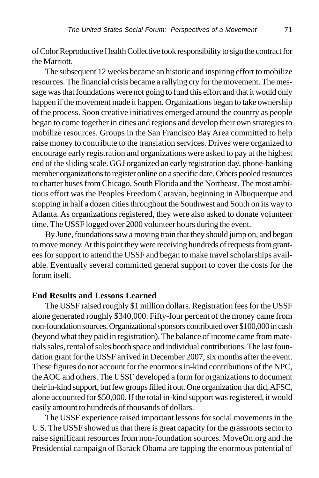of Color Reproductive Health Collective took responsibility to sign the contract for the Marriott.

The subsequent 12 weeks became an historic and inspiring effort to mobilize resources. The financial crisis became a rallying cry for the movement. The message was that foundations were not going to fund this effort and that it would only happen if the movement made it happen. Organizations began to take ownership of the process. Soon creative initiatives emerged around the country as people began to come together in cities and regions and develop their own strategies to mobilize resources. Groups in the San Francisco Bay Area committed to help raise money to contribute to the translation services. Drives were organized to encourage early registration and organizations were asked to pay at the highest end of the sliding scale. GGJ organized an early registration day, phone-banking member organizations to register online on a specific date. Others pooled resources to charter buses from Chicago, South Florida and the Northeast. The most ambitious effort was the Peoples Freedom Caravan, beginning in Albuquerque and stopping in half a dozen cities throughout the Southwest and South on its way to Atlanta. As organizations registered, they were also asked to donate volunteer time. The USSF logged over 2000 volunteer hours during the event.

By June, foundations saw a moving train that they should jump on, and began to move money. At this point they were receiving hundreds of requests from grantees for support to attend the USSF and began to make travel scholarships available. Eventually several committed general support to cover the costs for the forum itself.

### **End Results and Lessons Learned**

The USSF raised roughly \$1 million dollars. Registration fees for the USSF alone generated roughly \$340,000. Fifty-four percent of the money came from non-foundation sources. Organizational sponsors contributed over \$100,000 in cash (beyond what they paid in registration). The balance of income came from materials sales, rental of sales booth space and individual contributions. The last foundation grant for the USSF arrived in December 2007, six months after the event. These figures do not account for the enormous in-kind contributions of the NPC, the AOC and others. The USSF developed a form for organizations to document their in-kind support, but few groups filled it out. One organization that did, AFSC, alone accounted for \$50,000. If the total in-kind support was registered, it would easily amount to hundreds of thousands of dollars.

The USSF experience raised important lessons for social movements in the U.S. The USSF showed us that there is great capacity for the grassroots sector to raise significant resources from non-foundation sources. MoveOn.org and the Presidential campaign of Barack Obama are tapping the enormous potential of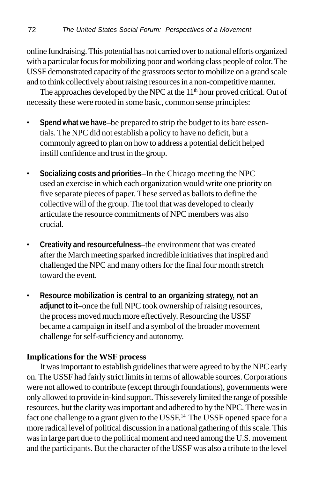online fundraising. This potential has not carried over to national efforts organized with a particular focus for mobilizing poor and working class people of color. The USSF demonstrated capacity of the grassroots sector to mobilize on a grand scale and to think collectively about raising resources in a non-competitive manner.

The approaches developed by the NPC at the  $11<sup>th</sup>$  hour proved critical. Out of necessity these were rooted in some basic, common sense principles:

- **Spend what we have**–be prepared to strip the budget to its bare essentials. The NPC did not establish a policy to have no deficit, but a commonly agreed to plan on how to address a potential deficit helped instill confidence and trust in the group.
- **Socializing costs and priorities**–In the Chicago meeting the NPC used an exercise in which each organization would write one priority on five separate pieces of paper. These served as ballots to define the collective will of the group. The tool that was developed to clearly articulate the resource commitments of NPC members was also crucial.
- **Creativity and resourcefulness**–the environment that was created after the March meeting sparked incredible initiatives that inspired and challenged the NPC and many others for the final four month stretch toward the event.
- **Resource mobilization is central to an organizing strategy, not an adjunct to it**–once the full NPC took ownership of raising resources, the process moved much more effectively. Resourcing the USSF became a campaign in itself and a symbol of the broader movement challenge for self-sufficiency and autonomy.

### **Implications for the WSF process**

It was important to establish guidelines that were agreed to by the NPC early on. The USSF had fairly strict limits in terms of allowable sources. Corporations were not allowed to contribute (except through foundations), governments were only allowed to provide in-kind support. This severely limited the range of possible resources, but the clarity was important and adhered to by the NPC. There was in fact one challenge to a grant given to the USSF.<sup>14</sup> The USSF opened space for a more radical level of political discussion in a national gathering of this scale. This was in large part due to the political moment and need among the U.S. movement and the participants. But the character of the USSF was also a tribute to the level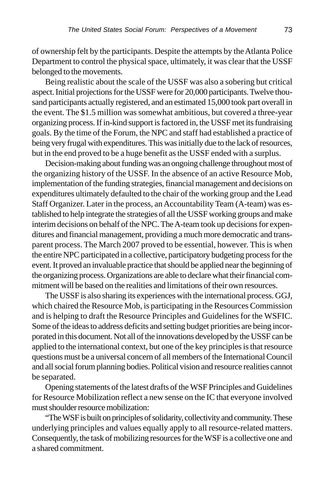of ownership felt by the participants. Despite the attempts by the Atlanta Police Department to control the physical space, ultimately, it was clear that the USSF belonged to the movements.

Being realistic about the scale of the USSF was also a sobering but critical aspect. Initial projections for the USSF were for 20,000 participants. Twelve thousand participants actually registered, and an estimated 15,000 took part overall in the event. The \$1.5 million was somewhat ambitious, but covered a three-year organizing process. If in-kind support is factored in, the USSF met its fundraising goals. By the time of the Forum, the NPC and staff had established a practice of being very frugal with expenditures. This was initially due to the lack of resources, but in the end proved to be a huge benefit as the USSF ended with a surplus.

Decision-making about funding was an ongoing challenge throughout most of the organizing history of the USSF. In the absence of an active Resource Mob, implementation of the funding strategies, financial management and decisions on expenditures ultimately defaulted to the chair of the working group and the Lead Staff Organizer. Later in the process, an Accountability Team (A-team) was established to help integrate the strategies of all the USSF working groups and make interim decisions on behalf of the NPC. The A-team took up decisions for expenditures and financial management, providing a much more democratic and transparent process. The March 2007 proved to be essential, however. This is when the entire NPC participated in a collective, participatory budgeting process for the event. It proved an invaluable practice that should be applied near the beginning of the organizing process. Organizations are able to declare what their financial commitment will be based on the realities and limitations of their own resources.

The USSF is also sharing its experiences with the international process. GGJ, which chaired the Resource Mob, is participating in the Resources Commission and is helping to draft the Resource Principles and Guidelines for the WSFIC. Some of the ideas to address deficits and setting budget priorities are being incorporated in this document. Not all of the innovations developed by the USSF can be applied to the international context, but one of the key principles is that resource questions must be a universal concern of all members of the International Council and all social forum planning bodies. Political vision and resource realities cannot be separated.

Opening statements of the latest drafts of the WSF Principles and Guidelines for Resource Mobilization reflect a new sense on the IC that everyone involved must shoulder resource mobilization:

"The WSF is built on principles of solidarity, collectivity and community. These underlying principles and values equally apply to all resource-related matters. Consequently, the task of mobilizing resources for the WSF is a collective one and a shared commitment.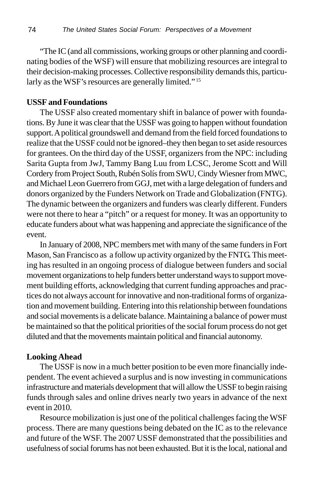"The IC (and all commissions, working groups or other planning and coordinating bodies of the WSF) will ensure that mobilizing resources are integral to their decision-making processes. Collective responsibility demands this, particularly as the WSF's resources are generally limited."<sup>15</sup>

### **USSF and Foundations**

The USSF also created momentary shift in balance of power with foundations. By June it was clear that the USSF was going to happen without foundation support. A political groundswell and demand from the field forced foundations to realize that the USSF could not be ignored–they then began to set aside resources for grantees. On the third day of the USSF, organizers from the NPC: including Sarita Gupta from JwJ, Tammy Bang Luu from LCSC, Jerome Scott and Will Cordery from Project South, Rubén Solís from SWU, Cindy Wiesner from MWC, and Michael Leon Guerrero from GGJ, met with a large delegation of funders and donors organized by the Funders Network on Trade and Globalization (FNTG). The dynamic between the organizers and funders was clearly different. Funders were not there to hear a "pitch" or a request for money. It was an opportunity to educate funders about what was happening and appreciate the significance of the event.

In January of 2008, NPC members met with many of the same funders in Fort Mason, San Francisco as a follow up activity organized by the FNTG. This meeting has resulted in an ongoing process of dialogue between funders and social movement organizations to help funders better understand ways to support movement building efforts, acknowledging that current funding approaches and practices do not always account for innovative and non-traditional forms of organization and movement building. Entering into this relationship between foundations and social movements is a delicate balance. Maintaining a balance of power must be maintained so that the political priorities of the social forum process do not get diluted and that the movements maintain political and financial autonomy.

### **Looking Ahead**

The USSF is now in a much better position to be even more financially independent. The event achieved a surplus and is now investing in communications infrastructure and materials development that will allow the USSF to begin raising funds through sales and online drives nearly two years in advance of the next event in 2010.

Resource mobilization is just one of the political challenges facing the WSF process. There are many questions being debated on the IC as to the relevance and future of the WSF. The 2007 USSF demonstrated that the possibilities and usefulness of social forums has not been exhausted. But it is the local, national and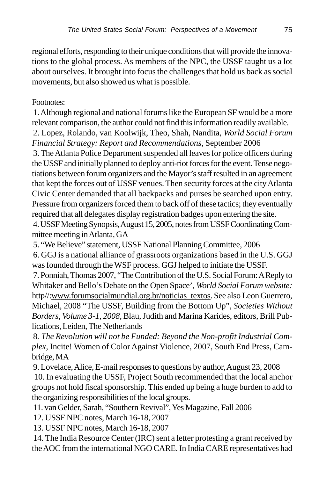regional efforts, responding to their unique conditions that will provide the innovations to the global process. As members of the NPC, the USSF taught us a lot about ourselves. It brought into focus the challenges that hold us back as social movements, but also showed us what is possible.

Footnotes:

1. Although regional and national forums like the European SF would be a more relevant comparison, the author could not find this information readily available. 2. Lopez, Rolando, van Koolwijk, Theo, Shah, Nandita, *World Social Forum*

*Financial Strategy: Report and Recommendations*, September 2006

3. The Atlanta Police Department suspended all leaves for police officers during the USSF and initially planned to deploy anti-riot forces for the event. Tense negotiations between forum organizers and the Mayor's staff resulted in an agreement that kept the forces out of USSF venues. Then security forces at the city Atlanta Civic Center demanded that all backpacks and purses be searched upon entry. Pressure from organizers forced them to back off of these tactics; they eventually required that all delegates display registration badges upon entering the site.

4. USSF Meeting Synopsis, August 15, 2005, notes from USSF Coordinating Committee meeting in Atlanta, GA

5. "We Believe" statement, USSF National Planning Committee, 2006

6. GGJ is a national alliance of grassroots organizations based in the U.S. GGJ was founded through the WSF process. GGJ helped to initiate the USSF.

7. Ponniah, Thomas 2007, "The Contribution of the U.S. Social Forum: A Reply to Whitaker and Bello's Debate on the Open Space', *World Social Forum website:* http//:www.forumsocialmundial.org.br/noticias\_textos. See also Leon Guerrero, Michael, 2008 "The USSF, Building from the Bottom Up", *Societies Without Borders, Volume 3-1, 2008,* Blau, Judith and Marina Karides, editors, Brill Publications, Leiden, The Netherlands

8*. The Revolution will not be Funded: Beyond the Non-profit Industrial Complex,* Incite! Women of Color Against Violence, 2007, South End Press, Cambridge, MA

9. Lovelace, Alice, E-mail responses to questions by author, August 23, 2008

10. In evaluating the USSF, Project South recommended that the local anchor groups not hold fiscal sponsorship. This ended up being a huge burden to add to the organizing responsibilities of the local groups.

11. van Gelder, Sarah, "Southern Revival", Yes Magazine, Fall 2006

12. USSF NPC notes, March 16-18, 2007

13. USSF NPC notes, March 16-18, 2007

14. The India Resource Center (IRC) sent a letter protesting a grant received by the AOC from the international NGO CARE. In India CARE representatives had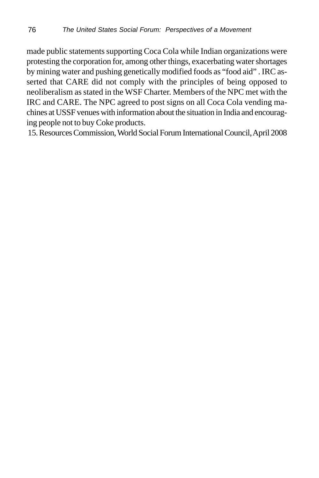made public statements supporting Coca Cola while Indian organizations were protesting the corporation for, among other things, exacerbating water shortages by mining water and pushing genetically modified foods as "food aid" . IRC asserted that CARE did not comply with the principles of being opposed to neoliberalism as stated in the WSF Charter. Members of the NPC met with the IRC and CARE. The NPC agreed to post signs on all Coca Cola vending machines at USSF venues with information about the situation in India and encouraging people not to buy Coke products.

15. Resources Commission, World Social Forum International Council, April 2008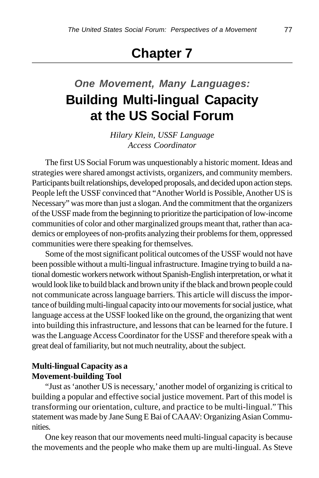# **Chapter 7**

# *One Movement, Many Languages:* **Building Multi-lingual Capacity at the US Social Forum**

*Hilary Klein, USSF Language Access Coordinator*

The first US Social Forum was unquestionably a historic moment. Ideas and strategies were shared amongst activists, organizers, and community members. Participants built relationships, developed proposals, and decided upon action steps. People left the USSF convinced that "Another World is Possible, Another US is Necessary" was more than just a slogan. And the commitment that the organizers of the USSF made from the beginning to prioritize the participation of low-income communities of color and other marginalized groups meant that, rather than academics or employees of non-profits analyzing their problems for them, oppressed communities were there speaking for themselves.

Some of the most significant political outcomes of the USSF would not have been possible without a multi-lingual infrastructure. Imagine trying to build a national domestic workers network without Spanish-English interpretation, or what it would look like to build black and brown unity if the black and brown people could not communicate across language barriers. This article will discuss the importance of building multi-lingual capacity into our movements for social justice, what language access at the USSF looked like on the ground, the organizing that went into building this infrastructure, and lessons that can be learned for the future. I was the Language Access Coordinator for the USSF and therefore speak with a great deal of familiarity, but not much neutrality, about the subject.

### **Multi-lingual Capacity as a Movement-building Tool**

"Just as 'another US is necessary,' another model of organizing is critical to building a popular and effective social justice movement. Part of this model is transforming our orientation, culture, and practice to be multi-lingual." This statement was made by Jane Sung E Bai of CAAAV: Organizing Asian Communities.

One key reason that our movements need multi-lingual capacity is because the movements and the people who make them up are multi-lingual. As Steve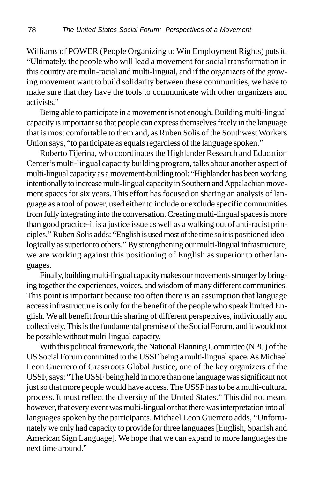Williams of POWER (People Organizing to Win Employment Rights) puts it, "Ultimately, the people who will lead a movement for social transformation in this country are multi-racial and multi-lingual, and if the organizers of the growing movement want to build solidarity between these communities, we have to make sure that they have the tools to communicate with other organizers and activists."

Being able to participate in a movement is not enough. Building multi-lingual capacity is important so that people can express themselves freely in the language that is most comfortable to them and, as Ruben Solis of the Southwest Workers Union says, "to participate as equals regardless of the language spoken."

Roberto Tijerina, who coordinates the Highlander Research and Education Center's multi-lingual capacity building program, talks about another aspect of multi-lingual capacity as a movement-building tool: "Highlander has been working intentionally to increase multi-lingual capacity in Southern and Appalachian movement spaces for six years. This effort has focused on sharing an analysis of language as a tool of power, used either to include or exclude specific communities from fully integrating into the conversation. Creating multi-lingual spaces is more than good practice-it is a justice issue as well as a walking out of anti-racist principles." Ruben Solis adds: "English is used most of the time so it is positioned ideologically as superior to others." By strengthening our multi-lingual infrastructure, we are working against this positioning of English as superior to other languages.

Finally, building multi-lingual capacity makes our movements stronger by bringing together the experiences, voices, and wisdom of many different communities. This point is important because too often there is an assumption that language access infrastructure is only for the benefit of the people who speak limited English. We all benefit from this sharing of different perspectives, individually and collectively. This is the fundamental premise of the Social Forum, and it would not be possible without multi-lingual capacity.

With this political framework, the National Planning Committee (NPC) of the US Social Forum committed to the USSF being a multi-lingual space. As Michael Leon Guerrero of Grassroots Global Justice, one of the key organizers of the USSF, says: "The USSF being held in more than one language was significant not just so that more people would have access. The USSF has to be a multi-cultural process. It must reflect the diversity of the United States." This did not mean, however, that every event was multi-lingual or that there was interpretation into all languages spoken by the participants. Michael Leon Guerrero adds, "Unfortunately we only had capacity to provide for three languages [English, Spanish and American Sign Language]. We hope that we can expand to more languages the next time around."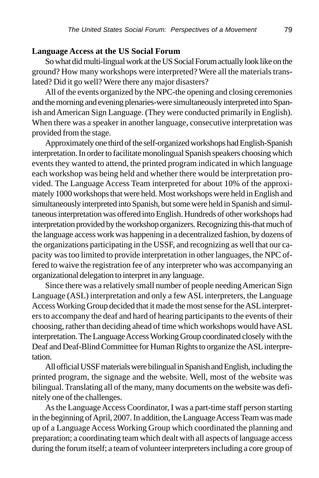### **Language Access at the US Social Forum**

So what did multi-lingual work at the US Social Forum actually look like on the ground? How many workshops were interpreted? Were all the materials translated? Did it go well? Were there any major disasters?

All of the events organized by the NPC-the opening and closing ceremonies and the morning and evening plenaries-were simultaneously interpreted into Spanish and American Sign Language. (They were conducted primarily in English). When there was a speaker in another language, consecutive interpretation was provided from the stage.

Approximately one third of the self-organized workshops had English-Spanish interpretation. In order to facilitate monolingual Spanish speakers choosing which events they wanted to attend, the printed program indicated in which language each workshop was being held and whether there would be interpretation provided. The Language Access Team interpreted for about 10% of the approximately 1000 workshops that were held. Most workshops were held in English and simultaneously interpreted into Spanish, but some were held in Spanish and simultaneous interpretation was offered into English. Hundreds of other workshops had interpretation provided by the workshop organizers. Recognizing this-that much of the language access work was happening in a decentralized fashion, by dozens of the organizations participating in the USSF, and recognizing as well that our capacity was too limited to provide interpretation in other languages, the NPC offered to waive the registration fee of any interpreter who was accompanying an organizational delegation to interpret in any language.

Since there was a relatively small number of people needing American Sign Language (ASL) interpretation and only a few ASL interpreters, the Language Access Working Group decided that it made the most sense for the ASL interpreters to accompany the deaf and hard of hearing participants to the events of their choosing, rather than deciding ahead of time which workshops would have ASL interpretation. The Language Access Working Group coordinated closely with the Deaf and Deaf-Blind Committee for Human Rights to organize the ASL interpretation.

All official USSF materials were bilingual in Spanish and English, including the printed program, the signage and the website. Well, most of the website was bilingual. Translating all of the many, many documents on the website was definitely one of the challenges.

As the Language Access Coordinator, I was a part-time staff person starting in the beginning of April, 2007. In addition, the Language Access Team was made up of a Language Access Working Group which coordinated the planning and preparation; a coordinating team which dealt with all aspects of language access during the forum itself; a team of volunteer interpreters including a core group of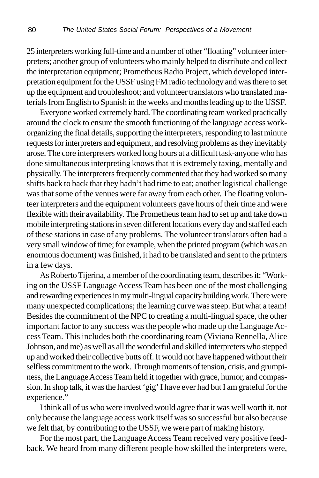25 interpreters working full-time and a number of other "floating" volunteer interpreters; another group of volunteers who mainly helped to distribute and collect the interpretation equipment; Prometheus Radio Project, which developed interpretation equipment for the USSF using FM radio technology and was there to set up the equipment and troubleshoot; and volunteer translators who translated materials from English to Spanish in the weeks and months leading up to the USSF.

Everyone worked extremely hard. The coordinating team worked practically around the clock to ensure the smooth functioning of the language access workorganizing the final details, supporting the interpreters, responding to last minute requests for interpreters and equipment, and resolving problems as they inevitably arose. The core interpreters worked long hours at a difficult task-anyone who has done simultaneous interpreting knows that it is extremely taxing, mentally and physically. The interpreters frequently commented that they had worked so many shifts back to back that they hadn't had time to eat; another logistical challenge was that some of the venues were far away from each other. The floating volunteer interpreters and the equipment volunteers gave hours of their time and were flexible with their availability. The Prometheus team had to set up and take down mobile interpreting stations in seven different locations every day and staffed each of these stations in case of any problems. The volunteer translators often had a very small window of time; for example, when the printed program (which was an enormous document) was finished, it had to be translated and sent to the printers in a few days.

As Roberto Tijerina, a member of the coordinating team, describes it: "Working on the USSF Language Access Team has been one of the most challenging and rewarding experiences in my multi-lingual capacity building work. There were many unexpected complications; the learning curve was steep. But what a team! Besides the commitment of the NPC to creating a multi-lingual space, the other important factor to any success was the people who made up the Language Access Team. This includes both the coordinating team (Viviana Rennella, Alice Johnson, and me) as well as all the wonderful and skilled interpreters who stepped up and worked their collective butts off. It would not have happened without their selfless commitment to the work. Through moments of tension, crisis, and grumpiness, the Language Access Team held it together with grace, humor, and compassion. In shop talk, it was the hardest 'gig' I have ever had but I am grateful for the experience."

I think all of us who were involved would agree that it was well worth it, not only because the language access work itself was so successful but also because we felt that, by contributing to the USSF, we were part of making history.

For the most part, the Language Access Team received very positive feedback. We heard from many different people how skilled the interpreters were,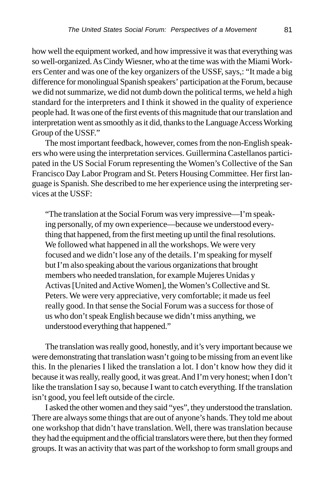how well the equipment worked, and how impressive it was that everything was so well-organized. As Cindy Wiesner, who at the time was with the Miami Workers Center and was one of the key organizers of the USSF, says,: "It made a big difference for monolingual Spanish speakers' participation at the Forum, because we did not summarize, we did not dumb down the political terms, we held a high standard for the interpreters and I think it showed in the quality of experience people had. It was one of the first events of this magnitude that our translation and interpretation went as smoothly as it did, thanks to the Language Access Working Group of the USSF."

The most important feedback, however, comes from the non-English speakers who were using the interpretation services. Guillermina Castellanos participated in the US Social Forum representing the Women's Collective of the San Francisco Day Labor Program and St. Peters Housing Committee. Her first language is Spanish. She described to me her experience using the interpreting services at the USSF:

"The translation at the Social Forum was very impressive—I'm speaking personally, of my own experience—because we understood everything that happened, from the first meeting up until the final resolutions. We followed what happened in all the workshops. We were very focused and we didn't lose any of the details. I'm speaking for myself but I'm also speaking about the various organizations that brought members who needed translation, for example Mujeres Unidas y Activas [United and Active Women], the Women's Collective and St. Peters. We were very appreciative, very comfortable; it made us feel really good. In that sense the Social Forum was a success for those of us who don't speak English because we didn't miss anything, we understood everything that happened."

The translation was really good, honestly, and it's very important because we were demonstrating that translation wasn't going to be missing from an event like this. In the plenaries I liked the translation a lot. I don't know how they did it because it was really, really good, it was great. And I'm very honest; when I don't like the translation I say so, because I want to catch everything. If the translation isn't good, you feel left outside of the circle.

I asked the other women and they said "yes", they understood the translation. There are always some things that are out of anyone's hands. They told me about one workshop that didn't have translation. Well, there was translation because they had the equipment and the official translators were there, but then they formed groups. It was an activity that was part of the workshop to form small groups and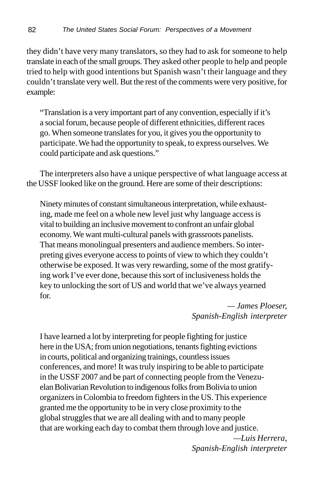they didn't have very many translators, so they had to ask for someone to help translate in each of the small groups. They asked other people to help and people tried to help with good intentions but Spanish wasn't their language and they couldn't translate very well. But the rest of the comments were very positive, for example:

"Translation is a very important part of any convention, especially if it's a social forum, because people of different ethnicities, different races go. When someone translates for you, it gives you the opportunity to participate. We had the opportunity to speak, to express ourselves. We could participate and ask questions."

The interpreters also have a unique perspective of what language access at the USSF looked like on the ground. Here are some of their descriptions:

Ninety minutes of constant simultaneous interpretation, while exhausting, made me feel on a whole new level just why language access is vital to building an inclusive movement to confront an unfair global economy. We want multi-cultural panels with grassroots panelists. That means monolingual presenters and audience members. So interpreting gives everyone access to points of view to which they couldn't otherwise be exposed. It was very rewarding, some of the most gratifying work I've ever done, because this sort of inclusiveness holds the key to unlocking the sort of US and world that we've always yearned for.

### *— James Ploeser, Spanish-English interpreter*

I have learned a lot by interpreting for people fighting for justice here in the USA; from union negotiations, tenants fighting evictions in courts, political and organizing trainings, countless issues conferences, and more! It was truly inspiring to be able to participate in the USSF 2007 and be part of connecting people from the Venezuelan Bolivarian Revolution to indigenous folks from Bolivia to union organizers in Colombia to freedom fighters in the US. This experience granted me the opportunity to be in very close proximity to the global struggles that we are all dealing with and to many people that are working each day to combat them through love and justice.

> *—Luis Herrera, Spanish-English interpreter*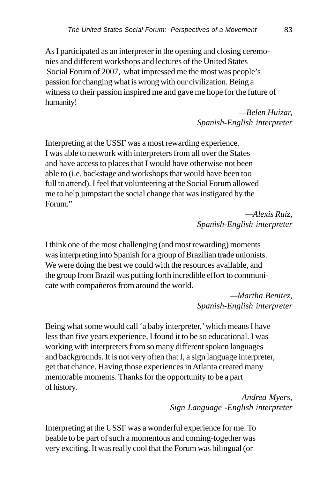As I participated as an interpreter in the opening and closing ceremonies and different workshops and lectures of the United States Social Forum of 2007, what impressed me the most was people's passion for changing what is wrong with our civilization. Being a witness to their passion inspired me and gave me hope for the future of humanity!

> *—Belen Huizar, Spanish-English interpreter*

Interpreting at the USSF was a most rewarding experience. I was able to network with interpreters from all over the States and have access to places that I would have otherwise not been able to (i.e. backstage and workshops that would have been too full to attend). I feel that volunteering at the Social Forum allowed me to help jumpstart the social change that was instigated by the Forum<sup>"</sup>

> *—Alexis Ruiz, Spanish-English interpreter*

I think one of the most challenging (and most rewarding) moments was interpreting into Spanish for a group of Brazilian trade unionists. We were doing the best we could with the resources available, and the group from Brazil was putting forth incredible effort to communicate with compañeros from around the world.

> *—Martha Benitez, Spanish-English interpreter*

Being what some would call 'a baby interpreter,' which means I have less than five years experience, I found it to be so educational. I was working with interpreters from so many different spoken languages and backgrounds. It is not very often that I, a sign language interpreter, get that chance. Having those experiences in Atlanta created many memorable moments. Thanks for the opportunity to be a part of history.

> *—Andrea Myers, Sign Language -English interpreter*

Interpreting at the USSF was a wonderful experience for me. To beable to be part of such a momentous and coming-together was very exciting. It was really cool that the Forum was bilingual (or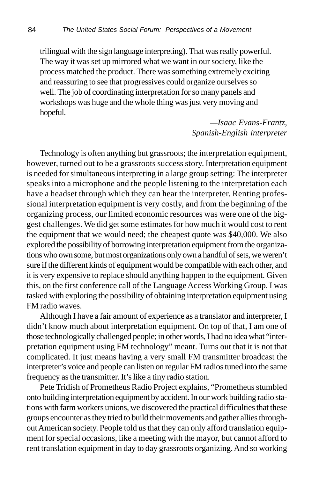trilingual with the sign language interpreting). That was really powerful. The way it was set up mirrored what we want in our society, like the process matched the product. There was something extremely exciting and reassuring to see that progressives could organize ourselves so well. The job of coordinating interpretation for so many panels and workshops was huge and the whole thing was just very moving and hopeful.

> *—Isaac Evans-Frantz, Spanish-English interpreter*

Technology is often anything but grassroots; the interpretation equipment, however, turned out to be a grassroots success story. Interpretation equipment is needed for simultaneous interpreting in a large group setting: The interpreter speaks into a microphone and the people listening to the interpretation each have a headset through which they can hear the interpreter. Renting professional interpretation equipment is very costly, and from the beginning of the organizing process, our limited economic resources was were one of the biggest challenges. We did get some estimates for how much it would cost to rent the equipment that we would need; the cheapest quote was \$40,000. We also explored the possibility of borrowing interpretation equipment from the organizations who own some, but most organizations only own a handful of sets, we weren't sure if the different kinds of equipment would be compatible with each other, and it is very expensive to replace should anything happen to the equipment. Given this, on the first conference call of the Language Access Working Group, I was tasked with exploring the possibility of obtaining interpretation equipment using FM radio waves.

Although I have a fair amount of experience as a translator and interpreter, I didn't know much about interpretation equipment. On top of that, I am one of those technologically challenged people; in other words, I had no idea what "interpretation equipment using FM technology" meant. Turns out that it is not that complicated. It just means having a very small FM transmitter broadcast the interpreter's voice and people can listen on regular FM radios tuned into the same frequency as the transmitter. It's like a tiny radio station.

Pete Tridish of Prometheus Radio Project explains, "Prometheus stumbled onto building interpretation equipment by accident. In our work building radio stations with farm workers unions, we discovered the practical difficulties that these groups encounter as they tried to build their movements and gather allies throughout American society. People told us that they can only afford translation equipment for special occasions, like a meeting with the mayor, but cannot afford to rent translation equipment in day to day grassroots organizing. And so working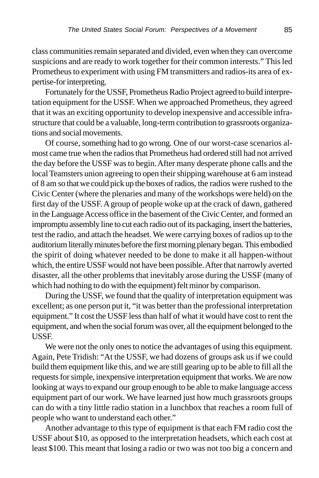class communities remain separated and divided, even when they can overcome suspicions and are ready to work together for their common interests." This led Prometheus to experiment with using FM transmitters and radios-its area of expertise-for interpreting.

Fortunately for the USSF, Prometheus Radio Project agreed to build interpretation equipment for the USSF. When we approached Prometheus, they agreed that it was an exciting opportunity to develop inexpensive and accessible infrastructure that could be a valuable, long-term contribution to grassroots organizations and social movements.

Of course, something had to go wrong. One of our worst-case scenarios almost came true when the radios that Prometheus had ordered still had not arrived the day before the USSF was to begin. After many desperate phone calls and the local Teamsters union agreeing to open their shipping warehouse at 6 am instead of 8 am so that we could pick up the boxes of radios, the radios were rushed to the Civic Center (where the plenaries and many of the workshops were held) on the first day of the USSF. A group of people woke up at the crack of dawn, gathered in the Language Access office in the basement of the Civic Center, and formed an impromptu assembly line to cut each radio out of its packaging, insert the batteries, test the radio, and attach the headset. We were carrying boxes of radios up to the auditorium literally minutes before the first morning plenary began. This embodied the spirit of doing whatever needed to be done to make it all happen-without which, the entire USSF would not have been possible. After that narrowly averted disaster, all the other problems that inevitably arose during the USSF (many of which had nothing to do with the equipment) felt minor by comparison.

During the USSF, we found that the quality of interpretation equipment was excellent; as one person put it, "it was better than the professional interpretation equipment." It cost the USSF less than half of what it would have cost to rent the equipment, and when the social forum was over, all the equipment belonged to the USSF.

We were not the only ones to notice the advantages of using this equipment. Again, Pete Tridish: "At the USSF, we had dozens of groups ask us if we could build them equipment like this, and we are still gearing up to be able to fill all the requests for simple, inexpensive interpretation equipment that works. We are now looking at ways to expand our group enough to be able to make language access equipment part of our work. We have learned just how much grassroots groups can do with a tiny little radio station in a lunchbox that reaches a room full of people who want to understand each other."

Another advantage to this type of equipment is that each FM radio cost the USSF about \$10, as opposed to the interpretation headsets, which each cost at least \$100. This meant that losing a radio or two was not too big a concern and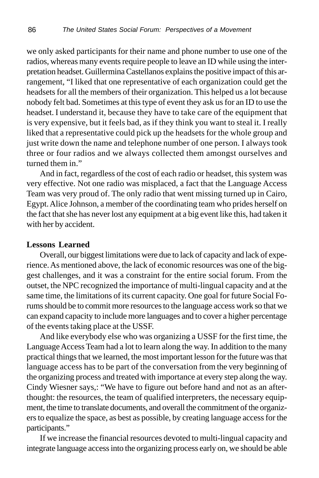we only asked participants for their name and phone number to use one of the radios, whereas many events require people to leave an ID while using the interpretation headset. Guillermina Castellanos explains the positive impact of this arrangement, "I liked that one representative of each organization could get the headsets for all the members of their organization. This helped us a lot because nobody felt bad. Sometimes at this type of event they ask us for an ID to use the headset. I understand it, because they have to take care of the equipment that is very expensive, but it feels bad, as if they think you want to steal it. I really liked that a representative could pick up the headsets for the whole group and just write down the name and telephone number of one person. I always took three or four radios and we always collected them amongst ourselves and turned them in."

And in fact, regardless of the cost of each radio or headset, this system was very effective. Not one radio was misplaced, a fact that the Language Access Team was very proud of. The only radio that went missing turned up in Cairo, Egypt. Alice Johnson, a member of the coordinating team who prides herself on the fact that she has never lost any equipment at a big event like this, had taken it with her by accident.

#### **Lessons Learned**

Overall, our biggest limitations were due to lack of capacity and lack of experience. As mentioned above, the lack of economic resources was one of the biggest challenges, and it was a constraint for the entire social forum. From the outset, the NPC recognized the importance of multi-lingual capacity and at the same time, the limitations of its current capacity. One goal for future Social Forums should be to commit more resources to the language access work so that we can expand capacity to include more languages and to cover a higher percentage of the events taking place at the USSF.

And like everybody else who was organizing a USSF for the first time, the Language Access Team had a lot to learn along the way. In addition to the many practical things that we learned, the most important lesson for the future was that language access has to be part of the conversation from the very beginning of the organizing process and treated with importance at every step along the way. Cindy Wiesner says,: "We have to figure out before hand and not as an afterthought: the resources, the team of qualified interpreters, the necessary equipment, the time to translate documents, and overall the commitment of the organizers to equalize the space, as best as possible, by creating language access for the participants."

If we increase the financial resources devoted to multi-lingual capacity and integrate language access into the organizing process early on, we should be able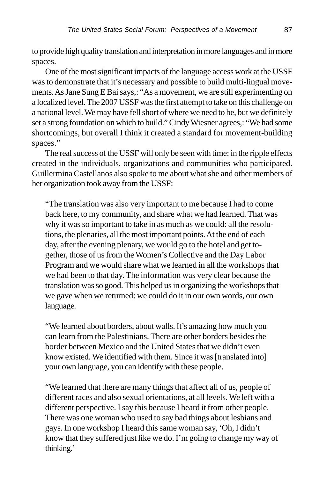to provide high quality translation and interpretation in more languages and in more spaces.

One of the most significant impacts of the language access work at the USSF was to demonstrate that it's necessary and possible to build multi-lingual movements. As Jane Sung E Bai says,: "As a movement, we are still experimenting on a localized level. The 2007 USSF was the first attempt to take on this challenge on a national level. We may have fell short of where we need to be, but we definitely set a strong foundation on which to build." Cindy Wiesner agrees,: "We had some shortcomings, but overall I think it created a standard for movement-building spaces."

The real success of the USSF will only be seen with time: in the ripple effects created in the individuals, organizations and communities who participated. Guillermina Castellanos also spoke to me about what she and other members of her organization took away from the USSF:

"The translation was also very important to me because I had to come back here, to my community, and share what we had learned. That was why it was so important to take in as much as we could: all the resolutions, the plenaries, all the most important points. At the end of each day, after the evening plenary, we would go to the hotel and get together, those of us from the Women's Collective and the Day Labor Program and we would share what we learned in all the workshops that we had been to that day. The information was very clear because the translation was so good. This helped us in organizing the workshops that we gave when we returned: we could do it in our own words, our own language.

"We learned about borders, about walls. It's amazing how much you can learn from the Palestinians. There are other borders besides the border between Mexico and the United States that we didn't even know existed. We identified with them. Since it was [translated into] your own language, you can identify with these people.

"We learned that there are many things that affect all of us, people of different races and also sexual orientations, at all levels. We left with a different perspective. I say this because I heard it from other people. There was one woman who used to say bad things about lesbians and gays. In one workshop I heard this same woman say, 'Oh, I didn't know that they suffered just like we do. I'm going to change my way of thinking.'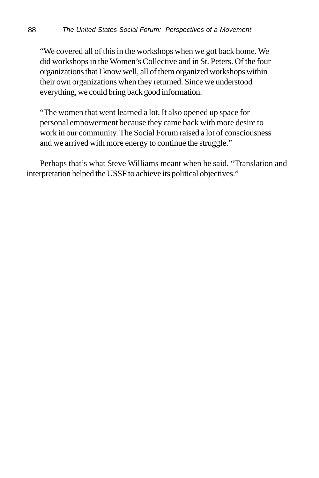"We covered all of this in the workshops when we got back home. We did workshops in the Women's Collective and in St. Peters. Of the four organizations that I know well, all of them organized workshops within their own organizations when they returned. Since we understood everything, we could bring back good information.

"The women that went learned a lot. It also opened up space for personal empowerment because they came back with more desire to work in our community. The Social Forum raised a lot of consciousness and we arrived with more energy to continue the struggle."

Perhaps that's what Steve Williams meant when he said, "Translation and interpretation helped the USSF to achieve its political objectives."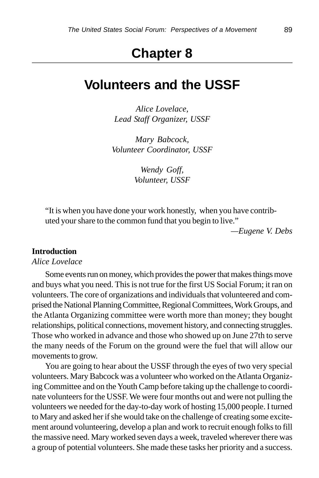# **Chapter 8**

## **Volunteers and the USSF**

*Alice Lovelace, Lead Staff Organizer, USSF*

*Mary Babcock, Volunteer Coordinator, USSF*

> *Wendy Goff, Volunteer, USSF*

"It is when you have done your work honestly, when you have contributed your share to the common fund that you begin to live."

*—Eugene V. Debs*

### **Introduction**

### *Alice Lovelace*

Some events run on money, which provides the power that makes things move and buys what you need. This is not true for the first US Social Forum; it ran on volunteers. The core of organizations and individuals that volunteered and comprised the National Planning Committee, Regional Committees, Work Groups, and the Atlanta Organizing committee were worth more than money; they bought relationships, political connections, movement history, and connecting struggles. Those who worked in advance and those who showed up on June 27th to serve the many needs of the Forum on the ground were the fuel that will allow our movements to grow.

You are going to hear about the USSF through the eyes of two very special volunteers. Mary Babcock was a volunteer who worked on the Atlanta Organizing Committee and on the Youth Camp before taking up the challenge to coordinate volunteers for the USSF. We were four months out and were not pulling the volunteers we needed for the day-to-day work of hosting 15,000 people. I turned to Mary and asked her if she would take on the challenge of creating some excitement around volunteering, develop a plan and work to recruit enough folks to fill the massive need. Mary worked seven days a week, traveled wherever there was a group of potential volunteers. She made these tasks her priority and a success.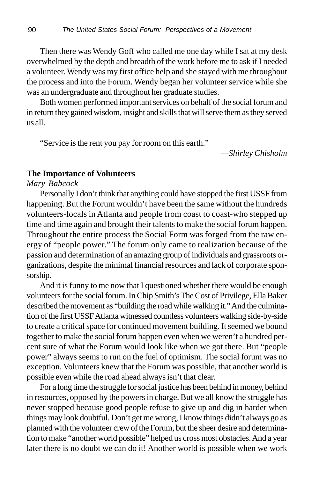Then there was Wendy Goff who called me one day while I sat at my desk overwhelmed by the depth and breadth of the work before me to ask if I needed a volunteer. Wendy was my first office help and she stayed with me throughout the process and into the Forum. Wendy began her volunteer service while she was an undergraduate and throughout her graduate studies.

Both women performed important services on behalf of the social forum and in return they gained wisdom, insight and skills that will serve them as they served us all.

"Service is the rent you pay for room on this earth."

*—Shirley Chisholm*

#### **The Importance of Volunteers**

*Mary Babcock*

Personally I don't think that anything could have stopped the first USSF from happening. But the Forum wouldn't have been the same without the hundreds volunteers-locals in Atlanta and people from coast to coast-who stepped up time and time again and brought their talents to make the social forum happen. Throughout the entire process the Social Form was forged from the raw energy of "people power." The forum only came to realization because of the passion and determination of an amazing group of individuals and grassroots organizations, despite the minimal financial resources and lack of corporate sponsorship.

And it is funny to me now that I questioned whether there would be enough volunteers for the social forum. In Chip Smith's The Cost of Privilege, Ella Baker described the movement as "building the road while walking it." And the culmination of the first USSF Atlanta witnessed countless volunteers walking side-by-side to create a critical space for continued movement building. It seemed we bound together to make the social forum happen even when we weren't a hundred percent sure of what the Forum would look like when we got there. But "people power" always seems to run on the fuel of optimism. The social forum was no exception. Volunteers knew that the Forum was possible, that another world is possible even while the road ahead always isn't that clear.

For a long time the struggle for social justice has been behind in money, behind in resources, opposed by the powers in charge. But we all know the struggle has never stopped because good people refuse to give up and dig in harder when things may look doubtful. Don't get me wrong, I know things didn't always go as planned with the volunteer crew of the Forum, but the sheer desire and determination to make "another world possible" helped us cross most obstacles. And a year later there is no doubt we can do it! Another world is possible when we work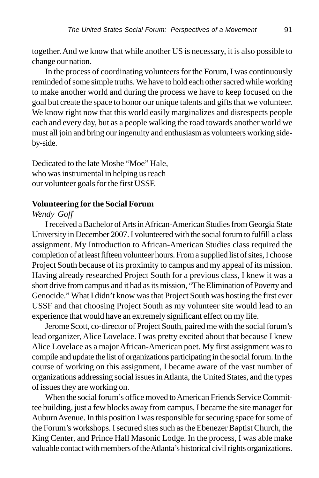together. And we know that while another US is necessary, it is also possible to change our nation.

In the process of coordinating volunteers for the Forum, I was continuously reminded of some simple truths. We have to hold each other sacred while working to make another world and during the process we have to keep focused on the goal but create the space to honor our unique talents and gifts that we volunteer. We know right now that this world easily marginalizes and disrespects people each and every day, but as a people walking the road towards another world we must all join and bring our ingenuity and enthusiasm as volunteers working sideby-side.

Dedicated to the late Moshe "Moe" Hale, who was instrumental in helping us reach our volunteer goals for the first USSF.

### **Volunteering for the Social Forum**

#### *Wendy Goff*

I received a Bachelor of Arts in African-American Studies from Georgia State University in December 2007. I volunteered with the social forum to fulfill a class assignment. My Introduction to African-American Studies class required the completion of at least fifteen volunteer hours. From a supplied list of sites, I choose Project South because of its proximity to campus and my appeal of its mission. Having already researched Project South for a previous class, I knew it was a short drive from campus and it had as its mission, "The Elimination of Poverty and Genocide." What I didn't know was that Project South was hosting the first ever USSF and that choosing Project South as my volunteer site would lead to an experience that would have an extremely significant effect on my life.

Jerome Scott, co-director of Project South, paired me with the social forum's lead organizer, Alice Lovelace. I was pretty excited about that because I knew Alice Lovelace as a major African-American poet. My first assignment was to compile and update the list of organizations participating in the social forum. In the course of working on this assignment, I became aware of the vast number of organizations addressing social issues in Atlanta, the United States, and the types of issues they are working on.

When the social forum's office moved to American Friends Service Committee building, just a few blocks away from campus, I became the site manager for Auburn Avenue. In this position I was responsible for securing space for some of the Forum's workshops. I secured sites such as the Ebenezer Baptist Church, the King Center, and Prince Hall Masonic Lodge. In the process, I was able make valuable contact with members of the Atlanta's historical civil rights organizations.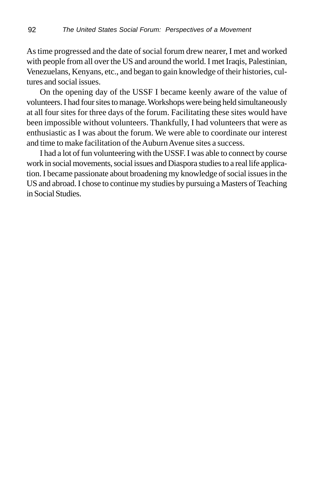As time progressed and the date of social forum drew nearer, I met and worked with people from all over the US and around the world. I met Iraqis, Palestinian, Venezuelans, Kenyans, etc., and began to gain knowledge of their histories, cultures and social issues.

On the opening day of the USSF I became keenly aware of the value of volunteers. I had four sites to manage. Workshops were being held simultaneously at all four sites for three days of the forum. Facilitating these sites would have been impossible without volunteers. Thankfully, I had volunteers that were as enthusiastic as I was about the forum. We were able to coordinate our interest and time to make facilitation of the Auburn Avenue sites a success.

I had a lot of fun volunteering with the USSF. I was able to connect by course work in social movements, social issues and Diaspora studies to a real life application. I became passionate about broadening my knowledge of social issues in the US and abroad. I chose to continue my studies by pursuing a Masters of Teaching in Social Studies.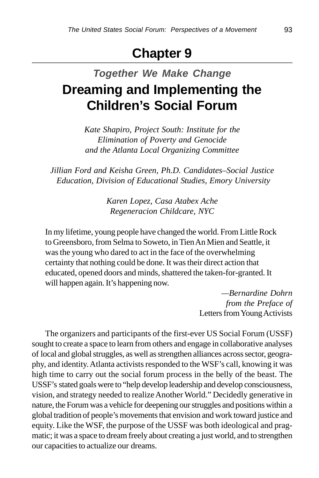## **Chapter 9**

# *Together We Make Change* **Dreaming and Implementing the Children's Social Forum**

*Kate Shapiro, Project South: Institute for the Elimination of Poverty and Genocide and the Atlanta Local Organizing Committee*

*Jillian Ford and Keisha Green, Ph.D. Candidates–Social Justice Education, Division of Educational Studies, Emory University*

> *Karen Lopez, Casa Atabex Ache Regeneracion Childcare, NYC*

In my lifetime, young people have changed the world. From Little Rock to Greensboro, from Selma to Soweto, in Tien An Mien and Seattle, it was the young who dared to act in the face of the overwhelming certainty that nothing could be done. It was their direct action that educated, opened doors and minds, shattered the taken-for-granted. It will happen again. It's happening now.

> *—Bernardine Dohrn from the Preface of* Letters from Young Activists

The organizers and participants of the first-ever US Social Forum (USSF) sought to create a space to learn from others and engage in collaborative analyses of local and global struggles, as well as strengthen alliances across sector, geography, and identity. Atlanta activists responded to the WSF's call, knowing it was high time to carry out the social forum process in the belly of the beast. The USSF's stated goals were to "help develop leadership and develop consciousness, vision, and strategy needed to realize Another World." Decidedly generative in nature, the Forum was a vehicle for deepening our struggles and positions within a global tradition of people's movements that envision and work toward justice and equity. Like the WSF, the purpose of the USSF was both ideological and pragmatic; it was a space to dream freely about creating a just world, and to strengthen our capacities to actualize our dreams.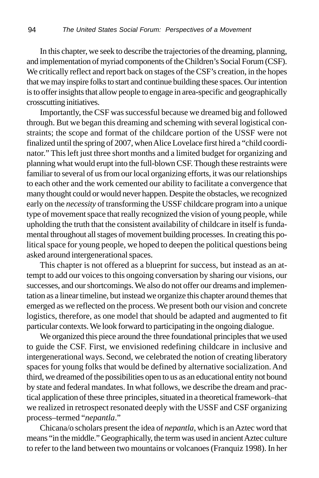In this chapter, we seek to describe the trajectories of the dreaming, planning, and implementation of myriad components of the Children's Social Forum (CSF). We critically reflect and report back on stages of the CSF's creation, in the hopes that we may inspire folks to start and continue building these spaces. Our intention is to offer insights that allow people to engage in area-specific and geographically crosscutting initiatives.

Importantly, the CSF was successful because we dreamed big and followed through. But we began this dreaming and scheming with several logistical constraints; the scope and format of the childcare portion of the USSF were not finalized until the spring of 2007, when Alice Lovelace first hired a "child coordinator." This left just three short months and a limited budget for organizing and planning what would erupt into the full-blown CSF. Though these restraints were familiar to several of us from our local organizing efforts, it was our relationships to each other and the work cemented our ability to facilitate a convergence that many thought could or would never happen. Despite the obstacles, we recognized early on the *necessity* of transforming the USSF childcare program into a unique type of movement space that really recognized the vision of young people, while upholding the truth that the consistent availability of childcare in itself is fundamental throughout all stages of movement building processes. In creating this political space for young people, we hoped to deepen the political questions being asked around intergenerational spaces.

This chapter is not offered as a blueprint for success, but instead as an attempt to add our voices to this ongoing conversation by sharing our visions, our successes, and our shortcomings. We also do not offer our dreams and implementation as a linear timeline, but instead we organize this chapter around themes that emerged as we reflected on the process. We present both our vision and concrete logistics, therefore, as one model that should be adapted and augmented to fit particular contexts. We look forward to participating in the ongoing dialogue.

We organized this piece around the three foundational principles that we used to guide the CSF. First, we envisioned redefining childcare in inclusive and intergenerational ways. Second, we celebrated the notion of creating liberatory spaces for young folks that would be defined by alternative socialization. And third, we dreamed of the possibilities open to us as an educational entity not bound by state and federal mandates. In what follows, we describe the dream and practical application of these three principles, situated in a theoretical framework–that we realized in retrospect resonated deeply with the USSF and CSF organizing process–termed "*nepantla*."

Chicana/o scholars present the idea of *nepantla*, which is an Aztec word that means "in the middle." Geographically, the term was used in ancient Aztec culture to refer to the land between two mountains or volcanoes (Franquiz 1998). In her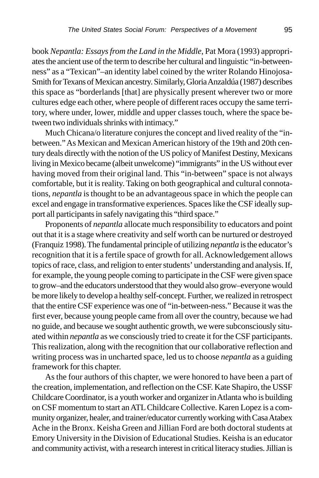book *Nepantla: Essays from the Land in the Middle*, Pat Mora (1993) appropriates the ancient use of the term to describe her cultural and linguistic "in-betweenness" as a "Texican"–an identity label coined by the writer Rolando Hinojosa-Smith for Texans of Mexican ancestry. Similarly, Gloria Anzaldúa (1987) describes this space as "borderlands [that] are physically present wherever two or more cultures edge each other, where people of different races occupy the same territory, where under, lower, middle and upper classes touch, where the space between two individuals shrinks with intimacy."

Much Chicana/o literature conjures the concept and lived reality of the "inbetween." As Mexican and Mexican American history of the 19th and 20th century deals directly with the notion of the US policy of Manifest Destiny, Mexicans living in Mexico became (albeit unwelcome) "immigrants" in the US without ever having moved from their original land. This "in-between" space is not always comfortable, but it is reality. Taking on both geographical and cultural connotations, *nepantla* is thought to be an advantageous space in which the people can excel and engage in transformative experiences. Spaces like the CSF ideally support all participants in safely navigating this "third space."

Proponents of *nepantla* allocate much responsibility to educators and point out that it is a stage where creativity and self worth can be nurtured or destroyed (Franquiz 1998). The fundamental principle of utilizing *nepantla* is the educator's recognition that it is a fertile space of growth for all. Acknowledgement allows topics of race, class, and religion to enter students' understanding and analysis. If, for example, the young people coming to participate in the CSF were given space to grow–and the educators understood that they would also grow–everyone would be more likely to develop a healthy self-concept. Further, we realized in retrospect that the entire CSF experience was one of "in-between-ness." Because it was the first ever, because young people came from all over the country, because we had no guide, and because we sought authentic growth, we were subconsciously situated within *nepantla* as we consciously tried to create it for the CSF participants. This realization, along with the recognition that our collaborative reflection and writing process was in uncharted space, led us to choose *nepantla* as a guiding framework for this chapter.

As the four authors of this chapter, we were honored to have been a part of the creation, implementation, and reflection on the CSF. Kate Shapiro, the USSF Childcare Coordinator, is a youth worker and organizer in Atlanta who is building on CSF momentum to start an ATL Childcare Collective. Karen Lopez is a community organizer, healer, and trainer/educator currently working with Casa Atabex Ache in the Bronx. Keisha Green and Jillian Ford are both doctoral students at Emory University in the Division of Educational Studies. Keisha is an educator and community activist, with a research interest in critical literacy studies. Jillian is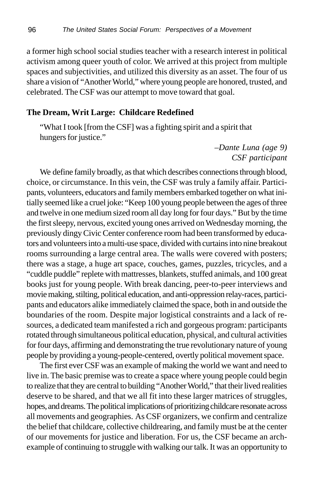a former high school social studies teacher with a research interest in political activism among queer youth of color. We arrived at this project from multiple spaces and subjectivities, and utilized this diversity as an asset. The four of us share a vision of "Another World," where young people are honored, trusted, and celebrated. The CSF was our attempt to move toward that goal.

### **The Dream, Writ Large: Childcare Redefined**

"What I took [from the CSF] was a fighting spirit and a spirit that hungers for justice."

> *–Dante Luna (age 9) CSF participant*

We define family broadly, as that which describes connections through blood, choice, or circumstance. In this vein, the CSF was truly a family affair. Participants, volunteers, educators and family members embarked together on what initially seemed like a cruel joke: "Keep 100 young people between the ages of three and twelve in one medium sized room all day long for four days." But by the time the first sleepy, nervous, excited young ones arrived on Wednesday morning, the previously dingy Civic Center conference room had been transformed by educators and volunteers into a multi-use space, divided with curtains into nine breakout rooms surrounding a large central area. The walls were covered with posters; there was a stage, a huge art space, couches, games, puzzles, tricycles, and a "cuddle puddle" replete with mattresses, blankets, stuffed animals, and 100 great books just for young people. With break dancing, peer-to-peer interviews and movie making, stilting, political education, and anti-oppression relay-races, participants and educators alike immediately claimed the space, both in and outside the boundaries of the room. Despite major logistical constraints and a lack of resources, a dedicated team manifested a rich and gorgeous program: participants rotated through simultaneous political education, physical, and cultural activities for four days, affirming and demonstrating the true revolutionary nature of young people by providing a young-people-centered, overtly political movement space.

The first ever CSF was an example of making the world we want and need to live in. The basic premise was to create a space where young people could begin to realize that they are central to building "Another World," that their lived realities deserve to be shared, and that we all fit into these larger matrices of struggles, hopes, and dreams. The political implications of prioritizing childcare resonate across all movements and geographies. As CSF organizers, we confirm and centralize the belief that childcare, collective childrearing, and family must be at the center of our movements for justice and liberation. For us, the CSF became an archexample of continuing to struggle with walking our talk. It was an opportunity to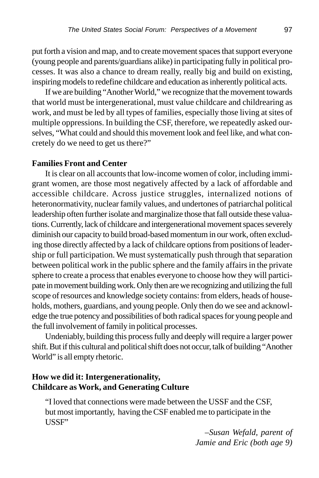put forth a vision and map, and to create movement spaces that support everyone (young people and parents/guardians alike) in participating fully in political processes. It was also a chance to dream really, really big and build on existing, inspiring models to redefine childcare and education as inherently political acts.

If we are building "Another World," we recognize that the movement towards that world must be intergenerational, must value childcare and childrearing as work, and must be led by all types of families, especially those living at sites of multiple oppressions. In building the CSF, therefore, we repeatedly asked ourselves, "What could and should this movement look and feel like, and what concretely do we need to get us there?"

#### **Families Front and Center**

It is clear on all accounts that low-income women of color, including immigrant women, are those most negatively affected by a lack of affordable and accessible childcare. Across justice struggles, internalized notions of heteronormativity, nuclear family values, and undertones of patriarchal political leadership often further isolate and marginalize those that fall outside these valuations. Currently, lack of childcare and intergenerational movement spaces severely diminish our capacity to build broad-based momentum in our work, often excluding those directly affected by a lack of childcare options from positions of leadership or full participation. We must systematically push through that separation between political work in the public sphere and the family affairs in the private sphere to create a process that enables everyone to choose how they will participate in movement building work. Only then are we recognizing and utilizing the full scope of resources and knowledge society contains: from elders, heads of households, mothers, guardians, and young people. Only then do we see and acknowledge the true potency and possibilities of both radical spaces for young people and the full involvement of family in political processes.

Undeniably, building this process fully and deeply will require a larger power shift. But if this cultural and political shift does not occur, talk of building "Another World" is all empty rhetoric.

### **How we did it: Intergenerationality, Childcare as Work, and Generating Culture**

"I loved that connections were made between the USSF and the CSF, but most importantly, having the CSF enabled me to participate in the USSF"

> *–Susan Wefald, parent of Jamie and Eric (both age 9)*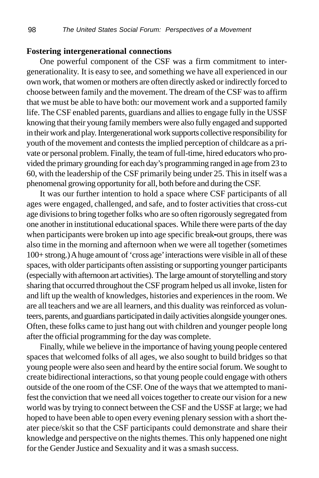#### **Fostering intergenerational connections**

One powerful component of the CSF was a firm commitment to intergenerationality. It is easy to see, and something we have all experienced in our own work, that women or mothers are often directly asked or indirectly forced to choose between family and the movement. The dream of the CSF was to affirm that we must be able to have both: our movement work and a supported family life. The CSF enabled parents, guardians and allies to engage fully in the USSF knowing that their young family members were also fully engaged and supported in their work and play. Intergenerational work supports collective responsibility for youth of the movement and contests the implied perception of childcare as a private or personal problem. Finally, the team of full-time, hired educators who provided the primary grounding for each day's programming ranged in age from 23 to 60, with the leadership of the CSF primarily being under 25. This in itself was a phenomenal growing opportunity for all, both before and during the CSF.

It was our further intention to hold a space where CSF participants of all ages were engaged, challenged, and safe, and to foster activities that cross-cut age divisions to bring together folks who are so often rigorously segregated from one another in institutional educational spaces. While there were parts of the day when participants were broken up into age specific break-out groups, there was also time in the morning and afternoon when we were all together (sometimes 100+ strong.) A huge amount of 'cross age' interactions were visible in all of these spaces, with older participants often assisting or supporting younger participants (especially with afternoon art activities). The large amount of storytelling and story sharing that occurred throughout the CSF program helped us all invoke, listen for and lift up the wealth of knowledges, histories and experiences in the room. We are all teachers and we are all learners, and this duality was reinforced as volunteers, parents, and guardians participated in daily activities alongside younger ones. Often, these folks came to just hang out with children and younger people long after the official programming for the day was complete.

Finally, while we believe in the importance of having young people centered spaces that welcomed folks of all ages, we also sought to build bridges so that young people were also seen and heard by the entire social forum. We sought to create bidirectional interactions, so that young people could engage with others outside of the one room of the CSF. One of the ways that we attempted to manifest the conviction that we need all voices together to create our vision for a new world was by trying to connect between the CSF and the USSF at large; we had hoped to have been able to open every evening plenary session with a short theater piece/skit so that the CSF participants could demonstrate and share their knowledge and perspective on the nights themes. This only happened one night for the Gender Justice and Sexuality and it was a smash success.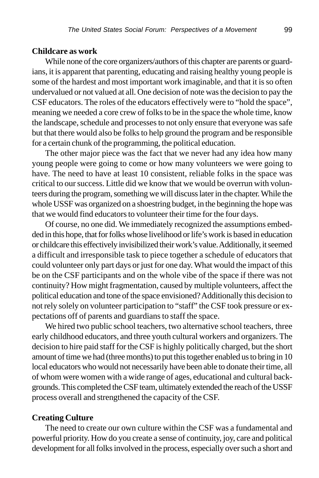#### **Childcare as work**

While none of the core organizers/authors of this chapter are parents or guardians, it is apparent that parenting, educating and raising healthy young people is some of the hardest and most important work imaginable, and that it is so often undervalued or not valued at all. One decision of note was the decision to pay the CSF educators. The roles of the educators effectively were to "hold the space", meaning we needed a core crew of folks to be in the space the whole time, know the landscape, schedule and processes to not only ensure that everyone was safe but that there would also be folks to help ground the program and be responsible for a certain chunk of the programming, the political education.

The other major piece was the fact that we never had any idea how many young people were going to come or how many volunteers we were going to have. The need to have at least 10 consistent, reliable folks in the space was critical to our success. Little did we know that we would be overrun with volunteers during the program, something we will discuss later in the chapter. While the whole USSF was organized on a shoestring budget, in the beginning the hope was that we would find educators to volunteer their time for the four days.

Of course, no one did. We immediately recognized the assumptions embedded in this hope, that for folks whose livelihood or life's work is based in education or childcare this effectively invisibilized their work's value. Additionally, it seemed a difficult and irresponsible task to piece together a schedule of educators that could volunteer only part days or just for one day. What would the impact of this be on the CSF participants and on the whole vibe of the space if there was not continuity? How might fragmentation, caused by multiple volunteers, affect the political education and tone of the space envisioned? Additionally this decision to not rely solely on volunteer participation to "staff" the CSF took pressure or expectations off of parents and guardians to staff the space.

We hired two public school teachers, two alternative school teachers, three early childhood educators, and three youth cultural workers and organizers. The decision to hire paid staff for the CSF is highly politically charged, but the short amount of time we had (three months) to put this together enabled us to bring in 10 local educators who would not necessarily have been able to donate their time, all of whom were women with a wide range of ages, educational and cultural backgrounds. This completed the CSF team, ultimately extended the reach of the USSF process overall and strengthened the capacity of the CSF.

#### **Creating Culture**

The need to create our own culture within the CSF was a fundamental and powerful priority. How do you create a sense of continuity, joy, care and political development for all folks involved in the process, especially over such a short and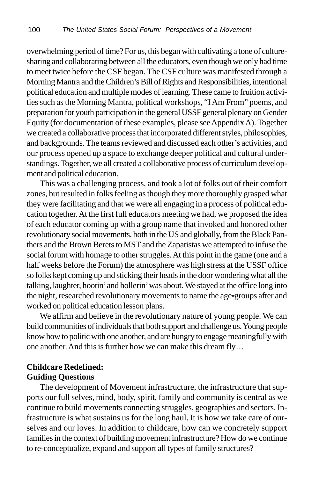overwhelming period of time? For us, this began with cultivating a tone of culturesharing and collaborating between all the educators, even though we only had time to meet twice before the CSF began. The CSF culture was manifested through a Morning Mantra and the Children's Bill of Rights and Responsibilities, intentional political education and multiple modes of learning. These came to fruition activities such as the Morning Mantra, political workshops, "I Am From" poems, and preparation for youth participation in the general USSF general plenary on Gender Equity (for documentation of these examples, please see Appendix A). Together we created a collaborative process that incorporated different styles, philosophies, and backgrounds. The teams reviewed and discussed each other's activities, and our process opened up a space to exchange deeper political and cultural understandings. Together, we all created a collaborative process of curriculum development and political education.

This was a challenging process, and took a lot of folks out of their comfort zones, but resulted in folks feeling as though they more thoroughly grasped what they were facilitating and that we were all engaging in a process of political education together. At the first full educators meeting we had, we proposed the idea of each educator coming up with a group name that invoked and honored other revolutionary social movements, both in the US and globally, from the Black Panthers and the Brown Berets to MST and the Zapatistas we attempted to infuse the social forum with homage to other struggles. At this point in the game (one and a half weeks before the Forum) the atmosphere was high stress at the USSF office so folks kept coming up and sticking their heads in the door wondering what all the talking, laughter, hootin' and hollerin' was about. We stayed at the office long into the night, researched revolutionary movements to name the age-groups after and worked on political education lesson plans.

We affirm and believe in the revolutionary nature of young people. We can build communities of individuals that both support and challenge us. Young people know how to politic with one another, and are hungry to engage meaningfully with one another. And this is further how we can make this dream fly…

# **Childcare Redefined: Guiding Questions**

The development of Movement infrastructure, the infrastructure that supports our full selves, mind, body, spirit, family and community is central as we continue to build movements connecting struggles, geographies and sectors. Infrastructure is what sustains us for the long haul. It is how we take care of ourselves and our loves. In addition to childcare, how can we concretely support families in the context of building movement infrastructure? How do we continue to re-conceptualize, expand and support all types of family structures?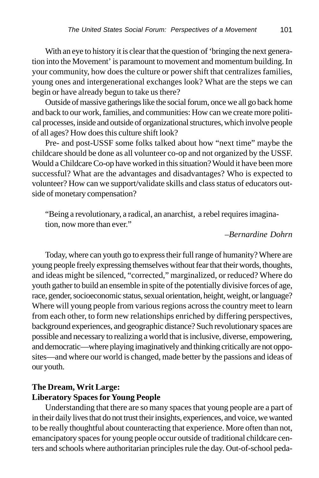With an eye to history it is clear that the question of 'bringing the next generation into the Movement' is paramount to movement and momentum building. In your community, how does the culture or power shift that centralizes families, young ones and intergenerational exchanges look? What are the steps we can begin or have already begun to take us there?

Outside of massive gatherings like the social forum, once we all go back home and back to our work, families, and communities: How can we create more political processes, inside and outside of organizational structures, which involve people of all ages? How does this culture shift look?

Pre- and post-USSF some folks talked about how "next time" maybe the childcare should be done as all volunteer co-op and not organized by the USSF. Would a Childcare Co-op have worked in this situation? Would it have been more successful? What are the advantages and disadvantages? Who is expected to volunteer? How can we support/validate skills and class status of educators outside of monetary compensation?

"Being a revolutionary, a radical, an anarchist, a rebel requires imagination, now more than ever."

#### *–Bernardine Dohrn*

Today, where can youth go to express their full range of humanity? Where are young people freely expressing themselves without fear that their words, thoughts, and ideas might be silenced, "corrected," marginalized, or reduced? Where do youth gather to build an ensemble in spite of the potentially divisive forces of age, race, gender, socioeconomic status, sexual orientation, height, weight, or language? Where will young people from various regions across the country meet to learn from each other, to form new relationships enriched by differing perspectives, background experiences, and geographic distance? Such revolutionary spaces are possible and necessary to realizing a world that is inclusive, diverse, empowering, and democratic—where playing imaginatively and thinking critically are not opposites—and where our world is changed, made better by the passions and ideas of our youth.

# **The Dream, Writ Large: Liberatory Spaces for Young People**

Understanding that there are so many spaces that young people are a part of in their daily lives that do not trust their insights, experiences, and voice, we wanted to be really thoughtful about counteracting that experience. More often than not, emancipatory spaces for young people occur outside of traditional childcare centers and schools where authoritarian principles rule the day. Out-of-school peda-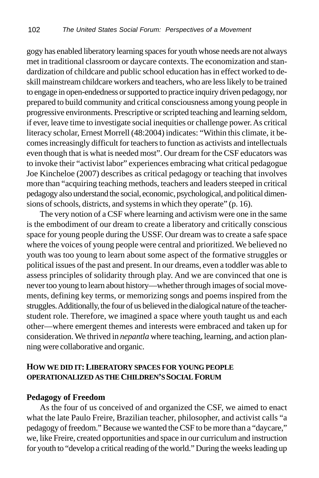gogy has enabled liberatory learning spaces for youth whose needs are not always met in traditional classroom or daycare contexts. The economization and standardization of childcare and public school education has in effect worked to deskill mainstream childcare workers and teachers, who are less likely to be trained to engage in open-endedness or supported to practice inquiry driven pedagogy, nor prepared to build community and critical consciousness among young people in progressive environments. Prescriptive or scripted teaching and learning seldom, if ever, leave time to investigate social inequities or challenge power. As critical literacy scholar, Ernest Morrell (48:2004) indicates: "Within this climate, it becomes increasingly difficult for teachers to function as activists and intellectuals even though that is what is needed most". Our dream for the CSF educators was to invoke their "activist labor" experiences embracing what critical pedagogue Joe Kincheloe (2007) describes as critical pedagogy or teaching that involves more than "acquiring teaching methods, teachers and leaders steeped in critical pedagogy also understand the social, economic, psychological, and political dimensions of schools, districts, and systems in which they operate" (p. 16).

The very notion of a CSF where learning and activism were one in the same is the embodiment of our dream to create a liberatory and critically conscious space for young people during the USSF. Our dream was to create a safe space where the voices of young people were central and prioritized. We believed no youth was too young to learn about some aspect of the formative struggles or political issues of the past and present. In our dreams, even a toddler was able to assess principles of solidarity through play. And we are convinced that one is never too young to learn about history—whether through images of social movements, defining key terms, or memorizing songs and poems inspired from the struggles. Additionally, the four of us believed in the dialogical nature of the teacherstudent role. Therefore, we imagined a space where youth taught us and each other—where emergent themes and interests were embraced and taken up for consideration. We thrived in *nepantla* where teaching, learning, and action planning were collaborative and organic.

# **HOW WE DID IT: LIBERATORY SPACES FOR YOUNG PEOPLE OPERATIONALIZED ASTHE CHILDREN'S SOCIAL FORUM**

#### **Pedagogy of Freedom**

As the four of us conceived of and organized the CSF, we aimed to enact what the late Paulo Freire, Brazilian teacher, philosopher, and activist calls "a pedagogy of freedom." Because we wanted the CSF to be more than a "daycare," we, like Freire, created opportunities and space in our curriculum and instruction for youth to "develop a critical reading of the world." During the weeks leading up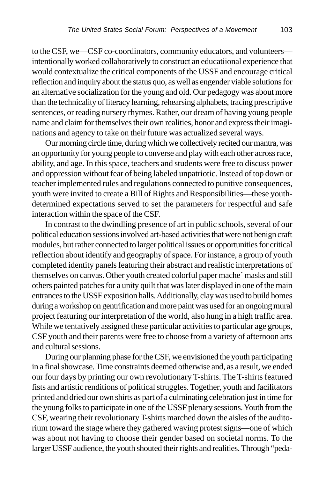to the CSF, we—CSF co-coordinators, community educators, and volunteers intentionally worked collaboratively to construct an educatiional experience that would contextualize the critical components of the USSF and encourage critical reflection and inquiry about the status quo, as well as engender viable solutions for an alternative socialization for the young and old. Our pedagogy was about more than the technicality of literacy learning, rehearsing alphabets, tracing prescriptive sentences, or reading nursery rhymes. Rather, our dream of having young people name and claim for themselves their own realities, honor and express their imaginations and agency to take on their future was actualized several ways.

Our morning circle time, during which we collectively recited our mantra, was an opportunity for young people to converse and play with each other across race, ability, and age. In this space, teachers and students were free to discuss power and oppression without fear of being labeled unpatriotic. Instead of top down or teacher implemented rules and regulations connected to punitive consequences, youth were invited to create a Bill of Rights and Responsibilities—these youthdetermined expectations served to set the parameters for respectful and safe interaction within the space of the CSF.

In contrast to the dwindling presence of art in public schools, several of our political education sessions involved art-based activities that were not benign craft modules, but rather connected to larger political issues or opportunities for critical reflection about identify and geography of space. For instance, a group of youth completed identity panels featuring their abstract and realistic interpretations of themselves on canvas. Other youth created colorful paper mache´ masks and still others painted patches for a unity quilt that was later displayed in one of the main entrances to the USSF exposition halls. Additionally, clay was used to build homes during a workshop on gentrification and more paint was used for an ongoing mural project featuring our interpretation of the world, also hung in a high traffic area. While we tentatively assigned these particular activities to particular age groups, CSF youth and their parents were free to choose from a variety of afternoon arts and cultural sessions.

During our planning phase for the CSF, we envisioned the youth participating in a final showcase. Time constraints deemed otherwise and, as a result, we ended our four days by printing our own revolutionary T-shirts. The T-shirts featured fists and artistic renditions of political struggles. Together, youth and facilitators printed and dried our own shirts as part of a culminating celebration just in time for the young folks to participate in one of the USSF plenary sessions. Youth from the CSF, wearing their revolutionary T-shirts marched down the aisles of the auditorium toward the stage where they gathered waving protest signs—one of which was about not having to choose their gender based on societal norms. To the larger USSF audience, the youth shouted their rights and realities. Through "peda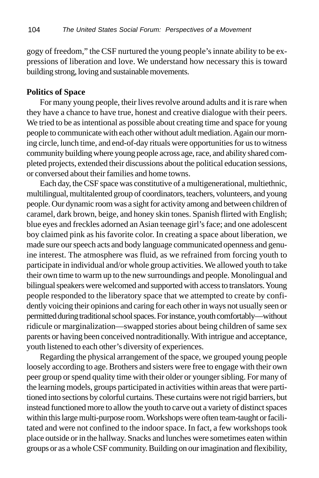gogy of freedom," the CSF nurtured the young people's innate ability to be expressions of liberation and love. We understand how necessary this is toward building strong, loving and sustainable movements.

#### **Politics of Space**

For many young people, their lives revolve around adults and it is rare when they have a chance to have true, honest and creative dialogue with their peers. We tried to be as intentional as possible about creating time and space for young people to communicate with each other without adult mediation. Again our morning circle, lunch time, and end-of-day rituals were opportunities for us to witness community building where young people across age, race, and ability shared completed projects, extended their discussions about the political education sessions, or conversed about their families and home towns.

Each day, the CSF space was constitutive of a multigenerational, multiethnic, multilingual, multitalented group of coordinators, teachers, volunteers, and young people. Our dynamic room was a sight for activity among and between children of caramel, dark brown, beige, and honey skin tones. Spanish flirted with English; blue eyes and freckles adorned an Asian teenage girl's face; and one adolescent boy claimed pink as his favorite color. In creating a space about liberation, we made sure our speech acts and body language communicated openness and genuine interest. The atmosphere was fluid, as we refrained from forcing youth to participate in individual and/or whole group activities. We allowed youth to take their own time to warm up to the new surroundings and people. Monolingual and bilingual speakers were welcomed and supported with access to translators. Young people responded to the liberatory space that we attempted to create by confidently voicing their opinions and caring for each other in ways not usually seen or permitted during traditional school spaces. For instance, youth comfortably—without ridicule or marginalization—swapped stories about being children of same sex parents or having been conceived nontraditionally. With intrigue and acceptance, youth listened to each other's diversity of experiences.

Regarding the physical arrangement of the space, we grouped young people loosely according to age. Brothers and sisters were free to engage with their own peer group or spend quality time with their older or younger sibling. For many of the learning models, groups participated in activities within areas that were partitioned into sections by colorful curtains. These curtains were not rigid barriers, but instead functioned more to allow the youth to carve out a variety of distinct spaces within this large multi-purpose room. Workshops were often team-taught or facilitated and were not confined to the indoor space. In fact, a few workshops took place outside or in the hallway. Snacks and lunches were sometimes eaten within groups or as a whole CSF community. Building on our imagination and flexibility,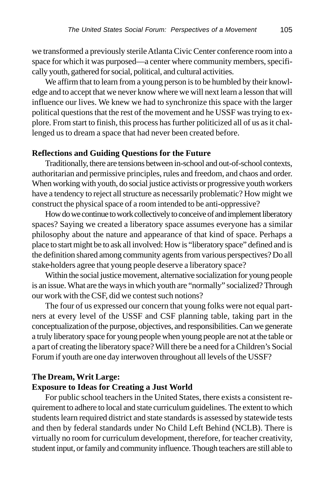we transformed a previously sterile Atlanta Civic Center conference room into a space for which it was purposed—a center where community members, specifically youth, gathered for social, political, and cultural activities.

We affirm that to learn from a young person is to be humbled by their knowledge and to accept that we never know where we will next learn a lesson that will influence our lives. We knew we had to synchronize this space with the larger political questions that the rest of the movement and he USSF was trying to explore. From start to finish, this process has further politicized all of us as it challenged us to dream a space that had never been created before.

### **Reflections and Guiding Questions for the Future**

Traditionally, there are tensions between in-school and out-of-school contexts, authoritarian and permissive principles, rules and freedom, and chaos and order. When working with youth, do social justice activists or progressive youth workers have a tendency to reject all structure as necessarily problematic? How might we construct the physical space of a room intended to be anti-oppressive?

How do we continue to work collectively to conceive of and implement liberatory spaces? Saying we created a liberatory space assumes everyone has a similar philosophy about the nature and appearance of that kind of space. Perhaps a place to start might be to ask all involved: How is "liberatory space" defined and is the definition shared among community agents from various perspectives? Do all stake holders agree that young people deserve a liberatory space?

Within the social justice movement, alternative socialization for young people is an issue. What are the ways in which youth are "normally" socialized? Through our work with the CSF, did we contest such notions?

The four of us expressed our concern that young folks were not equal partners at every level of the USSF and CSF planning table, taking part in the conceptualization of the purpose, objectives, and responsibilities. Can we generate a truly liberatory space for young people when young people are not at the table or a part of creating the liberatory space? Will there be a need for a Children's Social Forum if youth are one day interwoven throughout all levels of the USSF?

#### **The Dream, Writ Large: Exposure to Ideas for Creating a Just World**

For public school teachers in the United States, there exists a consistent requirement to adhere to local and state curriculum guidelines. The extent to which students learn required district and state standards is assessed by statewide tests and then by federal standards under No Child Left Behind (NCLB). There is virtually no room for curriculum development, therefore, for teacher creativity, student input, or family and community influence. Though teachers are still able to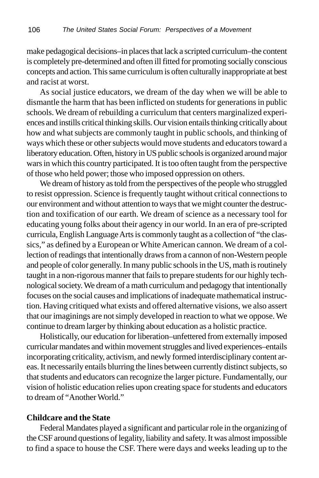make pedagogical decisions–in places that lack a scripted curriculum–the content is completely pre-determined and often ill fitted for promoting socially conscious concepts and action. This same curriculum is often culturally inappropriate at best and racist at worst.

As social justice educators, we dream of the day when we will be able to dismantle the harm that has been inflicted on students for generations in public schools. We dream of rebuilding a curriculum that centers marginalized experiences and instills critical thinking skills. Our vision entails thinking critically about how and what subjects are commonly taught in public schools, and thinking of ways which these or other subjects would move students and educators toward a liberatory education. Often, history in US public schools is organized around major wars in which this country participated. It is too often taught from the perspective of those who held power; those who imposed oppression on others.

We dream of history as told from the perspectives of the people who struggled to resist oppression. Science is frequently taught without critical connections to our environment and without attention to ways that we might counter the destruction and toxification of our earth. We dream of science as a necessary tool for educating young folks about their agency in our world. In an era of pre-scripted curricula, English Language Arts is commonly taught as a collection of "the classics," as defined by a European or White American cannon. We dream of a collection of readings that intentionally draws from a cannon of non-Western people and people of color generally. In many public schools in the US, math is routinely taught in a non-rigorous manner that fails to prepare students for our highly technological society. We dream of a math curriculum and pedagogy that intentionally focuses on the social causes and implications of inadequate mathematical instruction. Having critiqued what exists and offered alternative visions, we also assert that our imaginings are not simply developed in reaction to what we oppose. We continue to dream larger by thinking about education as a holistic practice.

Holistically, our education for liberation–unfettered from externally imposed curricular mandates and within movement struggles and lived experiences–entails incorporating criticality, activism, and newly formed interdisciplinary content areas. It necessarily entails blurring the lines between currently distinct subjects, so that students and educators can recognize the larger picture. Fundamentally, our vision of holistic education relies upon creating space for students and educators to dream of "Another World."

#### **Childcare and the State**

Federal Mandates played a significant and particular role in the organizing of the CSF around questions of legality, liability and safety. It was almost impossible to find a space to house the CSF. There were days and weeks leading up to the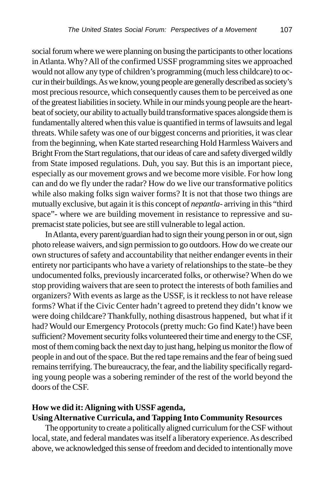social forum where we were planning on busing the participants to other locations in Atlanta. Why? All of the confirmed USSF programming sites we approached would not allow any type of children's programming (much less childcare) to occur in their buildings. As we know, young people are generally described as society's most precious resource, which consequently causes them to be perceived as one of the greatest liabilities in society. While in our minds young people are the heartbeat of society, our ability to actually build transformative spaces alongside them is fundamentally altered when this value is quantified in terms of lawsuits and legal threats. While safety was one of our biggest concerns and priorities, it was clear from the beginning, when Kate started researching Hold Harmless Waivers and Bright From the Start regulations, that our ideas of care and safety diverged wildly from State imposed regulations. Duh, you say. But this is an important piece, especially as our movement grows and we become more visible. For how long can and do we fly under the radar? How do we live our transformative politics while also making folks sign waiver forms? It is not that those two things are mutually exclusive, but again it is this concept of *nepantla*- arriving in this "third space"- where we are building movement in resistance to repressive and supremacist state policies, but see are still vulnerable to legal action.

In Atlanta, every parent/guardian had to sign their young person in or out, sign photo release waivers, and sign permission to go outdoors. How do we create our own structures of safety and accountability that neither endanger events in their entirety nor participants who have a variety of relationships to the state–be they undocumented folks, previously incarcerated folks, or otherwise? When do we stop providing waivers that are seen to protect the interests of both families and organizers? With events as large as the USSF, is it reckless to not have release forms? What if the Civic Center hadn't agreed to pretend they didn't know we were doing childcare? Thankfully, nothing disastrous happened, but what if it had? Would our Emergency Protocols (pretty much: Go find Kate!) have been sufficient? Movement security folks volunteered their time and energy to the CSF, most of them coming back the next day to just hang, helping us monitor the flow of people in and out of the space. But the red tape remains and the fear of being sued remains terrifying. The bureaucracy, the fear, and the liability specifically regarding young people was a sobering reminder of the rest of the world beyond the doors of the CSF.

### **How we did it: Aligning with USSF agenda, Using Alternative Curricula, and Tapping Into Community Resources**

The opportunity to create a politically aligned curriculum for the CSF without local, state, and federal mandates was itself a liberatory experience. As described above, we acknowledged this sense of freedom and decided to intentionally move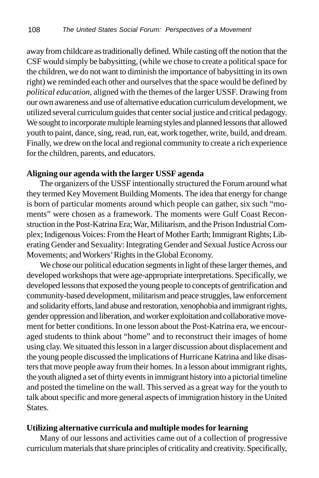away from childcare as traditionally defined. While casting off the notion that the CSF would simply be babysitting, (while we chose to create a political space for the children, we do not want to diminish the importance of babysitting in its own right) we reminded each other and ourselves that the space would be defined by *political education*, aligned with the themes of the larger USSF. Drawing from our own awareness and use of alternative education curriculum development, we utilized several curriculum guides that center social justice and critical pedagogy. We sought to incorporate multiple learning styles and planned lessons that allowed youth to paint, dance, sing, read, run, eat, work together, write, build, and dream. Finally, we drew on the local and regional community to create a rich experience for the children, parents, and educators.

#### **Aligning our agenda with the larger USSF agenda**

The organizers of the USSF intentionally structured the Forum around what they termed Key Movement Building Moments. The idea that energy for change is born of particular moments around which people can gather, six such "moments" were chosen as a framework. The moments were Gulf Coast Reconstruction in the Post-Katrina Era; War, Militarism, and the Prison Industrial Complex; Indigenous Voices: From the Heart of Mother Earth; Immigrant Rights; Liberating Gender and Sexuality: Integrating Gender and Sexual Justice Across our Movements; and Workers' Rights in the Global Economy.

We chose our political education segments in light of these larger themes, and developed workshops that were age-appropriate interpretations. Specifically, we developed lessons that exposed the young people to concepts of gentrification and community-based development, militarism and peace struggles, law enforcement and solidarity efforts, land abuse and restoration, xenophobia and immigrant rights, gender oppression and liberation, and worker exploitation and collaborative movement for better conditions. In one lesson about the Post-Katrina era, we encouraged students to think about "home" and to reconstruct their images of home using clay. We situated this lesson in a larger discussion about displacement and the young people discussed the implications of Hurricane Katrina and like disasters that move people away from their homes. In a lesson about immigrant rights, the youth aligned a set of thirty events in immigrant history into a pictorial timeline and posted the timeline on the wall. This served as a great way for the youth to talk about specific and more general aspects of immigration history in the United States.

#### **Utilizing alternative curricula and multiple modes for learning**

Many of our lessons and activities came out of a collection of progressive curriculum materials that share principles of criticality and creativity. Specifically,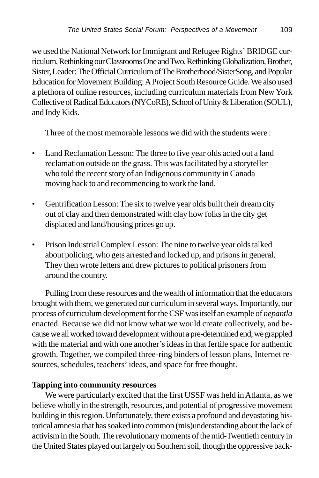we used the National Network for Immigrant and Refugee Rights' BRIDGE curriculum, Rethinking our Classrooms One and Two, Rethinking Globalization, Brother, Sister, Leader: The Official Curriculum of The Brotherhood/SisterSong, and Popular Education for Movement Building: A Project South Resource Guide. We also used a plethora of online resources, including curriculum materials from New York Collective of Radical Educators (NYCoRE), School of Unity & Liberation (SOUL), and Indy Kids.

Three of the most memorable lessons we did with the students were :

- Land Reclamation Lesson: The three to five year olds acted out a land reclamation outside on the grass. This was facilitated by a storyteller who told the recent story of an Indigenous community in Canada moving back to and recommencing to work the land.
- Gentrification Lesson: The six to twelve year olds built their dream city out of clay and then demonstrated with clay how folks in the city get displaced and land/housing prices go up.
- Prison Industrial Complex Lesson: The nine to twelve year olds talked about policing, who gets arrested and locked up, and prisons in general. They then wrote letters and drew pictures to political prisoners from around the country.

Pulling from these resources and the wealth of information that the educators brought with them, we generated our curriculum in several ways. Importantly, our process of curriculum development for the CSF was itself an example of *nepantla* enacted. Because we did not know what we would create collectively, and because we all worked toward development without a pre-determined end, we grappled with the material and with one another's ideas in that fertile space for authentic growth. Together, we compiled three-ring binders of lesson plans, Internet resources, schedules, teachers' ideas, and space for free thought.

#### **Tapping into community resources**

We were particularly excited that the first USSF was held in Atlanta, as we believe wholly in the strength, resources, and potential of progressive movement building in this region. Unfortunately, there exists a profound and devastating historical amnesia that has soaked into common (mis)understanding about the lack of activism in the South. The revolutionary moments of the mid-Twentieth century in the United States played out largely on Southern soil, though the oppressive back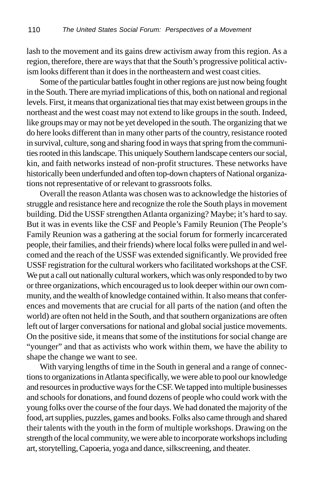lash to the movement and its gains drew activism away from this region. As a region, therefore, there are ways that that the South's progressive political activism looks different than it does in the northeastern and west coast cities.

Some of the particular battles fought in other regions are just now being fought in the South. There are myriad implications of this, both on national and regional levels. First, it means that organizational ties that may exist between groups in the northeast and the west coast may not extend to like groups in the south. Indeed, like groups may or may not be yet developed in the south. The organizing that we do here looks different than in many other parts of the country, resistance rooted in survival, culture, song and sharing food in ways that spring from the communities rooted in this landscape. This uniquely Southern landscape centers our social, kin, and faith networks instead of non-profit structures. These networks have historically been underfunded and often top-down chapters of National organizations not representative of or relevant to grassroots folks.

Overall the reason Atlanta was chosen was to acknowledge the histories of struggle and resistance here and recognize the role the South plays in movement building. Did the USSF strengthen Atlanta organizing? Maybe; it's hard to say. But it was in events like the CSF and People's Family Reunion (The People's Family Reunion was a gathering at the social forum for formerly incarcerated people, their families, and their friends) where local folks were pulled in and welcomed and the reach of the USSF was extended significantly. We provided free USSF registration for the cultural workers who facilitated workshops at the CSF. We put a call out nationally cultural workers, which was only responded to by two or three organizations, which encouraged us to look deeper within our own community, and the wealth of knowledge contained within. It also means that conferences and movements that are crucial for all parts of the nation (and often the world) are often not held in the South, and that southern organizations are often left out of larger conversations for national and global social justice movements. On the positive side, it means that some of the institutions for social change are "younger" and that as activists who work within them, we have the ability to shape the change we want to see.

With varying lengths of time in the South in general and a range of connections to organizations in Atlanta specifically, we were able to pool our knowledge and resources in productive ways for the CSF. We tapped into multiple businesses and schools for donations, and found dozens of people who could work with the young folks over the course of the four days. We had donated the majority of the food, art supplies, puzzles, games and books. Folks also came through and shared their talents with the youth in the form of multiple workshops. Drawing on the strength of the local community, we were able to incorporate workshops including art, storytelling, Capoeria, yoga and dance, silkscreening, and theater.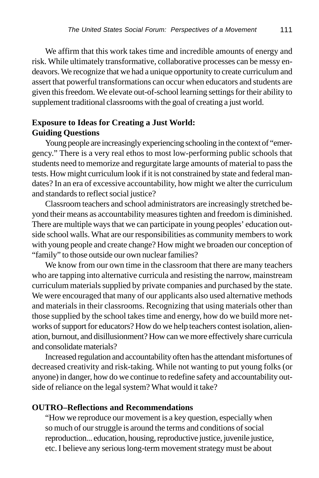We affirm that this work takes time and incredible amounts of energy and risk. While ultimately transformative, collaborative processes can be messy endeavors. We recognize that we had a unique opportunity to create curriculum and assert that powerful transformations can occur when educators and students are given this freedom. We elevate out-of-school learning settings for their ability to supplement traditional classrooms with the goal of creating a just world.

# **Exposure to Ideas for Creating a Just World: Guiding Questions**

Young people are increasingly experiencing schooling in the context of "emergency." There is a very real ethos to most low-performing public schools that students need to memorize and regurgitate large amounts of material to pass the tests. How might curriculum look if it is not constrained by state and federal mandates? In an era of excessive accountability, how might we alter the curriculum and standards to reflect social justice?

Classroom teachers and school administrators are increasingly stretched beyond their means as accountability measures tighten and freedom is diminished. There are multiple ways that we can participate in young peoples' education outside school walls. What are our responsibilities as community members to work with young people and create change? How might we broaden our conception of "family" to those outside our own nuclear families?

We know from our own time in the classroom that there are many teachers who are tapping into alternative curricula and resisting the narrow, mainstream curriculum materials supplied by private companies and purchased by the state. We were encouraged that many of our applicants also used alternative methods and materials in their classrooms. Recognizing that using materials other than those supplied by the school takes time and energy, how do we build more networks of support for educators? How do we help teachers contest isolation, alienation, burnout, and disillusionment? How can we more effectively share curricula and consolidate materials?

Increased regulation and accountability often has the attendant misfortunes of decreased creativity and risk-taking. While not wanting to put young folks (or anyone) in danger, how do we continue to redefine safety and accountability outside of reliance on the legal system? What would it take?

### **OUTRO–Reflections and Recommendations**

"How we reproduce our movement is a key question, especially when so much of our struggle is around the terms and conditions of social reproduction... education, housing, reproductive justice, juvenile justice, etc. I believe any serious long-term movement strategy must be about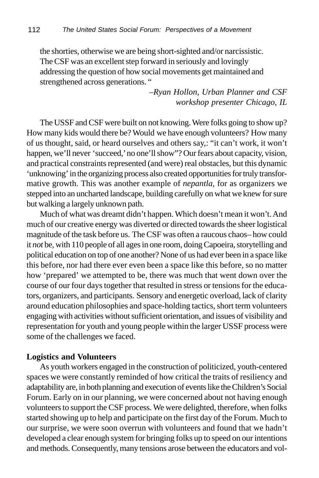the shorties, otherwise we are being short-sighted and/or narcissistic. The CSF was an excellent step forward in seriously and lovingly addressing the question of how social movements get maintained and strengthened across generations. "

> –*Ryan Hollon, Urban Planner and CSF workshop presenter Chicago, IL*

The USSF and CSF were built on not knowing. Were folks going to show up? How many kids would there be? Would we have enough volunteers? How many of us thought, said, or heard ourselves and others say,: "it can't work, it won't happen, we'll never 'succeed,' no one'll show"? Our fears about capacity, vision, and practical constraints represented (and were) real obstacles, but this dynamic 'unknowing' in the organizing process also created opportunities for truly transformative growth. This was another example of *nepantla*, for as organizers we stepped into an uncharted landscape, building carefully on what we knew for sure but walking a largely unknown path.

Much of what was dreamt didn't happen. Which doesn't mean it won't. And much of our creative energy was diverted or directed towards the sheer logistical magnitude of the task before us. The CSF was often a raucous chaos– how could it *not* be, with 110 people of all ages in one room, doing Capoeira, storytelling and political education on top of one another? None of us had ever been in a space like this before, nor had there ever even been a space like this before, so no matter how 'prepared' we attempted to be, there was much that went down over the course of our four days together that resulted in stress or tensions for the educators, organizers, and participants. Sensory and energetic overload, lack of clarity around education philosophies and space-holding tactics, short term volunteers engaging with activities without sufficient orientation, and issues of visibility and representation for youth and young people within the larger USSF process were some of the challenges we faced.

### **Logistics and Volunteers**

As youth workers engaged in the construction of politicized, youth-centered spaces we were constantly reminded of how critical the traits of resiliency and adaptability are, in both planning and execution of events like the Children's Social Forum. Early on in our planning, we were concerned about not having enough volunteers to support the CSF process. We were delighted, therefore, when folks started showing up to help and participate on the first day of the Forum. Much to our surprise, we were soon overrun with volunteers and found that we hadn't developed a clear enough system for bringing folks up to speed on our intentions and methods. Consequently, many tensions arose between the educators and vol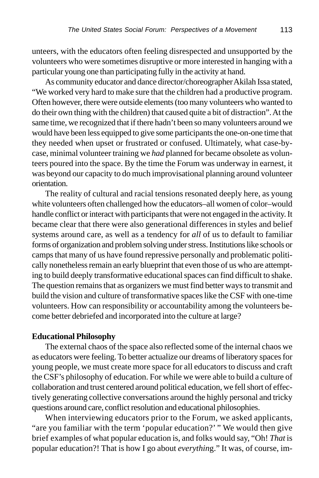unteers, with the educators often feeling disrespected and unsupported by the volunteers who were sometimes disruptive or more interested in hanging with a particular young one than participating fully in the activity at hand.

As community educator and dance director/choreographer Akilah Issa stated, "We worked very hard to make sure that the children had a productive program. Often however, there were outside elements (too many volunteers who wanted to do their own thing with the children) that caused quite a bit of distraction". At the same time, we recognized that if there hadn't been so many volunteers around we would have been less equipped to give some participants the one-on-one time that they needed when upset or frustrated or confused. Ultimately, what case-bycase, minimal volunteer training we *had* planned for became obsolete as volunteers poured into the space. By the time the Forum was underway in earnest, it was beyond our capacity to do much improvisational planning around volunteer orientation.

The reality of cultural and racial tensions resonated deeply here, as young white volunteers often challenged how the educators–all women of color–would handle conflict or interact with participants that were not engaged in the activity. It became clear that there were also generational differences in styles and belief systems around care, as well as a tendency for *all* of us to default to familiar forms of organization and problem solving under stress. Institutions like schools or camps that many of us have found repressive personally and problematic politically nonetheless remain an early blueprint that even those of us who are attempting to build deeply transformative educational spaces can find difficult to shake. The question remains that as organizers we must find better ways to transmit and build the vision and culture of transformative spaces like the CSF with one-time volunteers. How can responsibility or accountability among the volunteers become better debriefed and incorporated into the culture at large?

#### **Educational Philosophy**

The external chaos of the space also reflected some of the internal chaos we as educators were feeling. To better actualize our dreams of liberatory spaces for young people, we must create more space for all educators to discuss and craft the CSF's philosophy of education. For while we were able to build a culture of collaboration and trust centered around political education, we fell short of effectively generating collective conversations around the highly personal and tricky questions around care, conflict resolution and educational philosophies.

When interviewing educators prior to the Forum, we asked applicants, "are you familiar with the term 'popular education?' " We would then give brief examples of what popular education is, and folks would say, "Oh! *That* is popular education?! That is how I go about *everythin*g." It was, of course, im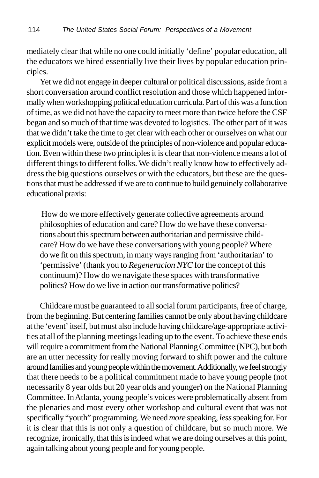mediately clear that while no one could initially 'define' popular education, all the educators we hired essentially live their lives by popular education principles.

Yet we did not engage in deeper cultural or political discussions, aside from a short conversation around conflict resolution and those which happened informally when workshopping political education curricula. Part of this was a function of time, as we did not have the capacity to meet more than twice before the CSF began and so much of that time was devoted to logistics. The other part of it was that we didn't take the time to get clear with each other or ourselves on what our explicit models were, outside of the principles of non-violence and popular education. Even within these two principles it is clear that non-violence means a lot of different things to different folks. We didn't really know how to effectively address the big questions ourselves or with the educators, but these are the questions that must be addressed if we are to continue to build genuinely collaborative educational praxis:

 How do we more effectively generate collective agreements around philosophies of education and care? How do we have these conversations about this spectrum between authoritarian and permissive childcare? How do we have these conversations with young people? Where do we fit on this spectrum, in many ways ranging from 'authoritarian' to 'permissive' (thank you to *Regeneracion NYC* for the concept of this continuum)? How do we navigate these spaces with transformative politics? How do we live in action our transformative politics?

Childcare must be guaranteed to all social forum participants, free of charge, from the beginning. But centering families cannot be only about having childcare at the 'event' itself, but must also include having childcare/age-appropriate activities at all of the planning meetings leading up to the event. To achieve these ends will require a commitment from the National Planning Committee (NPC), but both are an utter necessity for really moving forward to shift power and the culture around families and young people within the movement. Additionally, we feel strongly that there needs to be a political commitment made to have young people (not necessarily 8 year olds but 20 year olds and younger) on the National Planning Committee. In Atlanta, young people's voices were problematically absent from the plenaries and most every other workshop and cultural event that was not specifically "youth" programming. We need *more* speaking, *less* speaking for. For it is clear that this is not only a question of childcare, but so much more. We recognize, ironically, that this is indeed what we are doing ourselves at this point, again talking about young people and for young people.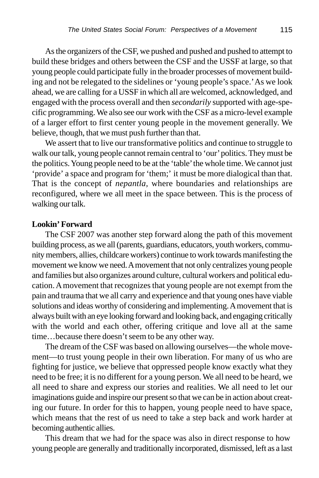As the organizers of the CSF, we pushed and pushed and pushed to attempt to build these bridges and others between the CSF and the USSF at large, so that young people could participate fully in the broader processes of movement building and not be relegated to the sidelines or 'young people's space.' As we look ahead, we are calling for a USSF in which all are welcomed, acknowledged, and engaged with the process overall and then *secondarily* supported with age-specific programming. We also see our work with the CSF as a micro-level example of a larger effort to first center young people in the movement generally. We believe, though, that we must push further than that.

We assert that to live our transformative politics and continue to struggle to walk our talk, young people cannot remain central to 'our' politics. They must be the politics. Young people need to be at the 'table' the whole time. We cannot just 'provide' a space and program for 'them;' it must be more dialogical than that. That is the concept of *nepantla,* where boundaries and relationships are reconfigured, where we all meet in the space between. This is the process of walking our talk.

#### **Lookin' Forward**

The CSF 2007 was another step forward along the path of this movement building process, as we all (parents, guardians, educators, youth workers, community members, allies, childcare workers) continue to work towards manifesting the movement we know we need. A movement that not only centralizes young people and families but also organizes around culture, cultural workers and political education. A movement that recognizes that young people are not exempt from the pain and trauma that we all carry and experience and that young ones have viable solutions and ideas worthy of considering and implementing. A movement that is always built with an eye looking forward and looking back, and engaging critically with the world and each other, offering critique and love all at the same time…because there doesn't seem to be any other way.

The dream of the CSF was based on allowing ourselves—the whole movement—to trust young people in their own liberation. For many of us who are fighting for justice, we believe that oppressed people know exactly what they need to be free; it is no different for a young person. We all need to be heard, we all need to share and express our stories and realities. We all need to let our imaginations guide and inspire our present so that we can be in action about creating our future. In order for this to happen, young people need to have space, which means that the rest of us need to take a step back and work harder at becoming authentic allies.

This dream that we had for the space was also in direct response to how young people are generally and traditionally incorporated, dismissed, left as a last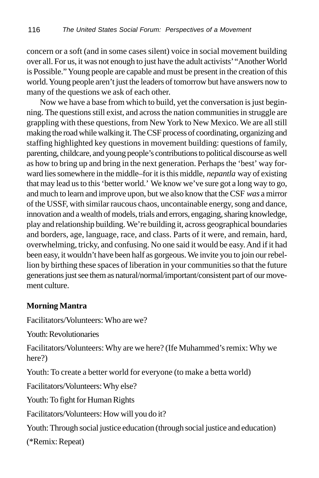concern or a soft (and in some cases silent) voice in social movement building over all. For us, it was not enough to just have the adult activists' "Another World is Possible." Young people are capable and must be present in the creation of this world. Young people aren't just the leaders of tomorrow but have answers now to many of the questions we ask of each other.

Now we have a base from which to build, yet the conversation is just beginning. The questions still exist, and across the nation communities in struggle are grappling with these questions, from New York to New Mexico. We are all still making the road while walking it. The CSF process of coordinating, organizing and staffing highlighted key questions in movement building: questions of family, parenting, childcare, and young people's contributions to political discourse as well as how to bring up and bring in the next generation. Perhaps the 'best' way forward lies somewhere in the middle–for it is this middle, *nepantla* way of existing that may lead us to this 'better world.' We know we've sure got a long way to go, and much to learn and improve upon, but we also know that the CSF *was* a mirror of the USSF, with similar raucous chaos, uncontainable energy, song and dance, innovation and a wealth of models, trials and errors, engaging, sharing knowledge, play and relationship building. We're building it, across geographical boundaries and borders, age, language, race, and class. Parts of it were, and remain, hard, overwhelming, tricky, and confusing. No one said it would be easy. And if it had been easy, it wouldn't have been half as gorgeous. We invite you to join our rebellion by birthing these spaces of liberation in your communities so that the future generations just see them as natural/normal/important/consistent part of our movement culture.

#### **Morning Mantra**

Facilitators/Volunteers: Who are we?

Youth: Revolutionaries

Facilitators/Volunteers: Why are we here? (Ife Muhammed's remix: Why we here?)

Youth: To create a better world for everyone (to make a betta world)

Facilitators/Volunteers: Why else?

Youth: To fight for Human Rights

Facilitators/Volunteers: How will you do it?

Youth: Through social justice education (through social justice and education)

(\*Remix: Repeat)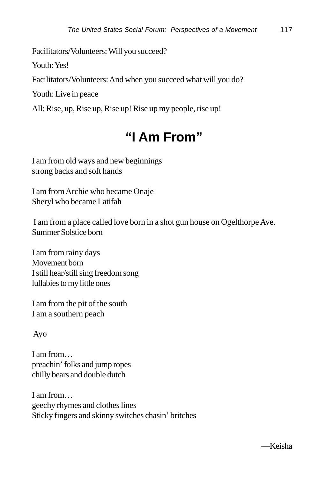Facilitators/Volunteers: Will you succeed?

Youth: Yes!

Facilitators/Volunteers: And when you succeed what will you do?

Youth: Live in peace

All: Rise, up, Rise up, Rise up! Rise up my people, rise up!

# **"I Am From"**

I am from old ways and new beginnings strong backs and soft hands

I am from Archie who became Onaje Sheryl who became Latifah

 I am from a place called love born in a shot gun house on Ogelthorpe Ave. Summer Solstice born

I am from rainy days Movement born I still hear/still sing freedom song lullabies to my little ones

I am from the pit of the south I am a southern peach

Ayo

I am from… preachin' folks and jump ropes chilly bears and double dutch

I am from… geechy rhymes and clothes lines Sticky fingers and skinny switches chasin' britches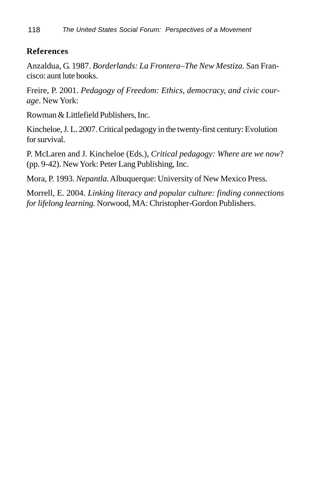# **References**

Anzaldua, G. 1987. *Borderlands: La Frontera–The New Mestiza.* San Francisco: aunt lute books.

Freire, P. 2001. *Pedagogy of Freedom: Ethics, democracy, and civic courage*. New York:

Rowman & Littlefield Publishers, Inc.

Kincheloe, J. L. 2007. Critical pedagogy in the twenty-first century: Evolution for survival.

P. McLaren and J. Kincheloe (Eds.), *Critical pedagogy: Where are we now*? (pp. 9-42). New York: Peter Lang Publishing, Inc.

Mora, P. 1993. *Nepantla.* Albuquerque: University of New Mexico Press.

Morrell, E. 2004. *Linking literacy and popular culture: finding connections for lifelong learning.* Norwood, MA: Christopher-Gordon Publishers.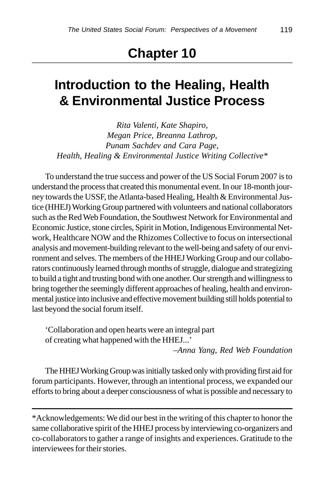# **Chapter 10**

# **Introduction to the Healing, Health & Environmental Justice Process**

*Rita Valenti, Kate Shapiro, Megan Price, Breanna Lathrop, Punam Sachdev and Cara Page, Health, Healing & Environmental Justice Writing Collective\**

To understand the true success and power of the US Social Forum 2007 is to understand the process that created this monumental event. In our 18-month journey towards the USSF, the Atlanta-based Healing, Health & Environmental Justice (HHEJ) Working Group partnered with volunteers and national collaborators such as the Red Web Foundation, the Southwest Network for Environmental and Economic Justice, stone circles, Spirit in Motion, Indigenous Environmental Network, Healthcare NOW and the Rhizomes Collective to focus on intersectional analysis and movement-building relevant to the well-being and safety of our environment and selves. The members of the HHEJ Working Group and our collaborators continuously learned through months of struggle, dialogue and strategizing to build a tight and trusting bond with one another. Our strength and willingness to bring together the seemingly different approaches of healing, health and environmental justice into inclusive and effective movement building still holds potential to last beyond the social forum itself.

'Collaboration and open hearts were an integral part of creating what happened with the HHEJ...'

*–Anna Yang, Red Web Foundation*

The HHEJ Working Group was initially tasked only with providing first aid for forum participants. However, through an intentional process, we expanded our efforts to bring about a deeper consciousness of what is possible and necessary to

<sup>\*</sup>Acknowledgements: We did our best in the writing of this chapter to honor the same collaborative spirit of the HHEJ process by interviewing co-organizers and co-collaborators to gather a range of insights and experiences. Gratitude to the interviewees for their stories.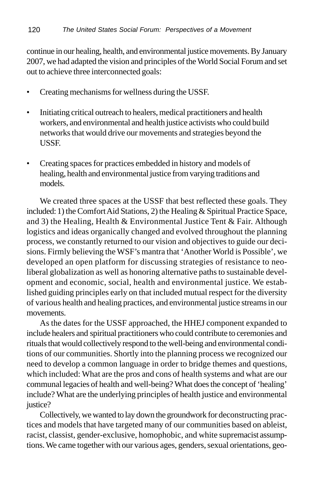continue in our healing, health, and environmental justice movements. By January 2007, we had adapted the vision and principles of the World Social Forum and set out to achieve three interconnected goals:

- Creating mechanisms for wellness during the USSF.
- Initiating critical outreach to healers, medical practitioners and health workers, and environmental and health justice activists who could build networks that would drive our movements and strategies beyond the **USSE**
- Creating spaces for practices embedded in history and models of healing, health and environmental justice from varying traditions and models.

We created three spaces at the USSF that best reflected these goals. They included: 1) the Comfort Aid Stations, 2) the Healing & Spiritual Practice Space, and 3) the Healing, Health & Environmental Justice Tent & Fair. Although logistics and ideas organically changed and evolved throughout the planning process, we constantly returned to our vision and objectives to guide our decisions. Firmly believing the WSF's mantra that 'Another World is Possible', we developed an open platform for discussing strategies of resistance to neoliberal globalization as well as honoring alternative paths to sustainable development and economic, social, health and environmental justice. We established guiding principles early on that included mutual respect for the diversity of various health and healing practices, and environmental justice streams in our movements.

As the dates for the USSF approached, the HHEJ component expanded to include healers and spiritual practitioners who could contribute to ceremonies and rituals that would collectively respond to the well-being and environmental conditions of our communities. Shortly into the planning process we recognized our need to develop a common language in order to bridge themes and questions, which included: What are the pros and cons of health systems and what are our communal legacies of health and well-being? What does the concept of 'healing' include? What are the underlying principles of health justice and environmental justice?

Collectively, we wanted to lay down the groundwork for deconstructing practices and models that have targeted many of our communities based on ableist, racist, classist, gender-exclusive, homophobic, and white supremacist assumptions. We came together with our various ages, genders, sexual orientations, geo-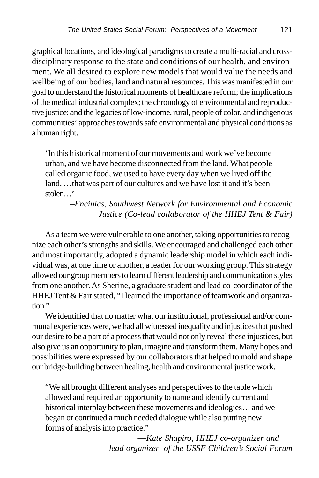graphical locations, and ideological paradigms to create a multi-racial and crossdisciplinary response to the state and conditions of our health, and environment. We all desired to explore new models that would value the needs and wellbeing of our bodies, land and natural resources. This was manifested in our goal to understand the historical moments of healthcare reform; the implications of the medical industrial complex; the chronology of environmental and reproductive justice; and the legacies of low-income, rural, people of color, and indigenous communities' approaches towards safe environmental and physical conditions as a human right.

'In this historical moment of our movements and work we've become urban, and we have become disconnected from the land. What people called organic food, we used to have every day when we lived off the land. …that was part of our cultures and we have lost it and it's been stolen…'

### *–Encinias, Southwest Network for Environmental and Economic Justice (Co-lead collaborator of the HHEJ Tent & Fair)*

As a team we were vulnerable to one another, taking opportunities to recognize each other's strengths and skills. We encouraged and challenged each other and most importantly, adopted a dynamic leadership model in which each individual was, at one time or another, a leader for our working group. This strategy allowed our group members to learn different leadership and communication styles from one another. As Sherine, a graduate student and lead co-coordinator of the HHEJ Tent & Fair stated, "I learned the importance of teamwork and organization."

We identified that no matter what our institutional, professional and/or communal experiences were, we had all witnessed inequality and injustices that pushed our desire to be a part of a process that would not only reveal these injustices, but also give us an opportunity to plan, imagine and transform them. Many hopes and possibilities were expressed by our collaborators that helped to mold and shape our bridge-building between healing, health and environmental justice work.

"We all brought different analyses and perspectives to the table which allowed and required an opportunity to name and identify current and historical interplay between these movements and ideologies… and we began or continued a much needed dialogue while also putting new forms of analysis into practice."

> —*Kate Shapiro, HHEJ co-organizer and lead organizer of the USSF Children's Social Forum*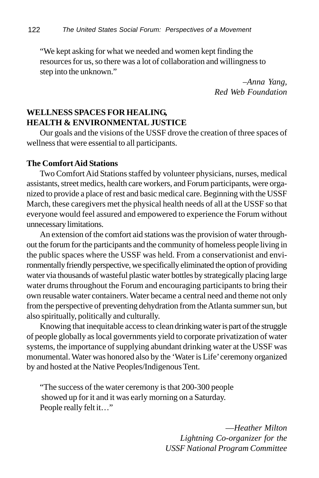"We kept asking for what we needed and women kept finding the resources for us, so there was a lot of collaboration and willingness to step into the unknown."

> –*Anna Yang, Red Web Foundation*

# **WELLNESS SPACES FOR HEALING, HEALTH & ENVIRONMENTAL JUSTICE**

Our goals and the visions of the USSF drove the creation of three spaces of wellness that were essential to all participants.

#### **The Comfort Aid Stations**

Two Comfort Aid Stations staffed by volunteer physicians, nurses, medical assistants, street medics, health care workers, and Forum participants, were organized to provide a place of rest and basic medical care. Beginning with the USSF March, these caregivers met the physical health needs of all at the USSF so that everyone would feel assured and empowered to experience the Forum without unnecessary limitations.

An extension of the comfort aid stations was the provision of water throughout the forum for the participants and the community of homeless people living in the public spaces where the USSF was held. From a conservationist and environmentally friendly perspective, we specifically eliminated the option of providing water via thousands of wasteful plastic water bottles by strategically placing large water drums throughout the Forum and encouraging participants to bring their own reusable water containers. Water became a central need and theme not only from the perspective of preventing dehydration from the Atlanta summer sun, but also spiritually, politically and culturally.

Knowing that inequitable access to clean drinking water is part of the struggle of people globally as local governments yield to corporate privatization of water systems, the importance of supplying abundant drinking water at the USSF was monumental. Water was honored also by the 'Water is Life' ceremony organized by and hosted at the Native Peoples/Indigenous Tent.

"The success of the water ceremony is that 200-300 people showed up for it and it was early morning on a Saturday. People really felt it…"

> —*Heather Milton Lightning Co-organizer for the USSF National Program Committee*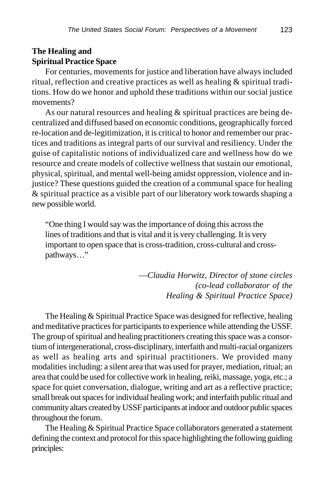### **The Healing and Spiritual Practice Space**

For centuries, movements for justice and liberation have always included ritual, reflection and creative practices as well as healing & spiritual traditions. How do we honor and uphold these traditions within our social justice movements?

As our natural resources and healing & spiritual practices are being decentralized and diffused based on economic conditions, geographically forced re-location and de-legitimization, it is critical to honor and remember our practices and traditions as integral parts of our survival and resiliency. Under the guise of capitalistic notions of individualized care and wellness how do we resource and create models of collective wellness that sustain our emotional, physical, spiritual, and mental well-being amidst oppression, violence and injustice? These questions guided the creation of a communal space for healing & spiritual practice as a visible part of our liberatory work towards shaping a new possible world.

"One thing I would say was the importance of doing this across the lines of traditions and that is vital and it is very challenging. It is very important to open space that is cross-tradition, cross-cultural and crosspathways…"

> —*Claudia Horwitz, Director of stone circles (co-lead collaborator of the Healing & Spiritual Practice Space)*

The Healing & Spiritual Practice Space was designed for reflective, healing and meditative practices for participants to experience while attending the USSF. The group of spiritual and healing practitioners creating this space was a consortium of intergenerational, cross-disciplinary, interfaith and multi-racial organizers as well as healing arts and spiritual practitioners. We provided many modalities including: a silent area that was used for prayer, mediation, ritual; an area that could be used for collective work in healing, reiki, massage, yoga, etc.; a space for quiet conversation, dialogue, writing and art as a reflective practice; small break out spaces for individual healing work; and interfaith public ritual and community altars created by USSF participants at indoor and outdoor public spaces throughout the forum.

The Healing & Spiritual Practice Space collaborators generated a statement defining the context and protocol for this space highlighting the following guiding principles: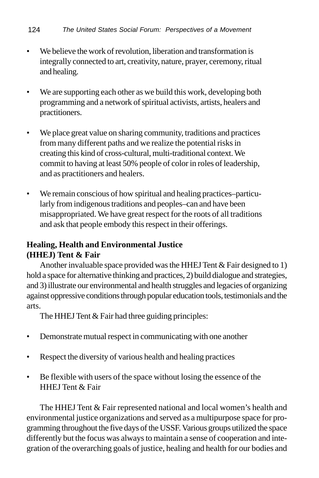- We believe the work of revolution, liberation and transformation is integrally connected to art, creativity, nature, prayer, ceremony, ritual and healing.
- We are supporting each other as we build this work, developing both programming and a network of spiritual activists, artists, healers and practitioners.
- We place great value on sharing community, traditions and practices from many different paths and we realize the potential risks in creating this kind of cross-cultural, multi-traditional context. We commit to having at least 50% people of color in roles of leadership, and as practitioners and healers.
- We remain conscious of how spiritual and healing practices–particularly from indigenous traditions and peoples–can and have been misappropriated. We have great respect for the roots of all traditions and ask that people embody this respect in their offerings.

# **Healing, Health and Environmental Justice (HHEJ) Tent & Fair**

Another invaluable space provided was the HHEJ Tent  $&$  Fair designed to 1) hold a space for alternative thinking and practices, 2) build dialogue and strategies, and 3) illustrate our environmental and health struggles and legacies of organizing against oppressive conditions through popular education tools, testimonials and the arts.

The HHEJ Tent & Fair had three guiding principles:

- Demonstrate mutual respect in communicating with one another
- Respect the diversity of various health and healing practices
- Be flexible with users of the space without losing the essence of the HHEJ Tent & Fair

The HHEJ Tent & Fair represented national and local women's health and environmental justice organizations and served as a multipurpose space for programming throughout the five days of the USSF. Various groups utilized the space differently but the focus was always to maintain a sense of cooperation and integration of the overarching goals of justice, healing and health for our bodies and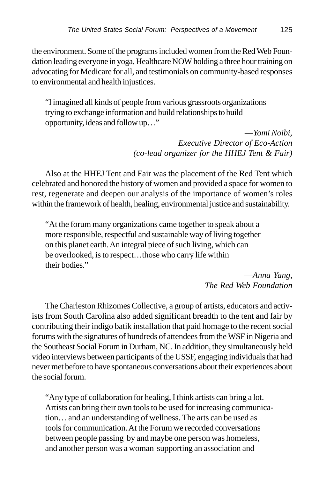the environment. Some of the programs included women from the Red Web Foundation leading everyone in yoga, Healthcare NOW holding a three hour training on advocating for Medicare for all, and testimonials on community-based responses to environmental and health injustices.

"I imagined all kinds of people from various grassroots organizations trying to exchange information and build relationships to build opportunity, ideas and follow up…"

> —*Yomi Noibi, Executive Director of Eco-Action (co-lead organizer for the HHEJ Tent & Fair)*

Also at the HHEJ Tent and Fair was the placement of the Red Tent which celebrated and honored the history of women and provided a space for women to rest, regenerate and deepen our analysis of the importance of women's roles within the framework of health, healing, environmental justice and sustainability.

"At the forum many organizations came together to speak about a more responsible, respectful and sustainable way of living together on this planet earth. An integral piece of such living, which can be overlooked, is to respect…those who carry life within their bodies."

> —*Anna Yang, The Red Web Foundation*

The Charleston Rhizomes Collective, a group of artists, educators and activists from South Carolina also added significant breadth to the tent and fair by contributing their indigo batik installation that paid homage to the recent social forums with the signatures of hundreds of attendees from the WSF in Nigeria and the Southeast Social Forum in Durham, NC. In addition, they simultaneously held video interviews between participants of the USSF, engaging individuals that had never met before to have spontaneous conversations about their experiences about the social forum.

"Any type of collaboration for healing, I think artists can bring a lot. Artists can bring their own tools to be used for increasing communication… and an understanding of wellness. The arts can be used as tools for communication. At the Forum we recorded conversations between people passing by and maybe one person was homeless, and another person was a woman supporting an association and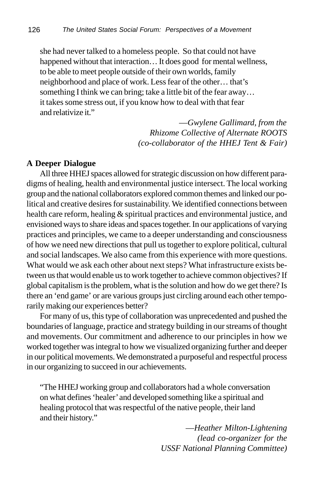she had never talked to a homeless people. So that could not have happened without that interaction... It does good for mental wellness, to be able to meet people outside of their own worlds, family neighborhood and place of work. Less fear of the other… that's something I think we can bring; take a little bit of the fear away... it takes some stress out, if you know how to deal with that fear and relativize it."

> —*Gwylene Gallimard, from the Rhizome Collective of Alternate ROOTS (co-collaborator of the HHEJ Tent & Fair)*

#### **A Deeper Dialogue**

All three HHEJ spaces allowed for strategic discussion on how different paradigms of healing, health and environmental justice intersect. The local working group and the national collaborators explored common themes and linked our political and creative desires for sustainability. We identified connections between health care reform, healing & spiritual practices and environmental justice, and envisioned ways to share ideas and spaces together. In our applications of varying practices and principles, we came to a deeper understanding and consciousness of how we need new directions that pull us together to explore political, cultural and social landscapes. We also came from this experience with more questions. What would we ask each other about next steps? What infrastructure exists between us that would enable us to work together to achieve common objectives? If global capitalism is the problem, what is the solution and how do we get there? Is there an 'end game' or are various groups just circling around each other temporarily making our experiences better?

For many of us, this type of collaboration was unprecedented and pushed the boundaries of language, practice and strategy building in our streams of thought and movements. Our commitment and adherence to our principles in how we worked together was integral to how we visualized organizing further and deeper in our political movements. We demonstrated a purposeful and respectful process in our organizing to succeed in our achievements.

"The HHEJ working group and collaborators had a whole conversation on what defines 'healer' and developed something like a spiritual and healing protocol that was respectful of the native people, their land and their history."

> —*Heather Milton-Lightening (lead co-organizer for the USSF National Planning Committee)*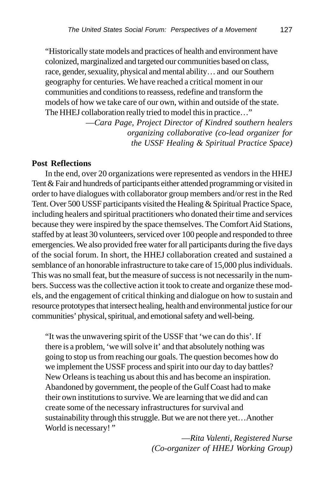"Historically state models and practices of health and environment have colonized, marginalized and targeted our communities based on class, race, gender, sexuality, physical and mental ability… and our Southern geography for centuries. We have reached a critical moment in our communities and conditions to reassess, redefine and transform the models of how we take care of our own, within and outside of the state. The HHEJ collaboration really tried to model this in practice…"

> —*Cara Page, Project Director of Kindred southern healers organizing collaborative (co-lead organizer for the USSF Healing & Spiritual Practice Space)*

#### **Post Reflections**

In the end, over 20 organizations were represented as vendors in the HHEJ Tent & Fair and hundreds of participants either attended programming or visited in order to have dialogues with collaborator group members and/or rest in the Red Tent. Over 500 USSF participants visited the Healing & Spiritual Practice Space, including healers and spiritual practitioners who donated their time and services because they were inspired by the space themselves. The Comfort Aid Stations, staffed by at least 30 volunteers, serviced over 100 people and responded to three emergencies. We also provided free water for all participants during the five days of the social forum. In short, the HHEJ collaboration created and sustained a semblance of an honorable infrastructure to take care of 15,000 plus individuals. This was no small feat, but the measure of success is not necessarily in the numbers. Success was the collective action it took to create and organize these models, and the engagement of critical thinking and dialogue on how to sustain and resource prototypes that intersect healing, health and environmental justice for our communities' physical, spiritual, and emotional safety and well-being.

"It was the unwavering spirit of the USSF that 'we can do this'. If there is a problem, 'we will solve it' and that absolutely nothing was going to stop us from reaching our goals. The question becomes how do we implement the USSF process and spirit into our day to day battles? New Orleans is teaching us about this and has become an inspiration. Abandoned by government, the people of the Gulf Coast had to make their own institutions to survive. We are learning that we did and can create some of the necessary infrastructures for survival and sustainability through this struggle. But we are not there yet…Another World is necessary! "

> —*Rita Valenti, Registered Nurse (Co-organizer of HHEJ Working Group)*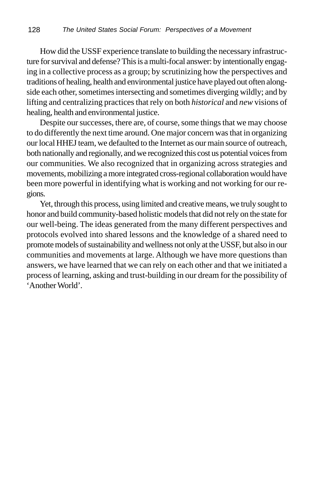How did the USSF experience translate to building the necessary infrastructure for survival and defense? This is a multi-focal answer: by intentionally engaging in a collective process as a group; by scrutinizing how the perspectives and traditions of healing, health and environmental justice have played out often alongside each other, sometimes intersecting and sometimes diverging wildly; and by lifting and centralizing practices that rely on both *historical* and *new* visions of healing, health and environmental justice.

Despite our successes, there are, of course, some things that we may choose to do differently the next time around. One major concern was that in organizing our local HHEJ team, we defaulted to the Internet as our main source of outreach, both nationally and regionally, and we recognized this cost us potential voices from our communities. We also recognized that in organizing across strategies and movements, mobilizing a more integrated cross-regional collaboration would have been more powerful in identifying what is working and not working for our regions.

Yet, through this process, using limited and creative means, we truly sought to honor and build community-based holistic models that did not rely on the state for our well-being. The ideas generated from the many different perspectives and protocols evolved into shared lessons and the knowledge of a shared need to promote models of sustainability and wellness not only at the USSF, but also in our communities and movements at large. Although we have more questions than answers, we have learned that we can rely on each other and that we initiated a process of learning, asking and trust-building in our dream for the possibility of 'Another World'.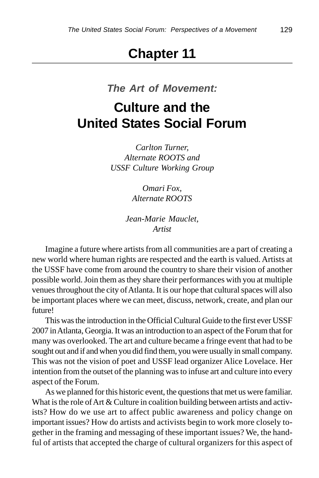# **Chapter 11**

*The Art of Movement:*

# **Culture and the United States Social Forum**

*Carlton Turner, Alternate ROOTS and USSF Culture Working Group*

> *Omari Fox, Alternate ROOTS*

*Jean-Marie Mauclet, Artist*

Imagine a future where artists from all communities are a part of creating a new world where human rights are respected and the earth is valued. Artists at the USSF have come from around the country to share their vision of another possible world. Join them as they share their performances with you at multiple venues throughout the city of Atlanta. It is our hope that cultural spaces will also be important places where we can meet, discuss, network, create, and plan our future!

This was the introduction in the Official Cultural Guide to the first ever USSF 2007 in Atlanta, Georgia. It was an introduction to an aspect of the Forum that for many was overlooked. The art and culture became a fringe event that had to be sought out and if and when you did find them, you were usually in small company. This was not the vision of poet and USSF lead organizer Alice Lovelace. Her intention from the outset of the planning was to infuse art and culture into every aspect of the Forum.

As we planned for this historic event, the questions that met us were familiar. What is the role of Art & Culture in coalition building between artists and activists? How do we use art to affect public awareness and policy change on important issues? How do artists and activists begin to work more closely together in the framing and messaging of these important issues? We, the handful of artists that accepted the charge of cultural organizers for this aspect of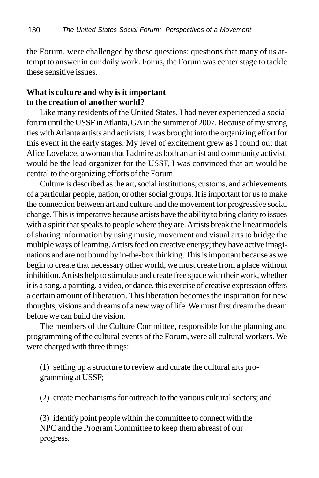the Forum, were challenged by these questions; questions that many of us attempt to answer in our daily work. For us, the Forum was center stage to tackle these sensitive issues.

# **What is culture and why is it important to the creation of another world?**

Like many residents of the United States, I had never experienced a social forum until the USSF in Atlanta, GA in the summer of 2007. Because of my strong ties with Atlanta artists and activists, I was brought into the organizing effort for this event in the early stages. My level of excitement grew as I found out that Alice Lovelace, a woman that I admire as both an artist and community activist, would be the lead organizer for the USSF, I was convinced that art would be central to the organizing efforts of the Forum.

Culture is described as the art, social institutions, customs, and achievements of a particular people, nation, or other social groups. It is important for us to make the connection between art and culture and the movement for progressive social change. This is imperative because artists have the ability to bring clarity to issues with a spirit that speaks to people where they are. Artists break the linear models of sharing information by using music, movement and visual arts to bridge the multiple ways of learning. Artists feed on creative energy; they have active imaginations and are not bound by in-the-box thinking. This is important because as we begin to create that necessary other world, we must create from a place without inhibition. Artists help to stimulate and create free space with their work, whether it is a song, a painting, a video, or dance, this exercise of creative expression offers a certain amount of liberation. This liberation becomes the inspiration for new thoughts, visions and dreams of a new way of life. We must first dream the dream before we can build the vision.

The members of the Culture Committee, responsible for the planning and programming of the cultural events of the Forum, were all cultural workers. We were charged with three things:

(1) setting up a structure to review and curate the cultural arts programming at USSF;

(2) create mechanisms for outreach to the various cultural sectors; and

(3) identify point people within the committee to connect with the NPC and the Program Committee to keep them abreast of our progress.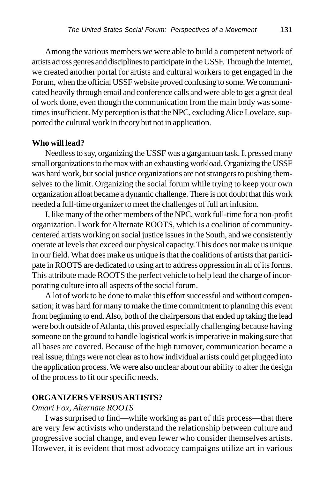Among the various members we were able to build a competent network of artists across genres and disciplines to participate in the USSF. Through the Internet, we created another portal for artists and cultural workers to get engaged in the Forum, when the official USSF website proved confusing to some. We communicated heavily through email and conference calls and were able to get a great deal of work done, even though the communication from the main body was sometimes insufficient. My perception is that the NPC, excluding Alice Lovelace, supported the cultural work in theory but not in application.

#### **Who will lead?**

Needless to say, organizing the USSF was a gargantuan task. It pressed many small organizations to the max with an exhausting workload. Organizing the USSF was hard work, but social justice organizations are not strangers to pushing themselves to the limit. Organizing the social forum while trying to keep your own organization afloat became a dynamic challenge. There is not doubt that this work needed a full-time organizer to meet the challenges of full art infusion.

I, like many of the other members of the NPC, work full-time for a non-profit organization. I work for Alternate ROOTS, which is a coalition of communitycentered artists working on social justice issues in the South, and we consistently operate at levels that exceed our physical capacity. This does not make us unique in our field. What does make us unique is that the coalitions of artists that participate in ROOTS are dedicated to using art to address oppression in all of its forms. This attribute made ROOTS the perfect vehicle to help lead the charge of incorporating culture into all aspects of the social forum.

A lot of work to be done to make this effort successful and without compensation; it was hard for many to make the time commitment to planning this event from beginning to end. Also, both of the chairpersons that ended up taking the lead were both outside of Atlanta, this proved especially challenging because having someone on the ground to handle logistical work is imperative in making sure that all bases are covered. Because of the high turnover, communication became a real issue; things were not clear as to how individual artists could get plugged into the application process. We were also unclear about our ability to alter the design of the process to fit our specific needs.

#### **ORGANIZERS VERSUS ARTISTS?**

#### *Omari Fox, Alternate ROOTS*

I was surprised to find—while working as part of this process—that there are very few activists who understand the relationship between culture and progressive social change, and even fewer who consider themselves artists. However, it is evident that most advocacy campaigns utilize art in various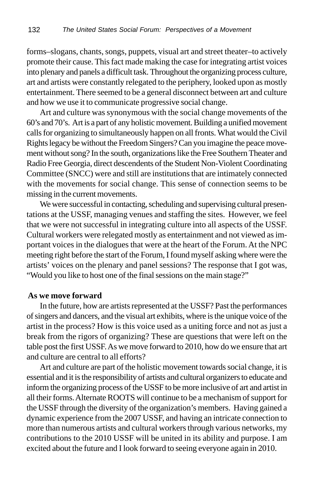forms–slogans, chants, songs, puppets, visual art and street theater–to actively promote their cause. This fact made making the case for integrating artist voices into plenary and panels a difficult task. Throughout the organizing process culture, art and artists were constantly relegated to the periphery, looked upon as mostly entertainment. There seemed to be a general disconnect between art and culture and how we use it to communicate progressive social change.

Art and culture was synonymous with the social change movements of the 60's and 70's. Art is a part of any holistic movement. Building a unified movement calls for organizing to simultaneously happen on all fronts. What would the Civil Rights legacy be without the Freedom Singers? Can you imagine the peace movement without song? In the south, organizations like the Free Southern Theater and Radio Free Georgia, direct descendents of the Student Non-Violent Coordinating Committee (SNCC) were and still are institutions that are intimately connected with the movements for social change. This sense of connection seems to be missing in the current movements.

We were successful in contacting, scheduling and supervising cultural presentations at the USSF, managing venues and staffing the sites. However, we feel that we were not successful in integrating culture into all aspects of the USSF. Cultural workers were relegated mostly as entertainment and not viewed as important voices in the dialogues that were at the heart of the Forum. At the NPC meeting right before the start of the Forum, I found myself asking where were the artists' voices on the plenary and panel sessions? The response that I got was, "Would you like to host one of the final sessions on the main stage?"

### **As we move forward**

In the future, how are artists represented at the USSF? Past the performances of singers and dancers, and the visual art exhibits, where is the unique voice of the artist in the process? How is this voice used as a uniting force and not as just a break from the rigors of organizing? These are questions that were left on the table post the first USSF. As we move forward to 2010, how do we ensure that art and culture are central to all efforts?

Art and culture are part of the holistic movement towards social change, it is essential and it is the responsibility of artists and cultural organizers to educate and inform the organizing process of the USSF to be more inclusive of art and artist in all their forms. Alternate ROOTS will continue to be a mechanism of support for the USSF through the diversity of the organization's members. Having gained a dynamic experience from the 2007 USSF, and having an intricate connection to more than numerous artists and cultural workers through various networks, my contributions to the 2010 USSF will be united in its ability and purpose. I am excited about the future and I look forward to seeing everyone again in 2010.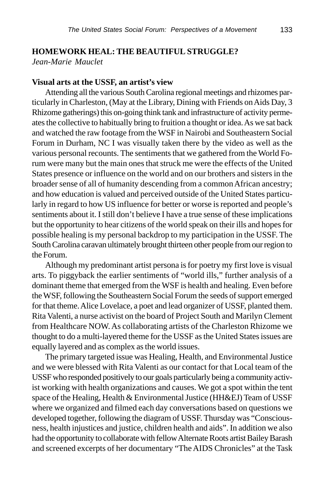#### **HOMEWORK HEAL: THE BEAUTIFUL STRUGGLE?**

*Jean-Marie Mauclet*

#### **Visual arts at the USSF, an artist's view**

Attending all the various South Carolina regional meetings and rhizomes particularly in Charleston, (May at the Library, Dining with Friends on Aids Day, 3 Rhizome gatherings) this on-going think tank and infrastructure of activity permeates the collective to habitually bring to fruition a thought or idea. As we sat back and watched the raw footage from the WSF in Nairobi and Southeastern Social Forum in Durham, NC I was visually taken there by the video as well as the various personal recounts. The sentiments that we gathered from the World Forum were many but the main ones that struck me were the effects of the United States presence or influence on the world and on our brothers and sisters in the broader sense of all of humanity descending from a common African ancestry; and how education is valued and perceived outside of the United States particularly in regard to how US influence for better or worse is reported and people's sentiments about it. I still don't believe I have a true sense of these implications but the opportunity to hear citizens of the world speak on their ills and hopes for possible healing is my personal backdrop to my participation in the USSF. The South Carolina caravan ultimately brought thirteen other people from our region to the Forum.

Although my predominant artist persona is for poetry my first love is visual arts. To piggyback the earlier sentiments of "world ills," further analysis of a dominant theme that emerged from the WSF is health and healing. Even before the WSF, following the Southeastern Social Forum the seeds of support emerged for that theme. Alice Lovelace, a poet and lead organizer of USSF, planted them. Rita Valenti, a nurse activist on the board of Project South and Marilyn Clement from Healthcare NOW. As collaborating artists of the Charleston Rhizome we thought to do a multi-layered theme for the USSF as the United States issues are equally layered and as complex as the world issues.

The primary targeted issue was Healing, Health, and Environmental Justice and we were blessed with Rita Valenti as our contact for that Local team of the USSF who responded positively to our goals particularly being a community activist working with health organizations and causes. We got a spot within the tent space of the Healing, Health & Environmental Justice (HH&EJ) Team of USSF where we organized and filmed each day conversations based on questions we developed together, following the diagram of USSF. Thursday was "Consciousness, health injustices and justice, children health and aids". In addition we also had the opportunity to collaborate with fellow Alternate Roots artist Bailey Barash and screened excerpts of her documentary "The AIDS Chronicles" at the Task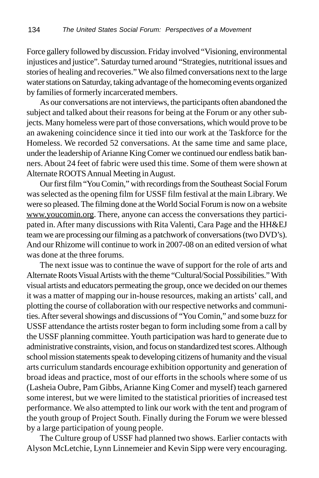Force gallery followed by discussion. Friday involved "Visioning, environmental injustices and justice". Saturday turned around "Strategies, nutritional issues and stories of healing and recoveries." We also filmed conversations next to the large water stations on Saturday, taking advantage of the homecoming events organized by families of formerly incarcerated members.

As our conversations are not interviews, the participants often abandoned the subject and talked about their reasons for being at the Forum or any other subjects. Many homeless were part of those conversations, which would prove to be an awakening coincidence since it tied into our work at the Taskforce for the Homeless. We recorded 52 conversations. At the same time and same place, under the leadership of Arianne King Comer we continued our endless batik banners. About 24 feet of fabric were used this time. Some of them were shown at Alternate ROOTS Annual Meeting in August.

Our first film "You Comin," with recordings from the Southeast Social Forum was selected as the opening film for USSF film festival at the main Library. We were so pleased. The filming done at the World Social Forum is now on a website www.youcomin.org. There, anyone can access the conversations they participated in. After many discussions with Rita Valenti, Cara Page and the HH&EJ team we are processing our filming as a patchwork of conversations (two DVD's). And our Rhizome will continue to work in 2007-08 on an edited version of what was done at the three forums.

The next issue was to continue the wave of support for the role of arts and Alternate Roots Visual Artists with the theme "Cultural/Social Possibilities." With visual artists and educators permeating the group, once we decided on our themes it was a matter of mapping our in-house resources, making an artists' call, and plotting the course of collaboration with our respective networks and communities. After several showings and discussions of "You Comin," and some buzz for USSF attendance the artists roster began to form including some from a call by the USSF planning committee. Youth participation was hard to generate due to administrative constraints, vision, and focus on standardized test scores. Although school mission statements speak to developing citizens of humanity and the visual arts curriculum standards encourage exhibition opportunity and generation of broad ideas and practice, most of our efforts in the schools where some of us (Lasheia Oubre, Pam Gibbs, Arianne King Comer and myself) teach garnered some interest, but we were limited to the statistical priorities of increased test performance. We also attempted to link our work with the tent and program of the youth group of Project South. Finally during the Forum we were blessed by a large participation of young people.

The Culture group of USSF had planned two shows. Earlier contacts with Alyson McLetchie, Lynn Linnemeier and Kevin Sipp were very encouraging.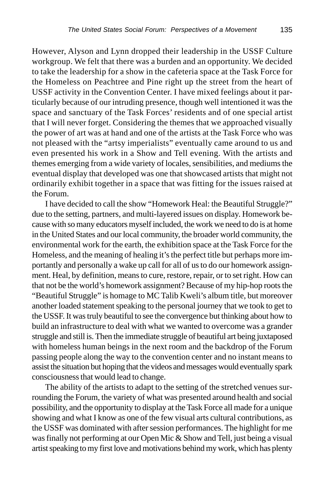However, Alyson and Lynn dropped their leadership in the USSF Culture workgroup. We felt that there was a burden and an opportunity. We decided to take the leadership for a show in the cafeteria space at the Task Force for the Homeless on Peachtree and Pine right up the street from the heart of USSF activity in the Convention Center. I have mixed feelings about it particularly because of our intruding presence, though well intentioned it was the space and sanctuary of the Task Forces' residents and of one special artist that I will never forget. Considering the themes that we approached visually the power of art was at hand and one of the artists at the Task Force who was not pleased with the "artsy imperialists" eventually came around to us and even presented his work in a Show and Tell evening. With the artists and themes emerging from a wide variety of locales, sensibilities, and mediums the eventual display that developed was one that showcased artists that might not ordinarily exhibit together in a space that was fitting for the issues raised at the Forum.

I have decided to call the show "Homework Heal: the Beautiful Struggle?" due to the setting, partners, and multi-layered issues on display. Homework because with so many educators myself included, the work we need to do is at home in the United States and our local community, the broader world community, the environmental work for the earth, the exhibition space at the Task Force for the Homeless, and the meaning of healing it's the perfect title but perhaps more importantly and personally a wake up call for all of us to do our homework assignment. Heal, by definition, means to cure, restore, repair, or to set right. How can that not be the world's homework assignment? Because of my hip-hop roots the "Beautiful Struggle" is homage to MC Talib Kweli's album title, but moreover another loaded statement speaking to the personal journey that we took to get to the USSF. It was truly beautiful to see the convergence but thinking about how to build an infrastructure to deal with what we wanted to overcome was a grander struggle and still is. Then the immediate struggle of beautiful art being juxtaposed with homeless human beings in the next room and the backdrop of the Forum passing people along the way to the convention center and no instant means to assist the situation but hoping that the videos and messages would eventually spark consciousness that would lead to change.

The ability of the artists to adapt to the setting of the stretched venues surrounding the Forum, the variety of what was presented around health and social possibility, and the opportunity to display at the Task Force all made for a unique showing and what I know as one of the few visual arts cultural contributions, as the USSF was dominated with after session performances. The highlight for me was finally not performing at our Open Mic & Show and Tell, just being a visual artist speaking to my first love and motivations behind my work, which has plenty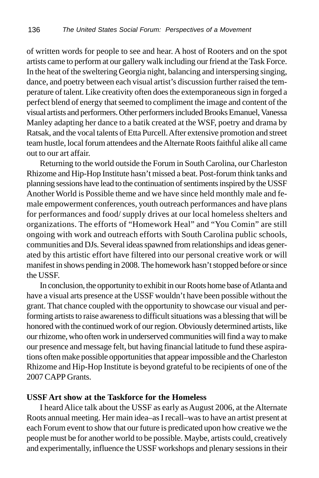of written words for people to see and hear. A host of Rooters and on the spot artists came to perform at our gallery walk including our friend at the Task Force. In the heat of the sweltering Georgia night, balancing and interspersing singing, dance, and poetry between each visual artist's discussion further raised the temperature of talent. Like creativity often does the extemporaneous sign in forged a perfect blend of energy that seemed to compliment the image and content of the visual artists and performers. Other performers included Brooks Emanuel, Vanessa Manley adapting her dance to a batik created at the WSF, poetry and drama by Ratsak, and the vocal talents of Etta Purcell. After extensive promotion and street team hustle, local forum attendees and the Alternate Roots faithful alike all came out to our art affair.

Returning to the world outside the Forum in South Carolina, our Charleston Rhizome and Hip-Hop Institute hasn't missed a beat. Post-forum think tanks and planning sessions have lead to the continuation of sentiments inspired by the USSF Another World is Possible theme and we have since held monthly male and female empowerment conferences, youth outreach performances and have plans for performances and food/ supply drives at our local homeless shelters and organizations. The efforts of "Homework Heal" and "You Comin" are still ongoing with work and outreach efforts with South Carolina public schools, communities and DJs. Several ideas spawned from relationships and ideas generated by this artistic effort have filtered into our personal creative work or will manifest in shows pending in 2008. The homework hasn't stopped before or since the USSF.

In conclusion, the opportunity to exhibit in our Roots home base of Atlanta and have a visual arts presence at the USSF wouldn't have been possible without the grant. That chance coupled with the opportunity to showcase our visual and performing artists to raise awareness to difficult situations was a blessing that will be honored with the continued work of our region. Obviously determined artists, like our rhizome, who often work in underserved communities will find a way to make our presence and message felt, but having financial latitude to fund these aspirations often make possible opportunities that appear impossible and the Charleston Rhizome and Hip-Hop Institute is beyond grateful to be recipients of one of the 2007 CAPP Grants.

#### **USSF Art show at the Taskforce for the Homeless**

I heard Alice talk about the USSF as early as August 2006, at the Alternate Roots annual meeting. Her main idea–as I recall–was to have an artist present at each Forum event to show that our future is predicated upon how creative we the people must be for another world to be possible. Maybe, artists could, creatively and experimentally, influence the USSF workshops and plenary sessions in their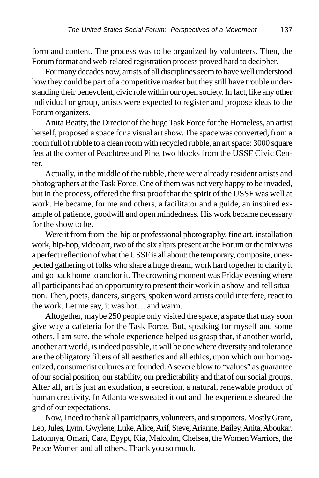form and content. The process was to be organized by volunteers. Then, the Forum format and web-related registration process proved hard to decipher.

For many decades now, artists of all disciplines seem to have well understood how they could be part of a competitive market but they still have trouble understanding their benevolent, civic role within our open society. In fact, like any other individual or group, artists were expected to register and propose ideas to the Forum organizers.

Anita Beatty, the Director of the huge Task Force for the Homeless, an artist herself, proposed a space for a visual art show. The space was converted, from a room full of rubble to a clean room with recycled rubble, an art space: 3000 square feet at the corner of Peachtree and Pine, two blocks from the USSF Civic Center.

Actually, in the middle of the rubble, there were already resident artists and photographers at the Task Force. One of them was not very happy to be invaded, but in the process, offered the first proof that the spirit of the USSF was well at work. He became, for me and others, a facilitator and a guide, an inspired example of patience, goodwill and open mindedness. His work became necessary for the show to be.

Were it from from-the-hip or professional photography, fine art, installation work, hip-hop, video art, two of the six altars present at the Forum or the mix was a perfect reflection of what the USSF is all about: the temporary, composite, unexpected gathering of folks who share a huge dream, work hard together to clarify it and go back home to anchor it. The crowning moment was Friday evening where all participants had an opportunity to present their work in a show-and-tell situation. Then, poets, dancers, singers, spoken word artists could interfere, react to the work. Let me say, it was hot… and warm.

Altogether, maybe 250 people only visited the space, a space that may soon give way a cafeteria for the Task Force. But, speaking for myself and some others, I am sure, the whole experience helped us grasp that, if another world, another art world, is indeed possible, it will be one where diversity and tolerance are the obligatory filters of all aesthetics and all ethics, upon which our homogenized, consumerist cultures are founded. A severe blow to "values" as guarantee of our social position, our stability, our predictability and that of our social groups. After all, art is just an exudation, a secretion, a natural, renewable product of human creativity. In Atlanta we sweated it out and the experience sheared the grid of our expectations.

Now, I need to thank all participants, volunteers, and supporters. Mostly Grant, Leo, Jules, Lynn, Gwylene, Luke, Alice, Arif, Steve, Arianne, Bailey, Anita, Aboukar, Latonnya, Omari, Cara, Egypt, Kia, Malcolm, Chelsea, the Women Warriors, the Peace Women and all others. Thank you so much.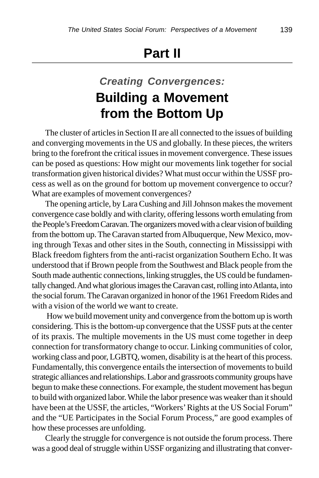# **Part II**

# *Creating Convergences:* **Building a Movement from the Bottom Up**

The cluster of articles in Section II are all connected to the issues of building and converging movements in the US and globally. In these pieces, the writers bring to the forefront the critical issues in movement convergence. These issues can be posed as questions: How might our movements link together for social transformation given historical divides? What must occur within the USSF process as well as on the ground for bottom up movement convergence to occur? What are examples of movement convergences?

The opening article, by Lara Cushing and Jill Johnson makes the movement convergence case boldly and with clarity, offering lessons worth emulating from the People's Freedom Caravan. The organizers moved with a clear vision of building from the bottom up. The Caravan started from Albuquerque, New Mexico, moving through Texas and other sites in the South, connecting in Mississippi with Black freedom fighters from the anti-racist organization Southern Echo. It was understood that if Brown people from the Southwest and Black people from the South made authentic connections, linking struggles, the US could be fundamentally changed. And what glorious images the Caravan cast, rolling into Atlanta, into the social forum. The Caravan organized in honor of the 1961 Freedom Rides and with a vision of the world we want to create.

 How we build movement unity and convergence from the bottom up is worth considering. This is the bottom-up convergence that the USSF puts at the center of its praxis. The multiple movements in the US must come together in deep connection for transformatory change to occur. Linking communities of color, working class and poor, LGBTQ, women, disability is at the heart of this process. Fundamentally, this convergence entails the intersection of movements to build strategic alliances and relationships. Labor and grassroots community groups have begun to make these connections. For example, the student movement has begun to build with organized labor. While the labor presence was weaker than it should have been at the USSF, the articles, "Workers' Rights at the US Social Forum" and the "UE Participates in the Social Forum Process," are good examples of how these processes are unfolding.

Clearly the struggle for convergence is not outside the forum process. There was a good deal of struggle within USSF organizing and illustrating that conver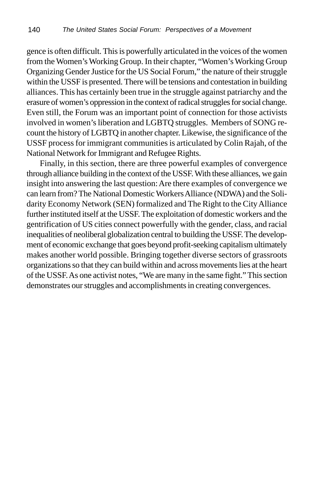gence is often difficult. This is powerfully articulated in the voices of the women from the Women's Working Group. In their chapter, "Women's Working Group Organizing Gender Justice for the US Social Forum," the nature of their struggle within the USSF is presented. There will be tensions and contestation in building alliances. This has certainly been true in the struggle against patriarchy and the erasure of women's oppression in the context of radical struggles for social change. Even still, the Forum was an important point of connection for those activists involved in women's liberation and LGBTQ struggles. Members of SONG recount the history of LGBTQ in another chapter. Likewise, the significance of the USSF process for immigrant communities is articulated by Colin Rajah, of the National Network for Immigrant and Refugee Rights.

Finally, in this section, there are three powerful examples of convergence through alliance building in the context of the USSF. With these alliances, we gain insight into answering the last question: Are there examples of convergence we can learn from? The National Domestic Workers Alliance (NDWA) and the Solidarity Economy Network (SEN) formalized and The Right to the City Alliance further instituted itself at the USSF. The exploitation of domestic workers and the gentrification of US cities connect powerfully with the gender, class, and racial inequalities of neoliberal globalization central to building the USSF. The development of economic exchange that goes beyond profit-seeking capitalism ultimately makes another world possible. Bringing together diverse sectors of grassroots organizations so that they can build within and across movements lies at the heart of the USSF. As one activist notes, "We are many in the same fight." This section demonstrates our struggles and accomplishments in creating convergences.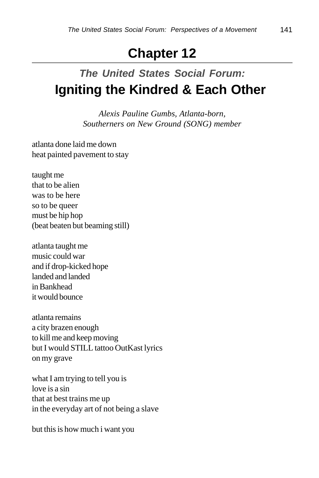# **Chapter 12**

# *The United States Social Forum:* **Igniting the Kindred & Each Other**

*Alexis Pauline Gumbs, Atlanta-born, Southerners on New Ground (SONG) member*

atlanta done laid me down heat painted pavement to stay

taught me that to be alien was to be here so to be queer must be hip hop (beat beaten but beaming still)

atlanta taught me music could war and if drop-kicked hope landed and landed in Bankhead it would bounce

atlanta remains a city brazen enough to kill me and keep moving but I would STILL tattoo OutKast lyrics on my grave

what I am trying to tell you is love is a sin that at best trains me up in the everyday art of not being a slave

but this is how much i want you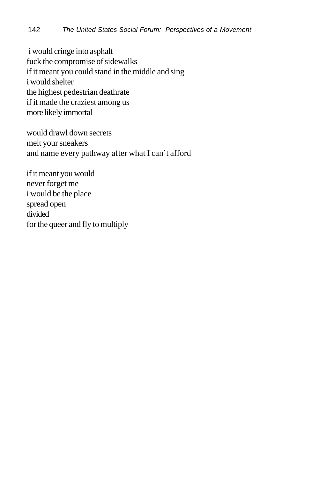i would cringe into asphalt fuck the compromise of sidewalks if it meant you could stand in the middle and sing i would shelter the highest pedestrian deathrate if it made the craziest among us more likely immortal

would drawl down secrets melt your sneakers and name every pathway after what I can't afford

if it meant you would never forget me i would be the place spread open divided for the queer and fly to multiply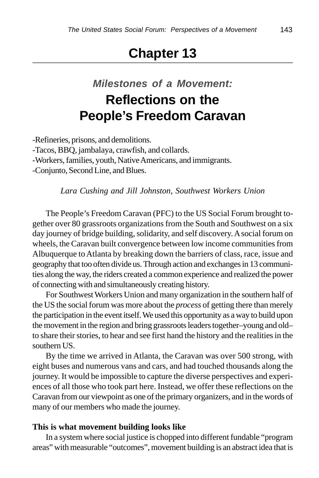# **Chapter 13**

## *Milestones of a Movement:*

# **Reflections on the People's Freedom Caravan**

-Refineries, prisons, and demolitions. -Tacos, BBQ, jambalaya, crawfish, and collards. -Workers, families, youth, Native Americans, and immigrants. -Conjunto, Second Line, and Blues.

*Lara Cushing and Jill Johnston, Southwest Workers Union*

The People's Freedom Caravan (PFC) to the US Social Forum brought together over 80 grassroots organizations from the South and Southwest on a six day journey of bridge building, solidarity, and self discovery. A social forum on wheels, the Caravan built convergence between low income communities from Albuquerque to Atlanta by breaking down the barriers of class, race, issue and geography that too often divide us. Through action and exchanges in 13 communities along the way, the riders created a common experience and realized the power of connecting with and simultaneously creating history.

For Southwest Workers Union and many organization in the southern half of the US the social forum was more about the *process* of getting there than merely the participation in the event itself. We used this opportunity as a way to build upon the movement in the region and bring grassroots leaders together–young and old– to share their stories, to hear and see first hand the history and the realities in the southern US.

By the time we arrived in Atlanta, the Caravan was over 500 strong, with eight buses and numerous vans and cars, and had touched thousands along the journey. It would be impossible to capture the diverse perspectives and experiences of all those who took part here. Instead, we offer these reflections on the Caravan from our viewpoint as one of the primary organizers, and in the words of many of our members who made the journey.

#### **This is what movement building looks like**

In a system where social justice is chopped into different fundable "program areas" with measurable "outcomes", movement building is an abstract idea that is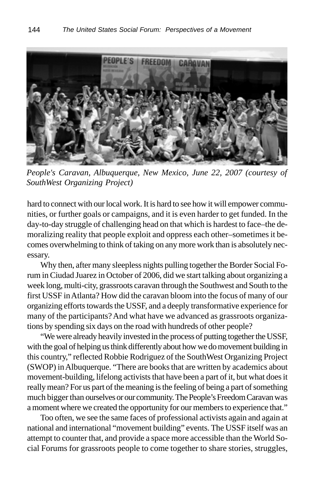

*People's Caravan, Albuquerque, New Mexico, June 22, 2007 (courtesy of SouthWest Organizing Project)*

hard to connect with our local work. It is hard to see how it will empower communities, or further goals or campaigns, and it is even harder to get funded. In the day-to-day struggle of challenging head on that which is hardest to face–the demoralizing reality that people exploit and oppress each other–sometimes it becomes overwhelming to think of taking on any more work than is absolutely necessary.

Why then, after many sleepless nights pulling together the Border Social Forum in Ciudad Juarez in October of 2006, did we start talking about organizing a week long, multi-city, grassroots caravan through the Southwest and South to the first USSF in Atlanta? How did the caravan bloom into the focus of many of our organizing efforts towards the USSF, and a deeply transformative experience for many of the participants? And what have we advanced as grassroots organizations by spending six days on the road with hundreds of other people?

"We were already heavily invested in the process of putting together the USSF, with the goal of helping us think differently about how we do movement building in this country," reflected Robbie Rodriguez of the SouthWest Organizing Project (SWOP) in Albuquerque. "There are books that are written by academics about movement-building, lifelong activists that have been a part of it, but what does it really mean? For us part of the meaning is the feeling of being a part of something much bigger than ourselves or our community. The People's Freedom Caravan was a moment where we created the opportunity for our members to experience that."

Too often, we see the same faces of professional activists again and again at national and international "movement building" events. The USSF itself was an attempt to counter that, and provide a space more accessible than the World Social Forums for grassroots people to come together to share stories, struggles,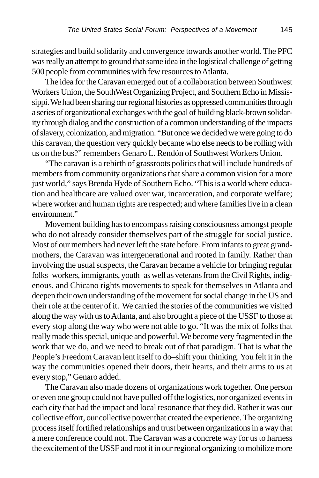strategies and build solidarity and convergence towards another world. The PFC was really an attempt to ground that same idea in the logistical challenge of getting 500 people from communities with few resources to Atlanta.

The idea for the Caravan emerged out of a collaboration between Southwest Workers Union, the SouthWest Organizing Project, and Southern Echo in Mississippi. We had been sharing our regional histories as oppressed communities through a series of organizational exchanges with the goal of building black-brown solidarity through dialog and the construction of a common understanding of the impacts of slavery, colonization, and migration. "But once we decided we were going to do this caravan, the question very quickly became who else needs to be rolling with us on the bus?" remembers Genaro L. Rendón of Southwest Workers Union.

"The caravan is a rebirth of grassroots politics that will include hundreds of members from community organizations that share a common vision for a more just world," says Brenda Hyde of Southern Echo. "This is a world where education and healthcare are valued over war, incarceration, and corporate welfare; where worker and human rights are respected; and where families live in a clean environment."

Movement building has to encompass raising consciousness amongst people who do not already consider themselves part of the struggle for social justice. Most of our members had never left the state before. From infants to great grandmothers, the Caravan was intergenerational and rooted in family. Rather than involving the usual suspects, the Caravan became a vehicle for bringing regular folks–workers, immigrants, youth–as well as veterans from the Civil Rights, indigenous, and Chicano rights movements to speak for themselves in Atlanta and deepen their own understanding of the movement for social change in the US and their role at the center of it. We carried the stories of the communities we visited along the way with us to Atlanta, and also brought a piece of the USSF to those at every stop along the way who were not able to go. "It was the mix of folks that really made this special, unique and powerful. We become very fragmented in the work that we do, and we need to break out of that paradigm. That is what the People's Freedom Caravan lent itself to do–shift your thinking. You felt it in the way the communities opened their doors, their hearts, and their arms to us at every stop," Genaro added.

The Caravan also made dozens of organizations work together. One person or even one group could not have pulled off the logistics, nor organized events in each city that had the impact and local resonance that they did. Rather it was our collective effort, our collective power that created the experience. The organizing process itself fortified relationships and trust between organizations in a way that a mere conference could not. The Caravan was a concrete way for us to harness the excitement of the USSF and root it in our regional organizing to mobilize more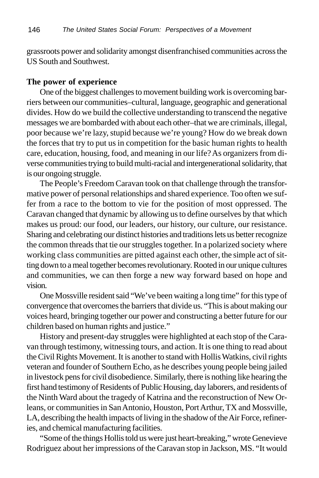grassroots power and solidarity amongst disenfranchised communities across the US South and Southwest.

### **The power of experience**

One of the biggest challenges to movement building work is overcoming barriers between our communities–cultural, language, geographic and generational divides. How do we build the collective understanding to transcend the negative messages we are bombarded with about each other–that we are criminals, illegal, poor because we're lazy, stupid because we're young? How do we break down the forces that try to put us in competition for the basic human rights to health care, education, housing, food, and meaning in our life? As organizers from diverse communities trying to build multi-racial and intergenerational solidarity, that is our ongoing struggle.

The People's Freedom Caravan took on that challenge through the transformative power of personal relationships and shared experience. Too often we suffer from a race to the bottom to vie for the position of most oppressed. The Caravan changed that dynamic by allowing us to define ourselves by that which makes us proud: our food, our leaders, our history, our culture, our resistance. Sharing and celebrating our distinct histories and traditions lets us better recognize the common threads that tie our struggles together. In a polarized society where working class communities are pitted against each other, the simple act of sitting down to a meal together becomes revolutionary. Rooted in our unique cultures and communities, we can then forge a new way forward based on hope and vision.

One Mossville resident said "We've been waiting a long time" for this type of convergence that overcomes the barriers that divide us. "This is about making our voices heard, bringing together our power and constructing a better future for our children based on human rights and justice."

History and present-day struggles were highlighted at each stop of the Caravan through testimony, witnessing tours, and action. It is one thing to read about the Civil Rights Movement. It is another to stand with Hollis Watkins, civil rights veteran and founder of Southern Echo, as he describes young people being jailed in livestock pens for civil disobedience. Similarly, there is nothing like hearing the first hand testimony of Residents of Public Housing, day laborers, and residents of the Ninth Ward about the tragedy of Katrina and the reconstruction of New Orleans, or communities in San Antonio, Houston, Port Arthur, TX and Mossville, LA, describing the health impacts of living in the shadow of the Air Force, refineries, and chemical manufacturing facilities.

"Some of the things Hollis told us were just heart-breaking," wrote Genevieve Rodriguez about her impressions of the Caravan stop in Jackson, MS. "It would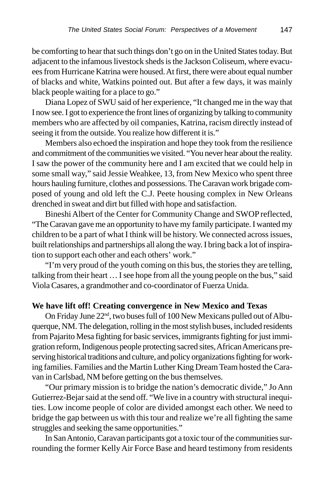be comforting to hear that such things don't go on in the United States today. But adjacent to the infamous livestock sheds is the Jackson Coliseum, where evacuees from Hurricane Katrina were housed. At first, there were about equal number of blacks and white, Watkins pointed out. But after a few days, it was mainly black people waiting for a place to go."

Diana Lopez of SWU said of her experience, "It changed me in the way that I now see. I got to experience the front lines of organizing by talking to community members who are affected by oil companies, Katrina, racism directly instead of seeing it from the outside. You realize how different it is."

Members also echoed the inspiration and hope they took from the resilience and commitment of the communities we visited. "You never hear about the reality. I saw the power of the community here and I am excited that we could help in some small way," said Jessie Weahkee, 13, from New Mexico who spent three hours hauling furniture, clothes and possessions. The Caravan work brigade composed of young and old left the C.J. Peete housing complex in New Orleans drenched in sweat and dirt but filled with hope and satisfaction.

Bineshi Albert of the Center for Community Change and SWOP reflected, "The Caravan gave me an opportunity to have my family participate. I wanted my children to be a part of what I think will be history. We connected across issues, built relationships and partnerships all along the way. I bring back a lot of inspiration to support each other and each others' work."

"I'm very proud of the youth coming on this bus, the stories they are telling, talking from their heart … I see hope from all the young people on the bus," said Viola Casares, a grandmother and co-coordinator of Fuerza Unida.

### **We have lift off! Creating convergence in New Mexico and Texas**

On Friday June 22<sup>nd</sup>, two buses full of 100 New Mexicans pulled out of Albuquerque, NM. The delegation, rolling in the most stylish buses, included residents from Pajarito Mesa fighting for basic services, immigrants fighting for just immigration reform, Indigenous people protecting sacred sites, African Americans preserving historical traditions and culture, and policy organizations fighting for working families. Families and the Martin Luther King Dream Team hosted the Caravan in Carlsbad, NM before getting on the bus themselves.

"Our primary mission is to bridge the nation's democratic divide," Jo Ann Gutierrez-Bejar said at the send off. "We live in a country with structural inequities. Low income people of color are divided amongst each other. We need to bridge the gap between us with this tour and realize we're all fighting the same struggles and seeking the same opportunities."

In San Antonio, Caravan participants got a toxic tour of the communities surrounding the former Kelly Air Force Base and heard testimony from residents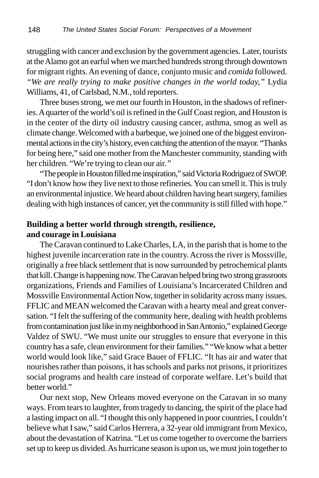struggling with cancer and exclusion by the government agencies. Later, tourists at the Alamo got an earful when we marched hundreds strong through downtown for migrant rights. An evening of dance, conjunto music and *comida* followed. *"We are really trying to make positive changes in the world today,"* Lydia Williams, 41, of Carlsbad, N.M., told reporters.

Three buses strong, we met our fourth in Houston, in the shadows of refineries. A quarter of the world's oil is refined in the Gulf Coast region, and Houston is in the center of the dirty oil industry causing cancer, asthma, smog as well as climate change. Welcomed with a barbeque, we joined one of the biggest environmental actions in the city's history, even catching the attention of the mayor. "Thanks for being here," said one mother from the Manchester community, standing with her children. "We're trying to clean our air.*"*

"The people in Houston filled me inspiration," said Victoria Rodriguez of SWOP. "I don't know how they live next to those refineries. You can smell it. This is truly an environmental injustice. We heard about children having heart surgery, families dealing with high instances of cancer, yet the community is still filled with hope."

## **Building a better world through strength, resilience, and courage in Louisiana**

The Caravan continued to Lake Charles, LA, in the parish that is home to the highest juvenile incarceration rate in the country. Across the river is Mossville, originally a free black settlement that is now surrounded by petrochemical plants that kill. Change is happening now. The Caravan helped bring two strong grassroots organizations, Friends and Families of Louisiana's Incarcerated Children and Mossville Environmental Action Now, together in solidarity across many issues. FFLIC and MEAN welcomed the Caravan with a hearty meal and great conversation. "I felt the suffering of the community here, dealing with health problems from contamination just like in my neighborhood in San Antonio," explained George Valdez of SWU. "We must unite our struggles to ensure that everyone in this country has a safe, clean environment for their families." "We know what a better world would look like," said Grace Bauer of FFLIC. "It has air and water that nourishes rather than poisons, it has schools and parks not prisons, it prioritizes social programs and health care instead of corporate welfare. Let's build that better world."

Our next stop, New Orleans moved everyone on the Caravan in so many ways. From tears to laughter, from tragedy to dancing, the spirit of the place had a lasting impact on all. "I thought this only happened in poor countries, I couldn't believe what I saw," said Carlos Herrera, a 32-year old immigrant from Mexico, about the devastation of Katrina. "Let us come together to overcome the barriers set up to keep us divided. As hurricane season is upon us, we must join together to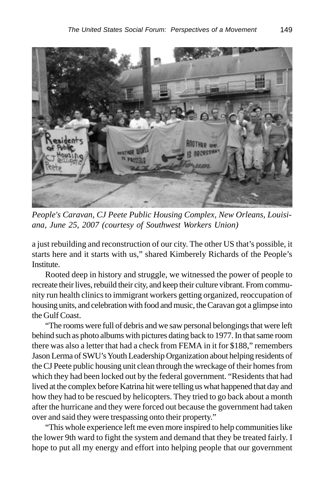

*People's Caravan, CJ Peete Public Housing Complex, New Orleans, Louisiana, June 25, 2007 (courtesy of Southwest Workers Union)*

a just rebuilding and reconstruction of our city. The other US that's possible, it starts here and it starts with us," shared Kimberely Richards of the People's Institute.

Rooted deep in history and struggle, we witnessed the power of people to recreate their lives, rebuild their city, and keep their culture vibrant. From community run health clinics to immigrant workers getting organized, reoccupation of housing units, and celebration with food and music, the Caravan got a glimpse into the Gulf Coast.

"The rooms were full of debris and we saw personal belongings that were left behind such as photo albums with pictures dating back to 1977. In that same room there was also a letter that had a check from FEMA in it for \$188," remembers Jason Lerma of SWU's Youth Leadership Organization about helping residents of the CJ Peete public housing unit clean through the wreckage of their homes from which they had been locked out by the federal government. "Residents that had lived at the complex before Katrina hit were telling us what happened that day and how they had to be rescued by helicopters. They tried to go back about a month after the hurricane and they were forced out because the government had taken over and said they were trespassing onto their property."

"This whole experience left me even more inspired to help communities like the lower 9th ward to fight the system and demand that they be treated fairly. I hope to put all my energy and effort into helping people that our government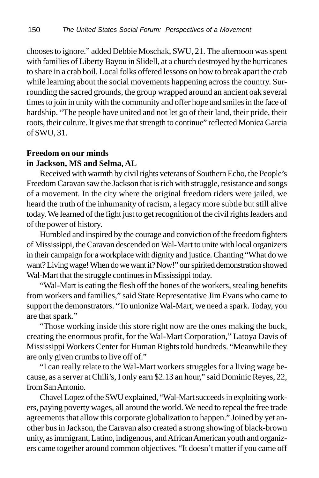chooses to ignore." added Debbie Moschak, SWU, 21. The afternoon was spent with families of Liberty Bayou in Slidell, at a church destroyed by the hurricanes to share in a crab boil. Local folks offered lessons on how to break apart the crab while learning about the social movements happening across the country. Surrounding the sacred grounds, the group wrapped around an ancient oak several times to join in unity with the community and offer hope and smiles in the face of hardship. "The people have united and not let go of their land, their pride, their roots, their culture. It gives me that strength to continue" reflected Monica Garcia of SWU, 31.

## **Freedom on our minds in Jackson, MS and Selma, AL**

Received with warmth by civil rights veterans of Southern Echo, the People's Freedom Caravan saw the Jackson that is rich with struggle, resistance and songs of a movement. In the city where the original freedom riders were jailed, we heard the truth of the inhumanity of racism, a legacy more subtle but still alive today. We learned of the fight just to get recognition of the civil rights leaders and of the power of history.

Humbled and inspired by the courage and conviction of the freedom fighters of Mississippi, the Caravan descended on Wal-Mart to unite with local organizers in their campaign for a workplace with dignity and justice. Chanting "What do we want? Living wage! When do we want it? Now!" our spirited demonstration showed Wal-Mart that the struggle continues in Mississippi today.

"Wal-Mart is eating the flesh off the bones of the workers, stealing benefits from workers and families," said State Representative Jim Evans who came to support the demonstrators. "To unionize Wal-Mart, we need a spark. Today, you are that spark."

"Those working inside this store right now are the ones making the buck, creating the enormous profit, for the Wal-Mart Corporation," Latoya Davis of Mississippi Workers Center for Human Rights told hundreds. "Meanwhile they are only given crumbs to live off of."

"I can really relate to the Wal-Mart workers struggles for a living wage because, as a server at Chili's, I only earn \$2.13 an hour," said Dominic Reyes, 22, from San Antonio.

Chavel Lopez of the SWU explained, "Wal-Mart succeeds in exploiting workers, paying poverty wages, all around the world. We need to repeal the free trade agreements that allow this corporate globalization to happen." Joined by yet another bus in Jackson, the Caravan also created a strong showing of black-brown unity, as immigrant, Latino, indigenous, and African American youth and organizers came together around common objectives. "It doesn't matter if you came off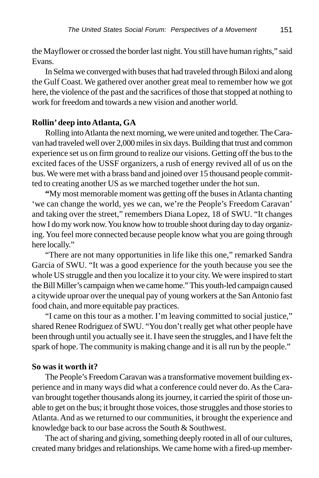the Mayflower or crossed the border last night. You still have human rights," said Evans.

In Selma we converged with buses that had traveled through Biloxi and along the Gulf Coast. We gathered over another great meal to remember how we got here, the violence of the past and the sacrifices of those that stopped at nothing to work for freedom and towards a new vision and another world.

### **Rollin' deep into Atlanta, GA**

Rolling into Atlanta the next morning, we were united and together. The Caravan had traveled well over 2,000 miles in six days. Building that trust and common experience set us on firm ground to realize our visions. Getting off the bus to the excited faces of the USSF organizers, a rush of energy revived all of us on the bus. We were met with a brass band and joined over 15 thousand people committed to creating another US as we marched together under the hot sun.

**"**My most memorable moment was getting off the buses in Atlanta chanting 'we can change the world, yes we can, we're the People's Freedom Caravan' and taking over the street," remembers Diana Lopez, 18 of SWU. "It changes how I do my work now. You know how to trouble shoot during day to day organizing. You feel more connected because people know what you are going through here locally."

"There are not many opportunities in life like this one," remarked Sandra Garcia of SWU. "It was a good experience for the youth because you see the whole US struggle and then you localize it to your city. We were inspired to start the Bill Miller's campaign when we came home." This youth-led campaign caused a citywide uproar over the unequal pay of young workers at the San Antonio fast food chain, and more equitable pay practices.

"I came on this tour as a mother. I'm leaving committed to social justice," shared Renee Rodriguez of SWU. "You don't really get what other people have been through until you actually see it. I have seen the struggles, and I have felt the spark of hope. The community is making change and it is all run by the people."

### **So was it worth it?**

The People's Freedom Caravan was a transformative movement building experience and in many ways did what a conference could never do. As the Caravan brought together thousands along its journey, it carried the spirit of those unable to get on the bus; it brought those voices, those struggles and those stories to Atlanta. And as we returned to our communities, it brought the experience and knowledge back to our base across the South & Southwest.

The act of sharing and giving, something deeply rooted in all of our cultures, created many bridges and relationships. We came home with a fired-up member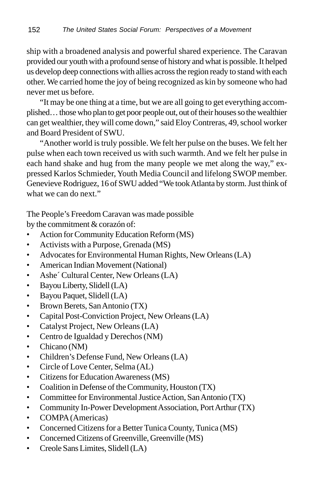ship with a broadened analysis and powerful shared experience. The Caravan provided our youth with a profound sense of history and what is possible. It helped us develop deep connections with allies across the region ready to stand with each other. We carried home the joy of being recognized as kin by someone who had never met us before.

"It may be one thing at a time, but we are all going to get everything accomplished… those who plan to get poor people out, out of their houses so the wealthier can get wealthier, they will come down," said Eloy Contreras, 49, school worker and Board President of SWU.

"Another world is truly possible. We felt her pulse on the buses. We felt her pulse when each town received us with such warmth. And we felt her pulse in each hand shake and hug from the many people we met along the way," expressed Karlos Schmieder, Youth Media Council and lifelong SWOP member. Genevieve Rodriguez, 16 of SWU added "We took Atlanta by storm. Just think of what we can do next."

The People's Freedom Caravan was made possible

by the commitment & corazón of:

- Action for Community Education Reform (MS)
- Activists with a Purpose, Grenada (MS)
- Advocates for Environmental Human Rights, New Orleans (LA)
- American Indian Movement (National)
- Ashe' Cultural Center, New Orleans (LA)
- Bayou Liberty, Slidell (LA)
- Bayou Paquet, Slidell (LA)
- Brown Berets, San Antonio (TX)
- Capital Post-Conviction Project, New Orleans (LA)
- Catalyst Project, New Orleans (LA)
- Centro de Igualdad y Derechos (NM)
- Chicano (NM)
- Children's Defense Fund, New Orleans (LA)
- Circle of Love Center, Selma (AL)
- Citizens for Education Awareness (MS)
- Coalition in Defense of the Community, Houston (TX)
- Committee for Environmental Justice Action, San Antonio (TX)
- Community In-Power Development Association, Port Arthur (TX)
- COMPA (Americas)
- Concerned Citizens for a Better Tunica County, Tunica (MS)
- Concerned Citizens of Greenville, Greenville (MS)
- Creole Sans Limites, Slidell (LA)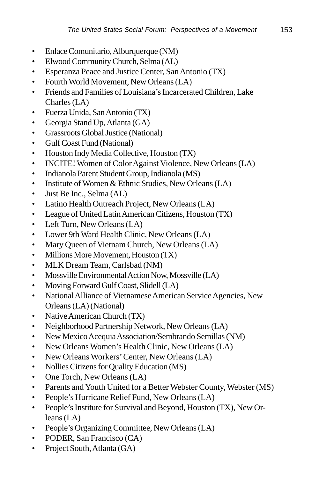- Enlace Comunitario, Alburquerque (NM)
- Elwood Community Church, Selma (AL)
- Esperanza Peace and Justice Center, San Antonio (TX)
- Fourth World Movement, New Orleans (LA)
- Friends and Families of Louisiana's Incarcerated Children, Lake Charles (LA)
- Fuerza Unida, San Antonio (TX)
- Georgia Stand Up, Atlanta (GA)
- Grassroots Global Justice (National)
- Gulf Coast Fund (National)
- Houston Indy Media Collective, Houston (TX)
- INCITE! Women of Color Against Violence, New Orleans (LA)
- Indianola Parent Student Group, Indianola (MS)
- Institute of Women & Ethnic Studies, New Orleans (LA)
- Just Be Inc., Selma (AL)
- Latino Health Outreach Project, New Orleans (LA)
- League of United Latin American Citizens, Houston (TX)
- Left Turn, New Orleans (LA)
- Lower 9th Ward Health Clinic, New Orleans (LA)
- Mary Queen of Vietnam Church, New Orleans (LA)
- Millions More Movement, Houston (TX)
- MLK Dream Team, Carlsbad (NM)
- Mossville Environmental Action Now, Mossville (LA)
- Moving Forward Gulf Coast, Slidell (LA)
- National Alliance of Vietnamese American Service Agencies, New Orleans (LA) (National)
- Native American Church (TX)
- Neighborhood Partnership Network, New Orleans (LA)
- New Mexico Acequia Association/Sembrando Semillas (NM)
- New Orleans Women's Health Clinic, New Orleans (LA)
- New Orleans Workers' Center, New Orleans (LA)
- Nollies Citizens for Quality Education (MS)
- One Torch, New Orleans (LA)
- Parents and Youth United for a Better Webster County, Webster (MS)
- People's Hurricane Relief Fund, New Orleans (LA)
- People's Institute for Survival and Beyond, Houston (TX), New Orleans (LA)
- People's Organizing Committee, New Orleans (LA)
- PODER, San Francisco (CA)
- Project South, Atlanta (GA)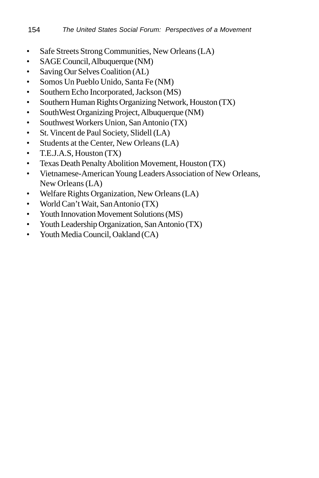- Safe Streets Strong Communities, New Orleans (LA)
- SAGE Council, Albuquerque (NM)
- Saving Our Selves Coalition (AL)
- Somos Un Pueblo Unido, Santa Fe (NM)
- Southern Echo Incorporated, Jackson (MS)
- Southern Human Rights Organizing Network, Houston (TX)
- SouthWest Organizing Project, Albuquerque (NM)
- Southwest Workers Union, San Antonio (TX)
- St. Vincent de Paul Society, Slidell (LA)
- Students at the Center, New Orleans (LA)
- T.E.J.A.S, Houston (TX)
- Texas Death Penalty Abolition Movement, Houston (TX)
- Vietnamese-American Young Leaders Association of New Orleans, New Orleans (LA)
- Welfare Rights Organization, New Orleans (LA)
- World Can't Wait, San Antonio (TX)
- Youth Innovation Movement Solutions (MS)
- Youth Leadership Organization, San Antonio (TX)
- Youth Media Council, Oakland (CA)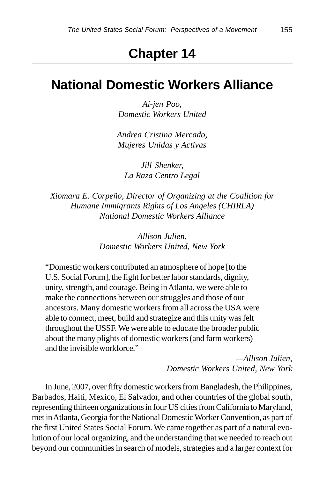# **Chapter 14**

# **National Domestic Workers Alliance**

*Ai-jen Poo, Domestic Workers United*

*Andrea Cristina Mercado, Mujeres Unidas y Activas*

*Jill Shenker, La Raza Centro Legal*

*Xiomara E. Corpeño, Director of Organizing at the Coalition for Humane Immigrants Rights of Los Angeles (CHIRLA) National Domestic Workers Alliance*

> *Allison Julien, Domestic Workers United, New York*

"Domestic workers contributed an atmosphere of hope [to the U.S. Social Forum], the fight for better labor standards, dignity, unity, strength, and courage. Being in Atlanta, we were able to make the connections between our struggles and those of our ancestors. Many domestic workers from all across the USA were able to connect, meet, build and strategize and this unity was felt throughout the USSF. We were able to educate the broader public about the many plights of domestic workers (and farm workers) and the invisible workforce."

> *—Allison Julien, Domestic Workers United, New York*

In June, 2007, over fifty domestic workers from Bangladesh, the Philippines, Barbados, Haiti, Mexico, El Salvador, and other countries of the global south, representing thirteen organizations in four US cities from California to Maryland, met in Atlanta, Georgia for the National Domestic Worker Convention, as part of the first United States Social Forum. We came together as part of a natural evolution of our local organizing, and the understanding that we needed to reach out beyond our communities in search of models, strategies and a larger context for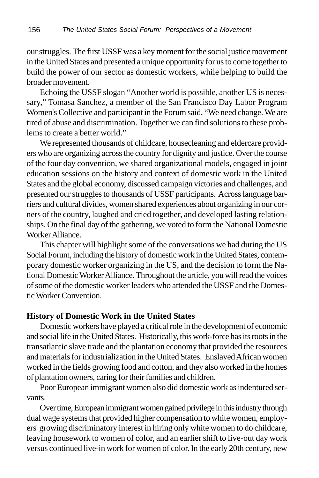our struggles. The first USSF was a key moment for the social justice movement in the United States and presented a unique opportunity for us to come together to build the power of our sector as domestic workers, while helping to build the broader movement.

Echoing the USSF slogan "Another world is possible, another US is necessary," Tomasa Sanchez, a member of the San Francisco Day Labor Program Women's Collective and participant in the Forum said, "We need change. We are tired of abuse and discrimination. Together we can find solutions to these problems to create a better world."

We represented thousands of childcare, housecleaning and eldercare providers who are organizing across the country for dignity and justice. Over the course of the four day convention, we shared organizational models, engaged in joint education sessions on the history and context of domestic work in the United States and the global economy, discussed campaign victories and challenges, and presented our struggles to thousands of USSF participants. Across language barriers and cultural divides, women shared experiences about organizing in our corners of the country, laughed and cried together, and developed lasting relationships. On the final day of the gathering, we voted to form the National Domestic Worker Alliance.

This chapter will highlight some of the conversations we had during the US Social Forum, including the history of domestic work in the United States, contemporary domestic worker organizing in the US, and the decision to form the National Domestic Worker Alliance. Throughout the article, you will read the voices of some of the domestic worker leaders who attended the USSF and the Domestic Worker Convention.

#### **History of Domestic Work in the United States**

Domestic workers have played a critical role in the development of economic and social life in the United States. Historically, this work-force has its roots in the transatlantic slave trade and the plantation economy that provided the resources and materials for industrialization in the United States. Enslaved African women worked in the fields growing food and cotton, and they also worked in the homes of plantation owners, caring for their families and children.

Poor European immigrant women also did domestic work as indentured servants.

Over time, European immigrant women gained privilege in this industry through dual wage systems that provided higher compensation to white women, employers' growing discriminatory interest in hiring only white women to do childcare, leaving housework to women of color, and an earlier shift to live-out day work versus continued live-in work for women of color. In the early 20th century, new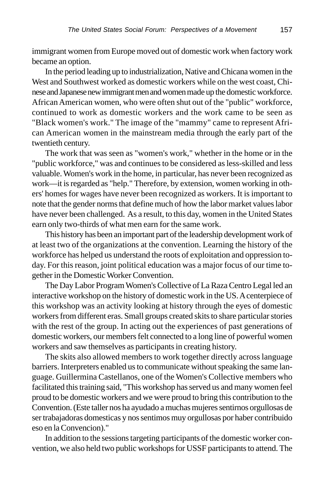immigrant women from Europe moved out of domestic work when factory work became an option.

In the period leading up to industrialization, Native and Chicana women in the West and Southwest worked as domestic workers while on the west coast, Chinese and Japanese new immigrant men and women made up the domestic workforce. African American women, who were often shut out of the "public" workforce, continued to work as domestic workers and the work came to be seen as "Black women's work." The image of the "mammy" came to represent African American women in the mainstream media through the early part of the twentieth century.

The work that was seen as "women's work," whether in the home or in the "public workforce," was and continues to be considered as less-skilled and less valuable. Women's work in the home, in particular, has never been recognized as work—it is regarded as "help." Therefore, by extension, women working in others' homes for wages have never been recognized as workers. It is important to note that the gender norms that define much of how the labor market values labor have never been challenged. As a result, to this day, women in the United States earn only two-thirds of what men earn for the same work.

This history has been an important part of the leadership development work of at least two of the organizations at the convention. Learning the history of the workforce has helped us understand the roots of exploitation and oppression today. For this reason, joint political education was a major focus of our time together in the Domestic Worker Convention.

The Day Labor Program Women's Collective of La Raza Centro Legal led an interactive workshop on the history of domestic work in the US. A centerpiece of this workshop was an activity looking at history through the eyes of domestic workers from different eras. Small groups created skits to share particular stories with the rest of the group. In acting out the experiences of past generations of domestic workers, our members felt connected to a long line of powerful women workers and saw themselves as participants in creating history.

The skits also allowed members to work together directly across language barriers. Interpreters enabled us to communicate without speaking the same language. Guillermina Castellanos, one of the Women's Collective members who facilitated this training said, "This workshop has served us and many women feel proud to be domestic workers and we were proud to bring this contribution to the Convention. (Este taller nos ha ayudado a muchas mujeres sentirnos orgullosas de ser trabajadoras domesticas y nos sentimos muy orgullosas por haber contribuido eso en la Convencion)."

In addition to the sessions targeting participants of the domestic worker convention, we also held two public workshops for USSF participants to attend. The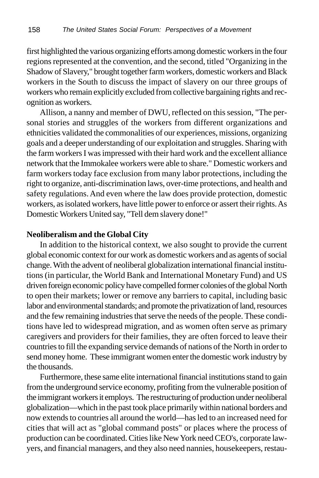first highlighted the various organizing efforts among domestic workers in the four regions represented at the convention, and the second, titled "Organizing in the Shadow of Slavery," brought together farm workers, domestic workers and Black workers in the South to discuss the impact of slavery on our three groups of workers who remain explicitly excluded from collective bargaining rights and recognition as workers.

Allison, a nanny and member of DWU, reflected on this session, "The personal stories and struggles of the workers from different organizations and ethnicities validated the commonalities of our experiences, missions, organizing goals and a deeper understanding of our exploitation and struggles. Sharing with the farm workers I was impressed with their hard work and the excellent alliance network that the Immokalee workers were able to share." Domestic workers and farm workers today face exclusion from many labor protections, including the right to organize, anti-discrimination laws, over-time protections, and health and safety regulations. And even where the law does provide protection, domestic workers, as isolated workers, have little power to enforce or assert their rights. As Domestic Workers United say, "Tell dem slavery done!"

### **Neoliberalism and the Global City**

In addition to the historical context, we also sought to provide the current global economic context for our work as domestic workers and as agents of social change. With the advent of neoliberal globalization international financial institutions (in particular, the World Bank and International Monetary Fund) and US driven foreign economic policy have compelled former colonies of the global North to open their markets; lower or remove any barriers to capital, including basic labor and environmental standards; and promote the privatization of land, resources and the few remaining industries that serve the needs of the people. These conditions have led to widespread migration, and as women often serve as primary caregivers and providers for their families, they are often forced to leave their countries to fill the expanding service demands of nations of the North in order to send money home. These immigrant women enter the domestic work industry by the thousands.

Furthermore, these same elite international financial institutions stand to gain from the underground service economy, profiting from the vulnerable position of the immigrant workers it employs. The restructuring of production under neoliberal globalization—which in the past took place primarily within national borders and now extends to countries all around the world—has led to an increased need for cities that will act as "global command posts" or places where the process of production can be coordinated. Cities like New York need CEO's, corporate lawyers, and financial managers, and they also need nannies, housekeepers, restau-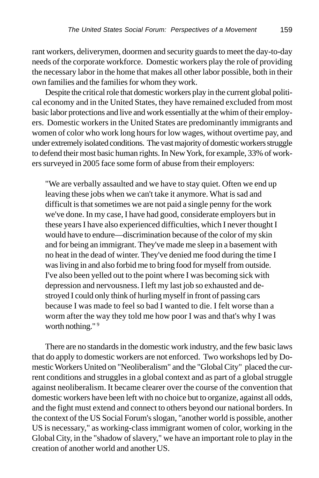rant workers, deliverymen, doormen and security guards to meet the day-to-day needs of the corporate workforce. Domestic workers play the role of providing the necessary labor in the home that makes all other labor possible, both in their own families and the families for whom they work.

Despite the critical role that domestic workers play in the current global political economy and in the United States, they have remained excluded from most basic labor protections and live and work essentially at the whim of their employers. Domestic workers in the United States are predominantly immigrants and women of color who work long hours for low wages, without overtime pay, and under extremely isolated conditions. The vast majority of domestic workers struggle to defend their most basic human rights. In New York, for example, 33% of workers surveyed in 2005 face some form of abuse from their employers:

"We are verbally assaulted and we have to stay quiet. Often we end up leaving these jobs when we can't take it anymore. What is sad and difficult is that sometimes we are not paid a single penny for the work we've done. In my case, I have had good, considerate employers but in these years I have also experienced difficulties, which I never thought I would have to endure—discrimination because of the color of my skin and for being an immigrant. They've made me sleep in a basement with no heat in the dead of winter. They've denied me food during the time I was living in and also forbid me to bring food for myself from outside. I've also been yelled out to the point where I was becoming sick with depression and nervousness. I left my last job so exhausted and destroyed I could only think of hurling myself in front of passing cars because I was made to feel so bad I wanted to die. I felt worse than a worm after the way they told me how poor I was and that's why I was worth nothing."<sup>9</sup>

There are no standards in the domestic work industry, and the few basic laws that do apply to domestic workers are not enforced. Two workshops led by Domestic Workers United on "Neoliberalism" and the "Global City" placed the current conditions and struggles in a global context and as part of a global struggle against neoliberalism. It became clearer over the course of the convention that domestic workers have been left with no choice but to organize, against all odds, and the fight must extend and connect to others beyond our national borders. In the context of the US Social Forum's slogan, "another world is possible, another US is necessary," as working-class immigrant women of color, working in the Global City, in the "shadow of slavery," we have an important role to play in the creation of another world and another US.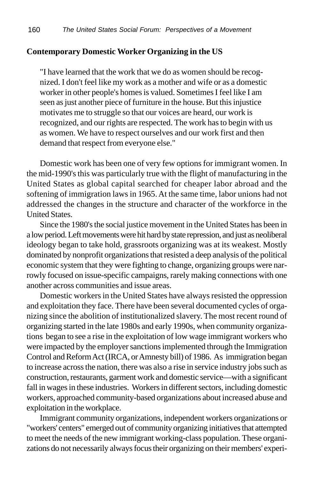### **Contemporary Domestic Worker Organizing in the US**

"I have learned that the work that we do as women should be recognized. I don't feel like my work as a mother and wife or as a domestic worker in other people's homes is valued. Sometimes I feel like I am seen as just another piece of furniture in the house. But this injustice motivates me to struggle so that our voices are heard, our work is recognized, and our rights are respected. The work has to begin with us as women. We have to respect ourselves and our work first and then demand that respect from everyone else."

Domestic work has been one of very few options for immigrant women. In the mid-1990's this was particularly true with the flight of manufacturing in the United States as global capital searched for cheaper labor abroad and the softening of immigration laws in 1965. At the same time, labor unions had not addressed the changes in the structure and character of the workforce in the United States.

Since the 1980's the social justice movement in the United States has been in a low period. Left movements were hit hard by state repression, and just as neoliberal ideology began to take hold, grassroots organizing was at its weakest. Mostly dominated by nonprofit organizations that resisted a deep analysis of the political economic system that they were fighting to change, organizing groups were narrowly focused on issue-specific campaigns, rarely making connections with one another across communities and issue areas.

Domestic workers in the United States have always resisted the oppression and exploitation they face. There have been several documented cycles of organizing since the abolition of institutionalized slavery. The most recent round of organizing started in the late 1980s and early 1990s, when community organizations began to see a rise in the exploitation of low wage immigrant workers who were impacted by the employer sanctions implemented through the Immigration Control and Reform Act (IRCA, or Amnesty bill) of 1986. As immigration began to increase across the nation, there was also a rise in service industry jobs such as construction, restaurants, garment work and domestic service—with a significant fall in wages in these industries. Workers in different sectors, including domestic workers, approached community-based organizations about increased abuse and exploitation in the workplace.

Immigrant community organizations, independent workers organizations or "workers' centers" emerged out of community organizing initiatives that attempted to meet the needs of the new immigrant working-class population. These organizations do not necessarily always focus their organizing on their members' experi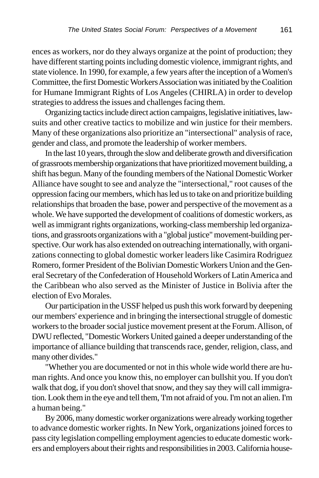ences as workers, nor do they always organize at the point of production; they have different starting points including domestic violence, immigrant rights, and state violence. In 1990, for example, a few years after the inception of a Women's Committee, the first Domestic Workers Association was initiated by the Coalition for Humane Immigrant Rights of Los Angeles (CHIRLA) in order to develop strategies to address the issues and challenges facing them.

Organizing tactics include direct action campaigns, legislative initiatives, lawsuits and other creative tactics to mobilize and win justice for their members. Many of these organizations also prioritize an "intersectional" analysis of race, gender and class, and promote the leadership of worker members.

In the last 10 years, through the slow and deliberate growth and diversification of grassroots membership organizations that have prioritized movement building, a shift has begun. Many of the founding members of the National Domestic Worker Alliance have sought to see and analyze the "intersectional," root causes of the oppression facing our members, which has led us to take on and prioritize building relationships that broaden the base, power and perspective of the movement as a whole. We have supported the development of coalitions of domestic workers, as well as immigrant rights organizations, working-class membership led organizations, and grassroots organizations with a "global justice" movement-building perspective. Our work has also extended on outreaching internationally, with organizations connecting to global domestic worker leaders like Casimira Rodriguez Romero, former President of the Bolivian Domestic Workers Union and the General Secretary of the Confederation of Household Workers of Latin America and the Caribbean who also served as the Minister of Justice in Bolivia after the election of Evo Morales.

Our participation in the USSF helped us push this work forward by deepening our members' experience and in bringing the intersectional struggle of domestic workers to the broader social justice movement present at the Forum. Allison, of DWU reflected, "Domestic Workers United gained a deeper understanding of the importance of alliance building that transcends race, gender, religion, class, and many other divides."

"Whether you are documented or not in this whole wide world there are human rights. And once you know this, no employer can bullshit you. If you don't walk that dog, if you don't shovel that snow, and they say they will call immigration. Look them in the eye and tell them, 'I'm not afraid of you. I'm not an alien. I'm a human being."

By 2006, many domestic worker organizations were already working together to advance domestic worker rights. In New York, organizations joined forces to pass city legislation compelling employment agencies to educate domestic workers and employers about their rights and responsibilities in 2003. California house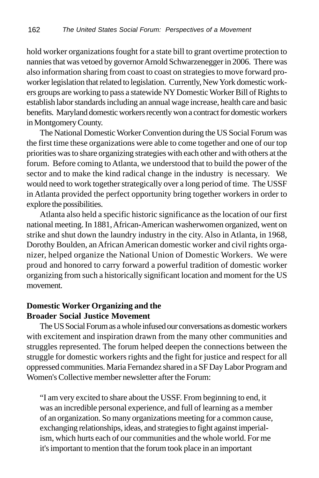hold worker organizations fought for a state bill to grant overtime protection to nannies that was vetoed by governor Arnold Schwarzenegger in 2006. There was also information sharing from coast to coast on strategies to move forward proworker legislation that related to legislation. Currently, New York domestic workers groups are working to pass a statewide NY Domestic Worker Bill of Rights to establish labor standards including an annual wage increase, health care and basic benefits. Maryland domestic workers recently won a contract for domestic workers in Montgomery County.

The National Domestic Worker Convention during the US Social Forum was the first time these organizations were able to come together and one of our top priorities was to share organizing strategies with each other and with others at the forum. Before coming to Atlanta, we understood that to build the power of the sector and to make the kind radical change in the industry is necessary. We would need to work together strategically over a long period of time. The USSF in Atlanta provided the perfect opportunity bring together workers in order to explore the possibilities.

Atlanta also held a specific historic significance as the location of our first national meeting. In 1881, African-American washerwomen organized, went on strike and shut down the laundry industry in the city. Also in Atlanta, in 1968, Dorothy Boulden, an African American domestic worker and civil rights organizer, helped organize the National Union of Domestic Workers. We were proud and honored to carry forward a powerful tradition of domestic worker organizing from such a historically significant location and moment for the US movement.

### **Domestic Worker Organizing and the Broader Social Justice Movement**

The US Social Forum as a whole infused our conversations as domestic workers with excitement and inspiration drawn from the many other communities and struggles represented. The forum helped deepen the connections between the struggle for domestic workers rights and the fight for justice and respect for all oppressed communities. Maria Fernandez shared in a SF Day Labor Program and Women's Collective member newsletter after the Forum:

"I am very excited to share about the USSF. From beginning to end, it was an incredible personal experience, and full of learning as a member of an organization. So many organizations meeting for a common cause, exchanging relationships, ideas, and strategies to fight against imperialism, which hurts each of our communities and the whole world. For me it's important to mention that the forum took place in an important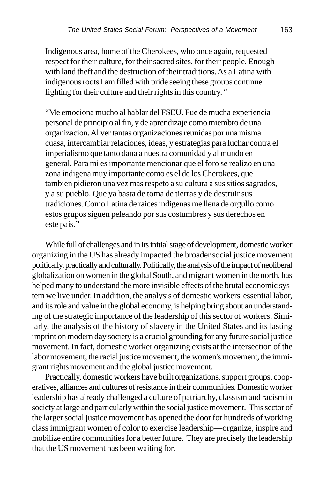Indigenous area, home of the Cherokees, who once again, requested respect for their culture, for their sacred sites, for their people. Enough with land theft and the destruction of their traditions. As a Latina with indigenous roots I am filled with pride seeing these groups continue fighting for their culture and their rights in this country. "

"Me emociona mucho al hablar del FSEU. Fue de mucha experiencia personal de principio al fin, y de aprendizaje como miembro de una organizacion. Al ver tantas organizaciones reunidas por una misma cuasa, intercambiar relaciones, ideas, y estrategias para luchar contra el imperialismo que tanto dana a nuestra comunidad y al mundo en general. Para mi es importante mencionar que el foro se realizo en una zona indigena muy importante como es el de los Cherokees, que tambien pidieron una vez mas respeto a su cultura a sus sitios sagrados, y a su pueblo. Que ya basta de toma de tierras y de destruir sus tradiciones. Como Latina de raices indigenas me llena de orgullo como estos grupos siguen peleando por sus costumbres y sus derechos en este pais."

While full of challenges and in its initial stage of development, domestic worker organizing in the US has already impacted the broader social justice movement politically, practically and culturally. Politically, the analysis of the impact of neoliberal globalization on women in the global South, and migrant women in the north, has helped many to understand the more invisible effects of the brutal economic system we live under. In addition, the analysis of domestic workers' essential labor, and its role and value in the global economy, is helping bring about an understanding of the strategic importance of the leadership of this sector of workers. Similarly, the analysis of the history of slavery in the United States and its lasting imprint on modern day society is a crucial grounding for any future social justice movement. In fact, domestic worker organizing exists at the intersection of the labor movement, the racial justice movement, the women's movement, the immigrant rights movement and the global justice movement.

Practically, domestic workers have built organizations, support groups, cooperatives, alliances and cultures of resistance in their communities. Domestic worker leadership has already challenged a culture of patriarchy, classism and racism in society at large and particularly within the social justice movement. This sector of the larger social justice movement has opened the door for hundreds of working class immigrant women of color to exercise leadership—organize, inspire and mobilize entire communities for a better future. They are precisely the leadership that the US movement has been waiting for.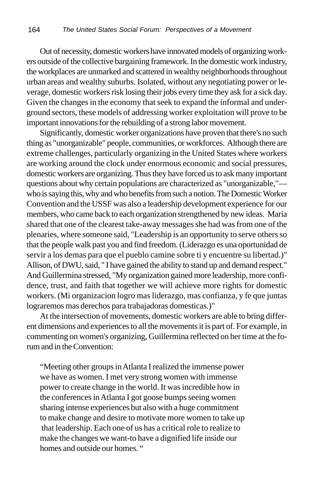Out of necessity, domestic workers have innovated models of organizing workers outside of the collective bargaining framework. In the domestic work industry, the workplaces are unmarked and scattered in wealthy neighborhoods throughout urban areas and wealthy suburbs. Isolated, without any negotiating power or leverage, domestic workers risk losing their jobs every time they ask for a sick day. Given the changes in the economy that seek to expand the informal and underground sectors, these models of addressing worker exploitation will prove to be important innovations for the rebuilding of a strong labor movement.

Significantly, domestic worker organizations have proven that there's no such thing as "unorganizable" people, communities, or workforces. Although there are extreme challenges, particularly organizing in the United States where workers are working around the clock under enormous economic and social pressures, domestic workers are organizing. Thus they have forced us to ask many important questions about why certain populations are characterized as "unorganizable," who is saying this, why and who benefits from such a notion. The Domestic Worker Convention and the USSF was also a leadership development experience for our members, who came back to each organization strengthened by new ideas. Maria shared that one of the clearest take-away messages she had was from one of the plenaries, where someone said, "Leadership is an opportunity to serve others so that the people walk past you and find freedom. (Liderazgo es una oportunidad de servir a los demas para que el pueblo camine sobre ti y encuentre su libertad.)" Allison, of DWU, said, " I have gained the ability to stand up and demand respect." And Guillermina stressed, "My organization gained more leadership, more confidence, trust, and faith that together we will achieve more rights for domestic workers. (Mi organizacion logro mas liderazgo, mas confianza, y fe que juntas lograremos mas derechos para trabajadoras domesticas.)"

At the intersection of movements, domestic workers are able to bring different dimensions and experiences to all the movements it is part of. For example, in commenting on women's organizing, Guillermina reflected on her time at the forum and in the Convention:

"Meeting other groups in Atlanta I realized the immense power we have as women. I met very strong women with immense power to create change in the world. It was incredible how in the conferences in Atlanta I got goose bumps seeing women sharing intense experiences but also with a huge commitment to make change and desire to motivate more women to take up that leadership. Each one of us has a critical role to realize to make the changes we want-to have a dignified life inside our homes and outside our homes. "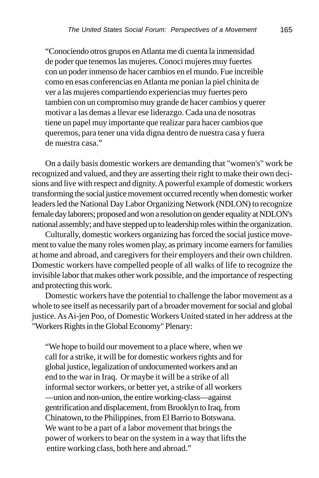"Conociendo otros grupos en Atlanta me di cuenta la inmensidad de poder que tenemos las mujeres. Conoci mujeres muy fuertes con un poder inmenso de hacer cambios en el mundo. Fue increible como en esas conferencias en Atlanta me ponian la piel chinita de ver a las mujeres compartiendo experiencias muy fuertes pero tambien con un compromiso muy grande de hacer cambios y querer motivar a las demas a llevar ese liderazgo. Cada una de nosotras tiene un papel muy importante que realizar para hacer cambios que queremos, para tener una vida digna dentro de nuestra casa y fuera de nuestra casa"

On a daily basis domestic workers are demanding that "women's" work be recognized and valued, and they are asserting their right to make their own decisions and live with respect and dignity. A powerful example of domestic workers transforming the social justice movement occurred recently when domestic worker leaders led the National Day Labor Organizing Network (NDLON) to recognize female day laborers; proposed and won a resolution on gender equality at NDLON's national assembly; and have stepped up to leadership roles within the organization.

Culturally, domestic workers organizing has forced the social justice movement to value the many roles women play, as primary income earners for families at home and abroad, and caregivers for their employers and their own children. Domestic workers have compelled people of all walks of life to recognize the invisible labor that makes other work possible, and the importance of respecting and protecting this work.

Domestic workers have the potential to challenge the labor movement as a whole to see itself as necessarily part of a broader movement for social and global justice. As Ai-jen Poo, of Domestic Workers United stated in her address at the "Workers Rights in the Global Economy" Plenary:

"We hope to build our movement to a place where, when we call for a strike, it will be for domestic workers rights and for global justice, legalization of undocumented workers and an end to the war in Iraq. Or maybe it will be a strike of all informal sector workers, or better yet, a strike of all workers —union and non-union, the entire working-class—against gentrification and displacement, from Brooklyn to Iraq, from Chinatown, to the Philippines, from El Barrio to Botswana. We want to be a part of a labor movement that brings the power of workers to bear on the system in a way that lifts the entire working class, both here and abroad."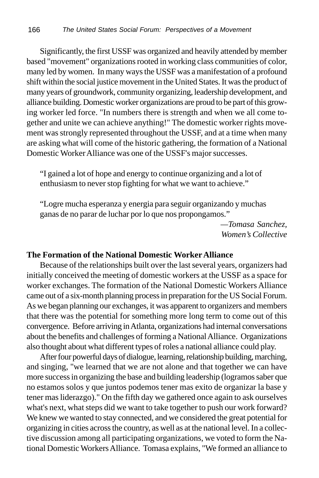Significantly, the first USSF was organized and heavily attended by member based "movement" organizations rooted in working class communities of color, many led by women. In many ways the USSF was a manifestation of a profound shift within the social justice movement in the United States. It was the product of many years of groundwork, community organizing, leadership development, and alliance building. Domestic worker organizations are proud to be part of this growing worker led force. "In numbers there is strength and when we all come together and unite we can achieve anything!" The domestic worker rights movement was strongly represented throughout the USSF, and at a time when many are asking what will come of the historic gathering, the formation of a National Domestic Worker Alliance was one of the USSF's major successes.

"I gained a lot of hope and energy to continue organizing and a lot of enthusiasm to never stop fighting for what we want to achieve."

"Logre mucha esperanza y energia para seguir organizando y muchas ganas de no parar de luchar por lo que nos propongamos."

> *—Tomasa Sanchez, Women's Collective*

## **The Formation of the National Domestic Worker Alliance**

Because of the relationships built over the last several years, organizers had initially conceived the meeting of domestic workers at the USSF as a space for worker exchanges. The formation of the National Domestic Workers Alliance came out of a six-month planning process in preparation for the US Social Forum. As we began planning our exchanges, it was apparent to organizers and members that there was the potential for something more long term to come out of this convergence. Before arriving in Atlanta, organizations had internal conversations about the benefits and challenges of forming a National Alliance. Organizations also thought about what different types of roles a national alliance could play.

After four powerful days of dialogue, learning, relationship building, marching, and singing, "we learned that we are not alone and that together we can have more success in organizing the base and building leadership (logramos saber que no estamos solos y que juntos podemos tener mas exito de organizar la base y tener mas liderazgo)." On the fifth day we gathered once again to ask ourselves what's next, what steps did we want to take together to push our work forward? We knew we wanted to stay connected, and we considered the great potential for organizing in cities across the country, as well as at the national level. In a collective discussion among all participating organizations, we voted to form the National Domestic Workers Alliance. Tomasa explains, "We formed an alliance to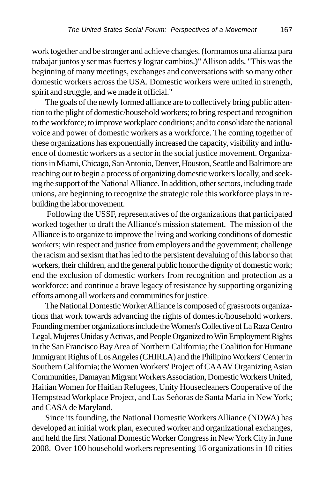work together and be stronger and achieve changes. (formamos una alianza para trabajar juntos y ser mas fuertes y lograr cambios.)" Allison adds, "This was the beginning of many meetings, exchanges and conversations with so many other domestic workers across the USA. Domestic workers were united in strength, spirit and struggle, and we made it official."

The goals of the newly formed alliance are to collectively bring public attention to the plight of domestic/household workers; to bring respect and recognition to the workforce; to improve workplace conditions; and to consolidate the national voice and power of domestic workers as a workforce. The coming together of these organizations has exponentially increased the capacity, visibility and influence of domestic workers as a sector in the social justice movement. Organizations in Miami, Chicago, San Antonio, Denver, Houston, Seattle and Baltimore are reaching out to begin a process of organizing domestic workers locally, and seeking the support of the National Alliance. In addition, other sectors, including trade unions, are beginning to recognize the strategic role this workforce plays in rebuilding the labor movement.

 Following the USSF, representatives of the organizations that participated worked together to draft the Alliance's mission statement. The mission of the Alliance is to organize to improve the living and working conditions of domestic workers; win respect and justice from employers and the government; challenge the racism and sexism that has led to the persistent devaluing of this labor so that workers, their children, and the general public honor the dignity of domestic work; end the exclusion of domestic workers from recognition and protection as a workforce; and continue a brave legacy of resistance by supporting organizing efforts among all workers and communities for justice.

The National Domestic Worker Alliance is composed of grassroots organizations that work towards advancing the rights of domestic/household workers. Founding member organizations include the Women's Collective of La Raza Centro Legal, Mujeres Unidas y Activas, and People Organized to Win Employment Rights in the San Francisco Bay Area of Northern California; the Coalition for Humane Immigrant Rights of Los Angeles (CHIRLA) and the Philipino Workers' Center in Southern California; the Women Workers' Project of CAAAV Organizing Asian Communities, Damayan Migrant Workers Association, Domestic Workers United, Haitian Women for Haitian Refugees, Unity Housecleaners Cooperative of the Hempstead Workplace Project, and Las Señoras de Santa Maria in New York; and CASA de Maryland.

Since its founding, the National Domestic Workers Alliance (NDWA) has developed an initial work plan, executed worker and organizational exchanges, and held the first National Domestic Worker Congress in New York City in June 2008. Over 100 household workers representing 16 organizations in 10 cities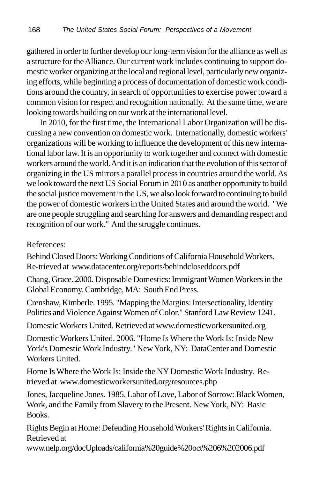gathered in order to further develop our long-term vision for the alliance as well as a structure for the Alliance. Our current work includes continuing to support domestic worker organizing at the local and regional level, particularly new organizing efforts, while beginning a process of documentation of domestic work conditions around the country, in search of opportunities to exercise power toward a common vision for respect and recognition nationally. At the same time, we are looking towards building on our work at the international level.

In 2010, for the first time, the International Labor Organization will be discussing a new convention on domestic work. Internationally, domestic workers' organizations will be working to influence the development of this new international labor law. It is an opportunity to work together and connect with domestic workers around the world. And it is an indication that the evolution of this sector of organizing in the US mirrors a parallel process in countries around the world. As we look toward the next US Social Forum in 2010 as another opportunity to build the social justice movement in the US, we also look forward to continuing to build the power of domestic workers in the United States and around the world. "We are one people struggling and searching for answers and demanding respect and recognition of our work." And the struggle continues.

#### References:

Behind Closed Doors: Working Conditions of California Household Workers. Re-trieved at www.datacenter.org/reports/behindcloseddoors.pdf

Chang, Grace. 2000. Disposable Domestics: Immigrant Women Workers in the Global Economy. Cambridge, MA: South End Press.

Crenshaw, Kimberle. 1995. "Mapping the Margins: Intersectionality, Identity Politics and Violence Against Women of Color." Stanford Law Review 1241.

Domestic Workers United. Retrieved at www.domesticworkersunited.org

Domestic Workers United. 2006. "Home Is Where the Work Is: Inside New York's Domestic Work Industry." New York, NY: DataCenter and Domestic Workers United.

Home Is Where the Work Is: Inside the NY Domestic Work Industry. Retrieved at www.domesticworkersunited.org/resources.php

Jones, Jacqueline Jones. 1985. Labor of Love, Labor of Sorrow: Black Women, Work, and the Family from Slavery to the Present. New York, NY: Basic Books.

Rights Begin at Home: Defending Household Workers' Rights in California. Retrieved at

www.nelp.org/docUploads/california%20guide%20oct%206%202006.pdf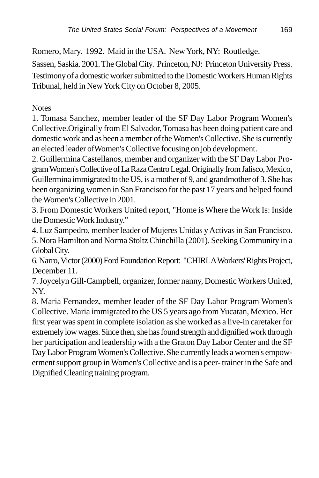Romero, Mary. 1992. Maid in the USA. New York, NY: Routledge.

Sassen, Saskia. 2001. The Global City. Princeton, NJ: Princeton University Press. Testimony of a domestic worker submitted to the Domestic Workers Human Rights Tribunal, held in New York City on October 8, 2005.

**Notes** 

1. Tomasa Sanchez, member leader of the SF Day Labor Program Women's Collective.Originally from El Salvador, Tomasa has been doing patient care and domestic work and as been a member of the Women's Collective. She is currently an elected leader ofWomen's Collective focusing on job development.

2. Guillermina Castellanos, member and organizer with the SF Day Labor Program Women's Collective of La Raza Centro Legal. Originally from Jalisco, Mexico, Guillermina immigrated to the US, is a mother of 9, and grandmother of 3. She has been organizing women in San Francisco for the past 17 years and helped found the Women's Collective in 2001.

3. From Domestic Workers United report, "Home is Where the Work Is: Inside the Domestic Work Industry."

4. Luz Sampedro, member leader of Mujeres Unidas y Activas in San Francisco.

5. Nora Hamilton and Norma Stoltz Chinchilla (2001). Seeking Community in a Global City.

6. Narro, Victor (2000) Ford Foundation Report: "CHIRLA Workers' Rights Project, December 11.

7. Joycelyn Gill-Campbell, organizer, former nanny, Domestic Workers United, NY.

8. Maria Fernandez, member leader of the SF Day Labor Program Women's Collective. Maria immigrated to the US 5 years ago from Yucatan, Mexico. Her first year was spent in complete isolation as she worked as a live-in caretaker for extremely low wages. Since then, she has found strength and dignified work through her participation and leadership with a the Graton Day Labor Center and the SF Day Labor Program Women's Collective. She currently leads a women's empowerment support group in Women's Collective and is a peer- trainer in the Safe and Dignified Cleaning training program.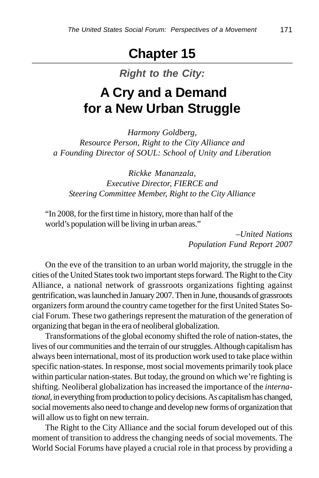## **Chapter 15**

*Right to the City:*

# **A Cry and a Demand for a New Urban Struggle**

*Harmony Goldberg, Resource Person, Right to the City Alliance and a Founding Director of SOUL: School of Unity and Liberation*

*Rickke Mananzala, Executive Director, FIERCE and Steering Committee Member, Right to the City Alliance*

"In 2008, for the first time in history, more than half of the world's population will be living in urban areas."

> *–United Nations Population Fund Report 2007*

On the eve of the transition to an urban world majority, the struggle in the cities of the United States took two important steps forward. The Right to the City Alliance, a national network of grassroots organizations fighting against gentrification, was launched in January 2007. Then in June, thousands of grassroots organizers form around the country came together for the first United States Social Forum. These two gatherings represent the maturation of the generation of organizing that began in the era of neoliberal globalization.

Transformations of the global economy shifted the role of nation-states, the lives of our communities and the terrain of our struggles. Although capitalism has always been international, most of its production work used to take place within specific nation-states. In response, most social movements primarily took place within particular nation-states. But today, the ground on which we're fighting is shifting. Neoliberal globalization has increased the importance of the *international*, in everything from production to policy decisions. As capitalism has changed, social movements also need to change and develop new forms of organization that will allow us to fight on new terrain.

The Right to the City Alliance and the social forum developed out of this moment of transition to address the changing needs of social movements. The World Social Forums have played a crucial role in that process by providing a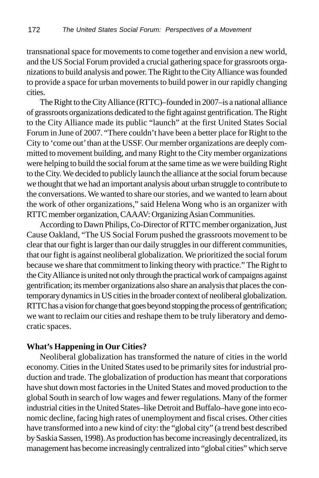transnational space for movements to come together and envision a new world, and the US Social Forum provided a crucial gathering space for grassroots organizations to build analysis and power. The Right to the City Alliance was founded to provide a space for urban movements to build power in our rapidly changing cities.

The Right to the City Alliance (RTTC)–founded in 2007–is a national alliance of grassroots organizations dedicated to the fight against gentrification. The Right to the City Alliance made its public "launch" at the first United States Social Forum in June of 2007. "There couldn't have been a better place for Right to the City to 'come out' than at the USSF. Our member organizations are deeply committed to movement building, and many Right to the City member organizations were helping to build the social forum at the same time as we were building Right to the City. We decided to publicly launch the alliance at the social forum because we thought that we had an important analysis about urban struggle to contribute to the conversations. We wanted to share our stories, and we wanted to learn about the work of other organizations," said Helena Wong who is an organizer with RTTC member organization, CAAAV: Organizing Asian Communities.

According to Dawn Philips, Co-Director of RTTC member organization, Just Cause Oakland, "The US Social Forum pushed the grassroots movement to be clear that our fight is larger than our daily struggles in our different communities, that our fight is against neoliberal globalization. We prioritized the social forum because we share that commitment to linking theory with practice." The Right to the City Alliance is united not only through the practical work of campaigns against gentrification; its member organizations also share an analysis that places the contemporary dynamics in US cities in the broader context of neoliberal globalization. RTTC has a vision for change that goes beyond stopping the process of gentrification; we want to reclaim our cities and reshape them to be truly liberatory and democratic spaces.

#### **What's Happening in Our Cities?**

Neoliberal globalization has transformed the nature of cities in the world economy. Cities in the United States used to be primarily sites for industrial production and trade. The globalization of production has meant that corporations have shut down most factories in the United States and moved production to the global South in search of low wages and fewer regulations. Many of the former industrial cities in the United States–like Detroit and Buffalo–have gone into economic decline, facing high rates of unemployment and fiscal crises. Other cities have transformed into a new kind of city: the "global city" (a trend best described by Saskia Sassen, 1998). As production has become increasingly decentralized, its management has become increasingly centralized into "global cities" which serve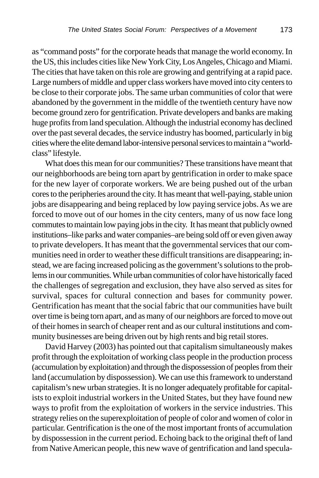as "command posts" for the corporate heads that manage the world economy. In the US, this includes cities like New York City, Los Angeles, Chicago and Miami. The cities that have taken on this role are growing and gentrifying at a rapid pace. Large numbers of middle and upper class workers have moved into city centers to be close to their corporate jobs. The same urban communities of color that were abandoned by the government in the middle of the twentieth century have now become ground zero for gentrification. Private developers and banks are making huge profits from land speculation. Although the industrial economy has declined over the past several decades, the service industry has boomed, particularly in big cities where the elite demand labor-intensive personal services to maintain a "worldclass" lifestyle.

What does this mean for our communities? These transitions have meant that our neighborhoods are being torn apart by gentrification in order to make space for the new layer of corporate workers. We are being pushed out of the urban cores to the peripheries around the city. It has meant that well-paying, stable union jobs are disappearing and being replaced by low paying service jobs. As we are forced to move out of our homes in the city centers, many of us now face long commutes to maintain low paying jobs in the city. It has meant that publicly owned institutions–like parks and water companies–are being sold off or even given away to private developers. It has meant that the governmental services that our communities need in order to weather these difficult transitions are disappearing; instead, we are facing increased policing as the government's solutions to the problems in our communities. While urban communities of color have historically faced the challenges of segregation and exclusion, they have also served as sites for survival, spaces for cultural connection and bases for community power. Gentrification has meant that the social fabric that our communities have built over time is being torn apart, and as many of our neighbors are forced to move out of their homes in search of cheaper rent and as our cultural institutions and community businesses are being driven out by high rents and big retail stores.

David Harvey (2003) has pointed out that capitalism simultaneously makes profit through the exploitation of working class people in the production process (accumulation by exploitation) and through the dispossession of peoples from their land (accumulation by dispossession). We can use this framework to understand capitalism's new urban strategies. It is no longer adequately profitable for capitalists to exploit industrial workers in the United States, but they have found new ways to profit from the exploitation of workers in the service industries. This strategy relies on the superexploitation of people of color and women of color in particular. Gentrification is the one of the most important fronts of accumulation by dispossession in the current period. Echoing back to the original theft of land from Native American people, this new wave of gentrification and land specula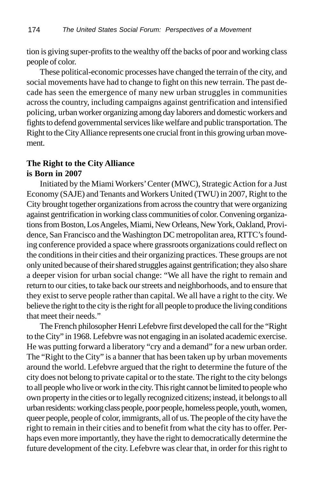tion is giving super-profits to the wealthy off the backs of poor and working class people of color.

These political-economic processes have changed the terrain of the city, and social movements have had to change to fight on this new terrain. The past decade has seen the emergence of many new urban struggles in communities across the country, including campaigns against gentrification and intensified policing, urban worker organizing among day laborers and domestic workers and fights to defend governmental services like welfare and public transportation. The Right to the City Alliance represents one crucial front in this growing urban movement.

## **The Right to the City Alliance is Born in 2007**

Initiated by the Miami Workers' Center (MWC), Strategic Action for a Just Economy (SAJE) and Tenants and Workers United (TWU) in 2007, Right to the City brought together organizations from across the country that were organizing against gentrification in working class communities of color. Convening organizations from Boston, Los Angeles, Miami, New Orleans, New York, Oakland, Providence, San Francisco and the Washington DC metropolitan area, RTTC's founding conference provided a space where grassroots organizations could reflect on the conditions in their cities and their organizing practices. These groups are not only united because of their shared struggles against gentrification; they also share a deeper vision for urban social change: "We all have the right to remain and return to our cities, to take back our streets and neighborhoods, and to ensure that they exist to serve people rather than capital. We all have a right to the city. We believe the right to the city is the right for all people to produce the living conditions that meet their needs."

The French philosopher Henri Lefebvre first developed the call for the "Right to the City" in 1968. Lefebvre was not engaging in an isolated academic exercise. He was putting forward a liberatory "cry and a demand" for a new urban order. The "Right to the City" is a banner that has been taken up by urban movements around the world. Lefebvre argued that the right to determine the future of the city does not belong to private capital or to the state. The right to the city belongs to all people who live or work in the city. This right cannot be limited to people who own property in the cities or to legally recognized citizens; instead, it belongs to all urban residents: working class people, poor people, homeless people, youth, women, queer people, people of color, immigrants, all of us. The people of the city have the right to remain in their cities and to benefit from what the city has to offer. Perhaps even more importantly, they have the right to democratically determine the future development of the city. Lefebvre was clear that, in order for this right to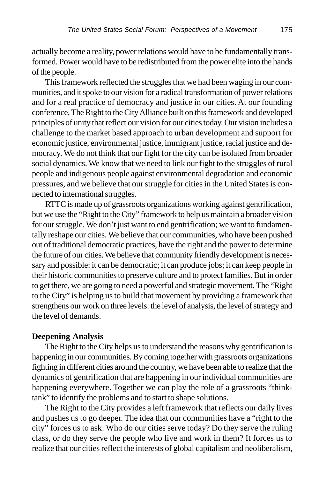actually become a reality, power relations would have to be fundamentally transformed. Power would have to be redistributed from the power elite into the hands of the people.

This framework reflected the struggles that we had been waging in our communities, and it spoke to our vision for a radical transformation of power relations and for a real practice of democracy and justice in our cities. At our founding conference, The Right to the City Alliance built on this framework and developed principles of unity that reflect our vision for our cities today. Our vision includes a challenge to the market based approach to urban development and support for economic justice, environmental justice, immigrant justice, racial justice and democracy. We do not think that our fight for the city can be isolated from broader social dynamics. We know that we need to link our fight to the struggles of rural people and indigenous people against environmental degradation and economic pressures, and we believe that our struggle for cities in the United States is connected to international struggles.

RTTC is made up of grassroots organizations working against gentrification, but we use the "Right to the City" framework to help us maintain a broader vision for our struggle. We don't just want to end gentrification; we want to fundamentally reshape our cities. We believe that our communities, who have been pushed out of traditional democratic practices, have the right and the power to determine the future of our cities. We believe that community friendly development is necessary and possible: it can be democratic; it can produce jobs; it can keep people in their historic communities to preserve culture and to protect families. But in order to get there, we are going to need a powerful and strategic movement. The "Right to the City" is helping us to build that movement by providing a framework that strengthens our work on three levels: the level of analysis, the level of strategy and the level of demands.

#### **Deepening Analysis**

The Right to the City helps us to understand the reasons why gentrification is happening in our communities. By coming together with grassroots organizations fighting in different cities around the country, we have been able to realize that the dynamics of gentrification that are happening in our individual communities are happening everywhere. Together we can play the role of a grassroots "thinktank" to identify the problems and to start to shape solutions.

The Right to the City provides a left framework that reflects our daily lives and pushes us to go deeper. The idea that our communities have a "right to the city" forces us to ask: Who do our cities serve today? Do they serve the ruling class, or do they serve the people who live and work in them? It forces us to realize that our cities reflect the interests of global capitalism and neoliberalism,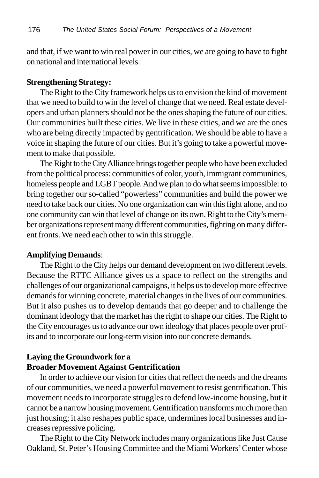and that, if we want to win real power in our cities, we are going to have to fight on national and international levels.

#### **Strengthening Strategy:**

The Right to the City framework helps us to envision the kind of movement that we need to build to win the level of change that we need. Real estate developers and urban planners should not be the ones shaping the future of our cities. Our communities built these cities. We live in these cities, and we are the ones who are being directly impacted by gentrification. We should be able to have a voice in shaping the future of our cities. But it's going to take a powerful movement to make that possible.

The Right to the City Alliance brings together people who have been excluded from the political process: communities of color, youth, immigrant communities, homeless people and LGBT people. And we plan to do what seems impossible: to bring together our so-called "powerless" communities and build the power we need to take back our cities. No one organization can win this fight alone, and no one community can win that level of change on its own. Right to the City's member organizations represent many different communities, fighting on many different fronts. We need each other to win this struggle.

#### **Amplifying Demands**:

The Right to the City helps our demand development on two different levels. Because the RTTC Alliance gives us a space to reflect on the strengths and challenges of our organizational campaigns, it helps us to develop more effective demands for winning concrete, material changes in the lives of our communities. But it also pushes us to develop demands that go deeper and to challenge the dominant ideology that the market has the right to shape our cities. The Right to the City encourages us to advance our own ideology that places people over profits and to incorporate our long-term vision into our concrete demands.

### **Laying the Groundwork for a Broader Movement Against Gentrification**

In order to achieve our vision for cities that reflect the needs and the dreams of our communities, we need a powerful movement to resist gentrification. This movement needs to incorporate struggles to defend low-income housing, but it cannot be a narrow housing movement. Gentrification transforms much more than just housing; it also reshapes public space, undermines local businesses and increases repressive policing.

The Right to the City Network includes many organizations like Just Cause Oakland, St. Peter's Housing Committee and the Miami Workers' Center whose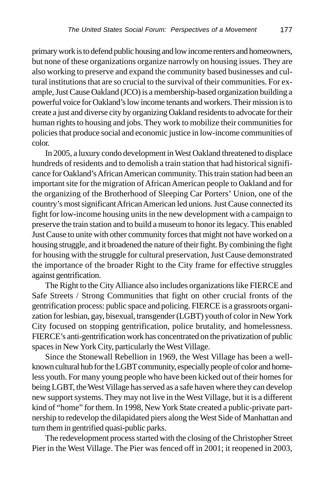primary work is to defend public housing and low income renters and homeowners, but none of these organizations organize narrowly on housing issues. They are also working to preserve and expand the community based businesses and cultural institutions that are so crucial to the survival of their communities. For example, Just Cause Oakland (JCO) is a membership-based organization building a powerful voice for Oakland's low income tenants and workers. Their mission is to create a just and diverse city by organizing Oakland residents to advocate for their human rights to housing and jobs. They work to mobilize their communities for policies that produce social and economic justice in low-income communities of color.

In 2005, a luxury condo development in West Oakland threatened to displace hundreds of residents and to demolish a train station that had historical significance for Oakland's African American community. This train station had been an important site for the migration of African American people to Oakland and for the organizing of the Brotherhood of Sleeping Car Porters' Union, one of the country's most significant African American led unions. Just Cause connected its fight for low-income housing units in the new development with a campaign to preserve the train station and to build a museum to honor its legacy. This enabled Just Cause to unite with other community forces that might not have worked on a housing struggle, and it broadened the nature of their fight. By combining the fight for housing with the struggle for cultural preservation, Just Cause demonstrated the importance of the broader Right to the City frame for effective struggles against gentrification.

The Right to the City Alliance also includes organizations like FIERCE and Safe Streets / Strong Communities that fight on other crucial fronts of the gentrification process: public space and policing. FIERCE is a grassroots organization for lesbian, gay, bisexual, transgender (LGBT) youth of color in New York City focused on stopping gentrification, police brutality, and homelessness. FIERCE's anti-gentrification work has concentrated on the privatization of public spaces in New York City, particularly the West Village.

Since the Stonewall Rebellion in 1969, the West Village has been a wellknown cultural hub for the LGBT community, especially people of color and homeless youth. For many young people who have been kicked out of their homes for being LGBT, the West Village has served as a safe haven where they can develop new support systems. They may not live in the West Village, but it is a different kind of "home" for them. In 1998, New York State created a public-private partnership to redevelop the dilapidated piers along the West Side of Manhattan and turn them in gentrified quasi-public parks.

The redevelopment process started with the closing of the Christopher Street Pier in the West Village. The Pier was fenced off in 2001; it reopened in 2003,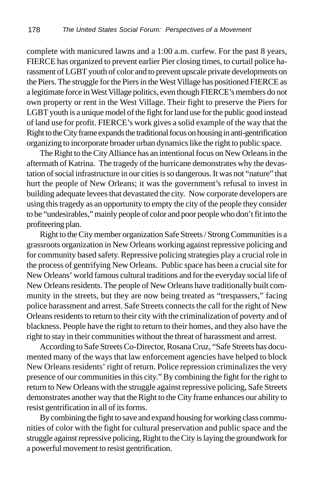complete with manicured lawns and a 1:00 a.m. curfew. For the past 8 years, FIERCE has organized to prevent earlier Pier closing times, to curtail police harassment of LGBT youth of color and to prevent upscale private developments on the Piers. The struggle for the Piers in the West Village has positioned FIERCE as a legitimate force in West Village politics, even though FIERCE's members do not own property or rent in the West Village. Their fight to preserve the Piers for LGBT youth is a unique model of the fight for land use for the public good instead of land use for profit. FIERCE's work gives a solid example of the way that the Right to the City frame expands the traditional focus on housing in anti-gentrification organizing to incorporate broader urban dynamics like the right to public space.

The Right to the City Alliance has an intentional focus on New Orleans in the aftermath of Katrina. The tragedy of the hurricane demonstrates why the devastation of social infrastructure in our cities is so dangerous. It was not "nature" that hurt the people of New Orleans; it was the government's refusal to invest in building adequate levees that devastated the city. Now corporate developers are using this tragedy as an opportunity to empty the city of the people they consider to be "undesirables," mainly people of color and poor people who don't fit into the profiteering plan.

Right to the City member organization Safe Streets / Strong Communities is a grassroots organization in New Orleans working against repressive policing and for community based safety. Repressive policing strategies play a crucial role in the process of gentrifying New Orleans. Public space has been a crucial site for New Orleans' world famous cultural traditions and for the everyday social life of New Orleans residents. The people of New Orleans have traditionally built community in the streets, but they are now being treated as "trespassers," facing police harassment and arrest. Safe Streets connects the call for the right of New Orleans residents to return to their city with the criminalization of poverty and of blackness. People have the right to return to their homes, and they also have the right to stay in their communities without the threat of harassment and arrest.

According to Safe Streets Co-Director, Rosana Cruz, "Safe Streets has documented many of the ways that law enforcement agencies have helped to block New Orleans residents' right of return. Police repression criminalizes the very presence of our communities in this city." By combining the fight for the right to return to New Orleans with the struggle against repressive policing, Safe Streets demonstrates another way that the Right to the City frame enhances our ability to resist gentrification in all of its forms.

By combining the fight to save and expand housing for working class communities of color with the fight for cultural preservation and public space and the struggle against repressive policing, Right to the City is laying the groundwork for a powerful movement to resist gentrification.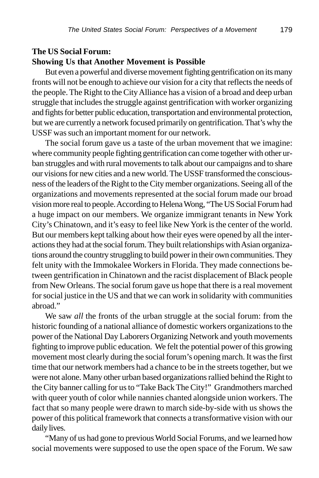## **The US Social Forum: Showing Us that Another Movement is Possible**

But even a powerful and diverse movement fighting gentrification on its many fronts will not be enough to achieve our vision for a city that reflects the needs of the people. The Right to the City Alliance has a vision of a broad and deep urban struggle that includes the struggle against gentrification with worker organizing and fights for better public education, transportation and environmental protection, but we are currently a network focused primarily on gentrification. That's why the USSF was such an important moment for our network.

The social forum gave us a taste of the urban movement that we imagine: where community people fighting gentrification can come together with other urban struggles and with rural movements to talk about our campaigns and to share our visions for new cities and a new world. The USSF transformed the consciousness of the leaders of the Right to the City member organizations. Seeing all of the organizations and movements represented at the social forum made our broad vision more real to people. According to Helena Wong, "The US Social Forum had a huge impact on our members. We organize immigrant tenants in New York City's Chinatown, and it's easy to feel like New York is the center of the world. But our members kept talking about how their eyes were opened by all the interactions they had at the social forum. They built relationships with Asian organizations around the country struggling to build power in their own communities. They felt unity with the Immokalee Workers in Florida. They made connections between gentrification in Chinatown and the racist displacement of Black people from New Orleans. The social forum gave us hope that there is a real movement for social justice in the US and that we can work in solidarity with communities abroad."

We saw *all* the fronts of the urban struggle at the social forum: from the historic founding of a national alliance of domestic workers organizations to the power of the National Day Laborers Organizing Network and youth movements fighting to improve public education. We felt the potential power of this growing movement most clearly during the social forum's opening march. It was the first time that our network members had a chance to be in the streets together, but we were not alone. Many other urban based organizations rallied behind the Right to the City banner calling for us to "Take Back The City!" Grandmothers marched with queer youth of color while nannies chanted alongside union workers. The fact that so many people were drawn to march side-by-side with us shows the power of this political framework that connects a transformative vision with our daily lives.

"Many of us had gone to previous World Social Forums, and we learned how social movements were supposed to use the open space of the Forum. We saw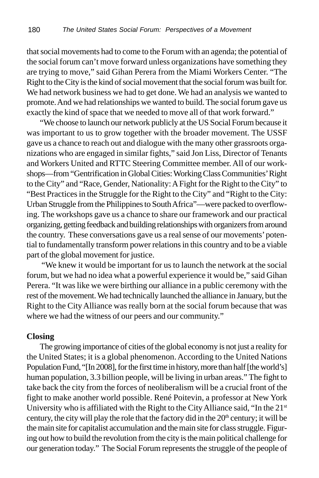that social movements had to come to the Forum with an agenda; the potential of the social forum can't move forward unless organizations have something they are trying to move," said Gihan Perera from the Miami Workers Center. "The Right to the City is the kind of social movement that the social forum was built for. We had network business we had to get done. We had an analysis we wanted to promote. And we had relationships we wanted to build. The social forum gave us exactly the kind of space that we needed to move all of that work forward."

"We choose to launch our network publicly at the US Social Forum because it was important to us to grow together with the broader movement. The USSF gave us a chance to reach out and dialogue with the many other grassroots organizations who are engaged in similar fights," said Jon Liss, Director of Tenants and Workers United and RTTC Steering Committee member. All of our workshops—from "Gentrification in Global Cities: Working Class Communities' Right to the City" and "Race, Gender, Nationality: A Fight for the Right to the City" to "Best Practices in the Struggle for the Right to the City" and "Right to the City: Urban Struggle from the Philippines to South Africa"—were packed to overflowing. The workshops gave us a chance to share our framework and our practical organizing, getting feedback and building relationships with organizers from around the country. These conversations gave us a real sense of our movements' potential to fundamentally transform power relations in this country and to be a viable part of the global movement for justice.

 "We knew it would be important for us to launch the network at the social forum, but we had no idea what a powerful experience it would be," said Gihan Perera. "It was like we were birthing our alliance in a public ceremony with the rest of the movement. We had technically launched the alliance in January, but the Right to the City Alliance was really born at the social forum because that was where we had the witness of our peers and our community."

#### **Closing**

The growing importance of cities of the global economy is not just a reality for the United States; it is a global phenomenon. According to the United Nations Population Fund, "[In 2008], for the first time in history, more than half [the world's] human population, 3.3 billion people, will be living in urban areas." The fight to take back the city from the forces of neoliberalism will be a crucial front of the fight to make another world possible. René Poitevin, a professor at New York University who is affiliated with the Right to the City Alliance said, "In the  $21<sup>st</sup>$ century, the city will play the role that the factory did in the  $20<sup>th</sup>$  century; it will be the main site for capitalist accumulation and the main site for class struggle. Figuring out how to build the revolution from the city is the main political challenge for our generation today." The Social Forum represents the struggle of the people of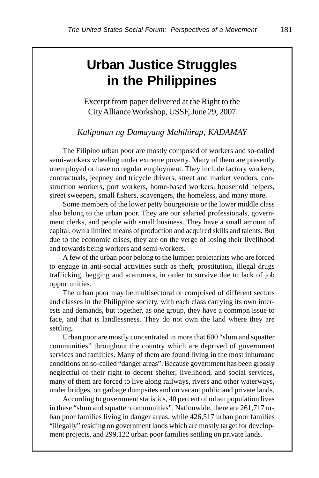# **Urban Justice Struggles in the Philippines**

Excerpt from paper delivered at the Right to the City Alliance Workshop, USSF, June 29, 2007

*Kalipunan ng Damayang Mahihirap, KADAMAY*

The Filipino urban poor are mostly composed of workers and so-called semi-workers wheeling under extreme poverty. Many of them are presently unemployed or have no regular employment. They include factory workers, contractuals, jeepney and tricycle drivers, street and market vendors, construction workers, port workers, home-based workers, household helpers, street sweepers, small fishers, scavengers, the homeless, and many more.

Some members of the lower petty bourgeoisie or the lower middle class also belong to the urban poor. They are our salaried professionals, government clerks, and people with small business. They have a small amount of capital, own a limited means of production and acquired skills and talents. But due to the economic crises, they are on the verge of losing their livelihood and towards being workers and semi-workers.

A few of the urban poor belong to the lumpen proletariats who are forced to engage in anti-social activities such as theft, prostitution, illegal drugs trafficking, begging and scammers, in order to survive due to lack of job opportunities.

The urban poor may be multisectoral or comprised of different sectors and classes in the Philippine society, with each class carrying its own interests and demands, but together, as one group, they have a common issue to face, and that is landlessness. They do not own the land where they are settling.

Urban poor are mostly concentrated in more that 600 "slum and squatter communities" throughout the country which are deprived of government services and facilities. Many of them are found living in the most inhumane conditions on so-called "danger areas". Because government has been grossly neglectful of their right to decent shelter, livelihood, and social services, many of them are forced to live along railways, rivers and other waterways, under bridges, on garbage dumpsites and on vacant public and private lands.

According to government statistics, 40 percent of urban population lives in these "slum and squatter communities". Nationwide, there are 261,717 urban poor families living in danger areas, while 426,517 urban poor families "illegally" residing on government lands which are mostly target for development projects, and 299,122 urban poor families settling on private lands.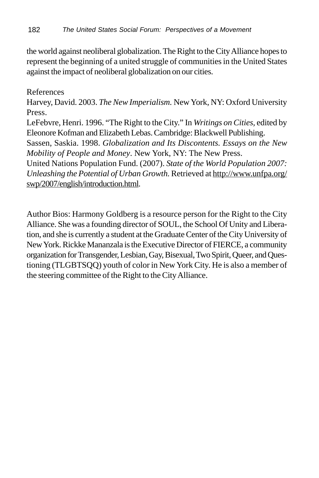the world against neoliberal globalization. The Right to the City Alliance hopes to represent the beginning of a united struggle of communities in the United States against the impact of neoliberal globalization on our cities.

### References

Harvey, David. 2003. *The New Imperialism.* New York, NY: Oxford University Press.

LeFebvre, Henri. 1996. "The Right to the City." In *Writings on Cities,* edited by Eleonore Kofman and Elizabeth Lebas. Cambridge: Blackwell Publishing.

Sassen, Saskia. 1998. *Globalization and Its Discontents. Essays on the New Mobility of People and Money*. New York, NY: The New Press.

United Nations Population Fund. (2007). *State of the World Population 2007: Unleashing the Potential of Urban Growth.* Retrieved at http://www.unfpa.org/ swp/2007/english/introduction.html.

Author Bios: Harmony Goldberg is a resource person for the Right to the City Alliance. She was a founding director of SOUL, the School Of Unity and Liberation, and she is currently a student at the Graduate Center of the City University of New York. Rickke Mananzala is the Executive Director of FIERCE, a community organization for Transgender, Lesbian, Gay, Bisexual, Two Spirit, Queer, and Questioning (TLGBTSQQ) youth of color in New York City. He is also a member of the steering committee of the Right to the City Alliance.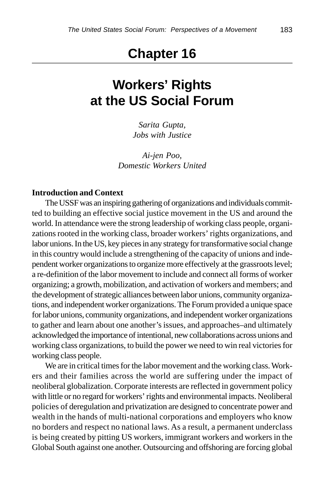## **Chapter 16**

# **Workers' Rights at the US Social Forum**

*Sarita Gupta, Jobs with Justice*

*Ai-jen Poo, Domestic Workers United*

#### **Introduction and Context**

The USSF was an inspiring gathering of organizations and individuals committed to building an effective social justice movement in the US and around the world. In attendance were the strong leadership of working class people, organizations rooted in the working class, broader workers' rights organizations, and labor unions. In the US, key pieces in any strategy for transformative social change in this country would include a strengthening of the capacity of unions and independent worker organizations to organize more effectively at the grassroots level; a re-definition of the labor movement to include and connect all forms of worker organizing; a growth, mobilization, and activation of workers and members; and the development of strategic alliances between labor unions, community organizations, and independent worker organizations. The Forum provided a unique space for labor unions, community organizations, and independent worker organizations to gather and learn about one another's issues, and approaches–and ultimately acknowledged the importance of intentional, new collaborations across unions and working class organizations, to build the power we need to win real victories for working class people.

We are in critical times for the labor movement and the working class. Workers and their families across the world are suffering under the impact of neoliberal globalization. Corporate interests are reflected in government policy with little or no regard for workers' rights and environmental impacts. Neoliberal policies of deregulation and privatization are designed to concentrate power and wealth in the hands of multi-national corporations and employers who know no borders and respect no national laws. As a result, a permanent underclass is being created by pitting US workers, immigrant workers and workers in the Global South against one another. Outsourcing and offshoring are forcing global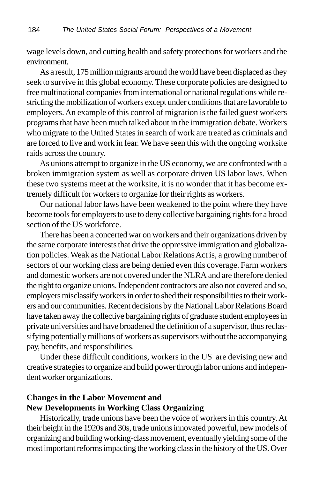wage levels down, and cutting health and safety protections for workers and the environment.

As a result, 175 million migrants around the world have been displaced as they seek to survive in this global economy. These corporate policies are designed to free multinational companies from international or national regulations while restricting the mobilization of workers except under conditions that are favorable to employers. An example of this control of migration is the failed guest workers programs that have been much talked about in the immigration debate. Workers who migrate to the United States in search of work are treated as criminals and are forced to live and work in fear. We have seen this with the ongoing worksite raids across the country.

As unions attempt to organize in the US economy, we are confronted with a broken immigration system as well as corporate driven US labor laws. When these two systems meet at the worksite, it is no wonder that it has become extremely difficult for workers to organize for their rights as workers.

Our national labor laws have been weakened to the point where they have become tools for employers to use to deny collective bargaining rights for a broad section of the US workforce.

There has been a concerted war on workers and their organizations driven by the same corporate interests that drive the oppressive immigration and globalization policies. Weak as the National Labor Relations Act is, a growing number of sectors of our working class are being denied even this coverage. Farm workers and domestic workers are not covered under the NLRA and are therefore denied the right to organize unions. Independent contractors are also not covered and so, employers misclassify workers in order to shed their responsibilities to their workers and our communities. Recent decisions by the National Labor Relations Board have taken away the collective bargaining rights of graduate student employees in private universities and have broadened the definition of a supervisor, thus reclassifying potentially millions of workers as supervisors without the accompanying pay, benefits, and responsibilities.

Under these difficult conditions, workers in the US are devising new and creative strategies to organize and build power through labor unions and independent worker organizations.

### **Changes in the Labor Movement and New Developments in Working Class Organizing**

Historically, trade unions have been the voice of workers in this country. At their height in the 1920s and 30s, trade unions innovated powerful, new models of organizing and building working-class movement, eventually yielding some of the most important reforms impacting the working class in the history of the US. Over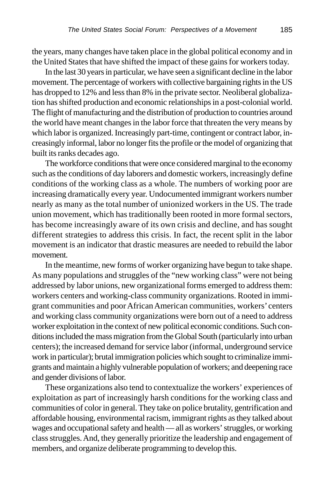the years, many changes have taken place in the global political economy and in the United States that have shifted the impact of these gains for workers today.

In the last 30 years in particular, we have seen a significant decline in the labor movement. The percentage of workers with collective bargaining rights in the US has dropped to 12% and less than 8% in the private sector. Neoliberal globalization has shifted production and economic relationships in a post-colonial world. The flight of manufacturing and the distribution of production to countries around the world have meant changes in the labor force that threaten the very means by which labor is organized. Increasingly part-time, contingent or contract labor, increasingly informal, labor no longer fits the profile or the model of organizing that built its ranks decades ago.

The workforce conditions that were once considered marginal to the economy such as the conditions of day laborers and domestic workers, increasingly define conditions of the working class as a whole. The numbers of working poor are increasing dramatically every year. Undocumented immigrant workers number nearly as many as the total number of unionized workers in the US. The trade union movement, which has traditionally been rooted in more formal sectors, has become increasingly aware of its own crisis and decline, and has sought different strategies to address this crisis. In fact, the recent split in the labor movement is an indicator that drastic measures are needed to rebuild the labor movement.

In the meantime, new forms of worker organizing have begun to take shape. As many populations and struggles of the "new working class" were not being addressed by labor unions, new organizational forms emerged to address them: workers centers and working-class community organizations. Rooted in immigrant communities and poor African American communities, workers' centers and working class community organizations were born out of a need to address worker exploitation in the context of new political economic conditions. Such conditions included the mass migration from the Global South (particularly into urban centers); the increased demand for service labor (informal, underground service work in particular); brutal immigration policies which sought to criminalize immigrants and maintain a highly vulnerable population of workers; and deepening race and gender divisions of labor.

These organizations also tend to contextualize the workers' experiences of exploitation as part of increasingly harsh conditions for the working class and communities of color in general. They take on police brutality, gentrification and affordable housing, environmental racism, immigrant rights as they talked about wages and occupational safety and health — all as workers' struggles, or working class struggles. And, they generally prioritize the leadership and engagement of members, and organize deliberate programming to develop this.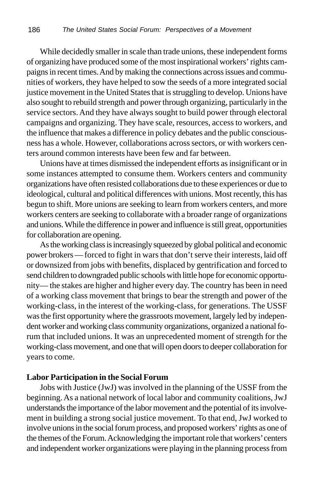While decidedly smaller in scale than trade unions, these independent forms of organizing have produced some of the most inspirational workers' rights campaigns in recent times. And by making the connections across issues and communities of workers, they have helped to sow the seeds of a more integrated social justice movement in the United States that is struggling to develop. Unions have also sought to rebuild strength and power through organizing, particularly in the service sectors. And they have always sought to build power through electoral campaigns and organizing. They have scale, resources, access to workers, and the influence that makes a difference in policy debates and the public consciousness has a whole. However, collaborations across sectors, or with workers centers around common interests have been few and far between.

Unions have at times dismissed the independent efforts as insignificant or in some instances attempted to consume them. Workers centers and community organizations have often resisted collaborations due to these experiences or due to ideological, cultural and political differences with unions. Most recently, this has begun to shift. More unions are seeking to learn from workers centers, and more workers centers are seeking to collaborate with a broader range of organizations and unions. While the difference in power and influence is still great, opportunities for collaboration are opening.

As the working class is increasingly squeezed by global political and economic power brokers — forced to fight in wars that don't serve their interests, laid off or downsized from jobs with benefits, displaced by gentrification and forced to send children to downgraded public schools with little hope for economic opportunity— the stakes are higher and higher every day. The country has been in need of a working class movement that brings to bear the strength and power of the working-class, in the interest of the working-class, for generations. The USSF was the first opportunity where the grassroots movement, largely led by independent worker and working class community organizations, organized a national forum that included unions. It was an unprecedented moment of strength for the working-class movement, and one that will open doors to deeper collaboration for years to come.

### **Labor Participation in the Social Forum**

Jobs with Justice (JwJ) was involved in the planning of the USSF from the beginning. As a national network of local labor and community coalitions, JwJ understands the importance of the labor movement and the potential of its involvement in building a strong social justice movement. To that end, JwJ worked to involve unions in the social forum process, and proposed workers' rights as one of the themes of the Forum. Acknowledging the important role that workers' centers and independent worker organizations were playing in the planning process from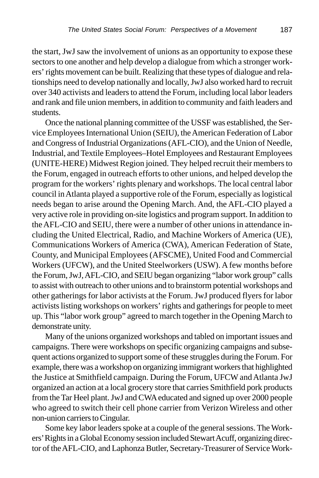the start, JwJ saw the involvement of unions as an opportunity to expose these sectors to one another and help develop a dialogue from which a stronger workers' rights movement can be built. Realizing that these types of dialogue and relationships need to develop nationally and locally, JwJ also worked hard to recruit over 340 activists and leaders to attend the Forum, including local labor leaders and rank and file union members, in addition to community and faith leaders and students.

Once the national planning committee of the USSF was established, the Service Employees International Union (SEIU), the American Federation of Labor and Congress of Industrial Organizations (AFL-CIO), and the Union of Needle, Industrial, and Textile Employees–Hotel Employees and Restaurant Employees (UNITE-HERE) Midwest Region joined. They helped recruit their members to the Forum, engaged in outreach efforts to other unions, and helped develop the program for the workers' rights plenary and workshops. The local central labor council in Atlanta played a supportive role of the Forum, especially as logistical needs began to arise around the Opening March. And, the AFL-CIO played a very active role in providing on-site logistics and program support. In addition to the AFL-CIO and SEIU, there were a number of other unions in attendance including the United Electrical, Radio, and Machine Workers of America (UE), Communications Workers of America (CWA), American Federation of State, County, and Municipal Employees (AFSCME), United Food and Commercial Workers (UFCW), and the United Steelworkers (USW). A few months before the Forum, JwJ, AFL-CIO, and SEIU began organizing "labor work group" calls to assist with outreach to other unions and to brainstorm potential workshops and other gatherings for labor activists at the Forum. JwJ produced flyers for labor activists listing workshops on workers' rights and gatherings for people to meet up. This "labor work group" agreed to march together in the Opening March to demonstrate unity.

Many of the unions organized workshops and tabled on important issues and campaigns. There were workshops on specific organizing campaigns and subsequent actions organized to support some of these struggles during the Forum. For example, there was a workshop on organizing immigrant workers that highlighted the Justice at Smithfield campaign. During the Forum, UFCW and Atlanta JwJ organized an action at a local grocery store that carries Smithfield pork products from the Tar Heel plant. JwJ and CWA educated and signed up over 2000 people who agreed to switch their cell phone carrier from Verizon Wireless and other non-union carriers to Cingular.

Some key labor leaders spoke at a couple of the general sessions. The Workers' Rights in a Global Economy session included Stewart Acuff, organizing director of the AFL-CIO, and Laphonza Butler, Secretary-Treasurer of Service Work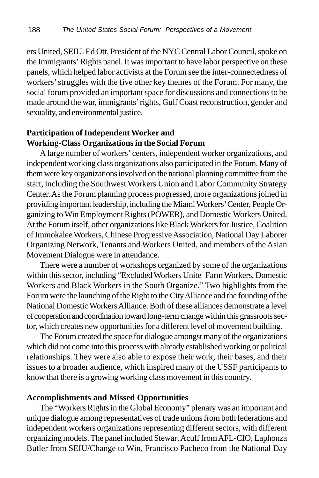ers United, SEIU. Ed Ott, President of the NYC Central Labor Council, spoke on the Immigrants' Rights panel. It was important to have labor perspective on these panels, which helped labor activists at the Forum see the inter-connectedness of workers' struggles with the five other key themes of the Forum. For many, the social forum provided an important space for discussions and connections to be made around the war, immigrants' rights, Gulf Coast reconstruction, gender and sexuality, and environmental justice.

## **Participation of Independent Worker and Working-Class Organizations in the Social Forum**

A large number of workers' centers, independent worker organizations, and independent working class organizations also participated in the Forum. Many of them were key organizations involved on the national planning committee from the start, including the Southwest Workers Union and Labor Community Strategy Center. As the Forum planning process progressed, more organizations joined in providing important leadership, including the Miami Workers' Center, People Organizing to Win Employment Rights (POWER), and Domestic Workers United. At the Forum itself, other organizations like Black Workers for Justice, Coalition of Immokalee Workers, Chinese Progressive Association, National Day Laborer Organizing Network, Tenants and Workers United, and members of the Asian Movement Dialogue were in attendance.

There were a number of workshops organized by some of the organizations within this sector, including "Excluded Workers Unite–Farm Workers, Domestic Workers and Black Workers in the South Organize." Two highlights from the Forum were the launching of the Right to the City Alliance and the founding of the National Domestic Workers Alliance. Both of these alliances demonstrate a level of cooperation and coordination toward long-term change within this grassroots sector, which creates new opportunities for a different level of movement building.

The Forum created the space for dialogue amongst many of the organizations which did not come into this process with already established working or political relationships. They were also able to expose their work, their bases, and their issues to a broader audience, which inspired many of the USSF participants to know that there is a growing working class movement in this country.

#### **Accomplishments and Missed Opportunities**

The "Workers Rights in the Global Economy" plenary was an important and unique dialogue among representatives of trade unions from both federations and independent workers organizations representing different sectors, with different organizing models. The panel included Stewart Acuff from AFL-CIO, Laphonza Butler from SEIU/Change to Win, Francisco Pacheco from the National Day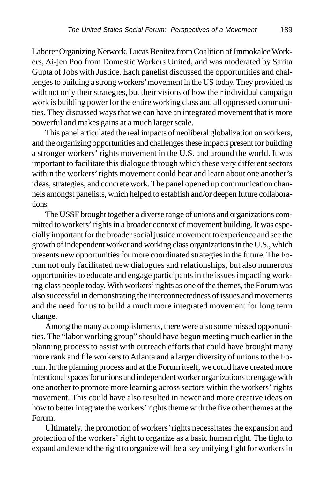Laborer Organizing Network, Lucas Benitez from Coalition of Immokalee Workers, Ai-jen Poo from Domestic Workers United, and was moderated by Sarita Gupta of Jobs with Justice. Each panelist discussed the opportunities and challenges to building a strong workers' movement in the US today. They provided us with not only their strategies, but their visions of how their individual campaign work is building power for the entire working class and all oppressed communities. They discussed ways that we can have an integrated movement that is more powerful and makes gains at a much larger scale.

This panel articulated the real impacts of neoliberal globalization on workers, and the organizing opportunities and challenges these impacts present for building a stronger workers' rights movement in the U.S. and around the world. It was important to facilitate this dialogue through which these very different sectors within the workers' rights movement could hear and learn about one another's ideas, strategies, and concrete work. The panel opened up communication channels amongst panelists, which helped to establish and/or deepen future collaborations.

The USSF brought together a diverse range of unions and organizations committed to workers' rights in a broader context of movement building. It was especially important for the broader social justice movement to experience and see the growth of independent worker and working class organizations in the U.S., which presents new opportunities for more coordinated strategies in the future. The Forum not only facilitated new dialogues and relationships, but also numerous opportunities to educate and engage participants in the issues impacting working class people today. With workers' rights as one of the themes, the Forum was also successful in demonstrating the interconnectedness of issues and movements and the need for us to build a much more integrated movement for long term change.

Among the many accomplishments, there were also some missed opportunities. The "labor working group" should have begun meeting much earlier in the planning process to assist with outreach efforts that could have brought many more rank and file workers to Atlanta and a larger diversity of unions to the Forum. In the planning process and at the Forum itself, we could have created more intentional spaces for unions and independent worker organizations to engage with one another to promote more learning across sectors within the workers' rights movement. This could have also resulted in newer and more creative ideas on how to better integrate the workers' rights theme with the five other themes at the Forum.

Ultimately, the promotion of workers' rights necessitates the expansion and protection of the workers' right to organize as a basic human right. The fight to expand and extend the right to organize will be a key unifying fight for workers in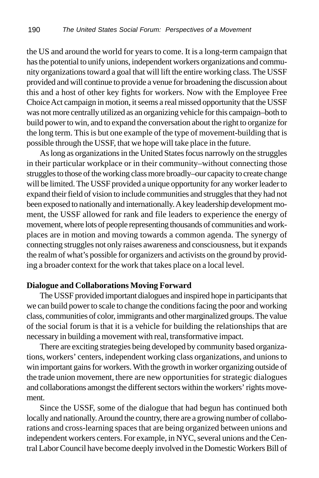the US and around the world for years to come. It is a long-term campaign that has the potential to unify unions, independent workers organizations and community organizations toward a goal that will lift the entire working class. The USSF provided and will continue to provide a venue for broadening the discussion about this and a host of other key fights for workers. Now with the Employee Free Choice Act campaign in motion, it seems a real missed opportunity that the USSF was not more centrally utilized as an organizing vehicle for this campaign–both to build power to win, and to expand the conversation about the right to organize for the long term. This is but one example of the type of movement-building that is possible through the USSF, that we hope will take place in the future.

As long as organizations in the United States focus narrowly on the struggles in their particular workplace or in their community–without connecting those struggles to those of the working class more broadly–our capacity to create change will be limited. The USSF provided a unique opportunity for any worker leader to expand their field of vision to include communities and struggles that they had not been exposed to nationally and internationally. A key leadership development moment, the USSF allowed for rank and file leaders to experience the energy of movement, where lots of people representing thousands of communities and workplaces are in motion and moving towards a common agenda. The synergy of connecting struggles not only raises awareness and consciousness, but it expands the realm of what's possible for organizers and activists on the ground by providing a broader context for the work that takes place on a local level.

#### **Dialogue and Collaborations Moving Forward**

The USSF provided important dialogues and inspired hope in participants that we can build power to scale to change the conditions facing the poor and working class, communities of color, immigrants and other marginalized groups. The value of the social forum is that it is a vehicle for building the relationships that are necessary in building a movement with real, transformative impact.

There are exciting strategies being developed by community based organizations, workers' centers, independent working class organizations, and unions to win important gains for workers. With the growth in worker organizing outside of the trade union movement, there are new opportunities for strategic dialogues and collaborations amongst the different sectors within the workers' rights movement.

Since the USSF, some of the dialogue that had begun has continued both locally and nationally. Around the country, there are a growing number of collaborations and cross-learning spaces that are being organized between unions and independent workers centers. For example, in NYC, several unions and the Central Labor Council have become deeply involved in the Domestic Workers Bill of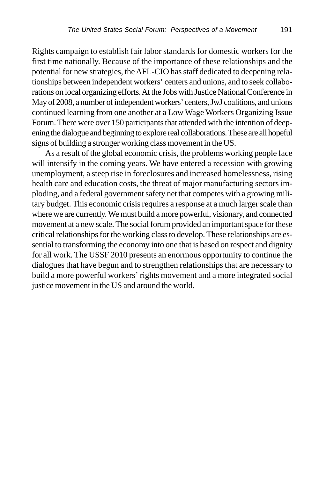Rights campaign to establish fair labor standards for domestic workers for the first time nationally. Because of the importance of these relationships and the potential for new strategies, the AFL-CIO has staff dedicated to deepening relationships between independent workers' centers and unions, and to seek collaborations on local organizing efforts. At the Jobs with Justice National Conference in May of 2008, a number of independent workers' centers, JwJ coalitions, and unions continued learning from one another at a Low Wage Workers Organizing Issue Forum. There were over 150 participants that attended with the intention of deepening the dialogue and beginning to explore real collaborations. These are all hopeful signs of building a stronger working class movement in the US.

As a result of the global economic crisis, the problems working people face will intensify in the coming years. We have entered a recession with growing unemployment, a steep rise in foreclosures and increased homelessness, rising health care and education costs, the threat of major manufacturing sectors imploding, and a federal government safety net that competes with a growing military budget. This economic crisis requires a response at a much larger scale than where we are currently. We must build a more powerful, visionary, and connected movement at a new scale. The social forum provided an important space for these critical relationships for the working class to develop. These relationships are essential to transforming the economy into one that is based on respect and dignity for all work. The USSF 2010 presents an enormous opportunity to continue the dialogues that have begun and to strengthen relationships that are necessary to build a more powerful workers' rights movement and a more integrated social justice movement in the US and around the world.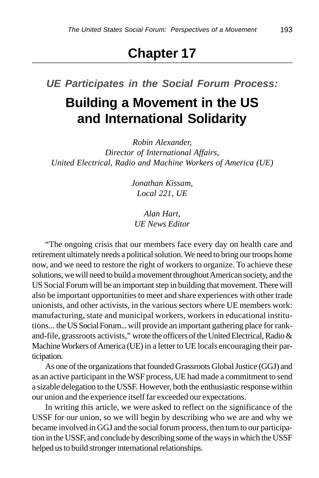## **Chapter 17**

*UE Participates in the Social Forum Process:*

## **Building a Movement in the US and International Solidarity**

*Robin Alexander, Director of International Affairs, United Electrical, Radio and Machine Workers of America (UE)*

> *Jonathan Kissam, Local 221, UE*

*Alan Hart, UE News Editor*

"The ongoing crisis that our members face every day on health care and retirement ultimately needs a political solution. We need to bring our troops home now, and we need to restore the right of workers to organize. To achieve these solutions, we will need to build a movement throughout American society, and the US Social Forum will be an important step in building that movement. There will also be important opportunities to meet and share experiences with other trade unionists, and other activists, in the various sectors where UE members work: manufacturing, state and municipal workers, workers in educational institutions... the US Social Forum... will provide an important gathering place for rankand-file, grassroots activists," wrote the officers of the United Electrical, Radio  $\&$ Machine Workers of America (UE) in a letter to UE locals encouraging their participation.

As one of the organizations that founded Grassroots Global Justice (GGJ) and as an active participant in the WSF process, UE had made a commitment to send a sizable delegation to the USSF. However, both the enthusiastic response within our union and the experience itself far exceeded our expectations.

In writing this article, we were asked to reflect on the significance of the USSF for our union, so we will begin by describing who we are and why we became involved in GGJ and the social forum process, then turn to our participation in the USSF, and conclude by describing some of the ways in which the USSF helped us to build stronger international relationships.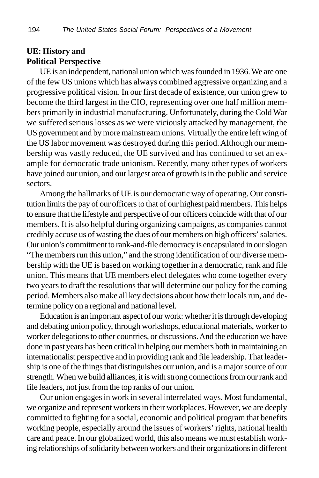## **UE: History and Political Perspective**

UE is an independent, national union which was founded in 1936. We are one of the few US unions which has always combined aggressive organizing and a progressive political vision. In our first decade of existence, our union grew to become the third largest in the CIO, representing over one half million members primarily in industrial manufacturing. Unfortunately, during the Cold War we suffered serious losses as we were viciously attacked by management, the US government and by more mainstream unions. Virtually the entire left wing of the US labor movement was destroyed during this period. Although our membership was vastly reduced, the UE survived and has continued to set an example for democratic trade unionism. Recently, many other types of workers have joined our union, and our largest area of growth is in the public and service sectors.

Among the hallmarks of UE is our democratic way of operating. Our constitution limits the pay of our officers to that of our highest paid members. This helps to ensure that the lifestyle and perspective of our officers coincide with that of our members. It is also helpful during organizing campaigns, as companies cannot credibly accuse us of wasting the dues of our members on high officers' salaries. Our union's commitment to rank-and-file democracy is encapsulated in our slogan "The members run this union," and the strong identification of our diverse membership with the UE is based on working together in a democratic, rank and file union. This means that UE members elect delegates who come together every two years to draft the resolutions that will determine our policy for the coming period. Members also make all key decisions about how their locals run, and determine policy on a regional and national level.

Education is an important aspect of our work: whether it is through developing and debating union policy, through workshops, educational materials, worker to worker delegations to other countries, or discussions. And the education we have done in past years has been critical in helping our members both in maintaining an internationalist perspective and in providing rank and file leadership. That leadership is one of the things that distinguishes our union, and is a major source of our strength. When we build alliances, it is with strong connections from our rank and file leaders, not just from the top ranks of our union.

Our union engages in work in several interrelated ways. Most fundamental, we organize and represent workers in their workplaces. However, we are deeply committed to fighting for a social, economic and political program that benefits working people, especially around the issues of workers' rights, national health care and peace. In our globalized world, this also means we must establish working relationships of solidarity between workers and their organizations in different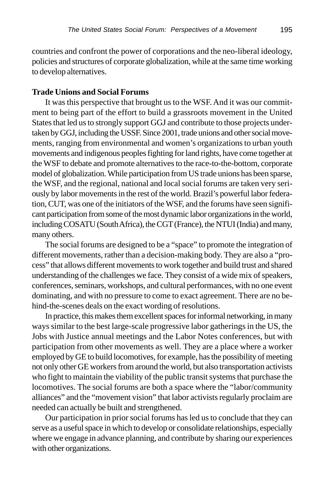countries and confront the power of corporations and the neo-liberal ideology, policies and structures of corporate globalization, while at the same time working to develop alternatives.

### **Trade Unions and Social Forums**

It was this perspective that brought us to the WSF. And it was our commitment to being part of the effort to build a grassroots movement in the United States that led us to strongly support GGJ and contribute to those projects undertaken by GGJ, including the USSF. Since 2001, trade unions and other social movements, ranging from environmental and women's organizations to urban youth movements and indigenous peoples fighting for land rights, have come together at the WSF to debate and promote alternatives to the race-to-the-bottom, corporate model of globalization. While participation from US trade unions has been sparse, the WSF, and the regional, national and local social forums are taken very seriously by labor movements in the rest of the world. Brazil's powerful labor federation, CUT, was one of the initiators of the WSF, and the forums have seen significant participation from some of the most dynamic labor organizations in the world, including COSATU (South Africa), the CGT (France), the NTUI (India) and many, many others.

The social forums are designed to be a "space" to promote the integration of different movements, rather than a decision-making body. They are also a "process" that allows different movements to work together and build trust and shared understanding of the challenges we face. They consist of a wide mix of speakers, conferences, seminars, workshops, and cultural performances, with no one event dominating, and with no pressure to come to exact agreement. There are no behind-the-scenes deals on the exact wording of resolutions.

In practice, this makes them excellent spaces for informal networking, in many ways similar to the best large-scale progressive labor gatherings in the US, the Jobs with Justice annual meetings and the Labor Notes conferences, but with participation from other movements as well. They are a place where a worker employed by GE to build locomotives, for example, has the possibility of meeting not only other GE workers from around the world, but also transportation activists who fight to maintain the viability of the public transit systems that purchase the locomotives. The social forums are both a space where the "labor/community alliances" and the "movement vision" that labor activists regularly proclaim are needed can actually be built and strengthened.

Our participation in prior social forums has led us to conclude that they can serve as a useful space in which to develop or consolidate relationships, especially where we engage in advance planning, and contribute by sharing our experiences with other organizations.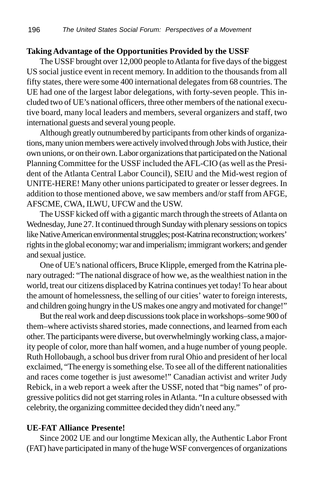### **Taking Advantage of the Opportunities Provided by the USSF**

The USSF brought over 12,000 people to Atlanta for five days of the biggest US social justice event in recent memory. In addition to the thousands from all fifty states, there were some 400 international delegates from 68 countries. The UE had one of the largest labor delegations, with forty-seven people. This included two of UE's national officers, three other members of the national executive board, many local leaders and members, several organizers and staff, two international guests and several young people.

Although greatly outnumbered by participants from other kinds of organizations, many union members were actively involved through Jobs with Justice, their own unions, or on their own. Labor organizations that participated on the National Planning Committee for the USSF included the AFL-CIO (as well as the President of the Atlanta Central Labor Council), SEIU and the Mid-west region of UNITE-HERE! Many other unions participated to greater or lesser degrees. In addition to those mentioned above, we saw members and/or staff from AFGE, AFSCME, CWA, ILWU, UFCW and the USW.

The USSF kicked off with a gigantic march through the streets of Atlanta on Wednesday, June 27. It continued through Sunday with plenary sessions on topics like Native American environmental struggles; post-Katrina reconstruction; workers' rights in the global economy; war and imperialism; immigrant workers; and gender and sexual justice.

One of UE's national officers, Bruce Klipple, emerged from the Katrina plenary outraged: "The national disgrace of how we, as the wealthiest nation in the world, treat our citizens displaced by Katrina continues yet today! To hear about the amount of homelessness, the selling of our cities' water to foreign interests, and children going hungry in the US makes one angry and motivated for change!"

But the real work and deep discussions took place in workshops–some 900 of them–where activists shared stories, made connections, and learned from each other. The participants were diverse, but overwhelmingly working class, a majority people of color, more than half women, and a huge number of young people. Ruth Hollobaugh, a school bus driver from rural Ohio and president of her local exclaimed, "The energy is something else. To see all of the different nationalities and races come together is just awesome!" Canadian activist and writer Judy Rebick, in a web report a week after the USSF, noted that "big names" of progressive politics did not get starring roles in Atlanta. "In a culture obsessed with celebrity, the organizing committee decided they didn't need any."

### **UE-FAT Alliance Presente!**

Since 2002 UE and our longtime Mexican ally, the Authentic Labor Front (FAT) have participated in many of the huge WSF convergences of organizations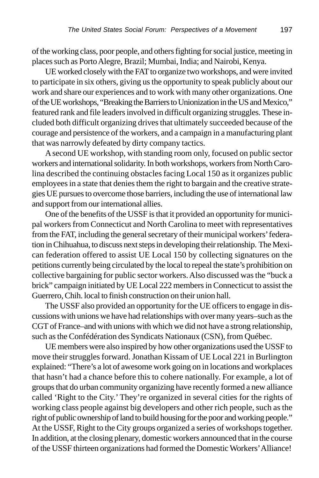of the working class, poor people, and others fighting for social justice, meeting in places such as Porto Alegre, Brazil; Mumbai, India; and Nairobi, Kenya.

UE worked closely with the FAT to organize two workshops, and were invited to participate in six others, giving us the opportunity to speak publicly about our work and share our experiences and to work with many other organizations. One of the UE workshops, "Breaking the Barriers to Unionization in the US and Mexico," featured rank and file leaders involved in difficult organizing struggles. These included both difficult organizing drives that ultimately succeeded because of the courage and persistence of the workers, and a campaign in a manufacturing plant that was narrowly defeated by dirty company tactics.

A second UE workshop, with standing room only, focused on public sector workers and international solidarity. In both workshops, workers from North Carolina described the continuing obstacles facing Local 150 as it organizes public employees in a state that denies them the right to bargain and the creative strategies UE pursues to overcome those barriers, including the use of international law and support from our international allies.

One of the benefits of the USSF is that it provided an opportunity for municipal workers from Connecticut and North Carolina to meet with representatives from the FAT, including the general secretary of their municipal workers' federation in Chihuahua, to discuss next steps in developing their relationship. The Mexican federation offered to assist UE Local 150 by collecting signatures on the petitions currently being circulated by the local to repeal the state's prohibition on collective bargaining for public sector workers. Also discussed was the "buck a brick" campaign initiated by UE Local 222 members in Connecticut to assist the Guerrero, Chih. local to finish construction on their union hall.

The USSF also provided an opportunity for the UE officers to engage in discussions with unions we have had relationships with over many years–such as the CGT of France–and with unions with which we did not have a strong relationship, such as the Confédération des Syndicats Nationaux (CSN), from Québec.

UE members were also inspired by how other organizations used the USSF to move their struggles forward. Jonathan Kissam of UE Local 221 in Burlington explained: "There's a lot of awesome work going on in locations and workplaces that hasn't had a chance before this to cohere nationally. For example, a lot of groups that do urban community organizing have recently formed a new alliance called 'Right to the City.' They're organized in several cities for the rights of working class people against big developers and other rich people, such as the right of public ownership of land to build housing for the poor and working people." At the USSF, Right to the City groups organized a series of workshops together. In addition, at the closing plenary, domestic workers announced that in the course of the USSF thirteen organizations had formed the Domestic Workers' Alliance!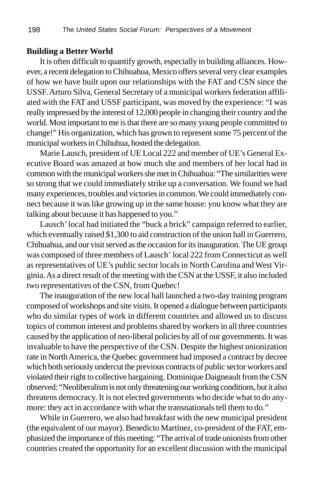#### **Building a Better World**

It is often difficult to quantify growth, especially in building alliances. However, a recent delegation to Chihuahua, Mexico offers several very clear examples of how we have built upon our relationships with the FAT and CSN since the USSF. Arturo Silva, General Secretary of a municipal workers federation affiliated with the FAT and USSF participant, was moved by the experience: "I was really impressed by the interest of 12,000 people in changing their country and the world. Most important to me is that there are so many young people committed to change!" His organization, which has grown to represent some 75 percent of the municipal workers in Chihuhua, hosted the delegation.

Marie Lausch, president of UE Local 222 and member of UE's General Executive Board was amazed at how much she and members of her local had in common with the municipal workers she met in Chihuahua: "The similarities were so strong that we could immediately strike up a conversation. We found we had many experiences, troubles and victories in common. We could immediately connect because it was like growing up in the same house: you know what they are talking about because it has happened to you."

Lausch' local had initiated the "buck a brick" campaign referred to earlier, which eventually raised \$1,300 to aid construction of the union hall in Guerrero, Chihuahua, and our visit served as the occasion for its inauguration. The UE group was composed of three members of Lausch' local 222 from Connecticut as well as representatives of UE's public sector locals in North Carolina and West Virginia. As a direct result of the meeting with the CSN at the USSF, it also included two representatives of the CSN, from Quebec!

The inauguration of the new local hall launched a two-day training program composed of workshops and site visits. It opened a dialogue between participants who do similar types of work in different countries and allowed us to discuss topics of common interest and problems shared by workers in all three countries caused by the application of neo-liberal policies by all of our governments. It was invaluable to have the perspective of the CSN. Despite the highest unionization rate in North America, the Quebec government had imposed a contract by decree which both seriously undercut the previous contracts of public sector workers and violated their right to collective bargaining. Dominique Daigneault from the CSN observed: "Neoliberalism is not only threatening our working conditions, but it also threatens democracy. It is not elected governments who decide what to do anymore: they act in accordance with what the transnationals tell them to do."

While in Guerrero, we also had breakfast with the new municipal president (the equivalent of our mayor). Benedicto Martínez, co-president of the FAT, emphasized the importance of this meeting: "The arrival of trade unionists from other countries created the opportunity for an excellent discussion with the municipal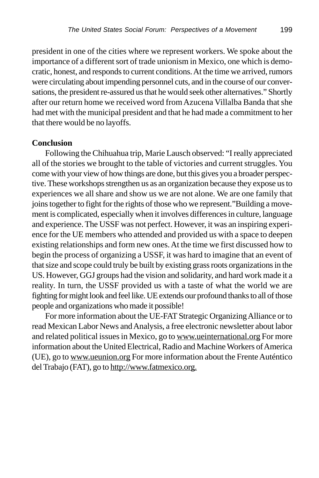president in one of the cities where we represent workers. We spoke about the importance of a different sort of trade unionism in Mexico, one which is democratic, honest, and responds to current conditions. At the time we arrived, rumors were circulating about impending personnel cuts, and in the course of our conversations, the president re-assured us that he would seek other alternatives." Shortly after our return home we received word from Azucena Villalba Banda that she had met with the municipal president and that he had made a commitment to her that there would be no layoffs.

#### **Conclusion**

Following the Chihuahua trip, Marie Lausch observed: "I really appreciated all of the stories we brought to the table of victories and current struggles. You come with your view of how things are done, but this gives you a broader perspective. These workshops strengthen us as an organization because they expose us to experiences we all share and show us we are not alone. We are one family that joins together to fight for the rights of those who we represent."Building a movement is complicated, especially when it involves differences in culture, language and experience. The USSF was not perfect. However, it was an inspiring experience for the UE members who attended and provided us with a space to deepen existing relationships and form new ones. At the time we first discussed how to begin the process of organizing a USSF, it was hard to imagine that an event of that size and scope could truly be built by existing grass roots organizations in the US. However, GGJ groups had the vision and solidarity, and hard work made it a reality. In turn, the USSF provided us with a taste of what the world we are fighting for might look and feel like. UE extends our profound thanks to all of those people and organizations who made it possible!

For more information about the UE-FAT Strategic Organizing Alliance or to read Mexican Labor News and Analysis, a free electronic newsletter about labor and related political issues in Mexico, go to www.ueinternational.org For more information about the United Electrical, Radio and Machine Workers of America (UE), go to www.ueunion.org For more information about the Frente Auténtico del Trabajo (FAT), go to http://www.fatmexico.org.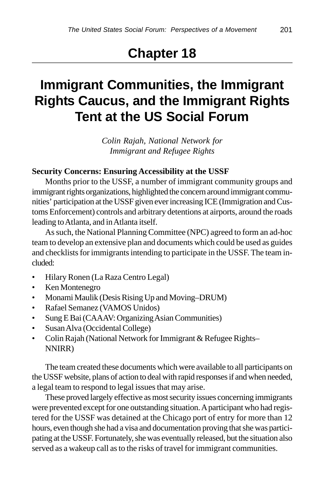## **Chapter 18**

# **Immigrant Communities, the Immigrant Rights Caucus, and the Immigrant Rights Tent at the US Social Forum**

*Colin Rajah, National Network for Immigrant and Refugee Rights*

#### **Security Concerns: Ensuring Accessibility at the USSF**

Months prior to the USSF, a number of immigrant community groups and immigrant rights organizations, highlighted the concern around immigrant communities' participation at the USSF given ever increasing ICE (Immigration and Customs Enforcement) controls and arbitrary detentions at airports, around the roads leading to Atlanta, and in Atlanta itself.

As such, the National Planning Committee (NPC) agreed to form an ad-hoc team to develop an extensive plan and documents which could be used as guides and checklists for immigrants intending to participate in the USSF. The team included:

- Hilary Ronen (La Raza Centro Legal)
- Ken Montenegro
- Monami Maulik (Desis Rising Up and Moving–DRUM)
- Rafael Semanez (VAMOS Unidos)
- Sung E Bai (CAAAV: Organizing Asian Communities)
- Susan Alva (Occidental College)
- Colin Rajah (National Network for Immigrant & Refugee Rights– NNIRR)

The team created these documents which were available to all participants on the USSF website, plans of action to deal with rapid responses if and when needed, a legal team to respond to legal issues that may arise.

These proved largely effective as most security issues concerning immigrants were prevented except for one outstanding situation. A participant who had registered for the USSF was detained at the Chicago port of entry for more than 12 hours, even though she had a visa and documentation proving that she was participating at the USSF. Fortunately, she was eventually released, but the situation also served as a wakeup call as to the risks of travel for immigrant communities.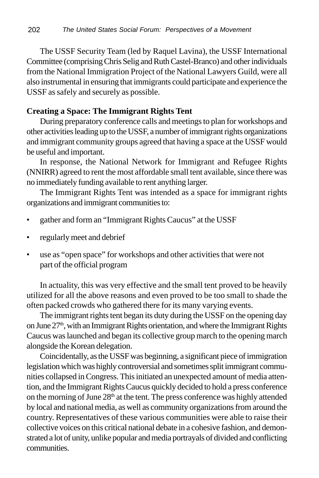The USSF Security Team (led by Raquel Lavina), the USSF International Committee (comprising Chris Selig and Ruth Castel-Branco) and other individuals from the National Immigration Project of the National Lawyers Guild, were all also instrumental in ensuring that immigrants could participate and experience the USSF as safely and securely as possible.

## **Creating a Space: The Immigrant Rights Tent**

During preparatory conference calls and meetings to plan for workshops and other activities leading up to the USSF, a number of immigrant rights organizations and immigrant community groups agreed that having a space at the USSF would be useful and important.

In response, the National Network for Immigrant and Refugee Rights (NNIRR) agreed to rent the most affordable small tent available, since there was no immediately funding available to rent anything larger.

The Immigrant Rights Tent was intended as a space for immigrant rights organizations and immigrant communities to:

- gather and form an "Immigrant Rights Caucus" at the USSF
- regularly meet and debrief
- use as "open space" for workshops and other activities that were not part of the official program

In actuality, this was very effective and the small tent proved to be heavily utilized for all the above reasons and even proved to be too small to shade the often packed crowds who gathered there for its many varying events.

The immigrant rights tent began its duty during the USSF on the opening day on June  $27<sup>th</sup>$ , with an Immigrant Rights orientation, and where the Immigrant Rights Caucus was launched and began its collective group march to the opening march alongside the Korean delegation.

Coincidentally, as the USSF was beginning, a significant piece of immigration legislation which was highly controversial and sometimes split immigrant communities collapsed in Congress. This initiated an unexpected amount of media attention, and the Immigrant Rights Caucus quickly decided to hold a press conference on the morning of June 28<sup>th</sup> at the tent. The press conference was highly attended by local and national media, as well as community organizations from around the country. Representatives of these various communities were able to raise their collective voices on this critical national debate in a cohesive fashion, and demonstrated a lot of unity, unlike popular and media portrayals of divided and conflicting communities.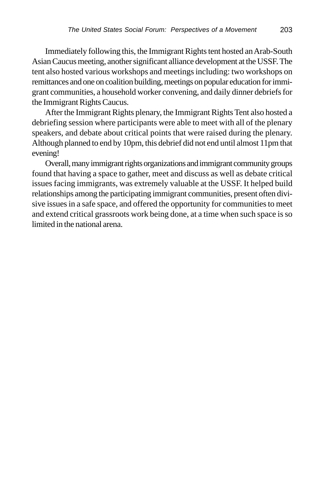Immediately following this, the Immigrant Rights tent hosted an Arab-South Asian Caucus meeting, another significant alliance development at the USSF. The tent also hosted various workshops and meetings including: two workshops on remittances and one on coalition building, meetings on popular education for immigrant communities, a household worker convening, and daily dinner debriefs for the Immigrant Rights Caucus.

After the Immigrant Rights plenary, the Immigrant Rights Tent also hosted a debriefing session where participants were able to meet with all of the plenary speakers, and debate about critical points that were raised during the plenary. Although planned to end by 10pm, this debrief did not end until almost 11pm that evening!

Overall, many immigrant rights organizations and immigrant community groups found that having a space to gather, meet and discuss as well as debate critical issues facing immigrants, was extremely valuable at the USSF. It helped build relationships among the participating immigrant communities, present often divisive issues in a safe space, and offered the opportunity for communities to meet and extend critical grassroots work being done, at a time when such space is so limited in the national arena.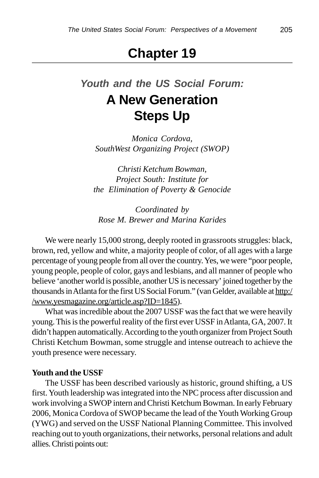# **Chapter 19**

# *Youth and the US Social Forum:* **A New Generation Steps Up**

*Monica Cordova, SouthWest Organizing Project (SWOP)*

*Christi Ketchum Bowman, Project South: Institute for the Elimination of Poverty & Genocide*

*Coordinated by Rose M. Brewer and Marina Karides*

We were nearly 15,000 strong, deeply rooted in grassroots struggles: black, brown, red, yellow and white, a majority people of color, of all ages with a large percentage of young people from all over the country. Yes, we were "poor people, young people, people of color, gays and lesbians, and all manner of people who believe 'another world is possible, another US is necessary' joined together by the thousands in Atlanta for the first US Social Forum." (van Gelder, available at http:/ /www.yesmagazine.org/article.asp?ID=1845).

What was incredible about the 2007 USSF was the fact that we were heavily young. This is the powerful reality of the first ever USSF in Atlanta, GA, 2007. It didn't happen automatically. According to the youth organizer from Project South Christi Ketchum Bowman, some struggle and intense outreach to achieve the youth presence were necessary.

### **Youth and the USSF**

The USSF has been described variously as historic, ground shifting, a US first. Youth leadership was integrated into the NPC process after discussion and work involving a SWOP intern and Christi Ketchum Bowman. In early February 2006, Monica Cordova of SWOP became the lead of the Youth Working Group (YWG) and served on the USSF National Planning Committee. This involved reaching out to youth organizations, their networks, personal relations and adult allies. Christi points out: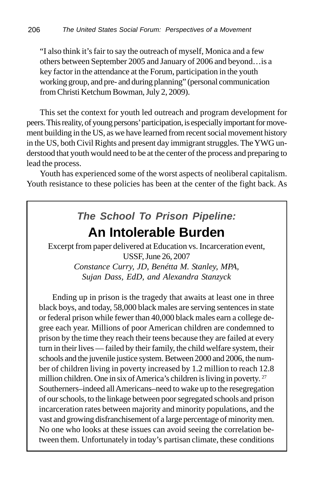"I also think it's fair to say the outreach of myself, Monica and a few others between September 2005 and January of 2006 and beyond…is a key factor in the attendance at the Forum, participation in the youth working group, and pre- and during planning" (personal communication from Christi Ketchum Bowman, July 2, 2009).

This set the context for youth led outreach and program development for peers. This reality, of young persons' participation, is especially important for movement building in the US, as we have learned from recent social movement history in the US, both Civil Rights and present day immigrant struggles. The YWG understood that youth would need to be at the center of the process and preparing to lead the process.

Youth has experienced some of the worst aspects of neoliberal capitalism. Youth resistance to these policies has been at the center of the fight back. As

# *The School To Prison Pipeline:* **An Intolerable Burden**

Excerpt from paper delivered at Education vs. Incarceration event,

USSF, June 26, 2007 *Constance Curry, JD, Benétta M. Stanley, MPA, Sujan Dass, EdD, and Alexandra Stanzyck*

Ending up in prison is the tragedy that awaits at least one in three black boys, and today, 58,000 black males are serving sentences in state or federal prison while fewer than 40,000 black males earn a college degree each year. Millions of poor American children are condemned to prison by the time they reach their teens because they are failed at every turn in their lives — failed by their family, the child welfare system, their schools and the juvenile justice system. Between 2000 and 2006, the number of children living in poverty increased by 1.2 million to reach 12.8 million children. One in six of America's children is living in poverty. <sup>27</sup> Southerners–indeed all Americans–need to wake up to the resegregation of our schools, to the linkage between poor segregated schools and prison incarceration rates between majority and minority populations, and the vast and growing disfranchisement of a large percentage of minority men. No one who looks at these issues can avoid seeing the correlation between them. Unfortunately in today's partisan climate, these conditions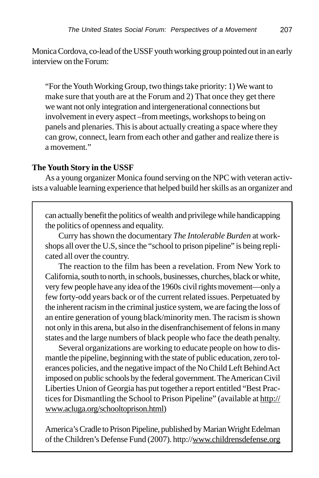Monica Cordova, co-lead of the USSF youth working group pointed out in an early interview on the Forum:

"For the Youth Working Group, two things take priority: 1) We want to make sure that youth are at the Forum and 2) That once they get there we want not only integration and intergenerational connections but involvement in every aspect –from meetings, workshops to being on panels and plenaries. This is about actually creating a space where they can grow, connect, learn from each other and gather and realize there is a movement."

## **The Youth Story in the USSF**

As a young organizer Monica found serving on the NPC with veteran activists a valuable learning experience that helped build her skills as an organizer and

can actually benefit the politics of wealth and privilege while handicapping the politics of openness and equality.

Curry has shown the documentary *The Intolerable Burden* at workshops all over the U.S, since the "school to prison pipeline" is being replicated all over the country.

The reaction to the film has been a revelation. From New York to California, south to north, in schools, businesses, churches, black or white, very few people have any idea of the 1960s civil rights movement—only a few forty-odd years back or of the current related issues. Perpetuated by the inherent racism in the criminal justice system, we are facing the loss of an entire generation of young black/minority men. The racism is shown not only in this arena, but also in the disenfranchisement of felons in many states and the large numbers of black people who face the death penalty.

 Several organizations are working to educate people on how to dismantle the pipeline, beginning with the state of public education, zero tolerances policies, and the negative impact of the No Child Left Behind Act imposed on public schools by the federal government. The American Civil Liberties Union of Georgia has put together a report entitled "Best Practices for Dismantling the School to Prison Pipeline" (available at http:// www.acluga.org/schooltoprison.html)

America's Cradle to Prison Pipeline, published by Marian Wright Edelman of the Children's Defense Fund (2007). http://www.childrensdefense.org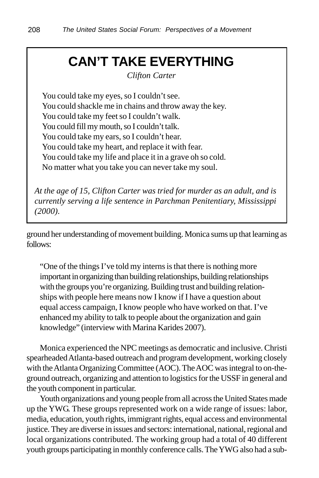# **CAN'T TAKE EVERYTHING**

*Clifton Carter*

You could take my eyes, so I couldn't see. You could shackle me in chains and throw away the key. You could take my feet so I couldn't walk. You could fill my mouth, so I couldn't talk. You could take my ears, so I couldn't hear. You could take my heart, and replace it with fear. You could take my life and place it in a grave oh so cold. No matter what you take you can never take my soul.

*At the age of 15, Clifton Carter was tried for murder as an adult, and is currently serving a life sentence in Parchman Penitentiary, Mississippi (2000).*

ground her understanding of movement building. Monica sums up that learning as follows:

"One of the things I've told my interns is that there is nothing more important in organizing than building relationships, building relationships with the groups you're organizing. Building trust and building relationships with people here means now I know if I have a question about equal access campaign, I know people who have worked on that. I've enhanced my ability to talk to people about the organization and gain knowledge" (interview with Marina Karides 2007).

Monica experienced the NPC meetings as democratic and inclusive. Christi spearheaded Atlanta-based outreach and program development, working closely with the Atlanta Organizing Committee (AOC). The AOC was integral to on-theground outreach, organizing and attention to logistics for the USSF in general and the youth component in particular.

Youth organizations and young people from all across the United States made up the YWG. These groups represented work on a wide range of issues: labor, media, education, youth rights, immigrant rights, equal access and environmental justice. They are diverse in issues and sectors: international, national, regional and local organizations contributed. The working group had a total of 40 different youth groups participating in monthly conference calls. The YWG also had a sub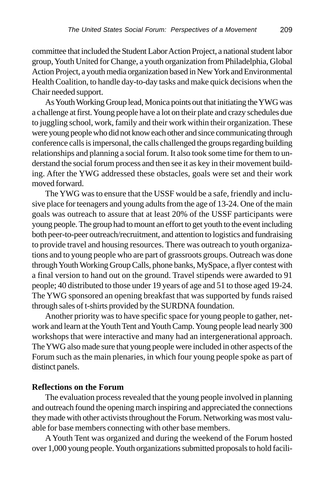committee that included the Student Labor Action Project, a national student labor group, Youth United for Change, a youth organization from Philadelphia, Global Action Project, a youth media organization based in New York and Environmental Health Coalition, to handle day-to-day tasks and make quick decisions when the Chair needed support.

As Youth Working Group lead, Monica points out that initiating the YWG was a challenge at first. Young people have a lot on their plate and crazy schedules due to juggling school, work, family and their work within their organization. These were young people who did not know each other and since communicating through conference calls is impersonal, the calls challenged the groups regarding building relationships and planning a social forum. It also took some time for them to understand the social forum process and then see it as key in their movement building. After the YWG addressed these obstacles, goals were set and their work moved forward.

The YWG was to ensure that the USSF would be a safe, friendly and inclusive place for teenagers and young adults from the age of 13-24. One of the main goals was outreach to assure that at least 20% of the USSF participants were young people. The group had to mount an effort to get youth to the event including both peer-to-peer outreach/recruitment, and attention to logistics and fundraising to provide travel and housing resources. There was outreach to youth organizations and to young people who are part of grassroots groups. Outreach was done through Youth Working Group Calls, phone banks, MySpace, a flyer contest with a final version to hand out on the ground. Travel stipends were awarded to 91 people; 40 distributed to those under 19 years of age and 51 to those aged 19-24. The YWG sponsored an opening breakfast that was supported by funds raised through sales of t-shirts provided by the SURDNA foundation.

Another priority was to have specific space for young people to gather, network and learn at the Youth Tent and Youth Camp. Young people lead nearly 300 workshops that were interactive and many had an intergenerational approach. The YWG also made sure that young people were included in other aspects of the Forum such as the main plenaries, in which four young people spoke as part of distinct panels.

### **Reflections on the Forum**

The evaluation process revealed that the young people involved in planning and outreach found the opening march inspiring and appreciated the connections they made with other activists throughout the Forum. Networking was most valuable for base members connecting with other base members.

A Youth Tent was organized and during the weekend of the Forum hosted over 1,000 young people. Youth organizations submitted proposals to hold facili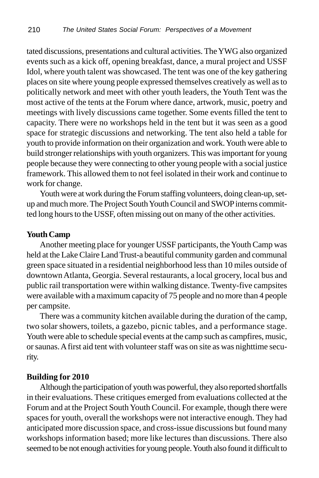tated discussions, presentations and cultural activities. The YWG also organized events such as a kick off, opening breakfast, dance, a mural project and USSF Idol, where youth talent was showcased. The tent was one of the key gathering places on site where young people expressed themselves creatively as well as to politically network and meet with other youth leaders, the Youth Tent was the most active of the tents at the Forum where dance, artwork, music, poetry and meetings with lively discussions came together. Some events filled the tent to capacity. There were no workshops held in the tent but it was seen as a good space for strategic discussions and networking. The tent also held a table for youth to provide information on their organization and work. Youth were able to build stronger relationships with youth organizers. This was important for young people because they were connecting to other young people with a social justice framework. This allowed them to not feel isolated in their work and continue to work for change.

Youth were at work during the Forum staffing volunteers, doing clean-up, setup and much more. The Project South Youth Council and SWOP interns committed long hours to the USSF, often missing out on many of the other activities.

## **Youth Camp**

Another meeting place for younger USSF participants, the Youth Camp was held at the Lake Claire Land Trust-a beautiful community garden and communal green space situated in a residential neighborhood less than 10 miles outside of downtown Atlanta, Georgia. Several restaurants, a local grocery, local bus and public rail transportation were within walking distance. Twenty-five campsites were available with a maximum capacity of 75 people and no more than 4 people per campsite.

There was a community kitchen available during the duration of the camp, two solar showers, toilets, a gazebo, picnic tables, and a performance stage. Youth were able to schedule special events at the camp such as campfires, music, or saunas. A first aid tent with volunteer staff was on site as was nighttime security.

### **Building for 2010**

Although the participation of youth was powerful, they also reported shortfalls in their evaluations. These critiques emerged from evaluations collected at the Forum and at the Project South Youth Council. For example, though there were spaces for youth, overall the workshops were not interactive enough. They had anticipated more discussion space, and cross-issue discussions but found many workshops information based; more like lectures than discussions. There also seemed to be not enough activities for young people. Youth also found it difficult to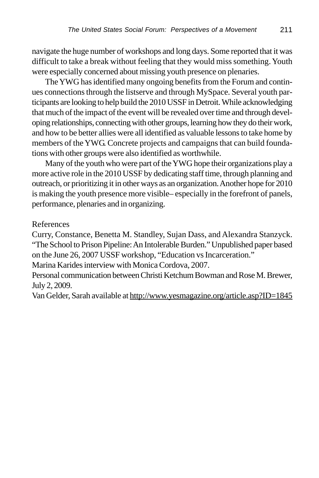navigate the huge number of workshops and long days. Some reported that it was difficult to take a break without feeling that they would miss something. Youth were especially concerned about missing youth presence on plenaries.

The YWG has identified many ongoing benefits from the Forum and continues connections through the listserve and through MySpace. Several youth participants are looking to help build the 2010 USSF in Detroit. While acknowledging that much of the impact of the event will be revealed over time and through developing relationships, connecting with other groups, learning how they do their work, and how to be better allies were all identified as valuable lessons to take home by members of the YWG. Concrete projects and campaigns that can build foundations with other groups were also identified as worthwhile.

Many of the youth who were part of the YWG hope their organizations play a more active role in the 2010 USSF by dedicating staff time, through planning and outreach, or prioritizing it in other ways as an organization. Another hope for 2010 is making the youth presence more visible– especially in the forefront of panels, performance, plenaries and in organizing.

References

Curry, Constance, Benetta M. Standley, Sujan Dass, and Alexandra Stanzyck. "The School to Prison Pipeline: An Intolerable Burden." Unpublished paper based on the June 26, 2007 USSF workshop, "Education vs Incarceration."

Marina Karides interview with Monica Cordova, 2007.

Personal communication between Christi Ketchum Bowman and Rose M. Brewer, July 2, 2009.

Van Gelder, Sarah available at http://www.yesmagazine.org/article.asp?ID=1845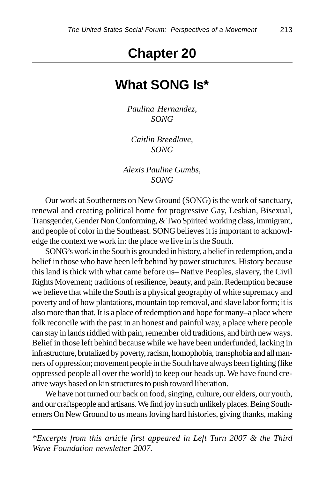# **Chapter 20**

# **What SONG Is\***

*Paulina Hernandez, SONG*

*Caitlin Breedlove, SONG*

*Alexis Pauline Gumbs, SONG*

Our work at Southerners on New Ground (SONG) is the work of sanctuary, renewal and creating political home for progressive Gay, Lesbian, Bisexual, Transgender, Gender Non Conforming, & Two Spirited working class, immigrant, and people of color in the Southeast. SONG believes it is important to acknowledge the context we work in: the place we live in is the South.

SONG's work in the South is grounded in history, a belief in redemption, and a belief in those who have been left behind by power structures. History because this land is thick with what came before us– Native Peoples, slavery, the Civil Rights Movement; traditions of resilience, beauty, and pain. Redemption because we believe that while the South is a physical geography of white supremacy and poverty and of how plantations, mountain top removal, and slave labor form; it is also more than that. It is a place of redemption and hope for many–a place where folk reconcile with the past in an honest and painful way, a place where people can stay in lands riddled with pain, remember old traditions, and birth new ways. Belief in those left behind because while we have been underfunded, lacking in infrastructure, brutalized by poverty, racism, homophobia, transphobia and all manners of oppression; movement people in the South have always been fighting (like oppressed people all over the world) to keep our heads up. We have found creative ways based on kin structures to push toward liberation.

We have not turned our back on food, singing, culture, our elders, our youth, and our craftspeople and artisans. We find joy in such unlikely places. Being Southerners On New Ground to us means loving hard histories, giving thanks, making

*\*Excerpts from this article first appeared in Left Turn 2007 & the Third Wave Foundation newsletter 2007.*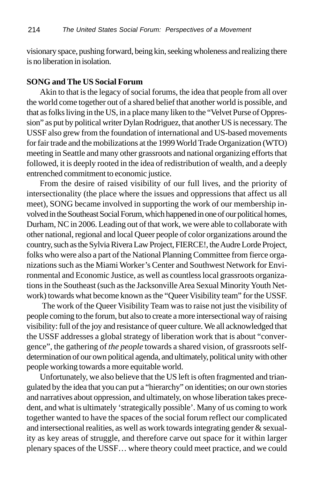visionary space, pushing forward, being kin, seeking wholeness and realizing there is no liberation in isolation.

### **SONG and The US Social Forum**

Akin to that is the legacy of social forums, the idea that people from all over the world come together out of a shared belief that another world is possible, and that as folks living in the US, in a place many liken to the "Velvet Purse of Oppression" as put by political writer Dylan Rodriguez, that another US is necessary. The USSF also grew from the foundation of international and US-based movements for fair trade and the mobilizations at the 1999 World Trade Organization (WTO) meeting in Seattle and many other grassroots and national organizing efforts that followed, it is deeply rooted in the idea of redistribution of wealth, and a deeply entrenched commitment to economic justice.

From the desire of raised visibility of our full lives, and the priority of intersectionality (the place where the issues and oppressions that affect us all meet), SONG became involved in supporting the work of our membership involved in the Southeast Social Forum, which happened in one of our political homes, Durham, NC in 2006. Leading out of that work, we were able to collaborate with other national, regional and local Queer people of color organizations around the country, such as the Sylvia Rivera Law Project, FIERCE!, the Audre Lorde Project, folks who were also a part of the National Planning Committee from fierce organizations such as the Miami Worker's Center and Southwest Network for Environmental and Economic Justice, as well as countless local grassroots organizations in the Southeast (such as the Jacksonville Area Sexual Minority Youth Network) towards what become known as the "Queer Visibility team" for the USSF.

 The work of the Queer Visibility Team was to raise not just the visibility of people coming to the forum, but also to create a more intersectional way of raising visibility: full of the joy and resistance of queer culture. We all acknowledged that the USSF addresses a global strategy of liberation work that is about "convergence", the gathering of *the people* towards a shared vision, of grassroots selfdetermination of our own political agenda, and ultimately, political unity with other people working towards a more equitable world.

Unfortunately, we also believe that the US left is often fragmented and triangulated by the idea that you can put a "hierarchy" on identities; on our own stories and narratives about oppression, and ultimately, on whose liberation takes precedent, and what is ultimately 'strategically possible'. Many of us coming to work together wanted to have the spaces of the social forum reflect our complicated and intersectional realities, as well as work towards integrating gender & sexuality as key areas of struggle, and therefore carve out space for it within larger plenary spaces of the USSF… where theory could meet practice, and we could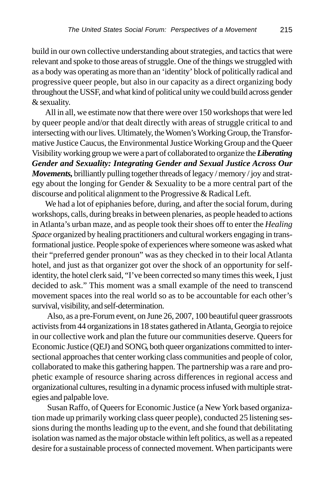build in our own collective understanding about strategies, and tactics that were relevant and spoke to those areas of struggle. One of the things we struggled with as a body was operating as more than an 'identity' block of politically radical and progressive queer people, but also in our capacity as a direct organizing body throughout the USSF, and what kind of political unity we could build across gender & sexuality.

All in all, we estimate now that there were over 150 workshops that were led by queer people and/or that dealt directly with areas of struggle critical to and intersecting with our lives. Ultimately, the Women's Working Group, the Transformative Justice Caucus, the Environmental Justice Working Group and the Queer Visibility working group we were a part of collaborated to organize the *Liberating Gender and Sexuality: Integrating Gender and Sexual Justice Across Our Movements,* brilliantly pulling together threads of legacy / memory / joy and strategy about the longing for Gender & Sexuality to be a more central part of the discourse and political alignment to the Progressive & Radical Left.

We had a lot of epiphanies before, during, and after the social forum, during workshops, calls, during breaks in between plenaries, as people headed to actions in Atlanta's urban maze, and as people took their shoes off to enter the *Healing Space* organized by healing practitioners and cultural workers engaging in transformational justice. People spoke of experiences where someone was asked what their "preferred gender pronoun" was as they checked in to their local Atlanta hotel, and just as that organizer got over the shock of an opportunity for selfidentity, the hotel clerk said, "I've been corrected so many times this week, I just decided to ask." This moment was a small example of the need to transcend movement spaces into the real world so as to be accountable for each other's survival, visibility, and self-determination.

 Also, as a pre-Forum event, on June 26, 2007, 100 beautiful queer grassroots activists from 44 organizations in 18 states gathered in Atlanta, Georgia to rejoice in our collective work and plan the future our communities deserve. Queers for Economic Justice (QEJ) and SONG, both queer organizations committed to intersectional approaches that center working class communities and people of color, collaborated to make this gathering happen. The partnership was a rare and prophetic example of resource sharing across differences in regional access and organizational cultures, resulting in a dynamic process infused with multiple strategies and palpable love.

 Susan Raffo, of Queers for Economic Justice (a New York based organization made up primarily working class queer people), conducted 25 listening sessions during the months leading up to the event, and she found that debilitating isolation was named as the major obstacle within left politics, as well as a repeated desire for a sustainable process of connected movement. When participants were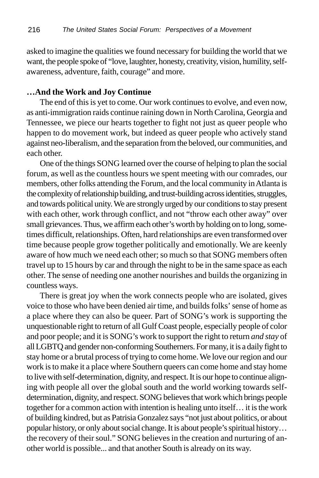asked to imagine the qualities we found necessary for building the world that we want, the people spoke of "love, laughter, honesty, creativity, vision, humility, selfawareness, adventure, faith, courage" and more.

### **…And the Work and Joy Continue**

The end of this is yet to come. Our work continues to evolve, and even now, as anti-immigration raids continue raining down in North Carolina, Georgia and Tennessee, we piece our hearts together to fight not just as queer people who happen to do movement work, but indeed as queer people who actively stand against neo-liberalism, and the separation from the beloved, our communities, and each other.

One of the things SONG learned over the course of helping to plan the social forum, as well as the countless hours we spent meeting with our comrades, our members, other folks attending the Forum, and the local community in Atlanta is the complexity of relationship building, and trust-building across identities, struggles, and towards political unity. We are strongly urged by our conditions to stay present with each other, work through conflict, and not "throw each other away" over small grievances. Thus, we affirm each other's worth by holding on to long, sometimes difficult, relationships. Often, hard relationships are even transformed over time because people grow together politically and emotionally. We are keenly aware of how much we need each other; so much so that SONG members often travel up to 15 hours by car and through the night to be in the same space as each other. The sense of needing one another nourishes and builds the organizing in countless ways.

There is great joy when the work connects people who are isolated, gives voice to those who have been denied air time, and builds folks' sense of home as a place where they can also be queer. Part of SONG's work is supporting the unquestionable right to return of all Gulf Coast people, especially people of color and poor people; and it is SONG's work to support the right to return *and stay* of all LGBTQ and gender non-conforming Southerners. For many, it is a daily fight to stay home or a brutal process of trying to come home. We love our region and our work is to make it a place where Southern queers can come home and stay home to live with self-determination, dignity, and respect. It is our hope to continue aligning with people all over the global south and the world working towards selfdetermination, dignity, and respect. SONG believes that work which brings people together for a common action with intention is healing unto itself… it is the work of building kindred, but as Patrisia Gonzalez says "not just about politics, or about popular history, or only about social change. It is about people's spiritual history… the recovery of their soul." SONG believes in the creation and nurturing of another world is possible... and that another South is already on its way.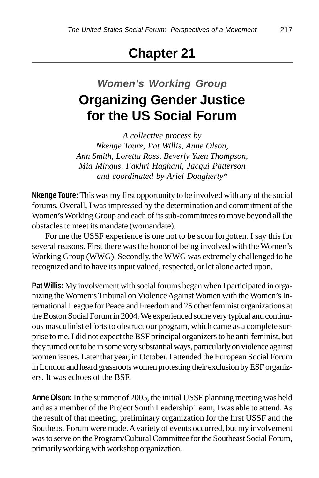# *Women's Working Group* **Organizing Gender Justice for the US Social Forum**

*A collective process by Nkenge Toure, Pat Willis, Anne Olson, Ann Smith, Loretta Ross, Beverly Yuen Thompson, Mia Mingus, Fakhri Haghani, Jacqui Patterson and coordinated by Ariel Dougherty\**

**Nkenge Toure:** This was my first opportunity to be involved with any of the social forums. Overall, I was impressed by the determination and commitment of the Women's Working Group and each of its sub-committees to move beyond all the obstacles to meet its mandate (womandate).

For me the USSF experience is one not to be soon forgotten. I say this for several reasons. First there was the honor of being involved with the Women's Working Group (WWG). Secondly, the WWG was extremely challenged to be recognized and to have its input valued, respected, or let alone acted upon.

**Pat Willis:** My involvement with social forums began when I participated in organizing the Women's Tribunal on Violence Against Women with the Women's International League for Peace and Freedom and 25 other feminist organizations at the Boston Social Forum in 2004. We experienced some very typical and continuous masculinist efforts to obstruct our program, which came as a complete surprise to me. I did not expect the BSF principal organizers to be anti-feminist, but they turned out to be in some very substantial ways, particularly on violence against women issues. Later that year, in October. I attended the European Social Forum in London and heard grassroots women protesting their exclusion by ESF organizers. It was echoes of the BSF.

**Anne Olson:** In the summer of 2005, the initial USSF planning meeting was held and as a member of the Project South Leadership Team, I was able to attend. As the result of that meeting, preliminary organization for the first USSF and the Southeast Forum were made. A variety of events occurred, but my involvement was to serve on the Program/Cultural Committee for the Southeast Social Forum, primarily working with workshop organization.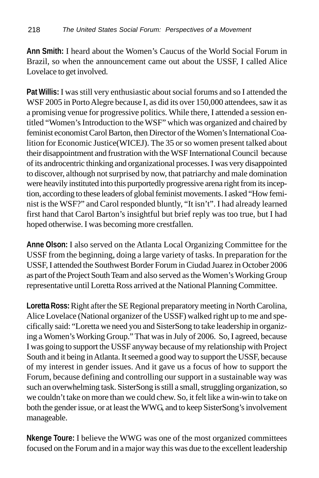**Ann Smith:** I heard about the Women's Caucus of the World Social Forum in Brazil, so when the announcement came out about the USSF, I called Alice Lovelace to get involved.

**Pat Willis:** I was still very enthusiastic about social forums and so I attended the WSF 2005 in Porto Alegre because I, as did its over 150,000 attendees, saw it as a promising venue for progressive politics. While there, I attended a session entitled "Women's Introduction to the WSF" which was organized and chaired by feminist economist Carol Barton, then Director of the Women's International Coalition for Economic Justice(WICEJ). The 35 or so women present talked about their disappointment and frustration with the WSF International Council because of its androcentric thinking and organizational processes. I was very disappointed to discover, although not surprised by now, that patriarchy and male domination were heavily instituted into this purportedly progressive arena right from its inception, according to these leaders of global feminist movements. I asked "How feminist is the WSF?" and Carol responded bluntly, "It isn't". I had already learned first hand that Carol Barton's insightful but brief reply was too true, but I had hoped otherwise. I was becoming more crestfallen.

**Anne Olson:** I also served on the Atlanta Local Organizing Committee for the USSF from the beginning, doing a large variety of tasks. In preparation for the USSF, I attended the Southwest Border Forum in Ciudad Juarez in October 2006 as part of the Project South Team and also served as the Women's Working Group representative until Loretta Ross arrived at the National Planning Committee.

**Loretta Ross:** Right after the SE Regional preparatory meeting in North Carolina, Alice Lovelace (National organizer of the USSF) walked right up to me and specifically said: "Loretta we need you and SisterSong to take leadership in organizing a Women's Working Group." That was in July of 2006. So, I agreed, because I was going to support the USSF anyway because of my relationship with Project South and it being in Atlanta. It seemed a good way to support the USSF, because of my interest in gender issues. And it gave us a focus of how to support the Forum, because defining and controlling our support in a sustainable way was such an overwhelming task. SisterSong is still a small, struggling organization, so we couldn't take on more than we could chew. So, it felt like a win-win to take on both the gender issue, or at least the WWG, and to keep SisterSong's involvement manageable.

**Nkenge Toure:** I believe the WWG was one of the most organized committees focused on the Forum and in a major way this was due to the excellent leadership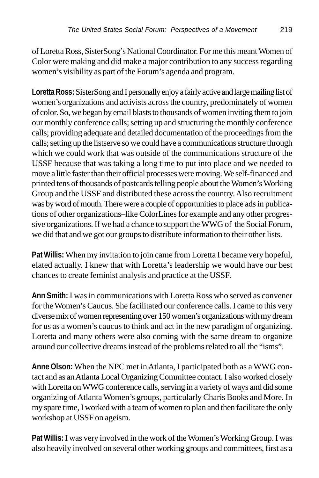of Loretta Ross, SisterSong's National Coordinator. For me this meant Women of Color were making and did make a major contribution to any success regarding women's visibility as part of the Forum's agenda and program.

**Loretta Ross:** SisterSong and I personally enjoy a fairly active and large mailing list of women's organizations and activists across the country, predominately of women of color. So, we began by email blasts to thousands of women inviting them to join our monthly conference calls; setting up and structuring the monthly conference calls; providing adequate and detailed documentation of the proceedings from the calls; setting up the listserve so we could have a communications structure through which we could work that was outside of the communications structure of the USSF because that was taking a long time to put into place and we needed to move a little faster than their official processes were moving. We self-financed and printed tens of thousands of postcards telling people about the Women's Working Group and the USSF and distributed these across the country. Also recruitment was by word of mouth. There were a couple of opportunities to place ads in publications of other organizations–like ColorLines for example and any other progressive organizations. If we had a chance to support the WWG of the Social Forum, we did that and we got our groups to distribute information to their other lists.

**Pat Willis:** When my invitation to join came from Loretta I became very hopeful, elated actually. I knew that with Loretta's leadership we would have our best chances to create feminist analysis and practice at the USSF.

**Ann Smith:** I was in communications with Loretta Ross who served as convener for the Women's Caucus. She facilitated our conference calls. I came to this very diverse mix of women representing over 150 women's organizations with my dream for us as a women's caucus to think and act in the new paradigm of organizing. Loretta and many others were also coming with the same dream to organize around our collective dreams instead of the problems related to all the "isms".

**Anne Olson:** When the NPC met in Atlanta, I participated both as a WWG contact and as an Atlanta Local Organizing Committee contact. I also worked closely with Loretta on WWG conference calls, serving in a variety of ways and did some organizing of Atlanta Women's groups, particularly Charis Books and More. In my spare time, I worked with a team of women to plan and then facilitate the only workshop at USSF on ageism.

**Pat Willis:** I was very involved in the work of the Women's Working Group. I was also heavily involved on several other working groups and committees, first as a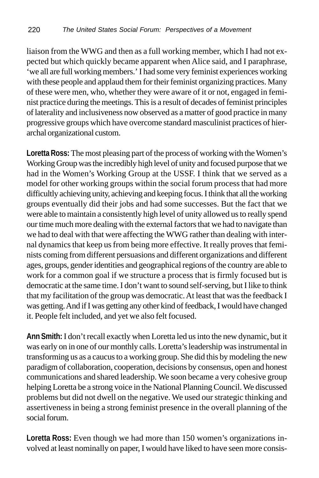liaison from the WWG and then as a full working member, which I had not expected but which quickly became apparent when Alice said, and I paraphrase, 'we all are full working members.' I had some very feminist experiences working with these people and applaud them for their feminist organizing practices. Many of these were men, who, whether they were aware of it or not, engaged in feminist practice during the meetings. This is a result of decades of feminist principles of laterality and inclusiveness now observed as a matter of good practice in many progressive groups which have overcome standard masculinist practices of hierarchal organizational custom.

**Loretta Ross:** The most pleasing part of the process of working with the Women's Working Group was the incredibly high level of unity and focused purpose that we had in the Women's Working Group at the USSF. I think that we served as a model for other working groups within the social forum process that had more difficultly achieving unity, achieving and keeping focus. I think that all the working groups eventually did their jobs and had some successes. But the fact that we were able to maintain a consistently high level of unity allowed us to really spend our time much more dealing with the external factors that we had to navigate than we had to deal with that were affecting the WWG rather than dealing with internal dynamics that keep us from being more effective. It really proves that feminists coming from different persuasions and different organizations and different ages, groups, gender identities and geographical regions of the country are able to work for a common goal if we structure a process that is firmly focused but is democratic at the same time. I don't want to sound self-serving, but I like to think that my facilitation of the group was democratic. At least that was the feedback I was getting. And if I was getting any other kind of feedback, I would have changed it. People felt included, and yet we also felt focused.

**Ann Smith:** I don't recall exactly when Loretta led us into the new dynamic, but it was early on in one of our monthly calls. Loretta's leadership was instrumental in transforming us as a caucus to a working group. She did this by modeling the new paradigm of collaboration, cooperation, decisions by consensus, open and honest communications and shared leadership. We soon became a very cohesive group helping Loretta be a strong voice in the National Planning Council. We discussed problems but did not dwell on the negative. We used our strategic thinking and assertiveness in being a strong feminist presence in the overall planning of the social forum.

**Loretta Ross:** Even though we had more than 150 women's organizations involved at least nominally on paper, I would have liked to have seen more consis-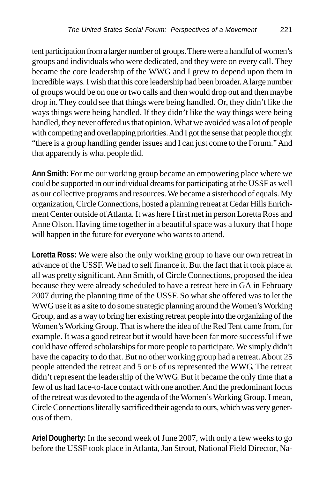tent participation from a larger number of groups. There were a handful of women's groups and individuals who were dedicated, and they were on every call. They became the core leadership of the WWG and I grew to depend upon them in incredible ways. I wish that this core leadership had been broader. A large number of groups would be on one or two calls and then would drop out and then maybe drop in. They could see that things were being handled. Or, they didn't like the ways things were being handled. If they didn't like the way things were being handled, they never offered us that opinion. What we avoided was a lot of people with competing and overlapping priorities. And I got the sense that people thought "there is a group handling gender issues and I can just come to the Forum." And that apparently is what people did.

**Ann Smith:** For me our working group became an empowering place where we could be supported in our individual dreams for participating at the USSF as well as our collective programs and resources. We became a sisterhood of equals. My organization, Circle Connections, hosted a planning retreat at Cedar Hills Enrichment Center outside of Atlanta. It was here I first met in person Loretta Ross and Anne Olson. Having time together in a beautiful space was a luxury that I hope will happen in the future for everyone who wants to attend.

**Loretta Ross:** We were also the only working group to have our own retreat in advance of the USSF. We had to self finance it. But the fact that it took place at all was pretty significant. Ann Smith, of Circle Connections, proposed the idea because they were already scheduled to have a retreat here in GA in February 2007 during the planning time of the USSF. So what she offered was to let the WWG use it as a site to do some strategic planning around the Women's Working Group, and as a way to bring her existing retreat people into the organizing of the Women's Working Group. That is where the idea of the Red Tent came from, for example. It was a good retreat but it would have been far more successful if we could have offered scholarships for more people to participate. We simply didn't have the capacity to do that. But no other working group had a retreat. About 25 people attended the retreat and 5 or 6 of us represented the WWG. The retreat didn't represent the leadership of the WWG. But it became the only time that a few of us had face-to-face contact with one another. And the predominant focus of the retreat was devoted to the agenda of the Women's Working Group. I mean, Circle Connections literally sacrificed their agenda to ours, which was very generous of them.

**Ariel Dougherty:** In the second week of June 2007, with only a few weeks to go before the USSF took place in Atlanta, Jan Strout, National Field Director, Na-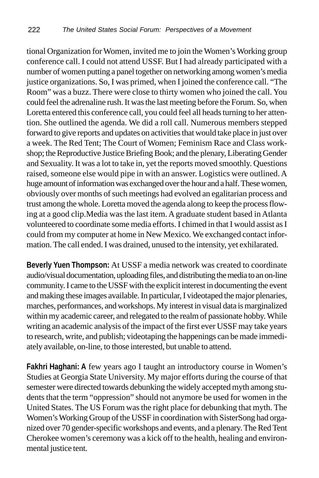tional Organization for Women, invited me to join the Women's Working group conference call. I could not attend USSF. But I had already participated with a number of women putting a panel together on networking among women's media justice organizations. So, I was primed, when I joined the conference call. "The Room" was a buzz. There were close to thirty women who joined the call. You could feel the adrenaline rush. It was the last meeting before the Forum. So, when Loretta entered this conference call, you could feel all heads turning to her attention. She outlined the agenda. We did a roll call. Numerous members stepped forward to give reports and updates on activities that would take place in just over a week. The Red Tent; The Court of Women; Feminism Race and Class workshop; the Reproductive Justice Briefing Book; and the plenary, Liberating Gender and Sexuality. It was a lot to take in, yet the reports moved smoothly. Questions raised, someone else would pipe in with an answer. Logistics were outlined. A huge amount of information was exchanged over the hour and a half. These women, obviously over months of such meetings had evolved an egalitarian process and trust among the whole. Loretta moved the agenda along to keep the process flowing at a good clip.Media was the last item. A graduate student based in Atlanta volunteered to coordinate some media efforts. I chimed in that I would assist as I could from my computer at home in New Mexico. We exchanged contact information. The call ended. I was drained, unused to the intensity, yet exhilarated.

**Beverly Yuen Thompson:** At USSF a media network was created to coordinate audio/visual documentation, uploading files, and distributing the media to an on-line community. I came to the USSF with the explicit interest in documenting the event and making these images available. In particular, I videotaped the major plenaries, marches, performances, and workshops. My interest in visual data is marginalized within my academic career, and relegated to the realm of passionate hobby. While writing an academic analysis of the impact of the first ever USSF may take years to research, write, and publish; videotaping the happenings can be made immediately available, on-line, to those interested, but unable to attend.

**Fakhri Haghani: A** few years ago I taught an introductory course in Women's Studies at Georgia State University. My major efforts during the course of that semester were directed towards debunking the widely accepted myth among students that the term "oppression" should not anymore be used for women in the United States. The US Forum was the right place for debunking that myth. The Women's Working Group of the USSF in coordination with SisterSong had organized over 70 gender-specific workshops and events, and a plenary. The Red Tent Cherokee women's ceremony was a kick off to the health, healing and environmental justice tent.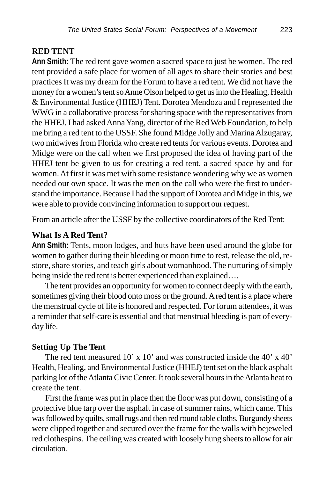## **RED TENT**

**Ann Smith:** The red tent gave women a sacred space to just be women. The red tent provided a safe place for women of all ages to share their stories and best practices It was my dream for the Forum to have a red tent. We did not have the money for a women's tent so Anne Olson helped to get us into the Healing, Health & Environmental Justice (HHEJ) Tent. Dorotea Mendoza and I represented the WWG in a collaborative process for sharing space with the representatives from the HHEJ. I had asked Anna Yang, director of the Red Web Foundation, to help me bring a red tent to the USSF. She found Midge Jolly and Marina Alzugaray, two midwives from Florida who create red tents for various events. Dorotea and Midge were on the call when we first proposed the idea of having part of the HHEJ tent be given to us for creating a red tent, a sacred space by and for women. At first it was met with some resistance wondering why we as women needed our own space. It was the men on the call who were the first to understand the importance. Because I had the support of Dorotea and Midge in this, we were able to provide convincing information to support our request.

From an article after the USSF by the collective coordinators of the Red Tent:

# **What Is A Red Tent?**

**Ann Smith:** Tents, moon lodges, and huts have been used around the globe for women to gather during their bleeding or moon time to rest, release the old, restore, share stories, and teach girls about womanhood. The nurturing of simply being inside the red tent is better experienced than explained….

The tent provides an opportunity for women to connect deeply with the earth, sometimes giving their blood onto moss or the ground. A red tent is a place where the menstrual cycle of life is honored and respected. For forum attendees, it was a reminder that self-care is essential and that menstrual bleeding is part of everyday life.

# **Setting Up The Tent**

The red tent measured 10' x 10' and was constructed inside the 40' x 40' Health, Healing, and Environmental Justice (HHEJ) tent set on the black asphalt parking lot of the Atlanta Civic Center. It took several hours in the Atlanta heat to create the tent.

First the frame was put in place then the floor was put down, consisting of a protective blue tarp over the asphalt in case of summer rains, which came. This was followed by quilts, small rugs and then red round table cloths. Burgundy sheets were clipped together and secured over the frame for the walls with bejeweled red clothespins. The ceiling was created with loosely hung sheets to allow for air circulation.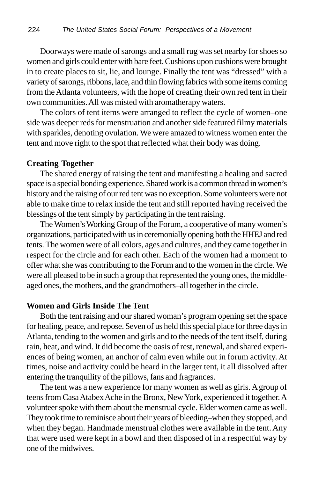Doorways were made of sarongs and a small rug was set nearby for shoes so women and girls could enter with bare feet. Cushions upon cushions were brought in to create places to sit, lie, and lounge. Finally the tent was "dressed" with a variety of sarongs, ribbons, lace, and thin flowing fabrics with some items coming from the Atlanta volunteers, with the hope of creating their own red tent in their own communities. All was misted with aromatherapy waters.

The colors of tent items were arranged to reflect the cycle of women–one side was deeper reds for menstruation and another side featured filmy materials with sparkles, denoting ovulation. We were amazed to witness women enter the tent and move right to the spot that reflected what their body was doing.

#### **Creating Together**

The shared energy of raising the tent and manifesting a healing and sacred space is a special bonding experience. Shared work is a common thread in women's history and the raising of our red tent was no exception. Some volunteers were not able to make time to relax inside the tent and still reported having received the blessings of the tent simply by participating in the tent raising.

The Women's Working Group of the Forum, a cooperative of many women's organizations, participated with us in ceremonially opening both the HHEJ and red tents. The women were of all colors, ages and cultures, and they came together in respect for the circle and for each other. Each of the women had a moment to offer what she was contributing to the Forum and to the women in the circle. We were all pleased to be in such a group that represented the young ones, the middleaged ones, the mothers, and the grandmothers–all together in the circle.

#### **Women and Girls Inside The Tent**

Both the tent raising and our shared woman's program opening set the space for healing, peace, and repose. Seven of us held this special place for three days in Atlanta, tending to the women and girls and to the needs of the tent itself, during rain, heat, and wind. It did become the oasis of rest, renewal, and shared experiences of being women, an anchor of calm even while out in forum activity. At times, noise and activity could be heard in the larger tent, it all dissolved after entering the tranquility of the pillows, fans and fragrances.

The tent was a new experience for many women as well as girls. A group of teens from Casa Atabex Ache in the Bronx, New York, experienced it together. A volunteer spoke with them about the menstrual cycle. Elder women came as well. They took time to reminisce about their years of bleeding–when they stopped, and when they began. Handmade menstrual clothes were available in the tent. Any that were used were kept in a bowl and then disposed of in a respectful way by one of the midwives.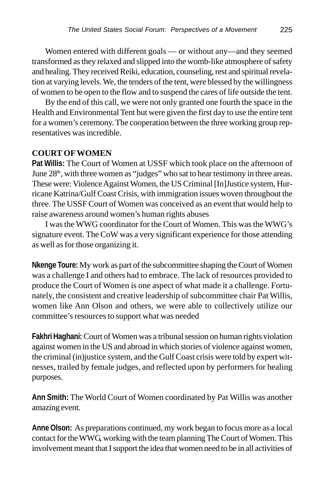Women entered with different goals — or without any—and they seemed transformed as they relaxed and slipped into the womb-like atmosphere of safety and healing. They received Reiki, education, counseling, rest and spiritual revelation at varying levels. We, the tenders of the tent, were blessed by the willingness of women to be open to the flow and to suspend the cares of life outside the tent.

By the end of this call, we were not only granted one fourth the space in the Health and Environmental Tent but were given the first day to use the entire tent for a women's ceremony. The cooperation between the three working group representatives was incredible.

## **COURT OF WOMEN**

**Pat Willis:** The Court of Women at USSF which took place on the afternoon of June  $28<sup>th</sup>$ , with three women as "judges" who sat to hear testimony in three areas. These were: Violence Against Women, the US Criminal [In]Justice system, Hurricane Katrina/Gulf Coast Crisis, with immigration issues woven throughout the three. The USSF Court of Women was conceived as an event that would help to raise awareness around women's human rights abuses

I was the WWG coordinator for the Court of Women. This was the WWG's signature event. The CoW was a very significant experience for those attending as well as for those organizing it.

**Nkenge Toure:** My work as part of the subcommittee shaping the Court of Women was a challenge I and others had to embrace. The lack of resources provided to produce the Court of Women is one aspect of what made it a challenge. Fortunately, the consistent and creative leadership of subcommittee chair Pat Willis, women like Ann Olson and others, we were able to collectively utilize our committee's resources to support what was needed

**Fakhri Haghani:** Court of Women was a tribunal session on human rights violation against women in the US and abroad in which stories of violence against women, the criminal (in)justice system, and the Gulf Coast crisis were told by expert witnesses, trailed by female judges, and reflected upon by performers for healing purposes.

**Ann Smith:** The World Court of Women coordinated by Pat Willis was another amazing event.

**Anne Olson:** As preparations continued, my work began to focus more as a local contact for the WWG, working with the team planning The Court of Women. This involvement meant that I support the idea that women need to be in all activities of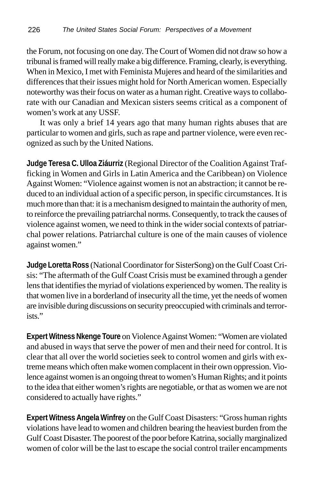the Forum, not focusing on one day. The Court of Women did not draw so how a tribunal is framed will really make a big difference. Framing, clearly, is everything. When in Mexico, I met with Feminista Mujeres and heard of the similarities and differences that their issues might hold for North American women. Especially noteworthy was their focus on water as a human right. Creative ways to collaborate with our Canadian and Mexican sisters seems critical as a component of women's work at any USSF.

It was only a brief 14 years ago that many human rights abuses that are particular to women and girls, such as rape and partner violence, were even recognized as such by the United Nations.

**Judge Teresa C. Ulloa Ziáurriz** (Regional Director of the Coalition Against Trafficking in Women and Girls in Latin America and the Caribbean) on Violence Against Women: "Violence against women is not an abstraction; it cannot be reduced to an individual action of a specific person, in specific circumstances. It is much more than that: it is a mechanism designed to maintain the authority of men, to reinforce the prevailing patriarchal norms. Consequently, to track the causes of violence against women, we need to think in the wider social contexts of patriarchal power relations. Patriarchal culture is one of the main causes of violence against women."

**Judge Loretta Ross** (National Coordinator for SisterSong) on the Gulf Coast Crisis: "The aftermath of the Gulf Coast Crisis must be examined through a gender lens that identifies the myriad of violations experienced by women. The reality is that women live in a borderland of insecurity all the time, yet the needs of women are invisible during discussions on security preoccupied with criminals and terrorists."

**Expert Witness Nkenge Toure** on Violence Against Women: "Women are violated and abused in ways that serve the power of men and their need for control. It is clear that all over the world societies seek to control women and girls with extreme means which often make women complacent in their own oppression. Violence against women is an ongoing threat to women's Human Rights; and it points to the idea that either women's rights are negotiable, or that as women we are not considered to actually have rights."

**Expert Witness Angela Winfrey** on the Gulf Coast Disasters: "Gross human rights violations have lead to women and children bearing the heaviest burden from the Gulf Coast Disaster. The poorest of the poor before Katrina, socially marginalized women of color will be the last to escape the social control trailer encampments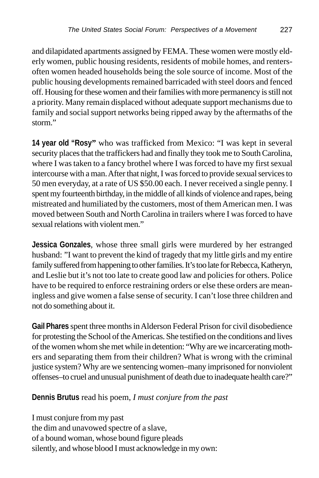and dilapidated apartments assigned by FEMA. These women were mostly elderly women, public housing residents, residents of mobile homes, and rentersoften women headed households being the sole source of income. Most of the public housing developments remained barricaded with steel doors and fenced off. Housing for these women and their families with more permanency is still not a priority. Many remain displaced without adequate support mechanisms due to family and social support networks being ripped away by the aftermaths of the storm."

**14 year old "Rosy"** who was trafficked from Mexico: "I was kept in several security places that the traffickers had and finally they took me to South Carolina, where I was taken to a fancy brothel where I was forced to have my first sexual intercourse with a man. After that night, I was forced to provide sexual services to 50 men everyday, at a rate of US \$50.00 each. I never received a single penny. I spent my fourteenth birthday, in the middle of all kinds of violence and rapes, being mistreated and humiliated by the customers, most of them American men. I was moved between South and North Carolina in trailers where I was forced to have sexual relations with violent men."

**Jessica Gonzales**, whose three small girls were murdered by her estranged husband: "I want to prevent the kind of tragedy that my little girls and my entire family suffered from happening to other families. It's too late for Rebecca, Katheryn, and Leslie but it's not too late to create good law and policies for others. Police have to be required to enforce restraining orders or else these orders are meaningless and give women a false sense of security. I can't lose three children and not do something about it.

**Gail Phares** spent three months in Alderson Federal Prison for civil disobedience for protesting the School of the Americas. She testified on the conditions and lives of the women whom she met while in detention: "Why are we incarcerating mothers and separating them from their children? What is wrong with the criminal justice system? Why are we sentencing women–many imprisoned for nonviolent offenses–to cruel and unusual punishment of death due to inadequate health care?"

**Dennis Brutus** read his poem, *I must conjure from the past*

I must conjure from my past the dim and unavowed spectre of a slave, of a bound woman, whose bound figure pleads silently, and whose blood I must acknowledge in my own: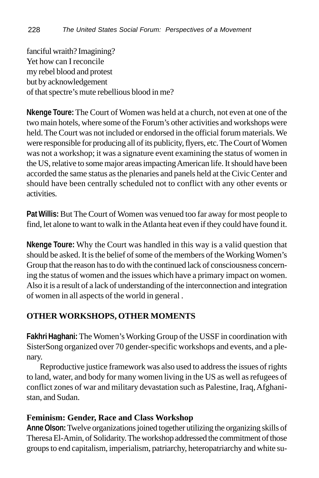fanciful wraith? Imagining? Yet how can I reconcile my rebel blood and protest but by acknowledgement of that spectre's mute rebellious blood in me?

**Nkenge Toure:** The Court of Women was held at a church, not even at one of the two main hotels, where some of the Forum's other activities and workshops were held. The Court was not included or endorsed in the official forum materials. We were responsible for producing all of its publicity, flyers, etc. The Court of Women was not a workshop; it was a signature event examining the status of women in the US, relative to some major areas impacting American life. It should have been accorded the same status as the plenaries and panels held at the Civic Center and should have been centrally scheduled not to conflict with any other events or activities.

**Pat Willis:** But The Court of Women was venued too far away for most people to find, let alone to want to walk in the Atlanta heat even if they could have found it.

**Nkenge Toure:** Why the Court was handled in this way is a valid question that should be asked. It is the belief of some of the members of the Working Women's Group that the reason has to do with the continued lack of consciousness concerning the status of women and the issues which have a primary impact on women. Also it is a result of a lack of understanding of the interconnection and integration of women in all aspects of the world in general .

# **OTHER WORKSHOPS, OTHER MOMENTS**

**Fakhri Haghani:** The Women's Working Group of the USSF in coordination with SisterSong organized over 70 gender-specific workshops and events, and a plenary.

Reproductive justice framework was also used to address the issues of rights to land, water, and body for many women living in the US as well as refugees of conflict zones of war and military devastation such as Palestine, Iraq, Afghanistan, and Sudan.

## **Feminism: Gender, Race and Class Workshop**

**Anne Olson:** Twelve organizations joined together utilizing the organizing skills of Theresa El-Amin, of Solidarity. The workshop addressed the commitment of those groups to end capitalism, imperialism, patriarchy, heteropatriarchy and white su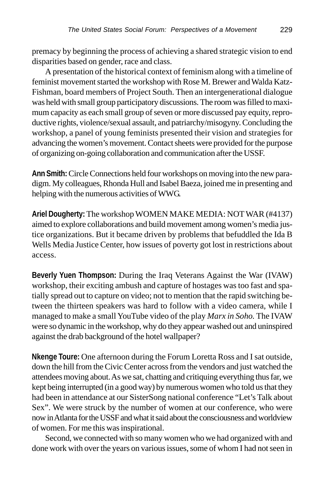premacy by beginning the process of achieving a shared strategic vision to end disparities based on gender, race and class.

A presentation of the historical context of feminism along with a timeline of feminist movement started the workshop with Rose M. Brewer and Walda Katz-Fishman, board members of Project South. Then an intergenerational dialogue was held with small group participatory discussions. The room was filled to maximum capacity as each small group of seven or more discussed pay equity, reproductive rights, violence/sexual assault, and patriarchy/misogyny. Concluding the workshop, a panel of young feminists presented their vision and strategies for advancing the women's movement. Contact sheets were provided for the purpose of organizing on-going collaboration and communication after the USSF.

**Ann Smith:** Circle Connections held four workshops on moving into the new paradigm. My colleagues, Rhonda Hull and Isabel Baeza, joined me in presenting and helping with the numerous activities of WWG.

**Ariel Dougherty:** The workshop WOMEN MAKE MEDIA: NOT WAR (#4137) aimed to explore collaborations and build movement among women's media justice organizations. But it became driven by problems that befuddled the Ida B Wells Media Justice Center, how issues of poverty got lost in restrictions about access.

**Beverly Yuen Thompson:** During the Iraq Veterans Against the War (IVAW) workshop, their exciting ambush and capture of hostages was too fast and spatially spread out to capture on video; not to mention that the rapid switching between the thirteen speakers was hard to follow with a video camera, while I managed to make a small YouTube video of the play *Marx in Soho.* The IVAW were so dynamic in the workshop, why do they appear washed out and uninspired against the drab background of the hotel wallpaper?

**Nkenge Toure:** One afternoon during the Forum Loretta Ross and I sat outside, down the hill from the Civic Center across from the vendors and just watched the attendees moving about. As we sat, chatting and critiquing everything thus far, we kept being interrupted (in a good way) by numerous women who told us that they had been in attendance at our SisterSong national conference "Let's Talk about Sex". We were struck by the number of women at our conference, who were now in Atlanta for the USSF and what it said about the consciousness and worldview of women. For me this was inspirational.

Second, we connected with so many women who we had organized with and done work with over the years on various issues, some of whom I had not seen in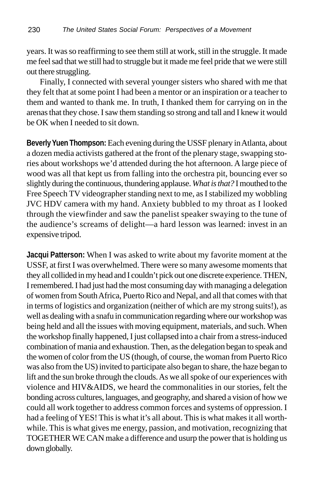years. It was so reaffirming to see them still at work, still in the struggle. It made me feel sad that we still had to struggle but it made me feel pride that we were still out there struggling.

Finally, I connected with several younger sisters who shared with me that they felt that at some point I had been a mentor or an inspiration or a teacher to them and wanted to thank me. In truth, I thanked them for carrying on in the arenas that they chose. I saw them standing so strong and tall and I knew it would be OK when I needed to sit down.

**Beverly Yuen Thompson:** Each evening during the USSF plenary in Atlanta, about a dozen media activists gathered at the front of the plenary stage, swapping stories about workshops we'd attended during the hot afternoon. A large piece of wood was all that kept us from falling into the orchestra pit, bouncing ever so slightly during the continuous, thundering applause. *What is that?* I mouthed to the Free Speech TV videographer standing next to me, as I stabilized my wobbling JVC HDV camera with my hand. Anxiety bubbled to my throat as I looked through the viewfinder and saw the panelist speaker swaying to the tune of the audience's screams of delight—a hard lesson was learned: invest in an expensive tripod.

**Jacqui Patterson:** When I was asked to write about my favorite moment at the USSF, at first I was overwhelmed. There were so many awesome moments that they all collided in my head and I couldn't pick out one discrete experience. THEN, I remembered. I had just had the most consuming day with managing a delegation of women from South Africa, Puerto Rico and Nepal, and all that comes with that in terms of logistics and organization (neither of which are my strong suits!), as well as dealing with a snafu in communication regarding where our workshop was being held and all the issues with moving equipment, materials, and such. When the workshop finally happened, I just collapsed into a chair from a stress-induced combination of mania and exhaustion. Then, as the delegation began to speak and the women of color from the US (though, of course, the woman from Puerto Rico was also from the US) invited to participate also began to share, the haze began to lift and the sun broke through the clouds. As we all spoke of our experiences with violence and HIV&AIDS, we heard the commonalities in our stories, felt the bonding across cultures, languages, and geography, and shared a vision of how we could all work together to address common forces and systems of oppression. I had a feeling of YES! This is what it's all about. This is what makes it all worthwhile. This is what gives me energy, passion, and motivation, recognizing that TOGETHER WE CAN make a difference and usurp the power that is holding us down globally.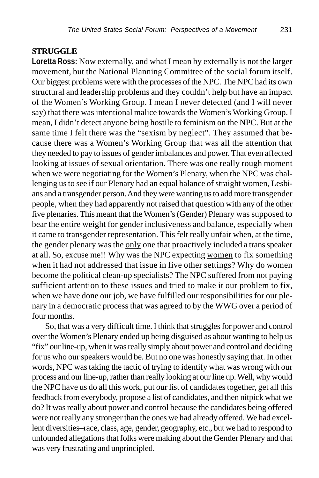### **STRUGGLE**

**Loretta Ross:** Now externally, and what I mean by externally is not the larger movement, but the National Planning Committee of the social forum itself. Our biggest problems were with the processes of the NPC. The NPC had its own structural and leadership problems and they couldn't help but have an impact of the Women's Working Group. I mean I never detected (and I will never say) that there was intentional malice towards the Women's Working Group. I mean, I didn't detect anyone being hostile to feminism on the NPC. But at the same time I felt there was the "sexism by neglect". They assumed that because there was a Women's Working Group that was all the attention that they needed to pay to issues of gender imbalances and power. That even affected looking at issues of sexual orientation. There was one really rough moment when we were negotiating for the Women's Plenary, when the NPC was challenging us to see if our Plenary had an equal balance of straight women, Lesbians and a transgender person. And they were wanting us to add more transgender people, when they had apparently not raised that question with any of the other five plenaries. This meant that the Women's (Gender) Plenary was supposed to bear the entire weight for gender inclusiveness and balance, especially when it came to transgender representation. This felt really unfair when, at the time, the gender plenary was the only one that proactively included a trans speaker at all. So, excuse me!! Why was the NPC expecting women to fix something when it had not addressed that issue in five other settings? Why do women become the political clean-up specialists? The NPC suffered from not paying sufficient attention to these issues and tried to make it our problem to fix, when we have done our job, we have fulfilled our responsibilities for our plenary in a democratic process that was agreed to by the WWG over a period of four months.

So, that was a very difficult time. I think that struggles for power and control over the Women's Plenary ended up being disguised as about wanting to help us "fix" our line-up, when it was really simply about power and control and deciding for us who our speakers would be. But no one was honestly saying that. In other words, NPC was taking the tactic of trying to identify what was wrong with our process and our line-up, rather than really looking at our line up. Well, why would the NPC have us do all this work, put our list of candidates together, get all this feedback from everybody, propose a list of candidates, and then nitpick what we do? It was really about power and control because the candidates being offered were not really any stronger than the ones we had already offered. We had excellent diversities–race, class, age, gender, geography, etc., but we had to respond to unfounded allegations that folks were making about the Gender Plenary and that was very frustrating and unprincipled.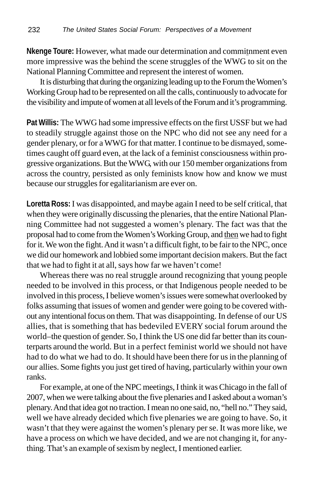**Nkenge Toure:** However, what made our determination and commitnment even more impressive was the behind the scene struggles of the WWG to sit on the National Planning Committee and represent the interest of women.

It is disturbing that during the organizing leading up to the Forum the Women's Working Group had to be represented on all the calls, continuously to advocate for the visibility and impute of women at all levels of the Forum and it's programming.

**Pat Willis:** The WWG had some impressive effects on the first USSF but we had to steadily struggle against those on the NPC who did not see any need for a gender plenary, or for a WWG for that matter. I continue to be dismayed, sometimes caught off guard even, at the lack of a feminist consciousness within progressive organizations. But the WWG, with our 150 member organizations from across the country, persisted as only feminists know how and know we must because our struggles for egalitarianism are ever on.

**Loretta Ross:** I was disappointed, and maybe again I need to be self critical, that when they were originally discussing the plenaries, that the entire National Planning Committee had not suggested a women's plenary. The fact was that the proposal had to come from the Women's Working Group, and then we had to fight for it. We won the fight. And it wasn't a difficult fight, to be fair to the NPC, once we did our homework and lobbied some important decision makers. But the fact that we had to fight it at all, says how far we haven't come!

Whereas there was no real struggle around recognizing that young people needed to be involved in this process, or that Indigenous people needed to be involved in this process, I believe women's issues were somewhat overlooked by folks assuming that issues of women and gender were going to be covered without any intentional focus on them. That was disappointing. In defense of our US allies, that is something that has bedeviled EVERY social forum around the world–the question of gender. So, I think the US one did far better than its counterparts around the world. But in a perfect feminist world we should not have had to do what we had to do. It should have been there for us in the planning of our allies. Some fights you just get tired of having, particularly within your own ranks.

For example, at one of the NPC meetings, I think it was Chicago in the fall of 2007, when we were talking about the five plenaries and I asked about a woman's plenary. And that idea got no traction. I mean no one said, no, "hell no." They said, well we have already decided which five plenaries we are going to have. So, it wasn't that they were against the women's plenary per se. It was more like, we have a process on which we have decided, and we are not changing it, for anything. That's an example of sexism by neglect, I mentioned earlier.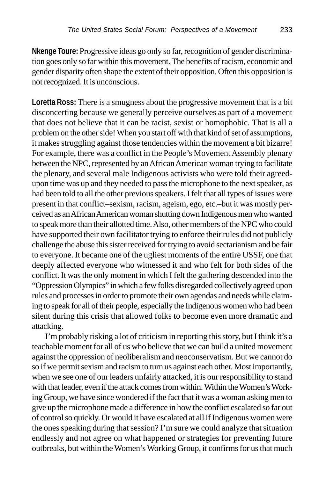**Nkenge Toure:** Progressive ideas go only so far, recognition of gender discrimination goes only so far within this movement. The benefits of racism, economic and gender disparity often shape the extent of their opposition. Often this opposition is not recognized. It is unconscious.

**Loretta Ross:** There is a smugness about the progressive movement that is a bit disconcerting because we generally perceive ourselves as part of a movement that does not believe that it can be racist, sexist or homophobic. That is all a problem on the other side! When you start off with that kind of set of assumptions, it makes struggling against those tendencies within the movement a bit bizarre! For example, there was a conflict in the People's Movement Assembly plenary between the NPC, represented by an African American woman trying to facilitate the plenary, and several male Indigenous activists who were told their agreedupon time was up and they needed to pass the microphone to the next speaker, as had been told to all the other previous speakers. I felt that all types of issues were present in that conflict–sexism, racism, ageism, ego, etc.–but it was mostly perceived as an African American woman shutting down Indigenous men who wanted to speak more than their allotted time. Also, other members of the NPC who could have supported their own facilitator trying to enforce their rules did not publicly challenge the abuse this sister received for trying to avoid sectarianism and be fair to everyone. It became one of the ugliest moments of the entire USSF, one that deeply affected everyone who witnessed it and who felt for both sides of the conflict. It was the only moment in which I felt the gathering descended into the "Oppression Olympics" in which a few folks disregarded collectively agreed upon rules and processes in order to promote their own agendas and needs while claiming to speak for all of their people, especially the Indigenous women who had been silent during this crisis that allowed folks to become even more dramatic and attacking.

I'm probably risking a lot of criticism in reporting this story, but I think it's a teachable moment for all of us who believe that we can build a united movement against the oppression of neoliberalism and neoconservatism. But we cannot do so if we permit sexism and racism to turn us against each other. Most importantly, when we see one of our leaders unfairly attacked, it is our responsibility to stand with that leader, even if the attack comes from within. Within the Women's Working Group, we have since wondered if the fact that it was a woman asking men to give up the microphone made a difference in how the conflict escalated so far out of control so quickly. Or would it have escalated at all if Indigenous women were the ones speaking during that session? I'm sure we could analyze that situation endlessly and not agree on what happened or strategies for preventing future outbreaks, but within the Women's Working Group, it confirms for us that much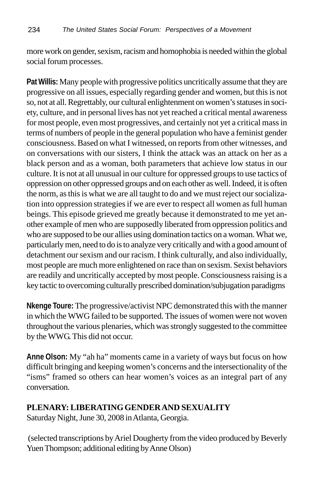more work on gender, sexism, racism and homophobia is needed within the global social forum processes.

**Pat Willis:** Many people with progressive politics uncritically assume that they are progressive on all issues, especially regarding gender and women, but this is not so, not at all. Regrettably, our cultural enlightenment on women's statuses in society, culture, and in personal lives has not yet reached a critical mental awareness for most people, even most progressives, and certainly not yet a critical mass in terms of numbers of people in the general population who have a feminist gender consciousness. Based on what I witnessed, on reports from other witnesses, and on conversations with our sisters, I think the attack was an attack on her as a black person and as a woman, both parameters that achieve low status in our culture. It is not at all unusual in our culture for oppressed groups to use tactics of oppression on other oppressed groups and on each other as well. Indeed, it is often the norm, as this is what we are all taught to do and we must reject our socialization into oppression strategies if we are ever to respect all women as full human beings. This episode grieved me greatly because it demonstrated to me yet another example of men who are supposedly liberated from oppression politics and who are supposed to be our allies using domination tactics on a woman. What we, particularly men, need to do is to analyze very critically and with a good amount of detachment our sexism and our racism. I think culturally, and also individually, most people are much more enlightened on race than on sexism. Sexist behaviors are readily and uncritically accepted by most people. Consciousness raising is a key tactic to overcoming culturally prescribed domination/subjugation paradigms

**Nkenge Toure:** The progressive/activist NPC demonstrated this with the manner in which the WWG failed to be supported. The issues of women were not woven throughout the various plenaries, which was strongly suggested to the committee by the WWG. This did not occur.

**Anne Olson:** My "ah ha" moments came in a variety of ways but focus on how difficult bringing and keeping women's concerns and the intersectionality of the "isms" framed so others can hear women's voices as an integral part of any conversation.

## **PLENARY: LIBERATING GENDER AND SEXUALITY**

Saturday Night, June 30, 2008 in Atlanta, Georgia.

 (selected transcriptions by Ariel Dougherty from the video produced by Beverly Yuen Thompson; additional editing by Anne Olson)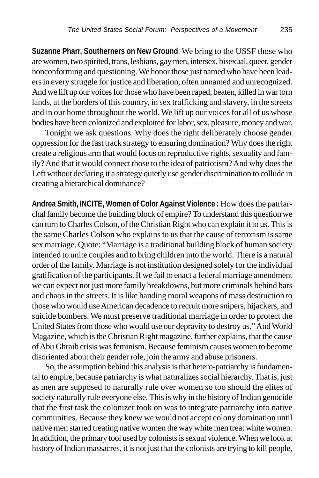**Suzanne Pharr, Southerners on New Ground**: We bring to the USSF those who are women, two spirited, trans, lesbians, gay men, intersex, bisexual, queer, gender nonconforming and questioning. We honor those just named who have been leaders in every struggle for justice and liberation, often unnamed and unrecognized. And we lift up our voices for those who have been raped, beaten, killed in war torn lands, at the borders of this country, in sex trafficking and slavery, in the streets and in our home throughout the world. We lift up our voices for all of us whose bodies have been colonized and exploited for labor, sex, pleasure, money and war.

Tonight we ask questions. Why does the right deliberately choose gender oppression for the fast track strategy to ensuring domination? Why does the right create a religious arm that would focus on reproductive rights, sexuality and family? And that it would connect those to the idea of patriotism? And why does the Left without declaring it a strategy quietly use gender discrimination to collude in creating a hierarchical dominance?

**Andrea Smith, INCITE, Women of Color Against Violence :** How does the patriarchal family become the building block of empire? To understand this question we can turn to Charles Colson, of the Christian Right who can explain it to us. This is the same Charles Colson who explains to us that the cause of terrorism is same sex marriage. Quote: "Marriage is a traditional building block of human society intended to unite couples and to bring children into the world. There is a natural order of the family. Marriage is not institution designed solely for the individual gratification of the participants. If we fail to enact a federal marriage amendment we can expect not just more family breakdowns, but more criminals behind bars and chaos in the streets. It is like handing moral weapons of mass destruction to those who would use American decadence to recruit more snipers, hijackers, and suicide bombers. We must preserve traditional marriage in order to protect the United States from those who would use our depravity to destroy us." And World Magazine, which is the Christian Right magazine, further explains, that the cause of Abu Ghraib crisis was feminism. Because feminism causes women to become disoriented about their gender role, join the army and abuse prisoners.

So, the assumption behind this analysis is that hetero-patriarchy is fundamental to empire, because patriarchy is what naturalizes social hierarchy. That is, just as men are supposed to naturally rule over women so too should the elites of society naturally rule everyone else. This is why in the history of Indian genocide that the first task the colonizer took on was to integrate patriarchy into native communities. Because they knew we would not accept colony domination until native men started treating native women the way white men treat white women. In addition, the primary tool used by colonists is sexual violence. When we look at history of Indian massacres, it is not just that the colonists are trying to kill people,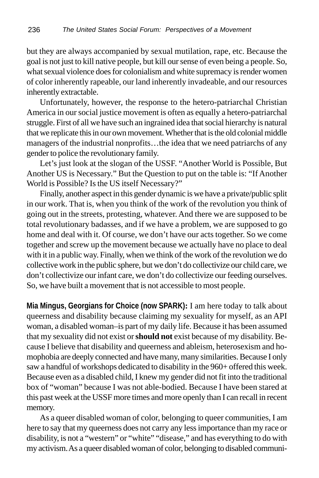but they are always accompanied by sexual mutilation, rape, etc. Because the goal is not just to kill native people, but kill our sense of even being a people. So, what sexual violence does for colonialism and white supremacy is render women of color inherently rapeable, our land inherently invadeable, and our resources inherently extractable.

Unfortunately, however, the response to the hetero-patriarchal Christian America in our social justice movement is often as equally a hetero-patriarchal struggle. First of all we have such an ingrained idea that social hierarchy is natural that we replicate this in our own movement. Whether that is the old colonial middle managers of the industrial nonprofits…the idea that we need patriarchs of any gender to police the revolutionary family.

Let's just look at the slogan of the USSF. "Another World is Possible, But Another US is Necessary." But the Question to put on the table is: "If Another World is Possible? Is the US itself Necessary?"

Finally, another aspect in this gender dynamic is we have a private/public split in our work. That is, when you think of the work of the revolution you think of going out in the streets, protesting, whatever. And there we are supposed to be total revolutionary badasses, and if we have a problem, we are supposed to go home and deal with it. Of course, we don't have our acts together. So we come together and screw up the movement because we actually have no place to deal with it in a public way. Finally, when we think of the work of the revolution we do collective work in the public sphere, but we don't do collectivize our child care, we don't collectivize our infant care, we don't do collectivize our feeding ourselves. So, we have built a movement that is not accessible to most people.

**Mia Mingus, Georgians for Choice (now SPARK):** I am here today to talk about queerness and disability because claiming my sexuality for myself, as an API woman, a disabled woman–is part of my daily life. Because it has been assumed that my sexuality did not exist or **should not** exist because of my disability. Because I believe that disability and queerness and ableism, heterosexism and homophobia are deeply connected and have many, many similarities. Because I only saw a handful of workshops dedicated to disability in the 960+ offered this week. Because even as a disabled child, I knew my gender did not fit into the traditional box of "woman" because I was not able-bodied. Because I have been stared at this past week at the USSF more times and more openly than I can recall in recent memory.

As a queer disabled woman of color, belonging to queer communities, I am here to say that my queerness does not carry any less importance than my race or disability, is not a "western" or "white" "disease," and has everything to do with my activism. As a queer disabled woman of color, belonging to disabled communi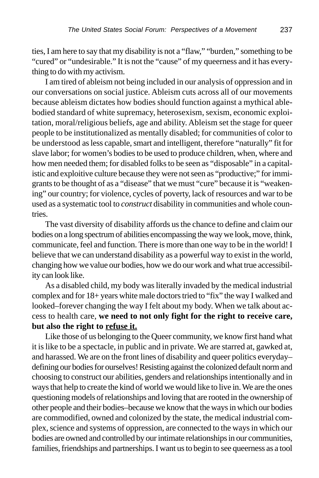ties, I am here to say that my disability is not a "flaw," "burden," something to be "cured" or "undesirable." It is not the "cause" of my queerness and it has everything to do with my activism.

I am tired of ableism not being included in our analysis of oppression and in our conversations on social justice. Ableism cuts across all of our movements because ableism dictates how bodies should function against a mythical ablebodied standard of white supremacy, heterosexism, sexism, economic exploitation, moral/religious beliefs, age and ability. Ableism set the stage for queer people to be institutionalized as mentally disabled; for communities of color to be understood as less capable, smart and intelligent, therefore "naturally" fit for slave labor; for women's bodies to be used to produce children, when, where and how men needed them; for disabled folks to be seen as "disposable" in a capitalistic and exploitive culture because they were not seen as "productive;" for immigrants to be thought of as a "disease" that we must "cure" because it is "weakening" our country; for violence, cycles of poverty, lack of resources and war to be used as a systematic tool to *construct* disability in communities and whole countries.

The vast diversity of disability affords us the chance to define and claim our bodies on a long spectrum of abilities encompassing the way we look, move, think, communicate, feel and function. There is more than one way to be in the world! I believe that we can understand disability as a powerful way to exist in the world, changing how we value our bodies, how we do our work and what true accessibility can look like.

As a disabled child, my body was literally invaded by the medical industrial complex and for 18+ years white male doctors tried to "fix" the way I walked and looked–forever changing the way I felt about my body. When we talk about access to health care, **we need to not only fight for the right to receive care, but also the right to refuse it.**

Like those of us belonging to the Queer community, we know first hand what it is like to be a spectacle, in public and in private. We are starred at, gawked at, and harassed. We are on the front lines of disability and queer politics everyday– defining our bodies for ourselves! Resisting against the colonized default norm and choosing to construct our abilities, genders and relationships intentionally and in ways that help to create the kind of world we would like to live in. We are the ones questioning models of relationships and loving that are rooted in the ownership of other people and their bodies–because we know that the ways in which our bodies are commodified, owned and colonized by the state, the medical industrial complex, science and systems of oppression, are connected to the ways in which our bodies are owned and controlled by our intimate relationships in our communities, families, friendships and partnerships. I want us to begin to see queerness as a tool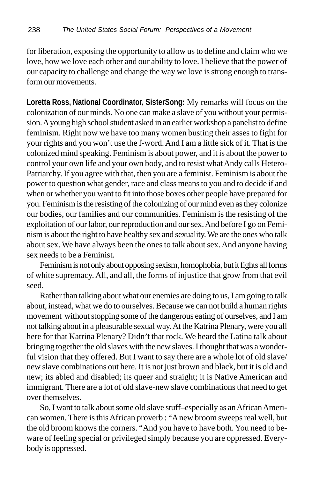for liberation, exposing the opportunity to allow us to define and claim who we love, how we love each other and our ability to love. I believe that the power of our capacity to challenge and change the way we love is strong enough to transform our movements.

**Loretta Ross, National Coordinator, SisterSong:** My remarks will focus on the colonization of our minds. No one can make a slave of you without your permission. A young high school student asked in an earlier workshop a panelist to define feminism. Right now we have too many women busting their asses to fight for your rights and you won't use the f-word. And I am a little sick of it. That is the colonized mind speaking. Feminism is about power, and it is about the power to control your own life and your own body, and to resist what Andy calls Hetero-Patriarchy. If you agree with that, then you are a feminist. Feminism is about the power to question what gender, race and class means to you and to decide if and when or whether you want to fit into those boxes other people have prepared for you. Feminism is the resisting of the colonizing of our mind even as they colonize our bodies, our families and our communities. Feminism is the resisting of the exploitation of our labor, our reproduction and our sex. And before I go on Feminism is about the right to have healthy sex and sexuality. We are the ones who talk about sex. We have always been the ones to talk about sex. And anyone having sex needs to be a Feminist.

Feminism is not only about opposing sexism, homophobia, but it fights all forms of white supremacy. All, and all, the forms of injustice that grow from that evil seed.

Rather than talking about what our enemies are doing to us, I am going to talk about, instead, what we do to ourselves. Because we can not build a human rights movement without stopping some of the dangerous eating of ourselves, and I am not talking about in a pleasurable sexual way. At the Katrina Plenary, were you all here for that Katrina Plenary? Didn't that rock. We heard the Latina talk about bringing together the old slaves with the new slaves. I thought that was a wonderful vision that they offered. But I want to say there are a whole lot of old slave/ new slave combinations out here. It is not just brown and black, but it is old and new; its abled and disabled; its queer and straight; it is Native American and immigrant. There are a lot of old slave-new slave combinations that need to get over themselves.

So, I want to talk about some old slave stuff–especially as an African American women. There is this African proverb : "A new broom sweeps real well, but the old broom knows the corners. "And you have to have both. You need to beware of feeling special or privileged simply because you are oppressed. Everybody is oppressed.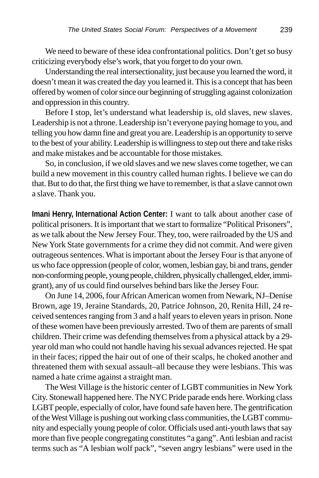We need to beware of these idea confrontational politics. Don't get so busy criticizing everybody else's work, that you forget to do your own.

Understanding the real intersectionality, just because you learned the word, it doesn't mean it was created the day you learned it. This is a concept that has been offered by women of color since our beginning of struggling against colonization and oppression in this country.

Before I stop, let's understand what leadership is, old slaves, new slaves. Leadership is not a throne. Leadership isn't everyone paying homage to you, and telling you how damn fine and great you are. Leadership is an opportunity to serve to the best of your ability. Leadership is willingness to step out there and take risks and make mistakes and be accountable for those mistakes.

So, in conclusion, if we old slaves and we new slaves come together, we can build a new movement in this country called human rights. I believe we can do that. But to do that, the first thing we have to remember, is that a slave cannot own a slave. Thank you.

**Imani Henry, International Action Center:** I want to talk about another case of political prisoners. It is important that we start to formalize "Political Prisoners", as we talk about the New Jersey Four. They, too, were railroaded by the US and New York State governments for a crime they did not commit. And were given outrageous sentences. What is important about the Jersey Four is that anyone of us who face oppression (people of color, women, lesbian gay, bi and trans, gender non-conforming people, young people, children, physically challenged, elder, immigrant), any of us could find ourselves behind bars like the Jersey Four.

On June 14, 2006, four African American women from Newark, NJ–Denise Brown, age 19, Jeraine Standards, 20, Patrice Johnson, 20, Renita Hill, 24 received sentences ranging from 3 and a half years to eleven years in prison. None of these women have been previously arrested. Two of them are parents of small children. Their crime was defending themselves from a physical attack by a 29 year old man who could not handle having his sexual advances rejected. He spat in their faces; ripped the hair out of one of their scalps, he choked another and threatened them with sexual assault–all because they were lesbians. This was named a hate crime against a straight man.

The West Village is the historic center of LGBT communities in New York City. Stonewall happened here. The NYC Pride parade ends here. Working class LGBT people, especially of color, have found safe haven here. The gentrification of the West Village is pushing out working class communities, the LGBT community and especially young people of color. Officials used anti-youth laws that say more than five people congregating constitutes "a gang". Anti lesbian and racist terms such as "A lesbian wolf pack", "seven angry lesbians" were used in the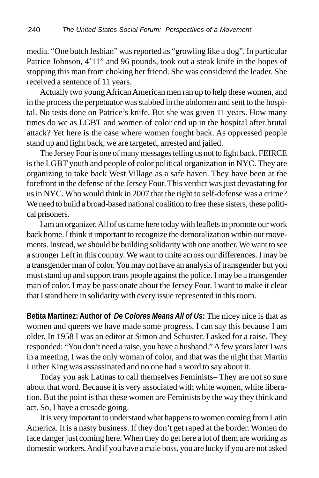media. "One butch lesbian" was reported as "growling like a dog". In particular Patrice Johnson, 4'11" and 96 pounds, took out a steak knife in the hopes of stopping this man from choking her friend. She was considered the leader. She received a sentence of 11 years.

Actually two young African American men ran up to help these women, and in the process the perpetuator was stabbed in the abdomen and sent to the hospital. No tests done on Patrice's knife. But she was given 11 years. How many times do we as LGBT and women of color end up in the hospital after brutal attack? Yet here is the case where women fought back. As oppressed people stand up and fight back, we are targeted, arrested and jailed.

The Jersey Four is one of many messages telling us not to fight back. FEIRCE is the LGBT youth and people of color political organization in NYC. They are organizing to take back West Village as a safe haven. They have been at the forefront in the defense of the Jersey Four. This verdict was just devastating for us in NYC. Who would think in 2007 that the right to self-defense was a crime? We need to build a broad-based national coalition to free these sisters, these political prisoners.

I am an organizer. All of us came here today with leaflets to promote our work back home. I think it important to recognize the demoralization within our movements. Instead, we should be building solidarity with one another. We want to see a stronger Left in this country. We want to unite across our differences. I may be a transgender man of color. You may not have an analysis of transgender but you must stand up and support trans people against the police. I may be a transgender man of color. I may be passionate about the Jersey Four. I want to make it clear that I stand here in solidarity with every issue represented in this room.

**Betita Martinez: Author of** *De Colores Means All of Us***:** The nicey nice is that as women and queers we have made some progress. I can say this because I am older. In 1958 I was an editor at Simon and Schuster. I asked for a raise. They responded: "You don't need a raise, you have a husband." A few years later I was in a meeting, I was the only woman of color, and that was the night that Martin Luther King was assassinated and no one had a word to say about it.

Today you ask Latinas to call themselves Feminists– They are not so sure about that word. Because it is very associated with white women, white liberation. But the point is that these women are Feminists by the way they think and act. So, I have a crusade going.

It is very important to understand what happens to women coming from Latin America. It is a nasty business. If they don't get raped at the border. Women do face danger just coming here. When they do get here a lot of them are working as domestic workers. And if you have a male boss, you are lucky if you are not asked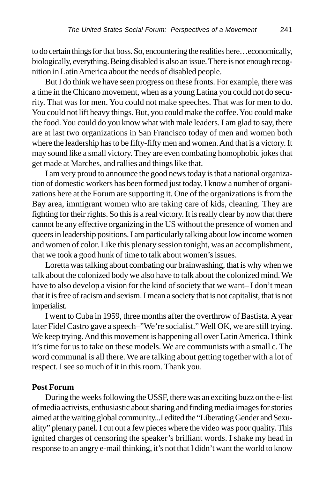to do certain things for that boss. So, encountering the realities here…economically, biologically, everything. Being disabled is also an issue. There is not enough recognition in Latin America about the needs of disabled people.

But I do think we have seen progress on these fronts. For example, there was a time in the Chicano movement, when as a young Latina you could not do security. That was for men. You could not make speeches. That was for men to do. You could not lift heavy things. But, you could make the coffee. You could make the food. You could do you know what with male leaders. I am glad to say, there are at last two organizations in San Francisco today of men and women both where the leadership has to be fifty-fifty men and women. And that is a victory. It may sound like a small victory. They are even combating homophobic jokes that get made at Marches, and rallies and things like that.

I am very proud to announce the good news today is that a national organization of domestic workers has been formed just today. I know a number of organizations here at the Forum are supporting it. One of the organizations is from the Bay area, immigrant women who are taking care of kids, cleaning. They are fighting for their rights. So this is a real victory. It is really clear by now that there cannot be any effective organizing in the US without the presence of women and queers in leadership positions. I am particularly talking about low income women and women of color. Like this plenary session tonight, was an accomplishment, that we took a good hunk of time to talk about women's issues.

Loretta was talking about combating our brainwashing, that is why when we talk about the colonized body we also have to talk about the colonized mind. We have to also develop a vision for the kind of society that we want– I don't mean that it is free of racism and sexism. I mean a society that is not capitalist, that is not imperialist.

I went to Cuba in 1959, three months after the overthrow of Bastista. A year later Fidel Castro gave a speech–"We're socialist." Well OK, we are still trying. We keep trying. And this movement is happening all over Latin America. I think it's time for us to take on these models. We are communists with a small c. The word communal is all there. We are talking about getting together with a lot of respect. I see so much of it in this room. Thank you.

#### **Post Forum**

During the weeks following the USSF, there was an exciting buzz on the e-list of media activists, enthusiastic about sharing and finding media images for stories aimed at the waiting global community...I edited the "Liberating Gender and Sexuality" plenary panel. I cut out a few pieces where the video was poor quality. This ignited charges of censoring the speaker's brilliant words. I shake my head in response to an angry e-mail thinking, it's not that I didn't want the world to know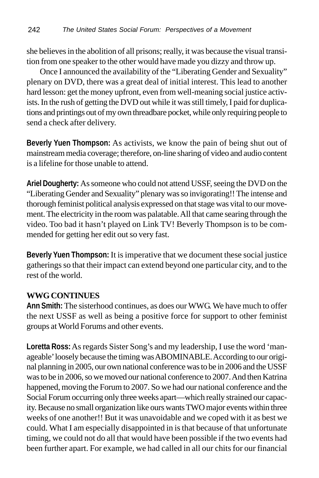she believes in the abolition of all prisons; really, it was because the visual transition from one speaker to the other would have made you dizzy and throw up.

Once I announced the availability of the "Liberating Gender and Sexuality" plenary on DVD, there was a great deal of initial interest. This lead to another hard lesson: get the money upfront, even from well-meaning social justice activists. In the rush of getting the DVD out while it was still timely, I paid for duplications and printings out of my own threadbare pocket, while only requiring people to send a check after delivery.

**Beverly Yuen Thompson:** As activists, we know the pain of being shut out of mainstream media coverage; therefore, on-line sharing of video and audio content is a lifeline for those unable to attend.

**Ariel Dougherty:** As someone who could not attend USSF, seeing the DVD on the "Liberating Gender and Sexuality" plenary was so invigorating!! The intense and thorough feminist political analysis expressed on that stage was vital to our movement. The electricity in the room was palatable. All that came searing through the video. Too bad it hasn't played on Link TV! Beverly Thompson is to be commended for getting her edit out so very fast.

**Beverly Yuen Thompson:** It is imperative that we document these social justice gatherings so that their impact can extend beyond one particular city, and to the rest of the world.

### **WWG CONTINUES**

**Ann Smith:** The sisterhood continues, as does our WWG. We have much to offer the next USSF as well as being a positive force for support to other feminist groups at World Forums and other events.

**Loretta Ross:** As regards Sister Song's and my leadership, I use the word 'manageable' loosely because the timing was ABOMINABLE. According to our original planning in 2005, our own national conference was to be in 2006 and the USSF was to be in 2006, so we moved our national conference to 2007. And then Katrina happened, moving the Forum to 2007. So we had our national conference and the Social Forum occurring only three weeks apart—which really strained our capacity. Because no small organization like ours wants TWO major events within three weeks of one another!! But it was unavoidable and we coped with it as best we could. What I am especially disappointed in is that because of that unfortunate timing, we could not do all that would have been possible if the two events had been further apart. For example, we had called in all our chits for our financial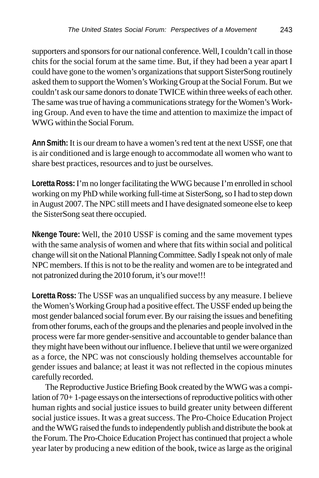supporters and sponsors for our national conference. Well, I couldn't call in those chits for the social forum at the same time. But, if they had been a year apart I could have gone to the women's organizations that support SisterSong routinely asked them to support the Women's Working Group at the Social Forum. But we couldn't ask our same donors to donate TWICE within three weeks of each other. The same was true of having a communications strategy for the Women's Working Group. And even to have the time and attention to maximize the impact of WWG within the Social Forum.

**Ann Smith:** It is our dream to have a women's red tent at the next USSF, one that is air conditioned and is large enough to accommodate all women who want to share best practices, resources and to just be ourselves.

**Loretta Ross:** I'm no longer facilitating the WWG because I'm enrolled in school working on my PhD while working full-time at SisterSong, so I had to step down in August 2007. The NPC still meets and I have designated someone else to keep the SisterSong seat there occupied.

**Nkenge Toure:** Well, the 2010 USSF is coming and the same movement types with the same analysis of women and where that fits within social and political change will sit on the National Planning Committee. Sadly I speak not only of male NPC members. If this is not to be the reality and women are to be integrated and not patronized during the 2010 forum, it's our move!!!

**Loretta Ross:** The USSF was an unqualified success by any measure. I believe the Women's Working Group had a positive effect. The USSF ended up being the most gender balanced social forum ever. By our raising the issues and benefiting from other forums, each of the groups and the plenaries and people involved in the process were far more gender-sensitive and accountable to gender balance than they might have been without our influence. I believe that until we were organized as a force, the NPC was not consciously holding themselves accountable for gender issues and balance; at least it was not reflected in the copious minutes carefully recorded.

The Reproductive Justice Briefing Book created by the WWG was a compilation of 70+ 1-page essays on the intersections of reproductive politics with other human rights and social justice issues to build greater unity between different social justice issues. It was a great success. The Pro-Choice Education Project and the WWG raised the funds to independently publish and distribute the book at the Forum. The Pro-Choice Education Project has continued that project a whole year later by producing a new edition of the book, twice as large as the original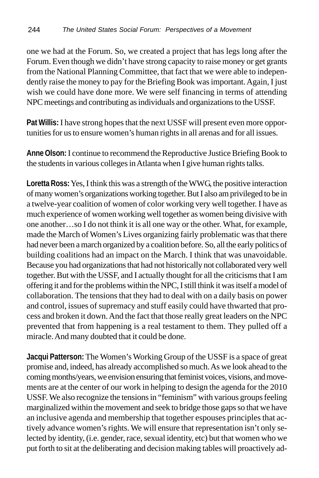one we had at the Forum. So, we created a project that has legs long after the Forum. Even though we didn't have strong capacity to raise money or get grants from the National Planning Committee, that fact that we were able to independently raise the money to pay for the Briefing Book was important. Again, I just wish we could have done more. We were self financing in terms of attending NPC meetings and contributing as individuals and organizations to the USSF.

**Pat Willis:** I have strong hopes that the next USSF will present even more opportunities for us to ensure women's human rights in all arenas and for all issues.

**Anne Olson:** I continue to recommend the Reproductive Justice Briefing Book to the students in various colleges in Atlanta when I give human rights talks.

**Loretta Ross:** Yes, I think this was a strength of the WWG, the positive interaction of many women's organizations working together. But I also am privileged to be in a twelve-year coalition of women of color working very well together. I have as much experience of women working well together as women being divisive with one another…so I do not think it is all one way or the other. What, for example, made the March of Women's Lives organizing fairly problematic was that there had never been a march organized by a coalition before. So, all the early politics of building coalitions had an impact on the March. I think that was unavoidable. Because you had organizations that had not historically not collaborated very well together. But with the USSF, and I actually thought for all the criticisms that I am offering it and for the problems within the NPC, I still think it was itself a model of collaboration. The tensions that they had to deal with on a daily basis on power and control, issues of supremacy and stuff easily could have thwarted that process and broken it down. And the fact that those really great leaders on the NPC prevented that from happening is a real testament to them. They pulled off a miracle. And many doubted that it could be done.

**Jacqui Patterson:** The Women's Working Group of the USSF is a space of great promise and, indeed, has already accomplished so much. As we look ahead to the coming months/years, we envision ensuring that feminist voices, visions, and movements are at the center of our work in helping to design the agenda for the 2010 USSF. We also recognize the tensions in "feminism" with various groups feeling marginalized within the movement and seek to bridge those gaps so that we have an inclusive agenda and membership that together espouses principles that actively advance women's rights. We will ensure that representation isn't only selected by identity, (i.e. gender, race, sexual identity, etc) but that women who we put forth to sit at the deliberating and decision making tables will proactively ad-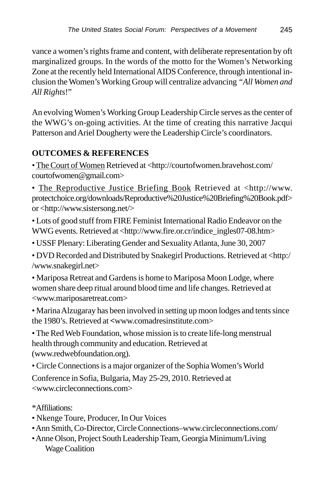vance a women's rights frame and content, with deliberate representation by oft marginalized groups. In the words of the motto for the Women's Networking Zone at the recently held International AIDS Conference, through intentional inclusion the Women's Working Group will centralize advancing *"All Women and All Rights*!"

An evolving Women's Working Group Leadership Circle serves as the center of the WWG's on-going activities. At the time of creating this narrative Jacqui Patterson and Ariel Dougherty were the Leadership Circle's coordinators.

### **OUTCOMES & REFERENCES**

• The Court of Women Retrieved at <http://courtofwomen.bravehost.com/ courtofwomen@gmail.com>

• The Reproductive Justice Briefing Book Retrieved at <http://www. protectchoice.org/downloads/Reproductive%20Justice%20Briefing%20Book.pdf> or <http://www.sistersong.net/>

• Lots of good stuff from FIRE Feminist International Radio Endeavor on the WWG events. Retrieved at <http://www.fire.or.cr/indice\_ingles07-08.htm>

• USSF Plenary: Liberating Gender and Sexuality Atlanta, June 30, 2007

• DVD Recorded and Distributed by Snakegirl Productions. Retrieved at <http:/ /www.snakegirl.net>

• Mariposa Retreat and Gardens is home to Mariposa Moon Lodge, where women share deep ritual around blood time and life changes. Retrieved at <www.mariposaretreat.com>

• Marina Alzugaray has been involved in setting up moon lodges and tents since the 1980's. Retrieved at **<**www.comadresinstitute.com>

• The Red Web Foundation, whose mission is to create life-long menstrual health through community and education. Retrieved at (www.redwebfoundation.org).

• Circle Connections is a major organizer of the Sophia Women's World Conference in Sofia, Bulgaria, May 25-29, 2010. Retrieved at <www.circleconnections.com>

### \*Affiliations:

- Nkenge Toure, Producer, In Our Voices
- Ann Smith, Co-Director, Circle Connections–www.circleconnections.com/
- Anne Olson, Project South Leadership Team, Georgia Minimum/Living Wage Coalition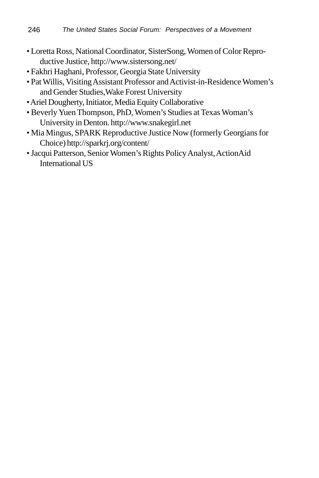- Loretta Ross, National Coordinator, SisterSong, Women of Color Reproductive Justice, http://www.sistersong.net/
- Fakhri Haghani, Professor, Georgia State University
- Pat Willis, Visiting Assistant Professor and Activist-in-Residence Women's and Gender Studies,Wake Forest University
- Ariel Dougherty, Initiator, Media Equity Collaborative
- Beverly Yuen Thompson, PhD, Women's Studies at Texas Woman's University in Denton. http://www.snakegirl.net
- Mia Mingus, SPARK Reproductive Justice Now (formerly Georgians for Choice) http://sparkrj.org/content/
- Jacqui Patterson, Senior Women's Rights Policy Analyst, ActionAid International US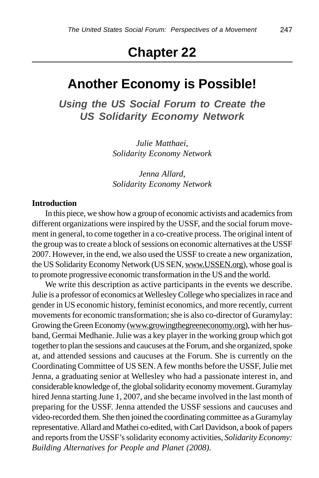### **Chapter 22**

### **Another Economy is Possible!**

*Using the US Social Forum to Create the US Solidarity Economy Network*

> *Julie Matthaei, Solidarity Economy Network*

> *Jenna Allard, Solidarity Economy Network*

#### **Introduction**

In this piece, we show how a group of economic activists and academics from different organizations were inspired by the USSF, and the social forum movement in general, to come together in a co-creative process. The original intent of the group was to create a block of sessions on economic alternatives at the USSF 2007. However, in the end, we also used the USSF to create a new organization, the US Solidarity Economy Network (US SEN, www.USSEN.org), whose goal is to promote progressive economic transformation in the US and the world.

We write this description as active participants in the events we describe. Julie is a professor of economics at Wellesley College who specializes in race and gender in US economic history, feminist economics, and more recently, current movements for economic transformation; she is also co-director of Guramylay: Growing the Green Economy (www.growingthegreeneconomy.org), with her husband, Germai Medhanie. Julie was a key player in the working group which got together to plan the sessions and caucuses at the Forum, and she organized, spoke at, and attended sessions and caucuses at the Forum. She is currently on the Coordinating Committee of US SEN. A few months before the USSF, Julie met Jenna, a graduating senior at Wellesley who had a passionate interest in, and considerable knowledge of, the global solidarity economy movement. Guramylay hired Jenna starting June 1, 2007, and she became involved in the last month of preparing for the USSF. Jenna attended the USSF sessions and caucuses and video-recorded them. She then joined the coordinating committee as a Guramylay representative. Allard and Mathei co-edited, with Carl Davidson, a book of papers and reports from the USSF's solidarity economy activities, *Solidarity Economy: Building Alternatives for People and Planet (2008).*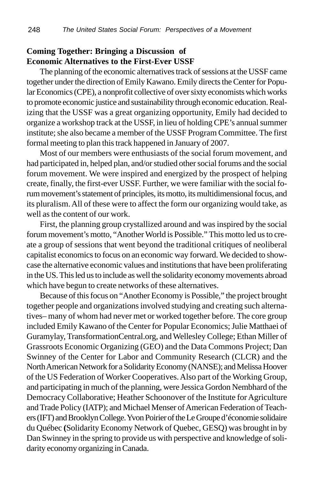### **Coming Together: Bringing a Discussion of Economic Alternatives to the First-Ever USSF**

The planning of the economic alternatives track of sessions at the USSF came together under the direction of Emily Kawano. Emily directs the Center for Popular Economics (CPE), a nonprofit collective of over sixty economists which works to promote economic justice and sustainability through economic education. Realizing that the USSF was a great organizing opportunity, Emily had decided to organize a workshop track at the USSF, in lieu of holding CPE's annual summer institute; she also became a member of the USSF Program Committee. The first formal meeting to plan this track happened in January of 2007.

Most of our members were enthusiasts of the social forum movement, and had participated in, helped plan, and/or studied other social forums and the social forum movement. We were inspired and energized by the prospect of helping create, finally, the first-ever USSF. Further, we were familiar with the social forum movement's statement of principles, its motto, its multidimensional focus, and its pluralism. All of these were to affect the form our organizing would take, as well as the content of our work.

First, the planning group crystallized around and was inspired by the social forum movement's motto, "Another World is Possible." This motto led us to create a group of sessions that went beyond the traditional critiques of neoliberal capitalist economics to focus on an economic way forward. We decided to showcase the alternative economic values and institutions that have been proliferating in the US. This led us to include as well the solidarity economy movements abroad which have begun to create networks of these alternatives.

Because of this focus on "Another Economy is Possible," the project brought together people and organizations involved studying and creating such alternatives– many of whom had never met or worked together before. The core group included Emily Kawano of the Center for Popular Economics; Julie Matthaei of Guramylay, TransformationCentral.org, and Wellesley College; Ethan Miller of Grassroots Economic Organizing (GEO) and the Data Commons Project; Dan Swinney of the Center for Labor and Community Research (CLCR) and the North American Network for a Solidarity Economy (NANSE); and Melissa Hoover of the US Federation of Worker Cooperatives. Also part of the Working Group, and participating in much of the planning, were Jessica Gordon Nembhard of the Democracy Collaborative; Heather Schoonover of the Institute for Agriculture and Trade Policy (IATP); and Michael Menser of American Federation of Teachers (IFT) and Brooklyn College. Yvon Poirier of the Le Groupe d'économie solidaire du Québec **(**Solidarity Economy Network of Quebec, GESQ) was brought in by Dan Swinney in the spring to provide us with perspective and knowledge of solidarity economy organizing in Canada.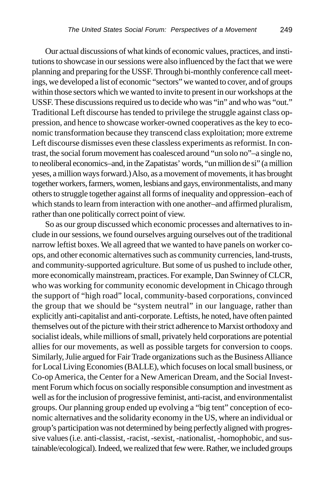Our actual discussions of what kinds of economic values, practices, and institutions to showcase in our sessions were also influenced by the fact that we were planning and preparing for the USSF. Through bi-monthly conference call meetings, we developed a list of economic "sectors" we wanted to cover, and of groups within those sectors which we wanted to invite to present in our workshops at the USSF. These discussions required us to decide who was "in" and who was "out." Traditional Left discourse has tended to privilege the struggle against class oppression, and hence to showcase worker-owned cooperatives as the key to economic transformation because they transcend class exploitation; more extreme Left discourse dismisses even these classless experiments as reformist. In contrast, the social forum movement has coalesced around "un solo no"–a single no, to neoliberal economics–and, in the Zapatistas' words, "un million de si" (a million yeses, a million ways forward.) Also, as a movement of movements, it has brought together workers, farmers, women, lesbians and gays, environmentalists, and many others to struggle together against all forms of inequality and oppression–each of which stands to learn from interaction with one another–and affirmed pluralism, rather than one politically correct point of view.

So as our group discussed which economic processes and alternatives to include in our sessions, we found ourselves arguing ourselves out of the traditional narrow leftist boxes. We all agreed that we wanted to have panels on worker coops, and other economic alternatives such as community currencies, land-trusts, and community-supported agriculture. But some of us pushed to include other, more economically mainstream, practices. For example, Dan Swinney of CLCR, who was working for community economic development in Chicago through the support of "high road" local, community-based corporations, convinced the group that we should be "system neutral" in our language, rather than explicitly anti-capitalist and anti-corporate. Leftists, he noted, have often painted themselves out of the picture with their strict adherence to Marxist orthodoxy and socialist ideals, while millions of small, privately held corporations are potential allies for our movements, as well as possible targets for conversion to coops. Similarly, Julie argued for Fair Trade organizations such as the Business Alliance for Local Living Economies (BALLE), which focuses on local small business, or Co-op America, the Center for a New American Dream, and the Social Investment Forum which focus on socially responsible consumption and investment as well as for the inclusion of progressive feminist, anti-racist, and environmentalist groups. Our planning group ended up evolving a "big tent" conception of economic alternatives and the solidarity economy in the US, where an individual or group's participation was not determined by being perfectly aligned with progressive values (i.e. anti-classist, -racist, -sexist, -nationalist, -homophobic, and sustainable/ecological). Indeed, we realized that few were. Rather, we included groups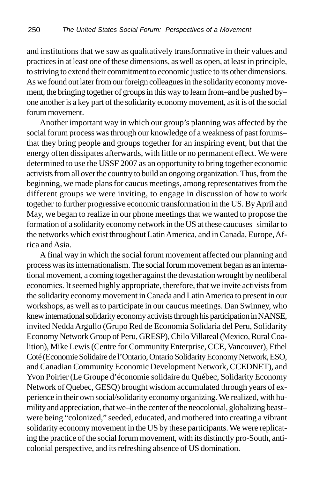and institutions that we saw as qualitatively transformative in their values and practices in at least one of these dimensions, as well as open, at least in principle, to striving to extend their commitment to economic justice to its other dimensions. As we found out later from our foreign colleagues in the solidarity economy movement, the bringing together of groups in this way to learn from–and be pushed by– one another is a key part of the solidarity economy movement, as it is of the social forum movement.

Another important way in which our group's planning was affected by the social forum process was through our knowledge of a weakness of past forums– that they bring people and groups together for an inspiring event, but that the energy often dissipates afterwards, with little or no permanent effect. We were determined to use the USSF 2007 as an opportunity to bring together economic activists from all over the country to build an ongoing organization. Thus, from the beginning, we made plans for caucus meetings, among representatives from the different groups we were inviting, to engage in discussion of how to work together to further progressive economic transformation in the US. By April and May, we began to realize in our phone meetings that we wanted to propose the formation of a solidarity economy network in the US at these caucuses–similar to the networks which exist throughout Latin America, and in Canada, Europe, Africa and Asia.

A final way in which the social forum movement affected our planning and process was its internationalism. The social forum movement began as an international movement, a coming together against the devastation wrought by neoliberal economics. It seemed highly appropriate, therefore, that we invite activists from the solidarity economy movement in Canada and Latin America to present in our workshops, as well as to participate in our caucus meetings. Dan Swinney, who knew international solidarity economy activists through his participation in NANSE, invited Nedda Argullo (Grupo Red de Economia Solidaria del Peru, Solidarity Economy Network Group of Peru, GRESP), Chilo Villareal (Mexico, Rural Coalition), Mike Lewis (Centre for Community Enterprise, CCE, Vancouver), Ethel Coté (Economie Solidaire de l'Ontario, Ontario Solidarity Economy Network, ESO, and Canadian Community Economic Development Network, CCEDNET), and Yvon Poirier (Le Groupe d'économie solidaire du Québec, Solidarity Economy Network of Quebec, GESQ) brought wisdom accumulated through years of experience in their own social/solidarity economy organizing. We realized, with humility and appreciation, that we–in the center of the neocolonial, globalizing beast– were being "colonized," seeded, educated, and mothered into creating a vibrant solidarity economy movement in the US by these participants. We were replicating the practice of the social forum movement, with its distinctly pro-South, anticolonial perspective, and its refreshing absence of US domination.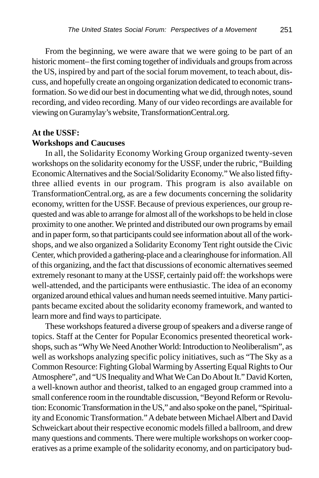From the beginning, we were aware that we were going to be part of an historic moment– the first coming together of individuals and groups from across the US, inspired by and part of the social forum movement, to teach about, discuss, and hopefully create an ongoing organization dedicated to economic transformation. So we did our best in documenting what we did, through notes, sound recording, and video recording. Many of our video recordings are available for viewing on Guramylay's website, TransformationCentral.org.

#### **At the USSF:**

#### **Workshops and Caucuses**

In all, the Solidarity Economy Working Group organized twenty-seven workshops on the solidarity economy for the USSF, under the rubric, "Building Economic Alternatives and the Social/Solidarity Economy." We also listed fiftythree allied events in our program. This program is also available on TransformationCentral.org, as are a few documents concerning the solidarity economy, written for the USSF. Because of previous experiences, our group requested and was able to arrange for almost all of the workshops to be held in close proximity to one another. We printed and distributed our own programs by email and in paper form, so that participants could see information about all of the workshops, and we also organized a Solidarity Economy Tent right outside the Civic Center, which provided a gathering-place and a clearinghouse for information. All of this organizing, and the fact that discussions of economic alternatives seemed extremely resonant to many at the USSF, certainly paid off: the workshops were well-attended, and the participants were enthusiastic. The idea of an economy organized around ethical values and human needs seemed intuitive. Many participants became excited about the solidarity economy framework, and wanted to learn more and find ways to participate.

These workshops featured a diverse group of speakers and a diverse range of topics. Staff at the Center for Popular Economics presented theoretical workshops, such as "Why We Need Another World: Introduction to Neoliberalism", as well as workshops analyzing specific policy initiatives, such as "The Sky as a Common Resource: Fighting Global Warming by Asserting Equal Rights to Our Atmosphere", and "US Inequality and What We Can Do About It." David Korten, a well-known author and theorist, talked to an engaged group crammed into a small conference room in the roundtable discussion, "Beyond Reform or Revolution: Economic Transformation in the US," and also spoke on the panel, "Spirituality and Economic Transformation." A debate between Michael Albert and David Schweickart about their respective economic models filled a ballroom, and drew many questions and comments. There were multiple workshops on worker cooperatives as a prime example of the solidarity economy, and on participatory bud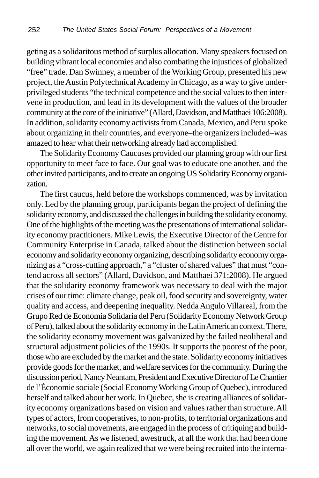geting as a solidaritous method of surplus allocation. Many speakers focused on building vibrant local economies and also combating the injustices of globalized "free" trade. Dan Swinney, a member of the Working Group, presented his new project, the Austin Polytechnical Academy in Chicago, as a way to give underprivileged students "the technical competence and the social values to then intervene in production, and lead in its development with the values of the broader community at the core of the initiative" (Allard, Davidson, and Matthaei 106:2008). In addition, solidarity economy activists from Canada, Mexico, and Peru spoke about organizing in their countries, and everyone–the organizers included–was amazed to hear what their networking already had accomplished.

The Solidarity Economy Caucuses provided our planning group with our first opportunity to meet face to face. Our goal was to educate one another, and the other invited participants, and to create an ongoing US Solidarity Economy organization.

The first caucus, held before the workshops commenced, was by invitation only. Led by the planning group, participants began the project of defining the solidarity economy, and discussed the challenges in building the solidarity economy. One of the highlights of the meeting was the presentations of international solidarity economy practitioners. Mike Lewis, the Executive Director of the Centre for Community Enterprise in Canada, talked about the distinction between social economy and solidarity economy organizing, describing solidarity economy organizing as a "cross-cutting approach," a "cluster of shared values" that must "contend across all sectors" (Allard, Davidson, and Matthaei 371:2008). He argued that the solidarity economy framework was necessary to deal with the major crises of our time: climate change, peak oil, food security and sovereignty, water quality and access, and deepening inequality. Nedda Angulo Villareal, from the Grupo Red de Economia Solidaria del Peru (Solidarity Economy Network Group of Peru), talked about the solidarity economy in the Latin American context. There, the solidarity economy movement was galvanized by the failed neoliberal and structural adjustment policies of the 1990s. It supports the poorest of the poor, those who are excluded by the market and the state. Solidarity economy initiatives provide goods for the market, and welfare services for the community. During the discussion period, Nancy Neantam, President and Executive Director of Le Chantier de l'Économie sociale (Social Economy Working Group of Quebec), introduced herself and talked about her work. In Quebec, she is creating alliances of solidarity economy organizations based on vision and values rather than structure. All types of actors, from cooperatives, to non-profits, to territorial organizations and networks, to social movements, are engaged in the process of critiquing and building the movement. As we listened, awestruck, at all the work that had been done all over the world, we again realized that we were being recruited into the interna-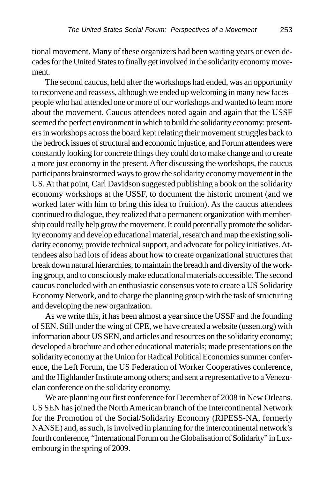tional movement. Many of these organizers had been waiting years or even decades for the United States to finally get involved in the solidarity economy movement.

The second caucus, held after the workshops had ended, was an opportunity to reconvene and reassess, although we ended up welcoming in many new faces– people who had attended one or more of our workshops and wanted to learn more about the movement. Caucus attendees noted again and again that the USSF seemed the perfect environment in which to build the solidarity economy: presenters in workshops across the board kept relating their movement struggles back to the bedrock issues of structural and economic injustice, and Forum attendees were constantly looking for concrete things they could do to make change and to create a more just economy in the present. After discussing the workshops, the caucus participants brainstormed ways to grow the solidarity economy movement in the US. At that point, Carl Davidson suggested publishing a book on the solidarity economy workshops at the USSF, to document the historic moment (and we worked later with him to bring this idea to fruition). As the caucus attendees continued to dialogue, they realized that a permanent organization with membership could really help grow the movement. It could potentially promote the solidarity economy and develop educational material, research and map the existing solidarity economy, provide technical support, and advocate for policy initiatives. Attendees also had lots of ideas about how to create organizational structures that break down natural hierarchies, to maintain the breadth and diversity of the working group, and to consciously make educational materials accessible. The second caucus concluded with an enthusiastic consensus vote to create a US Solidarity Economy Network, and to charge the planning group with the task of structuring and developing the new organization.

As we write this, it has been almost a year since the USSF and the founding of SEN. Still under the wing of CPE, we have created a website (ussen.org) with information about US SEN, and articles and resources on the solidarity economy; developed a brochure and other educational materials; made presentations on the solidarity economy at the Union for Radical Political Economics summer conference, the Left Forum, the US Federation of Worker Cooperatives conference, and the Highlander Institute among others; and sent a representative to a Venezuelan conference on the solidarity economy.

We are planning our first conference for December of 2008 in New Orleans. US SEN has joined the North American branch of the Intercontinental Network for the Promotion of the Social/Solidarity Economy (RIPESS-NA, formerly NANSE) and, as such, is involved in planning for the intercontinental network's fourth conference, "International Forum on the Globalisation of Solidarity" in Luxembourg in the spring of 2009.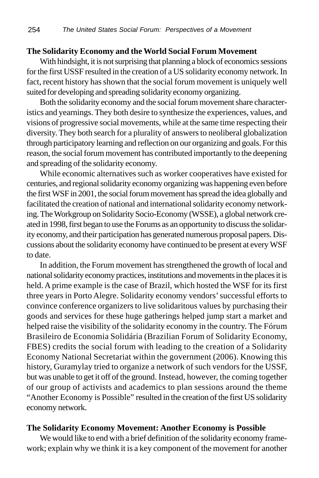### **The Solidarity Economy and the World Social Forum Movement**

With hindsight, it is not surprising that planning a block of economics sessions for the first USSF resulted in the creation of a US solidarity economy network. In fact, recent history has shown that the social forum movement is uniquely well suited for developing and spreading solidarity economy organizing.

Both the solidarity economy and the social forum movement share characteristics and yearnings. They both desire to synthesize the experiences, values, and visions of progressive social movements, while at the same time respecting their diversity. They both search for a plurality of answers to neoliberal globalization through participatory learning and reflection on our organizing and goals. For this reason, the social forum movement has contributed importantly to the deepening and spreading of the solidarity economy.

While economic alternatives such as worker cooperatives have existed for centuries, and regional solidarity economy organizing was happening even before the first WSF in 2001, the social forum movement has spread the idea globally and facilitated the creation of national and international solidarity economy networking. The Workgroup on Solidarity Socio-Economy (WSSE), a global network created in 1998, first began to use the Forums as an opportunity to discuss the solidarity economy, and their participation has generated numerous proposal papers. Discussions about the solidarity economy have continued to be present at every WSF to date.

In addition, the Forum movement has strengthened the growth of local and national solidarity economy practices, institutions and movements in the places it is held. A prime example is the case of Brazil, which hosted the WSF for its first three years in Porto Alegre. Solidarity economy vendors' successful efforts to convince conference organizers to live solidaritous values by purchasing their goods and services for these huge gatherings helped jump start a market and helped raise the visibility of the solidarity economy in the country. The Fórum Brasileiro de Economia Solidária (Brazilian Forum of Solidarity Economy, FBES) credits the social forum with leading to the creation of a Solidarity Economy National Secretariat within the government (2006). Knowing this history, Guramylay tried to organize a network of such vendors for the USSF, but was unable to get it off of the ground. Instead, however, the coming together of our group of activists and academics to plan sessions around the theme "Another Economy is Possible" resulted in the creation of the first US solidarity economy network.

#### **The Solidarity Economy Movement: Another Economy is Possible**

We would like to end with a brief definition of the solidarity economy framework; explain why we think it is a key component of the movement for another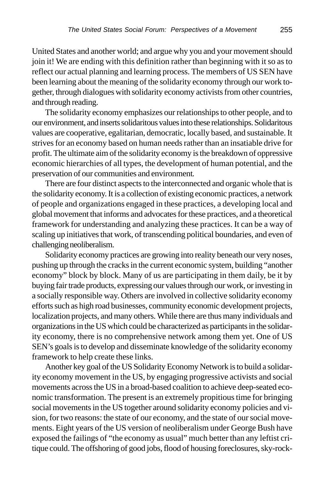United States and another world; and argue why you and your movement should join it! We are ending with this definition rather than beginning with it so as to reflect our actual planning and learning process. The members of US SEN have been learning about the meaning of the solidarity economy through our work together, through dialogues with solidarity economy activists from other countries, and through reading.

The solidarity economy emphasizes our relationships to other people, and to our environment, and inserts solidaritous values into these relationships. Solidaritous values are cooperative, egalitarian, democratic, locally based, and sustainable. It strives for an economy based on human needs rather than an insatiable drive for profit. The ultimate aim of the solidarity economy is the breakdown of oppressive economic hierarchies of all types, the development of human potential, and the preservation of our communities and environment*.*

There are four distinct aspects to the interconnected and organic whole that is the solidarity economy. It is a collection of existing economic practices, a network of people and organizations engaged in these practices, a developing local and global movement that informs and advocates for these practices, and a theoretical framework for understanding and analyzing these practices. It can be a way of scaling up initiatives that work, of transcending political boundaries, and even of challenging neoliberalism.

Solidarity economy practices are growing into reality beneath our very noses, pushing up through the cracks in the current economic system, building "another economy" block by block. Many of us are participating in them daily, be it by buying fair trade products, expressing our values through our work, or investing in a socially responsible way. Others are involved in collective solidarity economy efforts such as high road businesses, community economic development projects, localization projects, and many others. While there are thus many individuals and organizations in the US which could be characterized as participants in the solidarity economy, there is no comprehensive network among them yet. One of US SEN's goals is to develop and disseminate knowledge of the solidarity economy framework to help create these links.

Another key goal of the US Solidarity Economy Network is to build a solidarity economy movement in the US, by engaging progressive activists and social movements across the US in a broad-based coalition to achieve deep-seated economic transformation. The present is an extremely propitious time for bringing social movements in the US together around solidarity economy policies and vision, for two reasons: the state of our economy, and the state of our social movements. Eight years of the US version of neoliberalism under George Bush have exposed the failings of "the economy as usual" much better than any leftist critique could. The offshoring of good jobs, flood of housing foreclosures, sky-rock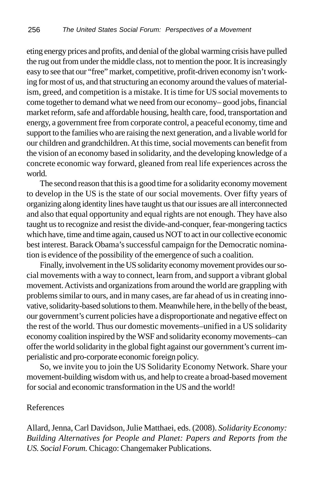eting energy prices and profits, and denial of the global warming crisis have pulled the rug out from under the middle class, not to mention the poor. It is increasingly easy to see that our "free" market, competitive, profit-driven economy isn't working for most of us, and that structuring an economy around the values of materialism, greed, and competition is a mistake. It is time for US social movements to come together to demand what we need from our economy– good jobs, financial market reform, safe and affordable housing, health care, food, transportation and energy, a government free from corporate control, a peaceful economy, time and support to the families who are raising the next generation, and a livable world for our children and grandchildren. At this time, social movements can benefit from the vision of an economy based in solidarity, and the developing knowledge of a concrete economic way forward, gleaned from real life experiences across the world.

The second reason that this is a good time for a solidarity economy movement to develop in the US is the state of our social movements. Over fifty years of organizing along identity lines have taught us that our issues are all interconnected and also that equal opportunity and equal rights are not enough. They have also taught us to recognize and resist the divide-and-conquer, fear-mongering tactics which have, time and time again, caused us NOT to act in our collective economic best interest. Barack Obama's successful campaign for the Democratic nomination is evidence of the possibility of the emergence of such a coalition.

Finally, involvement in the US solidarity economy movement provides our social movements with a way to connect, learn from, and support a vibrant global movement. Activists and organizations from around the world are grappling with problems similar to ours, and in many cases, are far ahead of us in creating innovative, solidarity-based solutions to them. Meanwhile here, in the belly of the beast, our government's current policies have a disproportionate and negative effect on the rest of the world. Thus our domestic movements–unified in a US solidarity economy coalition inspired by the WSF and solidarity economy movements–can offer the world solidarity in the global fight against our government's current imperialistic and pro-corporate economic foreign policy.

So, we invite you to join the US Solidarity Economy Network. Share your movement-building wisdom with us, and help to create a broad-based movement for social and economic transformation in the US and the world!

### References

Allard, Jenna, Carl Davidson, Julie Matthaei, eds. (2008). *Solidarity Economy: Building Alternatives for People and Planet: Papers and Reports from the US. Social Forum.* Chicago: Changemaker Publications.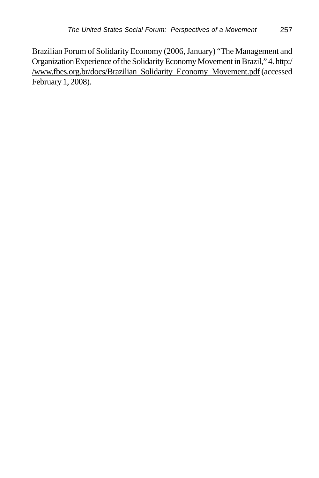Brazilian Forum of Solidarity Economy (2006, January) "The Management and Organization Experience of the Solidarity Economy Movement in Brazil," 4. http:/ /www.fbes.org.br/docs/Brazilian\_Solidarity\_Economy\_Movement.pdf (accessed February 1, 2008).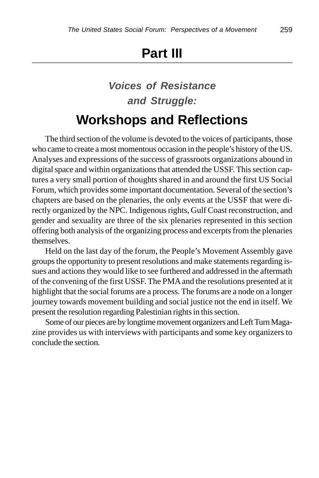## **Part III**

# *Voices of Resistance and Struggle:*

## **Workshops and Reflections**

The third section of the volume is devoted to the voices of participants, those who came to create a most momentous occasion in the people's history of the US. Analyses and expressions of the success of grassroots organizations abound in digital space and within organizations that attended the USSF. This section captures a very small portion of thoughts shared in and around the first US Social Forum, which provides some important documentation. Several of the section's chapters are based on the plenaries, the only events at the USSF that were directly organized by the NPC. Indigenous rights, Gulf Coast reconstruction, and gender and sexuality are three of the six plenaries represented in this section offering both analysis of the organizing process and excerpts from the plenaries themselves.

Held on the last day of the forum, the People's Movement Assembly gave groups the opportunity to present resolutions and make statements regarding issues and actions they would like to see furthered and addressed in the aftermath of the convening of the first USSF. The PMA and the resolutions presented at it highlight that the social forums are a process. The forums are a node on a longer journey towards movement building and social justice not the end in itself. We present the resolution regarding Palestinian rights in this section.

Some of our pieces are by longtime movement organizers and Left Turn Magazine provides us with interviews with participants and some key organizers to conclude the section.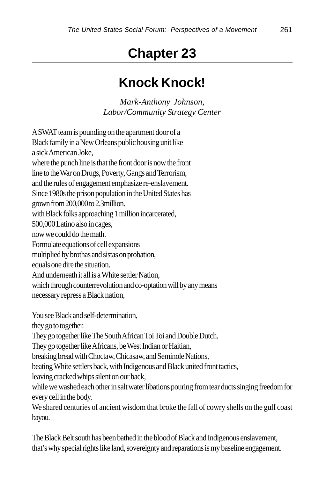# **Chapter 23**

# **Knock Knock!**

*Mark-Anthony Johnson, Labor/Community Strategy Center*

A SWAT team is pounding on the apartment door of a Black family in a New Orleans public housing unit like a sick American Joke, where the punch line is that the front door is now the front line to the War on Drugs, Poverty, Gangs and Terrorism, and the rules of engagement emphasize re-enslavement. Since 1980s the prison population in the United States has grown from 200,000 to 2.3million. with Black folks approaching 1 million incarcerated, 500,000 Latino also in cages, now we could do the math. Formulate equations of cell expansions multiplied by brothas and sistas on probation, equals one dire the situation. And underneath it all is a White settler Nation, which through counterrevolution and co-optation will by any means necessary repress a Black nation,

You see Black and self-determination,

they go to together.

They go together like The South African Toi Toi and Double Dutch.

They go together like Africans, be West Indian or Haitian,

breaking bread with Choctaw, Chicasaw, and Seminole Nations,

beating White settlers back, with Indigenous and Black united front tactics,

leaving cracked whips silent on our back,

while we washed each other in salt water libations pouring from tear ducts singing freedom for every cell in the body.

We shared centuries of ancient wisdom that broke the fall of cowry shells on the gulf coast bayou.

The Black Belt south has been bathed in the blood of Black and Indigenous enslavement, that's why special rights like land, sovereignty and reparations is my baseline engagement.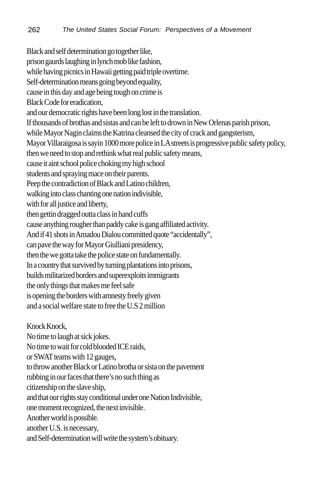Black and self determination go together like, prison gaurds laughing in lynch mob like fashion, while having picnics in Hawaii getting paid triple overtime. Self-determination means going beyond equality, cause in this day and age being tough on crime is Black Code for eradication, and our democratic rights have been long lost in the translation. If thousands of brothas and sistas and can be left to drown in New Orlenas parish prison, while Mayor Nagin claims the Katrina cleansed the city of crack and gangsterism, Mayor Villaraigosa is sayin 1000 more police in LA streets is progressive public safety policy, then we need to stop and rethink what real public safety means, cause it aint school police choking my high school students and spraying mace on their parents. Peep the contradiction of Black and Latino children, walking into class chanting one nation indivisible, with for all justice and liberty, then gettin dragged outta class in hand cuffs cause anything rougher than paddy cake is gang affiliated activity. And if 41 shots in Amadou Dialou committed quote "accidentally", can pave the way for Mayor Giulliani presidency, then the we gotta take the police state on fundamentally. In a country that survived by turning plantations into prisons, builds militarized borders and superexploits immigrants the only things that makes me feel safe is opening the borders with amnesty freely given and a social welfare state to free the U.S 2 million Knock Knock, No time to laugh at sick jokes. No time to wait for cold blooded ICE raids, or SWAT teams with 12 gauges, to throw another Black or Latino brotha or sista on the pavement

rubbing in our faces that there's no such thing as

citizenship on the slave ship,

and that our rights stay conditional under one Nation Indivisible,

one moment recognized, the next invisible.

Another world is possible.

another U.S. is necessary,

and Self-determination will write the system's obituary.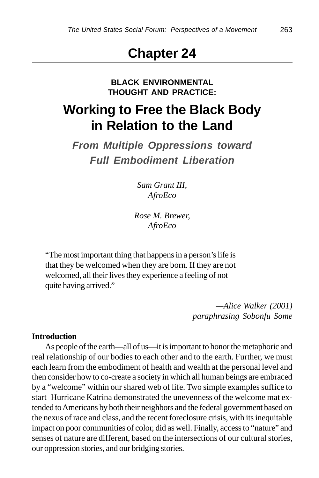### **Chapter 24**

### **BLACK ENVIRONMENTAL THOUGHT AND PRACTICE:**

# **Working to Free the Black Body in Relation to the Land**

*From Multiple Oppressions toward Full Embodiment Liberation*

> *Sam Grant III, AfroEco*

*Rose M. Brewer, AfroEco*

"The most important thing that happens in a person's life is that they be welcomed when they are born. If they are not welcomed, all their lives they experience a feeling of not quite having arrived."

> *—Alice Walker (2001) paraphrasing Sobonfu Some*

### **Introduction**

As people of the earth—all of us—it is important to honor the metaphoric and real relationship of our bodies to each other and to the earth. Further, we must each learn from the embodiment of health and wealth at the personal level and then consider how to co-create a society in which all human beings are embraced by a "welcome" within our shared web of life. Two simple examples suffice to start–Hurricane Katrina demonstrated the unevenness of the welcome mat extended to Americans by both their neighbors and the federal government based on the nexus of race and class, and the recent foreclosure crisis, with its inequitable impact on poor communities of color, did as well. Finally, access to "nature" and senses of nature are different, based on the intersections of our cultural stories, our oppression stories, and our bridging stories.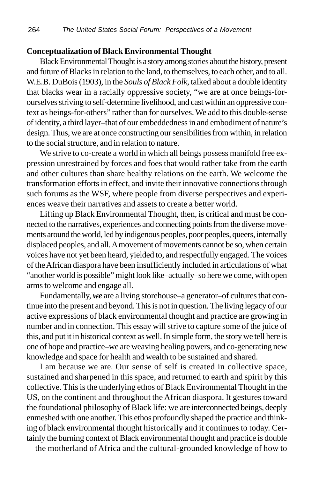#### **Conceptualization of Black Environmental Thought**

Black Environmental Thought is a story among stories about the history, present and future of Blacks in relation to the land, to themselves, to each other, and to all. W.E.B. DuBois (1903), in the *Souls of Black Folk*, talked about a double identity that blacks wear in a racially oppressive society, "we are at once beings-forourselves striving to self-determine livelihood, and cast within an oppressive context as beings-for-others" rather than for ourselves. We add to this double-sense of identity, a third layer–that of our embeddedness in and embodiment of nature's design. Thus, we are at once constructing our sensibilities from within, in relation to the social structure, and in relation to nature.

We strive to co-create a world in which all beings possess manifold free expression unrestrained by forces and foes that would rather take from the earth and other cultures than share healthy relations on the earth. We welcome the transformation efforts in effect, and invite their innovative connections through such forums as the WSF, where people from diverse perspectives and experiences weave their narratives and assets to create a better world.

Lifting up Black Environmental Thought, then, is critical and must be connected to the narratives, experiences and connecting points from the diverse movements around the world, led by indigenous peoples, poor peoples, queers, internally displaced peoples, and all. A movement of movements cannot be so, when certain voices have not yet been heard, yielded to, and respectfully engaged. The voices of the African diaspora have been insufficiently included in articulations of what "another world is possible" might look like–actually–so here we come, with open arms to welcome and engage all.

Fundamentally, *we* are a living storehouse–a generator–of cultures that continue into the present and beyond. This is not in question. The living legacy of our active expressions of black environmental thought and practice are growing in number and in connection. This essay will strive to capture some of the juice of this, and put it in historical context as well. In simple form, the story we tell here is one of hope and practice–we are weaving healing powers, and co-generating new knowledge and space for health and wealth to be sustained and shared.

I am because we are. Our sense of self is created in collective space, sustained and sharpened in this space, and returned to earth and spirit by this collective. This is the underlying ethos of Black Environmental Thought in the US, on the continent and throughout the African diaspora. It gestures toward the foundational philosophy of Black life: we are interconnected beings, deeply enmeshed with one another. This ethos profoundly shaped the practice and thinking of black environmental thought historically and it continues to today. Certainly the burning context of Black environmental thought and practice is double —the motherland of Africa and the cultural-grounded knowledge of how to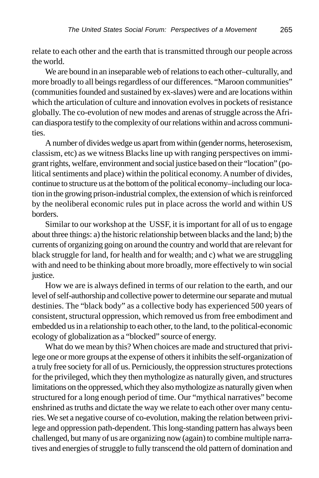relate to each other and the earth that is transmitted through our people across the world.

We are bound in an inseparable web of relations to each other–culturally, and more broadly to all beings regardless of our differences. "Maroon communities" (communities founded and sustained by ex-slaves) were and are locations within which the articulation of culture and innovation evolves in pockets of resistance globally. The co-evolution of new modes and arenas of struggle across the African diaspora testify to the complexity of our relations within and across communities.

A number of divides wedge us apart from within (gender norms, heterosexism, classism, etc) as we witness Blacks line up with ranging perspectives on immigrant rights, welfare, environment and social justice based on their "location" (political sentiments and place) within the political economy. A number of divides, continue to structure us at the bottom of the political economy–including our location in the growing prison-industrial complex, the extension of which is reinforced by the neoliberal economic rules put in place across the world and within US borders.

Similar to our workshop at the USSF, it is important for all of us to engage about three things: a) the historic relationship between blacks and the land; b) the currents of organizing going on around the country and world that are relevant for black struggle for land, for health and for wealth; and c) what we are struggling with and need to be thinking about more broadly, more effectively to win social justice.

How we are is always defined in terms of our relation to the earth, and our level of self-authorship and collective power to determine our separate and mutual destinies. The "black body" as a collective body has experienced 500 years of consistent, structural oppression, which removed us from free embodiment and embedded us in a relationship to each other, to the land, to the political-economic ecology of globalization as a "blocked" source of energy.

What do we mean by this? When choices are made and structured that privilege one or more groups at the expense of others it inhibits the self-organization of a truly free society for all of us. Perniciously, the oppression structures protections for the privileged, which they then mythologize as naturally given, and structures limitations on the oppressed, which they also mythologize as naturally given when structured for a long enough period of time. Our "mythical narratives" become enshrined as truths and dictate the way we relate to each other over many centuries. We set a negative course of co-evolution, making the relation between privilege and oppression path-dependent. This long-standing pattern has always been challenged, but many of us are organizing now (again) to combine multiple narratives and energies of struggle to fully transcend the old pattern of domination and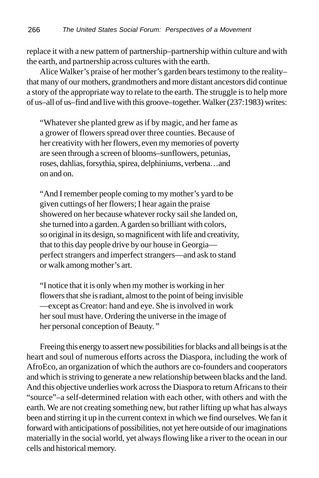replace it with a new pattern of partnership–partnership within culture and with the earth, and partnership across cultures with the earth.

Alice Walker's praise of her mother's garden bears testimony to the reality– that many of our mothers, grandmothers and more distant ancestors did continue a story of the appropriate way to relate to the earth. The struggle is to help more of us–all of us–find and live with this groove–together. Walker (237:1983) writes:

"Whatever she planted grew as if by magic, and her fame as a grower of flowers spread over three counties. Because of her creativity with her flowers, even my memories of poverty are seen through a screen of blooms–sunflowers, petunias, roses, dahlias, forsythia, spirea, delphiniums, verbena…and on and on.

"And I remember people coming to my mother's yard to be given cuttings of her flowers; I hear again the praise showered on her because whatever rocky sail she landed on, she turned into a garden. A garden so brilliant with colors, so original in its design, so magnificent with life and creativity, that to this day people drive by our house in Georgia perfect strangers and imperfect strangers—and ask to stand or walk among mother's art.

"I notice that it is only when my mother is working in her flowers that she is radiant, almost to the point of being invisible —except as Creator: hand and eye. She is involved in work her soul must have. Ordering the universe in the image of her personal conception of Beauty. "

Freeing this energy to assert new possibilities for blacks and all beings is at the heart and soul of numerous efforts across the Diaspora, including the work of AfroEco, an organization of which the authors are co-founders and cooperators and which is striving to generate a new relationship between blacks and the land. And this objective underlies work across the Diaspora to return Africans to their "source"–a self-determined relation with each other, with others and with the earth. We are not creating something new, but rather lifting up what has always been and stirring it up in the current context in which we find ourselves. We fan it forward with anticipations of possibilities, not yet here outside of our imaginations materially in the social world, yet always flowing like a river to the ocean in our cells and historical memory.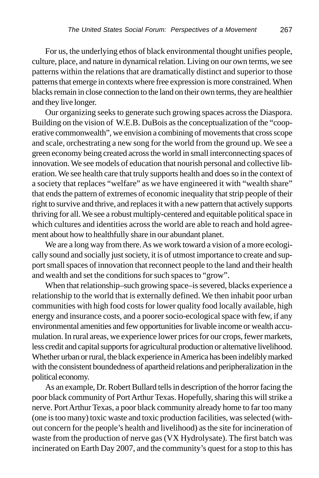For us, the underlying ethos of black environmental thought unifies people, culture, place, and nature in dynamical relation. Living on our own terms, we see patterns within the relations that are dramatically distinct and superior to those patterns that emerge in contexts where free expression is more constrained. When blacks remain in close connection to the land on their own terms, they are healthier and they live longer.

Our organizing seeks to generate such growing spaces across the Diaspora. Building on the vision of W.E.B. DuBois as the conceptualization of the "cooperative commonwealth", we envision a combining of movements that cross scope and scale, orchestrating a new song for the world from the ground up. We see a green economy being created across the world in small interconnecting spaces of innovation. We see models of education that nourish personal and collective liberation. We see health care that truly supports health and does so in the context of a society that replaces "welfare" as we have engineered it with "wealth share" that ends the pattern of extremes of economic inequality that strip people of their right to survive and thrive, and replaces it with a new pattern that actively supports thriving for all. We see a robust multiply-centered and equitable political space in which cultures and identities across the world are able to reach and hold agreement about how to healthfully share in our abundant planet.

We are a long way from there. As we work toward a vision of a more ecologically sound and socially just society, it is of utmost importance to create and support small spaces of innovation that reconnect people to the land and their health and wealth and set the conditions for such spaces to "grow".

When that relationship–such growing space–is severed, blacks experience a relationship to the world that is externally defined. We then inhabit poor urban communities with high food costs for lower quality food locally available, high energy and insurance costs, and a poorer socio-ecological space with few, if any environmental amenities and few opportunities for livable income or wealth accumulation. In rural areas, we experience lower prices for our crops, fewer markets, less credit and capital supports for agricultural production or alternative livelihood. Whether urban or rural, the black experience in America has been indelibly marked with the consistent boundedness of apartheid relations and peripheralization in the political economy.

As an example, Dr. Robert Bullard tells in description of the horror facing the poor black community of Port Arthur Texas. Hopefully, sharing this will strike a nerve. Port Arthur Texas, a poor black community already home to far too many (one is too many) toxic waste and toxic production facilities, was selected (without concern for the people's health and livelihood) as the site for incineration of waste from the production of nerve gas (VX Hydrolysate). The first batch was incinerated on Earth Day 2007, and the community's quest for a stop to this has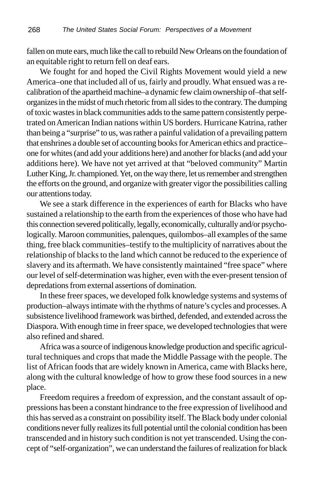fallen on mute ears, much like the call to rebuild New Orleans on the foundation of an equitable right to return fell on deaf ears.

We fought for and hoped the Civil Rights Movement would yield a new America–one that included all of us, fairly and proudly. What ensued was a recalibration of the apartheid machine–a dynamic few claim ownership of–that selforganizes in the midst of much rhetoric from all sides to the contrary. The dumping of toxic wastes in black communities adds to the same pattern consistently perpetrated on American Indian nations within US borders. Hurricane Katrina, rather than being a "surprise" to us, was rather a painful validation of a prevailing pattern that enshrines a double set of accounting books for American ethics and practice– one for whites (and add your additions here) and another for blacks (and add your additions here). We have not yet arrived at that "beloved community" Martin Luther King, Jr. championed. Yet, on the way there, let us remember and strengthen the efforts on the ground, and organize with greater vigor the possibilities calling our attentions today.

We see a stark difference in the experiences of earth for Blacks who have sustained a relationship to the earth from the experiences of those who have had this connection severed politically, legally, economically, culturally and/or psychologically. Maroon communities, palenques, quilombos–all examples of the same thing, free black communities–testify to the multiplicity of narratives about the relationship of blacks to the land which cannot be reduced to the experience of slavery and its aftermath. We have consistently maintained "free space" where our level of self-determination was higher, even with the ever-present tension of depredations from external assertions of domination.

In these freer spaces, we developed folk knowledge systems and systems of production–always intimate with the rhythms of nature's cycles and processes. A subsistence livelihood framework was birthed, defended, and extended across the Diaspora. With enough time in freer space, we developed technologies that were also refined and shared.

Africa was a source of indigenous knowledge production and specific agricultural techniques and crops that made the Middle Passage with the people. The list of African foods that are widely known in America, came with Blacks here, along with the cultural knowledge of how to grow these food sources in a new place.

Freedom requires a freedom of expression, and the constant assault of oppressions has been a constant hindrance to the free expression of livelihood and this has served as a constraint on possibility itself. The Black body under colonial conditions never fully realizes its full potential until the colonial condition has been transcended and in history such condition is not yet transcended. Using the concept of "self-organization", we can understand the failures of realization for black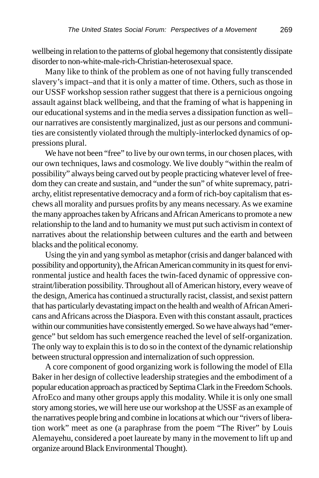wellbeing in relation to the patterns of global hegemony that consistently dissipate disorder to non-white-male-rich-Christian-heterosexual space.

Many like to think of the problem as one of not having fully transcended slavery's impact–and that it is only a matter of time. Others, such as those in our USSF workshop session rather suggest that there is a pernicious ongoing assault against black wellbeing, and that the framing of what is happening in our educational systems and in the media serves a dissipation function as well– our narratives are consistently marginalized, just as our persons and communities are consistently violated through the multiply-interlocked dynamics of oppressions plural.

We have not been "free" to live by our own terms, in our chosen places, with our own techniques, laws and cosmology. We live doubly "within the realm of possibility" always being carved out by people practicing whatever level of freedom they can create and sustain, and "under the sun" of white supremacy, patriarchy, elitist representative democracy and a form of rich-boy capitalism that eschews all morality and pursues profits by any means necessary. As we examine the many approaches taken by Africans and African Americans to promote a new relationship to the land and to humanity we must put such activism in context of narratives about the relationship between cultures and the earth and between blacks and the political economy.

Using the yin and yang symbol as metaphor (crisis and danger balanced with possibility and opportunity), the African American community in its quest for environmental justice and health faces the twin-faced dynamic of oppressive constraint/liberation possibility. Throughout all of American history, every weave of the design, America has continued a structurally racist, classist, and sexist pattern that has particularly devastating impact on the health and wealth of African Americans and Africans across the Diaspora. Even with this constant assault, practices within our communities have consistently emerged. So we have always had "emergence" but seldom has such emergence reached the level of self-organization. The only way to explain this is to do so in the context of the dynamic relationship between structural oppression and internalization of such oppression.

A core component of good organizing work is following the model of Ella Baker in her design of collective leadership strategies and the embodiment of a popular education approach as practiced by Septima Clark in the Freedom Schools. AfroEco and many other groups apply this modality. While it is only one small story among stories, we will here use our workshop at the USSF as an example of the narratives people bring and combine in locations at which our "rivers of liberation work" meet as one (a paraphrase from the poem "The River" by Louis Alemayehu, considered a poet laureate by many in the movement to lift up and organize around Black Environmental Thought).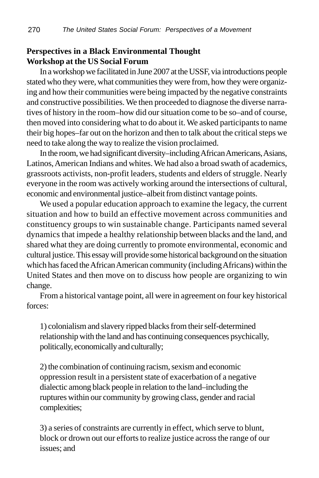### **Perspectives in a Black Environmental Thought Workshop at the US Social Forum**

In a workshop we facilitated in June 2007 at the USSF, via introductions people stated who they were, what communities they were from, how they were organizing and how their communities were being impacted by the negative constraints and constructive possibilities. We then proceeded to diagnose the diverse narratives of history in the room–how did our situation come to be so–and of course, then moved into considering what to do about it. We asked participants to name their big hopes–far out on the horizon and then to talk about the critical steps we need to take along the way to realize the vision proclaimed.

In the room, we had significant diversity–including African Americans, Asians, Latinos, American Indians and whites. We had also a broad swath of academics, grassroots activists, non-profit leaders, students and elders of struggle. Nearly everyone in the room was actively working around the intersections of cultural, economic and environmental justice–albeit from distinct vantage points.

We used a popular education approach to examine the legacy, the current situation and how to build an effective movement across communities and constituency groups to win sustainable change. Participants named several dynamics that impede a healthy relationship between blacks and the land, and shared what they are doing currently to promote environmental, economic and cultural justice. This essay will provide some historical background on the situation which has faced the African American community (including Africans) within the United States and then move on to discuss how people are organizing to win change.

From a historical vantage point, all were in agreement on four key historical forces:

1) colonialism and slavery ripped blacks from their self-determined relationship with the land and has continuing consequences psychically, politically, economically and culturally;

2) the combination of continuing racism, sexism and economic oppression result in a persistent state of exacerbation of a negative dialectic among black people in relation to the land–including the ruptures within our community by growing class, gender and racial complexities;

3) a series of constraints are currently in effect, which serve to blunt, block or drown out our efforts to realize justice across the range of our issues; and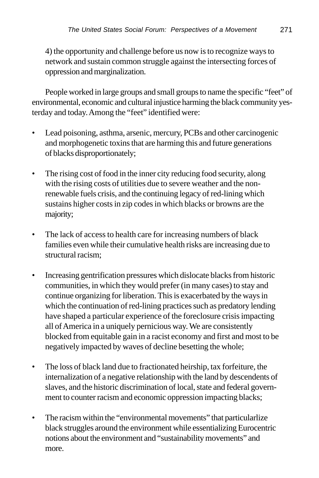4) the opportunity and challenge before us now is to recognize ways to network and sustain common struggle against the intersecting forces of oppression and marginalization.

People worked in large groups and small groups to name the specific "feet" of environmental, economic and cultural injustice harming the black community yesterday and today. Among the "feet" identified were:

- Lead poisoning, asthma, arsenic, mercury, PCBs and other carcinogenic and morphogenetic toxins that are harming this and future generations of blacks disproportionately;
- The rising cost of food in the inner city reducing food security, along with the rising costs of utilities due to severe weather and the nonrenewable fuels crisis, and the continuing legacy of red-lining which sustains higher costs in zip codes in which blacks or browns are the majority;
- The lack of access to health care for increasing numbers of black families even while their cumulative health risks are increasing due to structural racism;
- Increasing gentrification pressures which dislocate blacks from historic communities, in which they would prefer (in many cases) to stay and continue organizing for liberation. This is exacerbated by the ways in which the continuation of red-lining practices such as predatory lending have shaped a particular experience of the foreclosure crisis impacting all of America in a uniquely pernicious way. We are consistently blocked from equitable gain in a racist economy and first and most to be negatively impacted by waves of decline besetting the whole;
- The loss of black land due to fractionated heirship, tax forfeiture, the internalization of a negative relationship with the land by descendents of slaves, and the historic discrimination of local, state and federal government to counter racism and economic oppression impacting blacks;
- The racism within the "environmental movements" that particularlize black struggles around the environment while essentializing Eurocentric notions about the environment and "sustainability movements" and more.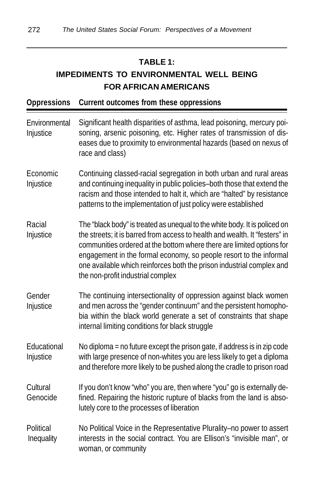### **TABLE 1:**

### **IMPEDIMENTS TO ENVIRONMENTAL WELL BEING FOR AFRICAN AMERICANS**

| <b>Oppressions</b>         | <b>Current outcomes from these oppressions</b>                                                                                                                                                                                                                                                                                                                                                                         |
|----------------------------|------------------------------------------------------------------------------------------------------------------------------------------------------------------------------------------------------------------------------------------------------------------------------------------------------------------------------------------------------------------------------------------------------------------------|
| Environmental<br>Injustice | Significant health disparities of asthma, lead poisoning, mercury poi-<br>soning, arsenic poisoning, etc. Higher rates of transmission of dis-<br>eases due to proximity to environmental hazards (based on nexus of<br>race and class)                                                                                                                                                                                |
| Economic<br>Injustice      | Continuing classed-racial segregation in both urban and rural areas<br>and continuing inequality in public policies-both those that extend the<br>racism and those intended to halt it, which are "halted" by resistance<br>patterns to the implementation of just policy were established                                                                                                                             |
| Racial<br>Injustice        | The "black body" is treated as unequal to the white body. It is policed on<br>the streets; it is barred from access to health and wealth. It "festers" in<br>communities ordered at the bottom where there are limited options for<br>engagement in the formal economy, so people resort to the informal<br>one available which reinforces both the prison industrial complex and<br>the non-profit industrial complex |
| Gender<br>Injustice        | The continuing intersectionality of oppression against black women<br>and men across the "gender continuum" and the persistent homopho-<br>bia within the black world generate a set of constraints that shape<br>internal limiting conditions for black struggle                                                                                                                                                      |
| Educational<br>Injustice   | No diploma = no future except the prison gate, if address is in zip code<br>with large presence of non-whites you are less likely to get a diploma<br>and therefore more likely to be pushed along the cradle to prison road                                                                                                                                                                                           |
| Cultural<br>Genocide       | If you don't know "who" you are, then where "you" go is externally de-<br>fined. Repairing the historic rupture of blacks from the land is abso-<br>lutely core to the processes of liberation                                                                                                                                                                                                                         |
| Political<br>Inequality    | No Political Voice in the Representative Plurality-no power to assert<br>interests in the social contract. You are Ellison's "invisible man", or<br>woman, or community                                                                                                                                                                                                                                                |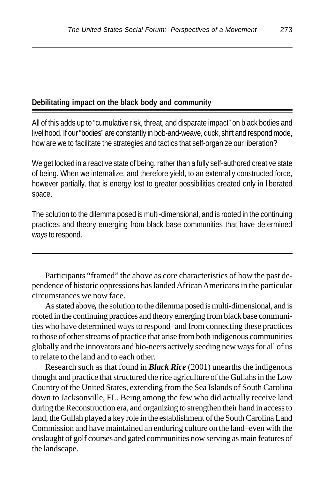### **Debilitating impact on the black body and community**

All of this adds up to "cumulative risk, threat, and disparate impact" on black bodies and livelihood. If our "bodies" are constantly in bob-and-weave, duck, shift and respond mode, how are we to facilitate the strategies and tactics that self-organize our liberation?

We get locked in a reactive state of being, rather than a fully self-authored creative state of being. When we internalize, and therefore yield, to an externally constructed force, however partially, that is energy lost to greater possibilities created only in liberated space.

The solution to the dilemma posed is multi-dimensional, and is rooted in the continuing practices and theory emerging from black base communities that have determined ways to respond.

Participants "framed" the above as core characteristics of how the past dependence of historic oppressions has landed African Americans in the particular circumstances we now face.

As stated above*,* the solution to the dilemma posed is multi-dimensional, and is rooted in the continuing practices and theory emerging from black base communities who have determined ways to respond–and from connecting these practices to those of other streams of practice that arise from both indigenous communities globally and the innovators and bio-neers actively seeding new ways for all of us to relate to the land and to each other.

Research such as that found in *Black Rice* (2001) unearths the indigenous thought and practice that structured the rice agriculture of the Gullahs in the Low Country of the United States, extending from the Sea Islands of South Carolina down to Jacksonville, FL. Being among the few who did actually receive land during the Reconstruction era, and organizing to strengthen their hand in access to land, the Gullah played a key role in the establishment of the South Carolina Land Commission and have maintained an enduring culture on the land–even with the onslaught of golf courses and gated communities now serving as main features of the landscape.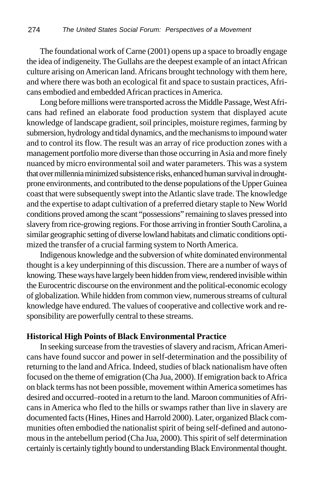The foundational work of Carne (2001) opens up a space to broadly engage the idea of indigeneity. The Gullahs are the deepest example of an intact African culture arising on American land. Africans brought technology with them here, and where there was both an ecological fit and space to sustain practices, Africans embodied and embedded African practices in America.

Long before millions were transported across the Middle Passage, West Africans had refined an elaborate food production system that displayed acute knowledge of landscape gradient, soil principles, moisture regimes, farming by submersion, hydrology and tidal dynamics, and the mechanisms to impound water and to control its flow. The result was an array of rice production zones with a management portfolio more diverse than those occurring in Asia and more finely nuanced by micro environmental soil and water parameters. This was a system that over millennia minimized subsistence risks, enhanced human survival in droughtprone environments, and contributed to the dense populations of the Upper Guinea coast that were subsequently swept into the Atlantic slave trade. The knowledge and the expertise to adapt cultivation of a preferred dietary staple to New World conditions proved among the scant "possessions" remaining to slaves pressed into slavery from rice-growing regions. For those arriving in frontier South Carolina, a similar geographic setting of diverse lowland habitats and climatic conditions optimized the transfer of a crucial farming system to North America.

Indigenous knowledge and the subversion of white dominated environmental thought is a key underpinning of this discussion. There are a number of ways of knowing. These ways have largely been hidden from view, rendered invisible within the Eurocentric discourse on the environment and the political-economic ecology of globalization. While hidden from common view, numerous streams of cultural knowledge have endured. The values of cooperative and collective work and responsibility are powerfully central to these streams.

#### **Historical High Points of Black Environmental Practice**

In seeking surcease from the travesties of slavery and racism, African Americans have found succor and power in self-determination and the possibility of returning to the land and Africa. Indeed, studies of black nationalism have often focused on the theme of emigration (Cha Jua, 2000). If emigration back to Africa on black terms has not been possible, movement within America sometimes has desired and occurred–rooted in a return to the land. Maroon communities of Africans in America who fled to the hills or swamps rather than live in slavery are documented facts (Hines, Hines and Harrold 2000). Later, organized Black communities often embodied the nationalist spirit of being self-defined and autonomous in the antebellum period (Cha Jua, 2000). This spirit of self determination certainly is certainly tightly bound to understanding Black Environmental thought.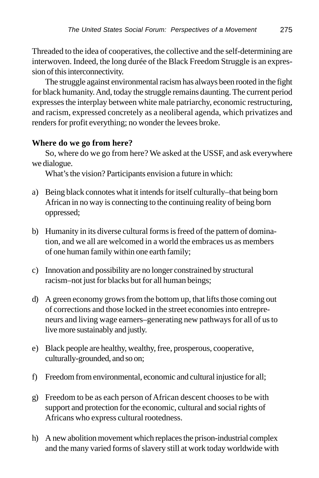Threaded to the idea of cooperatives, the collective and the self-determining are interwoven. Indeed, the long durée of the Black Freedom Struggle is an expression of this interconnectivity.

The struggle against environmental racism has always been rooted in the fight for black humanity. And, today the struggle remains daunting. The current period expresses the interplay between white male patriarchy, economic restructuring, and racism, expressed concretely as a neoliberal agenda, which privatizes and renders for profit everything; no wonder the levees broke.

## **Where do we go from here?**

So, where do we go from here? We asked at the USSF, and ask everywhere we dialogue.

What's the vision? Participants envision a future in which:

- a) Being black connotes what it intends for itself culturally–that being born African in no way is connecting to the continuing reality of being born oppressed;
- b) Humanity in its diverse cultural forms is freed of the pattern of domination, and we all are welcomed in a world the embraces us as members of one human family within one earth family;
- c) Innovation and possibility are no longer constrained by structural racism–not just for blacks but for all human beings;
- d) A green economy grows from the bottom up, that lifts those coming out of corrections and those locked in the street economies into entrepreneurs and living wage earners–generating new pathways for all of us to live more sustainably and justly.
- e) Black people are healthy, wealthy, free, prosperous, cooperative, culturally-grounded, and so on;
- f) Freedom from environmental, economic and cultural injustice for all;
- g) Freedom to be as each person of African descent chooses to be with support and protection for the economic, cultural and social rights of Africans who express cultural rootedness.
- h) A new abolition movement which replaces the prison-industrial complex and the many varied forms of slavery still at work today worldwide with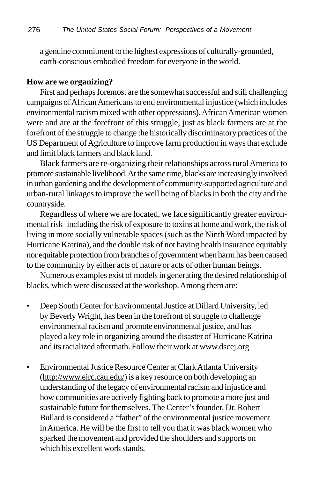a genuine commitment to the highest expressions of culturally-grounded, earth-conscious embodied freedom for everyone in the world.

#### **How are we organizing?**

First and perhaps foremost are the somewhat successful and still challenging campaigns of African Americans to end environmental injustice (which includes environmental racism mixed with other oppressions). African American women were and are at the forefront of this struggle, just as black farmers are at the forefront of the struggle to change the historically discriminatory practices of the US Department of Agriculture to improve farm production in ways that exclude and limit black farmers and black land.

Black farmers are re-organizing their relationships across rural America to promote sustainable livelihood. At the same time, blacks are increasingly involved in urban gardening and the development of community-supported agriculture and urban-rural linkages to improve the well being of blacks in both the city and the countryside.

Regardless of where we are located, we face significantly greater environmental risk–including the risk of exposure to toxins at home and work, the risk of living in more socially vulnerable spaces (such as the Ninth Ward impacted by Hurricane Katrina), and the double risk of not having health insurance equitably nor equitable protection from branches of government when harm has been caused to the community by either acts of nature or acts of other human beings.

Numerous examples exist of models in generating the desired relationship of blacks, which were discussed at the workshop. Among them are:

- Deep South Center for Environmental Justice at Dillard University, led by Beverly Wright, has been in the forefront of struggle to challenge environmental racism and promote environmental justice, and has played a key role in organizing around the disaster of Hurricane Katrina and its racialized aftermath. Follow their work at www.dscej.org
- Environmental Justice Resource Center at Clark Atlanta University (http://www.ejrc.cau.edu/) is a key resource on both developing an understanding of the legacy of environmental racism and injustice and how communities are actively fighting back to promote a more just and sustainable future for themselves. The Center's founder, Dr. Robert Bullard is considered a "father" of the environmental justice movement in America. He will be the first to tell you that it was black women who sparked the movement and provided the shoulders and supports on which his excellent work stands.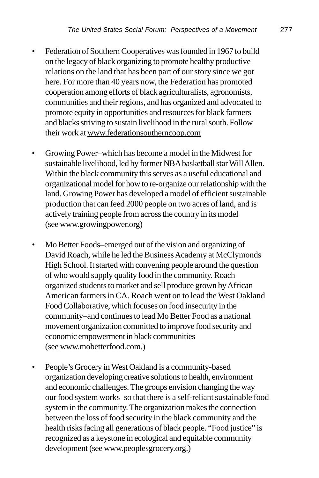- Federation of Southern Cooperatives was founded in 1967 to build on the legacy of black organizing to promote healthy productive relations on the land that has been part of our story since we got here. For more than 40 years now, the Federation has promoted cooperation among efforts of black agriculturalists, agronomists, communities and their regions, and has organized and advocated to promote equity in opportunities and resources for black farmers and blacks striving to sustain livelihood in the rural south. Follow their work at www.federationsoutherncoop.com
- Growing Power–which has become a model in the Midwest for sustainable livelihood, led by former NBA basketball star Will Allen. Within the black community this serves as a useful educational and organizational model for how to re-organize our relationship with the land. Growing Power has developed a model of efficient sustainable production that can feed 2000 people on two acres of land, and is actively training people from across the country in its model (see www.growingpower.org)
- Mo Better Foods–emerged out of the vision and organizing of David Roach, while he led the Business Academy at McClymonds High School. It started with convening people around the question of who would supply quality food in the community. Roach organized students to market and sell produce grown by African American farmers in CA. Roach went on to lead the West Oakland Food Collaborative, which focuses on food insecurity in the community–and continues to lead Mo Better Food as a national movement organization committed to improve food security and economic empowerment in black communities (see www.mobetterfood.com.)
- People's Grocery in West Oakland is a community-based organization developing creative solutions to health, environment and economic challenges. The groups envision changing the way our food system works–so that there is a self-reliant sustainable food system in the community. The organization makes the connection between the loss of food security in the black community and the health risks facing all generations of black people. "Food justice" is recognized as a keystone in ecological and equitable community development (see www.peoplesgrocery.org.)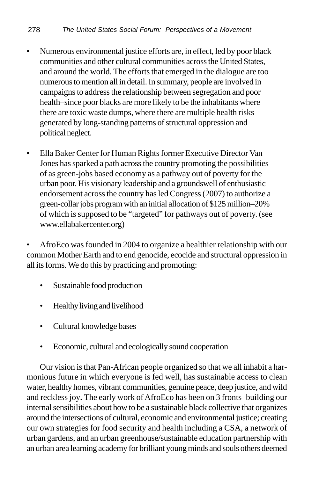- Numerous environmental justice efforts are, in effect, led by poor black communities and other cultural communities across the United States, and around the world. The efforts that emerged in the dialogue are too numerous to mention all in detail. In summary, people are involved in campaigns to address the relationship between segregation and poor health–since poor blacks are more likely to be the inhabitants where there are toxic waste dumps, where there are multiple health risks generated by long-standing patterns of structural oppression and political neglect.
- Ella Baker Center for Human Rights former Executive Director Van Jones has sparked a path across the country promoting the possibilities of as green-jobs based economy as a pathway out of poverty for the urban poor. His visionary leadership and a groundswell of enthusiastic endorsement across the country has led Congress (2007) to authorize a green-collar jobs program with an initial allocation of \$125 million–20% of which is supposed to be "targeted" for pathways out of poverty. (see www.ellabakercenter.org)

• AfroEco was founded in 2004 to organize a healthier relationship with our common Mother Earth and to end genocide, ecocide and structural oppression in all its forms. We do this by practicing and promoting:

- Sustainable food production
- Healthy living and livelihood
- Cultural knowledge bases
- Economic, cultural and ecologically sound cooperation

Our vision is that Pan-African people organized so that we all inhabit a harmonious future in which everyone is fed well, has sustainable access to clean water, healthy homes, vibrant communities, genuine peace, deep justice, and wild and reckless joy**.** The early work of AfroEco has been on 3 fronts–building our internal sensibilities about how to be a sustainable black collective that organizes around the intersections of cultural, economic and environmental justice; creating our own strategies for food security and health including a CSA, a network of urban gardens, and an urban greenhouse/sustainable education partnership with an urban area learning academy for brilliant young minds and souls others deemed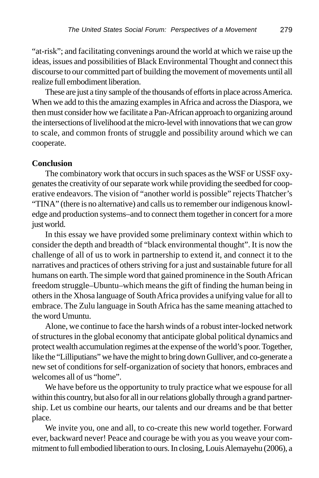"at-risk"; and facilitating convenings around the world at which we raise up the ideas, issues and possibilities of Black Environmental Thought and connect this discourse to our committed part of building the movement of movements until all realize full embodiment liberation.

These are just a tiny sample of the thousands of efforts in place across America. When we add to this the amazing examples in Africa and across the Diaspora, we then must consider how we facilitate a Pan-African approach to organizing around the intersections of livelihood at the micro-level with innovations that we can grow to scale, and common fronts of struggle and possibility around which we can cooperate.

## **Conclusion**

The combinatory work that occurs in such spaces as the WSF or USSF oxygenates the creativity of our separate work while providing the seedbed for cooperative endeavors. The vision of "another world is possible" rejects Thatcher's "TINA" (there is no alternative) and calls us to remember our indigenous knowledge and production systems–and to connect them together in concert for a more just world.

In this essay we have provided some preliminary context within which to consider the depth and breadth of "black environmental thought". It is now the challenge of all of us to work in partnership to extend it, and connect it to the narratives and practices of others striving for a just and sustainable future for all humans on earth. The simple word that gained prominence in the South African freedom struggle–Ubuntu–which means the gift of finding the human being in others in the Xhosa language of South Africa provides a unifying value for all to embrace. The Zulu language in South Africa has the same meaning attached to the word Umuntu.

Alone, we continue to face the harsh winds of a robust inter-locked network of structures in the global economy that anticipate global political dynamics and protect wealth accumulation regimes at the expense of the world's poor. Together, like the "Lilliputians" we have the might to bring down Gulliver, and co-generate a new set of conditions for self-organization of society that honors, embraces and welcomes all of us "home".

We have before us the opportunity to truly practice what we espouse for all within this country, but also for all in our relations globally through a grand partnership. Let us combine our hearts, our talents and our dreams and be that better place.

We invite you, one and all, to co-create this new world together. Forward ever, backward never! Peace and courage be with you as you weave your commitment to full embodied liberation to ours. In closing, Louis Alemayehu (2006), a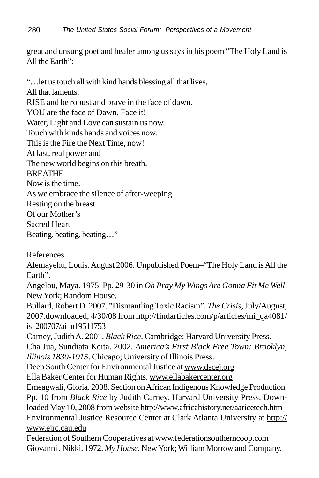great and unsung poet and healer among us says in his poem "The Holy Land is All the Earth":

"…let us touch all with kind hands blessing all that lives, All that laments, RISE and be robust and brave in the face of dawn. YOU are the face of Dawn, Face it! Water, Light and Love can sustain us now. Touch with kinds hands and voices now. This is the Fire the Next Time, now! At last, real power and The new world begins on this breath. BREATHE Now is the time. As we embrace the silence of after-weeping Resting on the breast Of our Mother's Sacred Heart Beating, beating, beating…"

References

Alemayehu, Louis. August 2006. Unpublished Poem–"The Holy Land is All the Earth".

Angelou, Maya. 1975. Pp. 29-30 in *Oh Pray My Wings Are Gonna Fit Me Well*. New York; Random House.

Bullard, Robert D. 2007. "Dismantling Toxic Racism". *The Crisis*, July/August, 2007.downloaded, 4/30/08 from http://findarticles.com/p/articles/mi\_qa4081/ is\_200707/ai\_n19511753

Carney, Judith A. 2001. *Black Rice*. Cambridge: Harvard University Press. Cha Jua, Sundiata Keita. 2002. *America's First Black Free Town: Brooklyn, Illinois 1830-1915*. Chicago; University of Illinois Press.

Deep South Center for Environmental Justice at www.dscej.org

Ella Baker Center for Human Rights. www.ellabakercenter.org

Emeagwali, Gloria. 2008. Section on African Indigenous Knowledge Production. Pp. 10 from *Black Rice* by Judith Carney. Harvard University Press. Downloaded May 10, 2008 from website http://www.africahistory.net/aaricetech.htm Environmental Justice Resource Center at Clark Atlanta University at http:// www.ejrc.cau.edu

Federation of Southern Cooperatives at www.federationsoutherncoop.com Giovanni , Nikki. 1972. *My House.* New York; William Morrow and Company.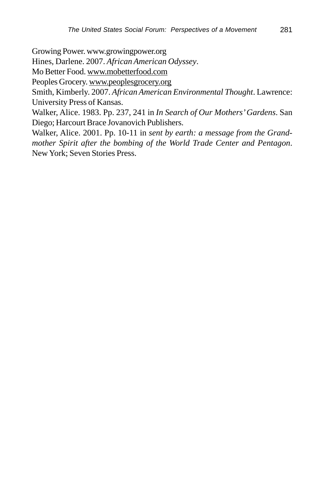Growing Power. www.growingpower.org

Hines, Darlene. 2007. *African American Odyssey*.

Mo Better Food. www.mobetterfood.com

Peoples Grocery. www.peoplesgrocery.org

Smith, Kimberly. 2007. *African American Environmental Thought*. Lawrence: University Press of Kansas.

Walker, Alice. 1983. Pp. 237, 241 in *In Search of Our Mothers' Gardens*. San Diego; Harcourt Brace Jovanovich Publishers.

Walker, Alice. 2001. Pp. 10-11 in *sent by earth: a message from the Grandmother Spirit after the bombing of the World Trade Center and Pentagon*. New York; Seven Stories Press.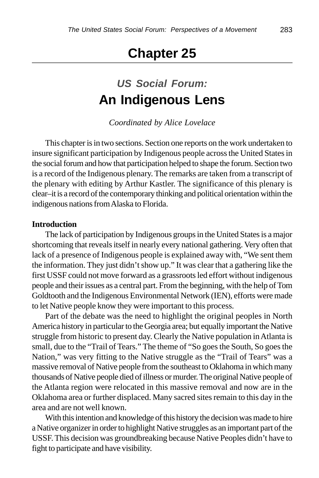## **Chapter 25**

## *US Social Forum:* **An Indigenous Lens**

*Coordinated by Alice Lovelace*

This chapter is in two sections. Section one reports on the work undertaken to insure significant participation by Indigenous people across the United States in the social forum and how that participation helped to shape the forum. Section two is a record of the Indigenous plenary. The remarks are taken from a transcript of the plenary with editing by Arthur Kastler. The significance of this plenary is clear–it is a record of the contemporary thinking and political orientation within the indigenous nations from Alaska to Florida.

#### **Introduction**

The lack of participation by Indigenous groups in the United States is a major shortcoming that reveals itself in nearly every national gathering. Very often that lack of a presence of Indigenous people is explained away with, "We sent them the information. They just didn't show up." It was clear that a gathering like the first USSF could not move forward as a grassroots led effort without indigenous people and their issues as a central part. From the beginning, with the help of Tom Goldtooth and the Indigenous Environmental Network (IEN), efforts were made to let Native people know they were important to this process.

Part of the debate was the need to highlight the original peoples in North America history in particular to the Georgia area; but equally important the Native struggle from historic to present day. Clearly the Native population in Atlanta is small, due to the "Trail of Tears." The theme of "So goes the South, So goes the Nation," was very fitting to the Native struggle as the "Trail of Tears" was a massive removal of Native people from the southeast to Oklahoma in which many thousands of Native people died of illness or murder. The original Native people of the Atlanta region were relocated in this massive removal and now are in the Oklahoma area or further displaced. Many sacred sites remain to this day in the area and are not well known.

With this intention and knowledge of this history the decision was made to hire a Native organizer in order to highlight Native struggles as an important part of the USSF. This decision was groundbreaking because Native Peoples didn't have to fight to participate and have visibility.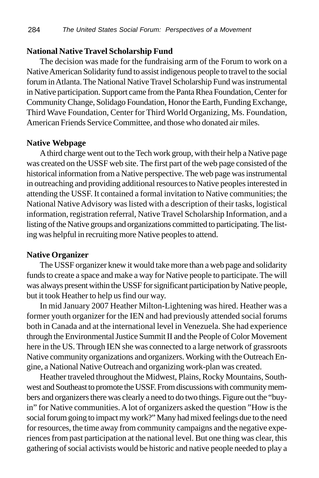## **National Native Travel Scholarship Fund**

The decision was made for the fundraising arm of the Forum to work on a Native American Solidarity fund to assist indigenous people to travel to the social forum in Atlanta. The National Native Travel Scholarship Fund was instrumental in Native participation. Support came from the Panta Rhea Foundation, Center for Community Change, Solidago Foundation, Honor the Earth, Funding Exchange, Third Wave Foundation, Center for Third World Organizing, Ms. Foundation, American Friends Service Committee, and those who donated air miles.

#### **Native Webpage**

A third charge went out to the Tech work group, with their help a Native page was created on the USSF web site. The first part of the web page consisted of the historical information from a Native perspective. The web page was instrumental in outreaching and providing additional resources to Native peoples interested in attending the USSF. It contained a formal invitation to Native communities; the National Native Advisory was listed with a description of their tasks, logistical information, registration referral, Native Travel Scholarship Information, and a listing of the Native groups and organizations committed to participating. The listing was helpful in recruiting more Native peoples to attend.

#### **Native Organizer**

The USSF organizer knew it would take more than a web page and solidarity funds to create a space and make a way for Native people to participate. The will was always present within the USSF for significant participation by Native people, but it took Heather to help us find our way.

In mid January 2007 Heather Milton-Lightening was hired. Heather was a former youth organizer for the IEN and had previously attended social forums both in Canada and at the international level in Venezuela. She had experience through the Environmental Justice Summit II and the People of Color Movement here in the US. Through IEN she was connected to a large network of grassroots Native community organizations and organizers. Working with the Outreach Engine, a National Native Outreach and organizing work-plan was created.

Heather traveled throughout the Midwest, Plains, Rocky Mountains, Southwest and Southeast to promote the USSF. From discussions with community members and organizers there was clearly a need to do two things. Figure out the "buyin" for Native communities. A lot of organizers asked the question "How is the social forum going to impact my work?" Many had mixed feelings due to the need for resources, the time away from community campaigns and the negative experiences from past participation at the national level. But one thing was clear, this gathering of social activists would be historic and native people needed to play a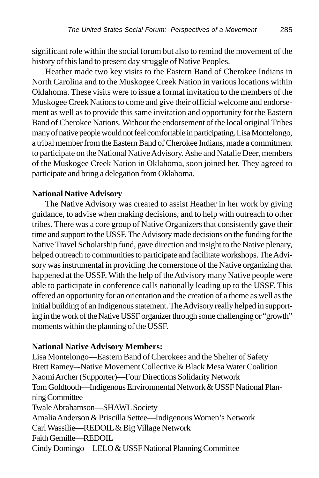significant role within the social forum but also to remind the movement of the history of this land to present day struggle of Native Peoples.

Heather made two key visits to the Eastern Band of Cherokee Indians in North Carolina and to the Muskogee Creek Nation in various locations within Oklahoma. These visits were to issue a formal invitation to the members of the Muskogee Creek Nations to come and give their official welcome and endorsement as well as to provide this same invitation and opportunity for the Eastern Band of Cherokee Nations. Without the endorsement of the local original Tribes many of native people would not feel comfortable in participating. Lisa Montelongo, a tribal member from the Eastern Band of Cherokee Indians, made a commitment to participate on the National Native Advisory. Ashe and Natalie Deer, members of the Muskogee Creek Nation in Oklahoma, soon joined her. They agreed to participate and bring a delegation from Oklahoma.

## **National Native Advisory**

The Native Advisory was created to assist Heather in her work by giving guidance, to advise when making decisions, and to help with outreach to other tribes. There was a core group of Native Organizers that consistently gave their time and support to the USSF. The Advisory made decisions on the funding for the Native Travel Scholarship fund, gave direction and insight to the Native plenary, helped outreach to communities to participate and facilitate workshops. The Advisory was instrumental in providing the cornerstone of the Native organizing that happened at the USSF. With the help of the Advisory many Native people were able to participate in conference calls nationally leading up to the USSF. This offered an opportunity for an orientation and the creation of a theme as well as the initial building of an Indigenous statement. The Advisory really helped in supporting in the work of the Native USSF organizer through some challenging or "growth" moments within the planning of the USSF.

## **National Native Advisory Members:**

Lisa Montelongo—Eastern Band of Cherokees and the Shelter of Safety Brett Ramey–-Native Movement Collective & Black Mesa Water Coalition Naomi Archer (Supporter)—Four Directions Solidarity Network Tom Goldtooth—Indigenous Environmental Network & USSF National Planning Committee Twale Abrahamson—SHAWL Society Amalia Anderson & Priscilla Settee—Indigenous Women's Network Carl Wassilie—REDOIL & Big Village Network Faith Gemille—REDOIL Cindy Domingo—LELO & USSF National Planning Committee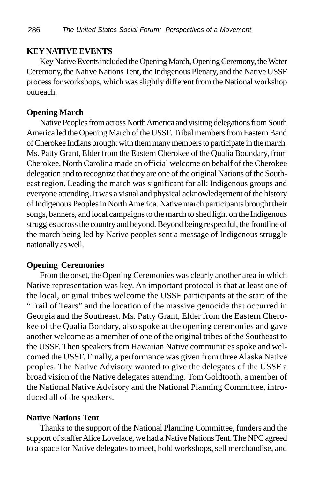### **KEY NATIVE EVENTS**

Key Native Events included the Opening March, Opening Ceremony, the Water Ceremony, the Native Nations Tent, the Indigenous Plenary, and the Native USSF process for workshops, which was slightly different from the National workshop outreach.

## **Opening March**

Native Peoples from across North America and visiting delegations from South America led the Opening March of the USSF. Tribal members from Eastern Band of Cherokee Indians brought with them many members to participate in the march. Ms. Patty Grant, Elder from the Eastern Cherokee of the Qualia Boundary, from Cherokee, North Carolina made an official welcome on behalf of the Cherokee delegation and to recognize that they are one of the original Nations of the Southeast region. Leading the march was significant for all: Indigenous groups and everyone attending. It was a visual and physical acknowledgement of the history of Indigenous Peoples in North America. Native march participants brought their songs, banners, and local campaigns to the march to shed light on the Indigenous struggles across the country and beyond. Beyond being respectful, the frontline of the march being led by Native peoples sent a message of Indigenous struggle nationally as well.

## **Opening Ceremonies**

From the onset, the Opening Ceremonies was clearly another area in which Native representation was key. An important protocol is that at least one of the local, original tribes welcome the USSF participants at the start of the "Trail of Tears" and the location of the massive genocide that occurred in Georgia and the Southeast. Ms. Patty Grant, Elder from the Eastern Cherokee of the Qualia Bondary, also spoke at the opening ceremonies and gave another welcome as a member of one of the original tribes of the Southeast to the USSF. Then speakers from Hawaiian Native communities spoke and welcomed the USSF. Finally, a performance was given from three Alaska Native peoples. The Native Advisory wanted to give the delegates of the USSF a broad vision of the Native delegates attending. Tom Goldtooth, a member of the National Native Advisory and the National Planning Committee, introduced all of the speakers.

## **Native Nations Tent**

Thanks to the support of the National Planning Committee, funders and the support of staffer Alice Lovelace, we had a Native Nations Tent. The NPC agreed to a space for Native delegates to meet, hold workshops, sell merchandise, and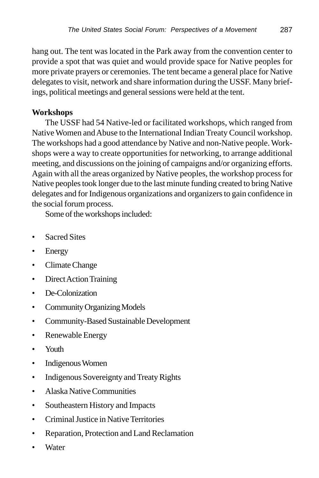hang out. The tent was located in the Park away from the convention center to provide a spot that was quiet and would provide space for Native peoples for more private prayers or ceremonies. The tent became a general place for Native delegates to visit, network and share information during the USSF. Many briefings, political meetings and general sessions were held at the tent.

## **Workshops**

The USSF had 54 Native-led or facilitated workshops, which ranged from Native Women and Abuse to the International Indian Treaty Council workshop. The workshops had a good attendance by Native and non-Native people. Workshops were a way to create opportunities for networking, to arrange additional meeting, and discussions on the joining of campaigns and/or organizing efforts. Again with all the areas organized by Native peoples, the workshop process for Native peoples took longer due to the last minute funding created to bring Native delegates and for Indigenous organizations and organizers to gain confidence in the social forum process.

Some of the workshops included:

- Sacred Sites
- Energy
- Climate Change
- Direct Action Training
- De-Colonization
- Community Organizing Models
- Community-Based Sustainable Development
- Renewable Energy
- Youth
- Indigenous Women
- Indigenous Sovereignty and Treaty Rights
- Alaska Native Communities
- Southeastern History and Impacts
- Criminal Justice in Native Territories
- Reparation, Protection and Land Reclamation
- Water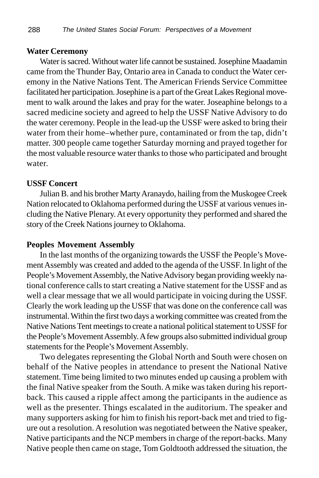#### **Water Ceremony**

Water is sacred. Without water life cannot be sustained. Josephine Maadamin came from the Thunder Bay, Ontario area in Canada to conduct the Water ceremony in the Native Nations Tent. The American Friends Service Committee facilitated her participation. Josephine is a part of the Great Lakes Regional movement to walk around the lakes and pray for the water. Joseaphine belongs to a sacred medicine society and agreed to help the USSF Native Advisory to do the water ceremony. People in the lead-up the USSF were asked to bring their water from their home–whether pure, contaminated or from the tap, didn't matter. 300 people came together Saturday morning and prayed together for the most valuable resource water thanks to those who participated and brought water.

#### **USSF Concert**

Julian B. and his brother Marty Aranaydo, hailing from the Muskogee Creek Nation relocated to Oklahoma performed during the USSF at various venues including the Native Plenary. At every opportunity they performed and shared the story of the Creek Nations journey to Oklahoma.

## **Peoples Movement Assembly**

In the last months of the organizing towards the USSF the People's Movement Assembly was created and added to the agenda of the USSF. In light of the People's Movement Assembly, the Native Advisory began providing weekly national conference calls to start creating a Native statement for the USSF and as well a clear message that we all would participate in voicing during the USSF. Clearly the work leading up the USSF that was done on the conference call was instrumental. Within the first two days a working committee was created from the Native Nations Tent meetings to create a national political statement to USSF for the People's Movement Assembly. A few groups also submitted individual group statements for the People's Movement Assembly.

Two delegates representing the Global North and South were chosen on behalf of the Native peoples in attendance to present the National Native statement. Time being limited to two minutes ended up causing a problem with the final Native speaker from the South. A mike was taken during his reportback. This caused a ripple affect among the participants in the audience as well as the presenter. Things escalated in the auditorium. The speaker and many supporters asking for him to finish his report-back met and tried to figure out a resolution. A resolution was negotiated between the Native speaker, Native participants and the NCP members in charge of the report-backs. Many Native people then came on stage, Tom Goldtooth addressed the situation, the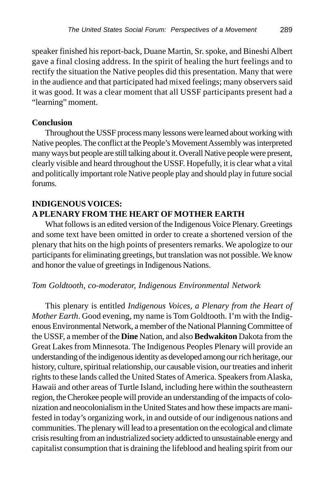speaker finished his report-back, Duane Martin, Sr. spoke, and Bineshi Albert gave a final closing address. In the spirit of healing the hurt feelings and to rectify the situation the Native peoples did this presentation. Many that were in the audience and that participated had mixed feelings; many observers said it was good. It was a clear moment that all USSF participants present had a "learning" moment.

## **Conclusion**

Throughout the USSF process many lessons were learned about working with Native peoples. The conflict at the People's Movement Assembly was interpreted many ways but people are still talking about it. Overall Native people were present, clearly visible and heard throughout the USSF. Hopefully, it is clear what a vital and politically important role Native people play and should play in future social forums.

## **INDIGENOUS VOICES: A PLENARY FROM THE HEART OF MOTHER EARTH**

What follows is an edited version of the Indigenous Voice Plenary. Greetings and some text have been omitted in order to create a shortened version of the plenary that hits on the high points of presenters remarks. We apologize to our participants for eliminating greetings, but translation was not possible. We know and honor the value of greetings in Indigenous Nations.

## *Tom Goldtooth, co-moderator, Indigenous Environmental Network*

This plenary is entitled *Indigenous Voices, a Plenary from the Heart of Mother Earth*. Good evening, my name is Tom Goldtooth. I'm with the Indigenous Environmental Network, a member of the National Planning Committee of the USSF, a member of the **Dine** Nation, and also **Bedwakiton** Dakota from the Great Lakes from Minnesota. The Indigenous Peoples Plenary will provide an understanding of the indigenous identity as developed among our rich heritage, our history, culture, spiritual relationship, our causable vision, our treaties and inherit rights to these lands called the United States of America. Speakers from Alaska, Hawaii and other areas of Turtle Island, including here within the southeastern region, the Cherokee people will provide an understanding of the impacts of colonization and neocolonialism in the United States and how these impacts are manifested in today's organizing work, in and outside of our indigenous nations and communities. The plenary will lead to a presentation on the ecological and climate crisis resulting from an industrialized society addicted to unsustainable energy and capitalist consumption that is draining the lifeblood and healing spirit from our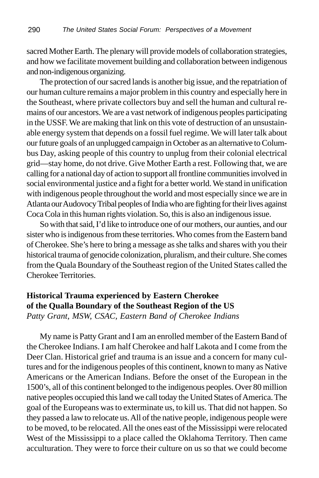sacred Mother Earth. The plenary will provide models of collaboration strategies, and how we facilitate movement building and collaboration between indigenous and non-indigenous organizing.

The protection of our sacred lands is another big issue, and the repatriation of our human culture remains a major problem in this country and especially here in the Southeast, where private collectors buy and sell the human and cultural remains of our ancestors. We are a vast network of indigenous peoples participating in the USSF. We are making that link on this vote of destruction of an unsustainable energy system that depends on a fossil fuel regime. We will later talk about our future goals of an unplugged campaign in October as an alternative to Columbus Day, asking people of this country to unplug from their colonial electrical grid—stay home, do not drive. Give Mother Earth a rest. Following that, we are calling for a national day of action to support all frontline communities involved in social environmental justice and a fight for a better world. We stand in unification with indigenous people throughout the world and most especially since we are in Atlanta our Audovocy Tribal peoples of India who are fighting for their lives against Coca Cola in this human rights violation. So, this is also an indigenous issue.

So with that said, I'd like to introduce one of our mothers, our aunties, and our sister who is indigenous from these territories. Who comes from the Eastern band of Cherokee. She's here to bring a message as she talks and shares with you their historical trauma of genocide colonization, pluralism, and their culture. She comes from the Quala Boundary of the Southeast region of the United States called the Cherokee Territories.

## **Historical Trauma experienced by Eastern Cherokee of the Qualla Boundary of the Southeast Region of the US** *Patty Grant, MSW, CSAC, Eastern Band of Cherokee Indians*

My name is Patty Grant and I am an enrolled member of the Eastern Band of the Cherokee Indians. I am half Cherokee and half Lakota and I come from the Deer Clan. Historical grief and trauma is an issue and a concern for many cultures and for the indigenous peoples of this continent, known to many as Native Americans or the American Indians. Before the onset of the European in the 1500's, all of this continent belonged to the indigenous peoples. Over 80 million native peoples occupied this land we call today the United States of America. The goal of the Europeans was to exterminate us, to kill us. That did not happen. So they passed a law to relocate us. All of the native people, indigenous people were to be moved, to be relocated. All the ones east of the Mississippi were relocated West of the Mississippi to a place called the Oklahoma Territory. Then came acculturation. They were to force their culture on us so that we could become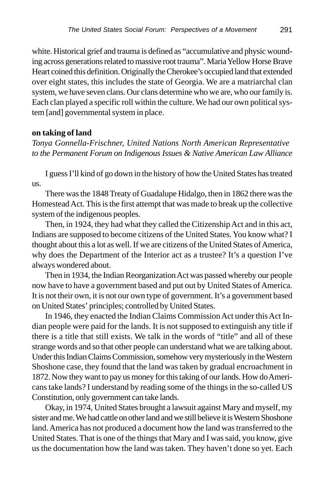white. Historical grief and trauma is defined as "accumulative and physic wounding across generations related to massive root trauma". Maria Yellow Horse Brave Heart coined this definition. Originally the Cherokee's occupied land that extended over eight states, this includes the state of Georgia. We are a matriarchal clan system, we have seven clans. Our clans determine who we are, who our family is. Each clan played a specific roll within the culture. We had our own political system [and] governmental system in place.

## **on taking of land**

*Tonya Gonnella-Frischner, United Nations North American Representative to the Permanent Forum on Indigenous Issues & Native American Law Alliance*

I guess I'll kind of go down in the history of how the United States has treated us.

There was the 1848 Treaty of Guadalupe Hidalgo, then in 1862 there was the Homestead Act. This is the first attempt that was made to break up the collective system of the indigenous peoples.

Then, in 1924, they had what they called the Citizenship Act and in this act, Indians are supposed to become citizens of the United States. You know what? I thought about this a lot as well. If we are citizens of the United States of America, why does the Department of the Interior act as a trustee? It's a question I've always wondered about.

Then in 1934, the Indian Reorganization Act was passed whereby our people now have to have a government based and put out by United States of America. It is not their own, it is not our own type of government. It's a government based on United States' principles; controlled by United States.

In 1946, they enacted the Indian Claims Commission Act under this Act Indian people were paid for the lands. It is not supposed to extinguish any title if there is a title that still exists. We talk in the words of "title" and all of these strange words and so that other people can understand what we are talking about. Under this Indian Claims Commission, somehow very mysteriously in the Western Shoshone case, they found that the land was taken by gradual encroachment in 1872. Now they want to pay us money for this taking of our lands. How do Americans take lands? I understand by reading some of the things in the so-called US Constitution, only government can take lands.

Okay, in 1974, United States brought a lawsuit against Mary and myself, my sister and me. We had cattle on other land and we still believe it is Western Shoshone land. America has not produced a document how the land was transferred to the United States. That is one of the things that Mary and I was said, you know, give us the documentation how the land was taken. They haven't done so yet. Each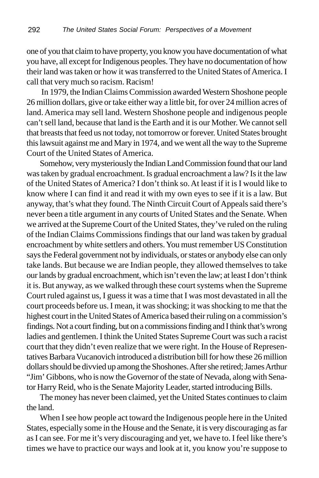one of you that claim to have property, you know you have documentation of what you have, all except for Indigenous peoples. They have no documentation of how their land was taken or how it was transferred to the United States of America. I call that very much so racism. Racism!

 In 1979, the Indian Claims Commission awarded Western Shoshone people 26 million dollars, give or take either way a little bit, for over 24 million acres of land. America may sell land. Western Shoshone people and indigenous people can't sell land, because that land is the Earth and it is our Mother. We cannot sell that breasts that feed us not today, not tomorrow or forever. United States brought this lawsuit against me and Mary in 1974, and we went all the way to the Supreme Court of the United States of America.

Somehow, very mysteriously the Indian Land Commission found that our land was taken by gradual encroachment. Is gradual encroachment a law? Is it the law of the United States of America? I don't think so. At least if it is I would like to know where I can find it and read it with my own eyes to see if it is a law. But anyway, that's what they found. The Ninth Circuit Court of Appeals said there's never been a title argument in any courts of United States and the Senate. When we arrived at the Supreme Court of the United States, they've ruled on the ruling of the Indian Claims Commissions findings that our land was taken by gradual encroachment by white settlers and others. You must remember US Constitution says the Federal government not by individuals, or states or anybody else can only take lands. But because we are Indian people, they allowed themselves to take our lands by gradual encroachment, which isn't even the law; at least I don't think it is. But anyway, as we walked through these court systems when the Supreme Court ruled against us, I guess it was a time that I was most devastated in all the court proceeds before us. I mean, it was shocking; it was shocking to me that the highest court in the United States of America based their ruling on a commission's findings. Not a court finding, but on a commissions finding and I think that's wrong ladies and gentlemen. I think the United States Supreme Court was such a racist court that they didn't even realize that we were right. In the House of Representatives Barbara Vucanovich introduced a distribution bill for how these 26 million dollars should be divvied up among the Shoshones. After she retired; James Arthur "Jim' Gibbons, who is now the Governor of the state of Nevada, along with Senator Harry Reid, who is the Senate Majority Leader, started introducing Bills.

The money has never been claimed, yet the United States continues to claim the land.

When I see how people act toward the Indigenous people here in the United States, especially some in the House and the Senate, it is very discouraging as far as I can see. For me it's very discouraging and yet, we have to. I feel like there's times we have to practice our ways and look at it, you know you're suppose to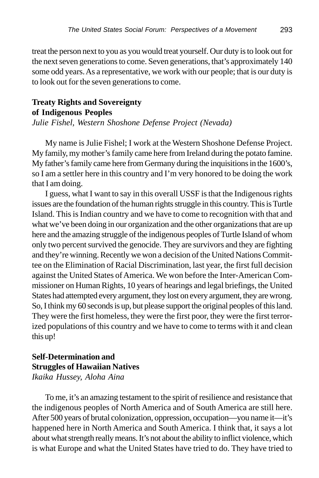treat the person next to you as you would treat yourself. Our duty is to look out for the next seven generations to come. Seven generations, that's approximately 140 some odd years. As a representative, we work with our people; that is our duty is to look out for the seven generations to come.

## **Treaty Rights and Sovereignty of Indigenous Peoples**

*Julie Fishel, Western Shoshone Defense Project (Nevada)*

My name is Julie Fishel; I work at the Western Shoshone Defense Project. My family, my mother's family came here from Ireland during the potato famine. My father's family came here from Germany during the inquisitions in the 1600's, so I am a settler here in this country and I'm very honored to be doing the work that I am doing.

I guess, what I want to say in this overall USSF is that the Indigenous rights issues are the foundation of the human rights struggle in this country. This is Turtle Island. This is Indian country and we have to come to recognition with that and what we've been doing in our organization and the other organizations that are up here and the amazing struggle of the indigenous peoples of Turtle Island of whom only two percent survived the genocide. They are survivors and they are fighting and they're winning. Recently we won a decision of the United Nations Committee on the Elimination of Racial Discrimination, last year, the first full decision against the United States of America. We won before the Inter-American Commissioner on Human Rights, 10 years of hearings and legal briefings, the United States had attempted every argument, they lost on every argument, they are wrong. So, I think my 60 seconds is up, but please support the original peoples of this land. They were the first homeless, they were the first poor, they were the first terrorized populations of this country and we have to come to terms with it and clean this up!

## **Self-Determination and Struggles of Hawaiian Natives**

*Ikaika Hussey, Aloha Aina*

To me, it's an amazing testament to the spirit of resilience and resistance that the indigenous peoples of North America and of South America are still here. After 500 years of brutal colonization, oppression, occupation—you name it—it's happened here in North America and South America. I think that, it says a lot about what strength really means. It's not about the ability to inflict violence, which is what Europe and what the United States have tried to do. They have tried to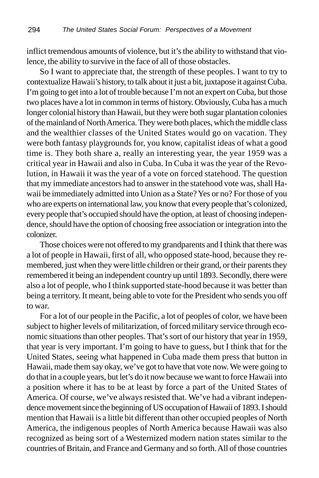inflict tremendous amounts of violence, but it's the ability to withstand that violence, the ability to survive in the face of all of those obstacles.

So I want to appreciate that, the strength of these peoples. I want to try to contextualize Hawaii's history, to talk about it just a bit, juxtapose it against Cuba. I'm going to get into a lot of trouble because I'm not an expert on Cuba, but those two places have a lot in common in terms of history. Obviously, Cuba has a much longer colonial history than Hawaii, but they were both sugar plantation colonies of the mainland of North America. They were both places, which the middle class and the wealthier classes of the United States would go on vacation. They were both fantasy playgrounds for, you know, capitalist ideas of what a good time is. They both share a, really an interesting year, the year 1959 was a critical year in Hawaii and also in Cuba. In Cuba it was the year of the Revolution, in Hawaii it was the year of a vote on forced statehood. The question that my immediate ancestors had to answer in the statehood vote was, shall Hawaii be immediately admitted into Union as a State? Yes or no? For those of you who are experts on international law, you know that every people that's colonized, every people that's occupied should have the option, at least of choosing independence, should have the option of choosing free association or integration into the colonizer.

Those choices were not offered to my grandparents and I think that there was a lot of people in Hawaii, first of all, who opposed state-hood, because they remembered, just when they were little children or their grand, or their parents they remembered it being an independent country up until 1893. Secondly, there were also a lot of people, who I think supported state-hood because it was better than being a territory. It meant, being able to vote for the President who sends you off to war.

For a lot of our people in the Pacific, a lot of peoples of color, we have been subject to higher levels of militarization, of forced military service through economic situations than other peoples. That's sort of our history that year in 1959, that year is very important. I'm going to have to guess, but I think that for the United States, seeing what happened in Cuba made them press that button in Hawaii, made them say okay, we've got to have that vote now. We were going to do that in a couple years, but let's do it now because we want to force Hawaii into a position where it has to be at least by force a part of the United States of America. Of course, we've always resisted that. We've had a vibrant independence movement since the beginning of US occupation of Hawaii of 1893. I should mention that Hawaii is a little bit different than other occupied peoples of North America, the indigenous peoples of North America because Hawaii was also recognized as being sort of a Westernized modern nation states similar to the countries of Britain, and France and Germany and so forth. All of those countries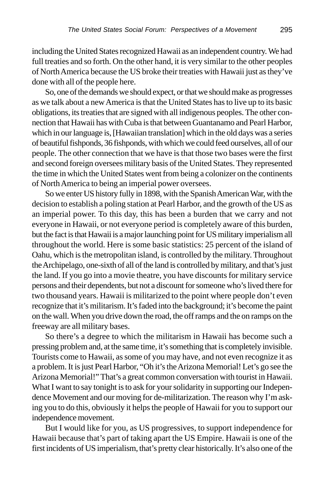including the United States recognized Hawaii as an independent country. We had full treaties and so forth. On the other hand, it is very similar to the other peoples of North America because the US broke their treaties with Hawaii just as they've done with all of the people here.

So, one of the demands we should expect, or that we should make as progresses as we talk about a new America is that the United States has to live up to its basic obligations, its treaties that are signed with all indigenous peoples. The other connection that Hawaii has with Cuba is that between Guantanamo and Pearl Harbor, which in our language is, [Hawaiian translation] which in the old days was a series of beautiful fishponds, 36 fishponds, with which we could feed ourselves, all of our people. The other connection that we have is that those two bases were the first and second foreign oversees military basis of the United States. They represented the time in which the United States went from being a colonizer on the continents of North America to being an imperial power oversees.

So we enter US history fully in 1898, with the Spanish American War, with the decision to establish a poling station at Pearl Harbor, and the growth of the US as an imperial power. To this day, this has been a burden that we carry and not everyone in Hawaii, or not everyone period is completely aware of this burden, but the fact is that Hawaii is a major launching point for US military imperialism all throughout the world. Here is some basic statistics: 25 percent of the island of Oahu, which is the metropolitan island, is controlled by the military. Throughout the Archipelago, one-sixth of all of the land is controlled by military, and that's just the land. If you go into a movie theatre, you have discounts for military service persons and their dependents, but not a discount for someone who's lived there for two thousand years. Hawaii is militarized to the point where people don't even recognize that it's militarism. It's faded into the background; it's become the paint on the wall. When you drive down the road, the off ramps and the on ramps on the freeway are all military bases.

So there's a degree to which the militarism in Hawaii has become such a pressing problem and, at the same time, it's something that is completely invisible. Tourists come to Hawaii, as some of you may have, and not even recognize it as a problem. It is just Pearl Harbor, "Oh it's the Arizona Memorial! Let's go see the Arizona Memorial!" That's a great common conversation with tourist in Hawaii. What I want to say tonight is to ask for your solidarity in supporting our Independence Movement and our moving for de-militarization. The reason why I'm asking you to do this, obviously it helps the people of Hawaii for you to support our independence movement.

But I would like for you, as US progressives, to support independence for Hawaii because that's part of taking apart the US Empire. Hawaii is one of the first incidents of US imperialism, that's pretty clear historically. It's also one of the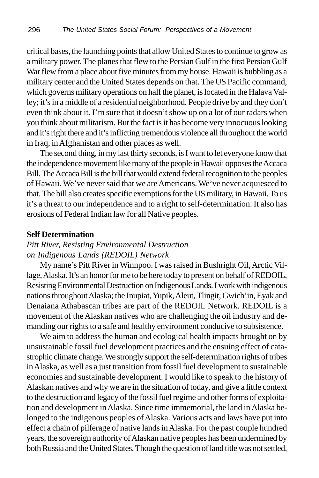critical bases, the launching points that allow United States to continue to grow as a military power. The planes that flew to the Persian Gulf in the first Persian Gulf War flew from a place about five minutes from my house. Hawaii is bubbling as a military center and the United States depends on that. The US Pacific command, which governs military operations on half the planet, is located in the Halava Valley; it's in a middle of a residential neighborhood. People drive by and they don't even think about it. I'm sure that it doesn't show up on a lot of our radars when you think about militarism. But the fact is it has become very innocuous looking and it's right there and it's inflicting tremendous violence all throughout the world in Iraq, in Afghanistan and other places as well.

The second thing, in my last thirty seconds, is I want to let everyone know that the independence movement like many of the people in Hawaii opposes the Accaca Bill. The Accaca Bill is the bill that would extend federal recognition to the peoples of Hawaii. We've never said that we are Americans. We've never acquiesced to that. The bill also creates specific exemptions for the US military, in Hawaii. To us it's a threat to our independence and to a right to self-determination. It also has erosions of Federal Indian law for all Native peoples.

#### **Self Determination**

## *Pitt River, Resisting Environmental Destruction on Indigenous Lands (REDOIL) Network*

My name's Pitt River in Winnpoo. I was raised in Bushright Oil, Arctic Village, Alaska. It's an honor for me to be here today to present on behalf of REDOIL, Resisting Environmental Destruction on Indigenous Lands. I work with indigenous nations throughout Alaska; the Inupiat, Yupik, Aleut, Tlingit, Gwich'in, Eyak and Denaiana Athabascan tribes are part of the REDOIL Network. REDOIL is a movement of the Alaskan natives who are challenging the oil industry and demanding our rights to a safe and healthy environment conducive to subsistence.

We aim to address the human and ecological health impacts brought on by unsustainable fossil fuel development practices and the ensuing effect of catastrophic climate change. We strongly support the self-determination rights of tribes in Alaska, as well as a just transition from fossil fuel development to sustainable economies and sustainable development. I would like to speak to the history of Alaskan natives and why we are in the situation of today, and give a little context to the destruction and legacy of the fossil fuel regime and other forms of exploitation and development in Alaska. Since time immemorial, the land in Alaska belonged to the indigenous peoples of Alaska. Various acts and laws have put into effect a chain of pilferage of native lands in Alaska. For the past couple hundred years, the sovereign authority of Alaskan native peoples has been undermined by both Russia and the United States. Though the question of land title was not settled,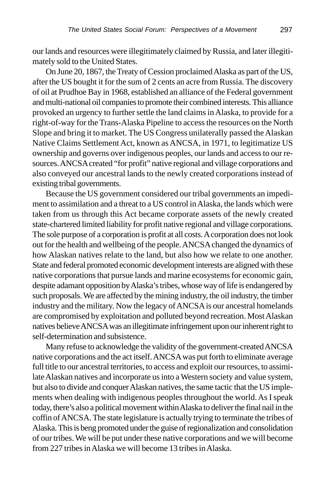our lands and resources were illegitimately claimed by Russia, and later illegitimately sold to the United States.

On June 20, 1867, the Treaty of Cession proclaimed Alaska as part of the US, after the US bought it for the sum of 2 cents an acre from Russia. The discovery of oil at Prudhoe Bay in 1968, established an alliance of the Federal government and multi-national oil companies to promote their combined interests. This alliance provoked an urgency to further settle the land claims in Alaska, to provide for a right-of-way for the Trans-Alaska Pipeline to access the resources on the North Slope and bring it to market. The US Congress unilaterally passed the Alaskan Native Claims Settlement Act, known as ANCSA, in 1971, to legitimatize US ownership and governs over indigenous peoples, our lands and access to our resources. ANCSA created "for profit" native regional and village corporations and also conveyed our ancestral lands to the newly created corporations instead of existing tribal governments.

Because the US government considered our tribal governments an impediment to assimilation and a threat to a US control in Alaska, the lands which were taken from us through this Act became corporate assets of the newly created state-chartered limited liability for profit native regional and village corporations. The sole purpose of a corporation is profit at all costs. A corporation does not look out for the health and wellbeing of the people. ANCSA changed the dynamics of how Alaskan natives relate to the land, but also how we relate to one another. State and federal promoted economic development interests are aligned with these native corporations that pursue lands and marine ecosystems for economic gain, despite adamant opposition by Alaska's tribes, whose way of life is endangered by such proposals. We are affected by the mining industry, the oil industry, the timber industry and the military. Now the legacy of ANCSA is our ancestral homelands are compromised by exploitation and polluted beyond recreation. Most Alaskan natives believe ANCSA was an illegitimate infringement upon our inherent right to self-determination and subsistence.

Many refuse to acknowledge the validity of the government-created ANCSA native corporations and the act itself. ANCSA was put forth to eliminate average full title to our ancestral territories, to access and exploit our resources, to assimilate Alaskan natives and incorporate us into a Western society and value system, but also to divide and conquer Alaskan natives, the same tactic that the US implements when dealing with indigenous peoples throughout the world. As I speak today, there's also a political movement within Alaska to deliver the final nail in the coffin of ANCSA. The state legislature is actually trying to terminate the tribes of Alaska. This is beng promoted under the guise of regionalization and consolidation of our tribes. We will be put under these native corporations and we will become from 227 tribes in Alaska we will become 13 tribes in Alaska.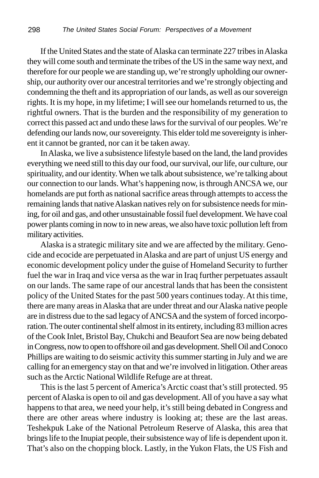If the United States and the state of Alaska can terminate 227 tribes in Alaska they will come south and terminate the tribes of the US in the same way next, and therefore for our people we are standing up, we're strongly upholding our ownership, our authority over our ancestral territories and we're strongly objecting and condemning the theft and its appropriation of our lands, as well as our sovereign rights. It is my hope, in my lifetime; I will see our homelands returned to us, the rightful owners. That is the burden and the responsibility of my generation to correct this passed act and undo these laws for the survival of our peoples. We're defending our lands now, our sovereignty. This elder told me sovereignty is inherent it cannot be granted, nor can it be taken away.

In Alaska, we live a subsistence lifestyle based on the land, the land provides everything we need still to this day our food, our survival, our life, our culture, our spirituality, and our identity. When we talk about subsistence, we're talking about our connection to our lands. What's happening now, is through ANCSA we, our homelands are put forth as national sacrifice areas through attempts to access the remaining lands that native Alaskan natives rely on for subsistence needs for mining, for oil and gas, and other unsustainable fossil fuel development. We have coal power plants coming in now to in new areas, we also have toxic pollution left from military activities.

Alaska is a strategic military site and we are affected by the military. Genocide and ecocide are perpetuated in Alaska and are part of unjust US energy and economic development policy under the guise of Homeland Security to further fuel the war in Iraq and vice versa as the war in Iraq further perpetuates assault on our lands. The same rape of our ancestral lands that has been the consistent policy of the United States for the past 500 years continues today. At this time, there are many areas in Alaska that are under threat and our Alaska native people are in distress due to the sad legacy of ANCSA and the system of forced incorporation. The outer continental shelf almost in its entirety, including 83 million acres of the Cook Inlet, Bristol Bay, Chukchi and Beaufort Sea are now being debated in Congress, now to open to offshore oil and gas development. Shell Oil and Conoco Phillips are waiting to do seismic activity this summer starting in July and we are calling for an emergency stay on that and we're involved in litigation. Other areas such as the Arctic National Wildlife Refuge are at threat.

This is the last 5 percent of America's Arctic coast that's still protected. 95 percent of Alaska is open to oil and gas development. All of you have a say what happens to that area, we need your help, it's still being debated in Congress and there are other areas where industry is looking at; these are the last areas. Teshekpuk Lake of the National Petroleum Reserve of Alaska, this area that brings life to the Inupiat people, their subsistence way of life is dependent upon it. That's also on the chopping block. Lastly, in the Yukon Flats, the US Fish and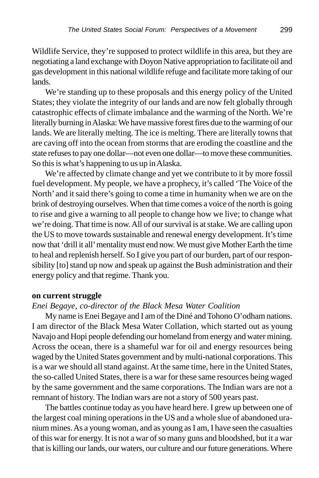Wildlife Service, they're supposed to protect wildlife in this area, but they are negotiating a land exchange with Doyon Native appropriation to facilitate oil and gas development in this national wildlife refuge and facilitate more taking of our lands.

We're standing up to these proposals and this energy policy of the United States; they violate the integrity of our lands and are now felt globally through catastrophic effects of climate imbalance and the warming of the North. We're literally burning in Alaska: We have massive forest fires due to the warming of our lands. We are literally melting. The ice is melting. There are literally towns that are caving off into the ocean from storms that are eroding the coastline and the state refuses to pay one dollar—not even one dollar—to move these communities. So this is what's happening to us up in Alaska.

We're affected by climate change and yet we contribute to it by more fossil fuel development. My people, we have a prophecy, it's called 'The Voice of the North' and it said there's going to come a time in humanity when we are on the brink of destroying ourselves. When that time comes a voice of the north is going to rise and give a warning to all people to change how we live; to change what we're doing. That time is now. All of our survival is at stake. We are calling upon the US to move towards sustainable and renewal energy development. It's time now that 'drill it all' mentality must end now. We must give Mother Earth the time to heal and replenish herself. So I give you part of our burden, part of our responsibility [to] stand up now and speak up against the Bush administration and their energy policy and that regime. Thank you.

## **on current struggle**

## *Enei Begaye, co-director of the Black Mesa Water Coalition*

My name is Enei Begaye and I am of the Diné and Tohono O'odham nations. I am director of the Black Mesa Water Collation, which started out as young Navajo and Hopi people defending our homeland from energy and water mining. Across the ocean, there is a shameful war for oil and energy resources being waged by the United States government and by multi-national corporations. This is a war we should all stand against. At the same time, here in the United States, the so-called United States, there is a war for these same resources being waged by the same government and the same corporations. The Indian wars are not a remnant of history. The Indian wars are not a story of 500 years past.

The battles continue today as you have heard here. I grew up between one of the largest coal mining operations in the US and a whole slue of abandoned uranium mines. As a young woman, and as young as I am, I have seen the casualties of this war for energy. It is not a war of so many guns and bloodshed, but it a war that is killing our lands, our waters, our culture and our future generations. Where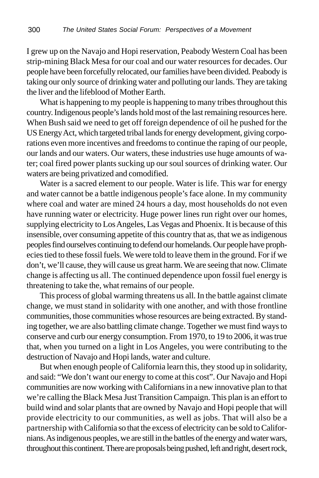I grew up on the Navajo and Hopi reservation, Peabody Western Coal has been strip-mining Black Mesa for our coal and our water resources for decades. Our people have been forcefully relocated, our families have been divided. Peabody is taking our only source of drinking water and polluting our lands. They are taking the liver and the lifeblood of Mother Earth.

What is happening to my people is happening to many tribes throughout this country. Indigenous people's lands hold most of the last remaining resources here. When Bush said we need to get off foreign dependence of oil he pushed for the US Energy Act, which targeted tribal lands for energy development, giving corporations even more incentives and freedoms to continue the raping of our people, our lands and our waters. Our waters, these industries use huge amounts of water; coal fired power plants sucking up our soul sources of drinking water. Our waters are being privatized and comodified.

Water is a sacred element to our people. Water is life. This war for energy and water cannot be a battle indigenous people's face alone. In my community where coal and water are mined 24 hours a day, most households do not even have running water or electricity. Huge power lines run right over our homes, supplying electricity to Los Angeles, Las Vegas and Phoenix. It is because of this insensible, over consuming appetite of this country that as, that we as indigenous peoples find ourselves continuing to defend our homelands. Our people have prophecies tied to these fossil fuels. We were told to leave them in the ground. For if we don't, we'll cause, they will cause us great harm. We are seeing that now. Climate change is affecting us all. The continued dependence upon fossil fuel energy is threatening to take the, what remains of our people.

This process of global warming threatens us all. In the battle against climate change, we must stand in solidarity with one another, and with those frontline communities, those communities whose resources are being extracted. By standing together, we are also battling climate change. Together we must find ways to conserve and curb our energy consumption. From 1970, to 19 to 2006, it was true that, when you turned on a light in Los Angeles, you were contributing to the destruction of Navajo and Hopi lands, water and culture.

But when enough people of California learn this, they stood up in solidarity, and said: "We don't want our energy to come at this cost". Our Navajo and Hopi communities are now working with Californians in a new innovative plan to that we're calling the Black Mesa Just Transition Campaign. This plan is an effort to build wind and solar plants that are owned by Navajo and Hopi people that will provide electricity to our communities, as well as jobs. That will also be a partnership with California so that the excess of electricity can be sold to Californians. As indigenous peoples, we are still in the battles of the energy and water wars, throughout this continent. There are proposals being pushed, left and right, desert rock,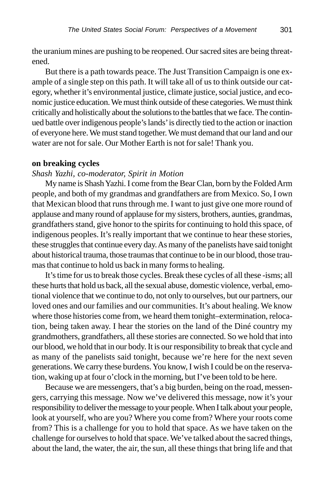the uranium mines are pushing to be reopened. Our sacred sites are being threatened.

But there is a path towards peace. The Just Transition Campaign is one example of a single step on this path. It will take all of us to think outside our category, whether it's environmental justice, climate justice, social justice, and economic justice education. We must think outside of these categories. We must think critically and holistically about the solutions to the battles that we face. The continued battle over indigenous people's lands' is directly tied to the action or inaction of everyone here. We must stand together. We must demand that our land and our water are not for sale. Our Mother Earth is not for sale! Thank you.

#### **on breaking cycles**

### *Shash Yazhi, co-moderator, Spirit in Motion*

My name is Shash Yazhi. I come from the Bear Clan, born by the Folded Arm people, and both of my grandmas and grandfathers are from Mexico. So, I own that Mexican blood that runs through me. I want to just give one more round of applause and many round of applause for my sisters, brothers, aunties, grandmas, grandfathers stand, give honor to the spirits for continuing to hold this space, of indigenous peoples. It's really important that we continue to hear these stories, these struggles that continue every day. As many of the panelists have said tonight about historical trauma, those traumas that continue to be in our blood, those traumas that continue to hold us back in many forms to healing.

It's time for us to break those cycles. Break these cycles of all these -isms; all these hurts that hold us back, all the sexual abuse, domestic violence, verbal, emotional violence that we continue to do, not only to ourselves, but our partners, our loved ones and our families and our communities. It's about healing. We know where those histories come from, we heard them tonight–extermination, relocation, being taken away. I hear the stories on the land of the Diné country my grandmothers, grandfathers, all these stories are connected. So we hold that into our blood, we hold that in our body. It is our responsibility to break that cycle and as many of the panelists said tonight, because we're here for the next seven generations. We carry these burdens. You know, I wish I could be on the reservation, waking up at four o'clock in the morning, but I've been told to be here.

Because we are messengers, that's a big burden, being on the road, messengers, carrying this message. Now we've delivered this message, now it's your responsibility to deliver the message to your people. When I talk about your people, look at yourself, who are you? Where you come from? Where your roots come from? This is a challenge for you to hold that space. As we have taken on the challenge for ourselves to hold that space. We've talked about the sacred things, about the land, the water, the air, the sun, all these things that bring life and that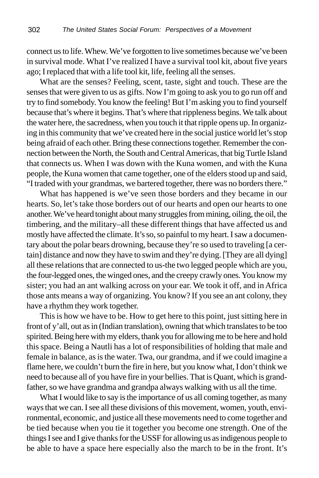connect us to life. Whew. We've forgotten to live sometimes because we've been in survival mode. What I've realized I have a survival tool kit, about five years ago; I replaced that with a life tool kit, life, feeling all the senses.

What are the senses? Feeling, scent, taste, sight and touch. These are the senses that were given to us as gifts. Now I'm going to ask you to go run off and try to find somebody. You know the feeling! But I'm asking you to find yourself because that's where it begins. That's where that rippleness begins. We talk about the water here, the sacredness, when you touch it that ripple opens up. In organizing in this community that we've created here in the social justice world let's stop being afraid of each other. Bring these connections together. Remember the connection between the North, the South and Central Americas, that big Turtle Island that connects us. When I was down with the Kuna women, and with the Kuna people, the Kuna women that came together, one of the elders stood up and said, "I traded with your grandmas, we bartered together, there was no borders there."

What has happened is we've seen those borders and they became in our hearts. So, let's take those borders out of our hearts and open our hearts to one another. We've heard tonight about many struggles from mining, oiling, the oil, the timbering, and the military–all these different things that have affected us and mostly have affected the climate. It's so, so painful to my heart. I saw a documentary about the polar bears drowning, because they're so used to traveling [a certain] distance and now they have to swim and they're dying. [They are all dying] all these relations that are connected to us-the two legged people which are you, the four-legged ones, the winged ones, and the creepy crawly ones. You know my sister; you had an ant walking across on your ear. We took it off, and in Africa those ants means a way of organizing. You know? If you see an ant colony, they have a rhythm they work together.

This is how we have to be. How to get here to this point, just sitting here in front of y'all, out as in (Indian translation), owning that which translates to be too spirited. Being here with my elders, thank you for allowing me to be here and hold this space. Being a Nautli has a lot of responsibilities of holding that male and female in balance, as is the water. Twa, our grandma, and if we could imagine a flame here, we couldn't burn the fire in here, but you know what, I don't think we need to because all of you have fire in your bellies. That is Quant, which is grandfather, so we have grandma and grandpa always walking with us all the time.

What I would like to say is the importance of us all coming together, as many ways that we can. I see all these divisions of this movement, women, youth, environmental, economic, and justice all these movements need to come together and be tied because when you tie it together you become one strength. One of the things I see and I give thanks for the USSF for allowing us as indigenous people to be able to have a space here especially also the march to be in the front. It's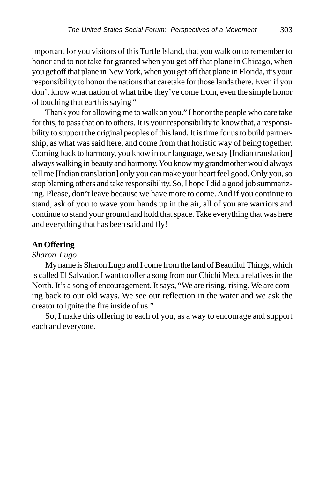important for you visitors of this Turtle Island, that you walk on to remember to honor and to not take for granted when you get off that plane in Chicago, when you get off that plane in New York, when you get off that plane in Florida, it's your responsibility to honor the nations that caretake for those lands there. Even if you don't know what nation of what tribe they've come from, even the simple honor of touching that earth is saying "

Thank you for allowing me to walk on you." I honor the people who care take for this, to pass that on to others. It is your responsibility to know that, a responsibility to support the original peoples of this land. It is time for us to build partnership, as what was said here, and come from that holistic way of being together. Coming back to harmony, you know in our language, we say [Indian translation] always walking in beauty and harmony. You know my grandmother would always tell me [Indian translation] only you can make your heart feel good. Only you, so stop blaming others and take responsibility. So, I hope I did a good job summarizing. Please, don't leave because we have more to come. And if you continue to stand, ask of you to wave your hands up in the air, all of you are warriors and continue to stand your ground and hold that space. Take everything that was here and everything that has been said and fly!

## **An Offering**

#### *Sharon Lugo*

My name is Sharon Lugo and I come from the land of Beautiful Things, which is called El Salvador. I want to offer a song from our Chichi Mecca relatives in the North. It's a song of encouragement. It says, "We are rising, rising. We are coming back to our old ways. We see our reflection in the water and we ask the creator to ignite the fire inside of us."

So, I make this offering to each of you, as a way to encourage and support each and everyone.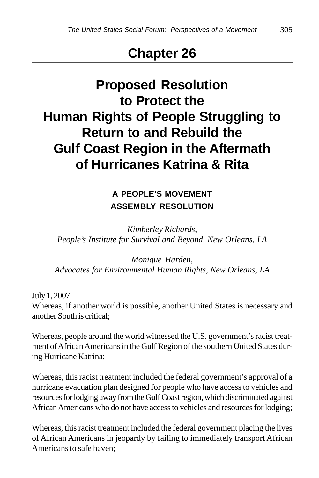# **Chapter 26**

# **Proposed Resolution to Protect the Human Rights of People Struggling to Return to and Rebuild the Gulf Coast Region in the Aftermath of Hurricanes Katrina & Rita**

## **A PEOPLE'S MOVEMENT ASSEMBLY RESOLUTION**

*Kimberley Richards, People's Institute for Survival and Beyond, New Orleans, LA*

*Monique Harden, Advocates for Environmental Human Rights, New Orleans, LA*

July 1, 2007 Whereas, if another world is possible, another United States is necessary and another South is critical;

Whereas, people around the world witnessed the U.S. government's racist treatment of African Americans in the Gulf Region of the southern United States during Hurricane Katrina;

Whereas, this racist treatment included the federal government's approval of a hurricane evacuation plan designed for people who have access to vehicles and resources for lodging away from the Gulf Coast region, which discriminated against African Americans who do not have access to vehicles and resources for lodging;

Whereas, this racist treatment included the federal government placing the lives of African Americans in jeopardy by failing to immediately transport African Americans to safe haven;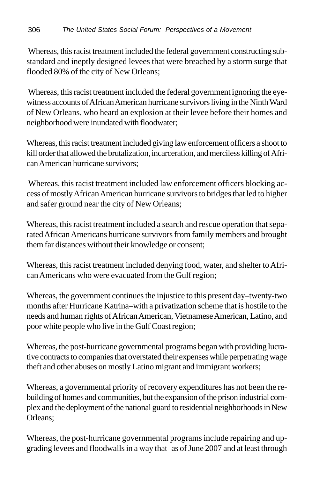Whereas, this racist treatment included the federal government constructing substandard and ineptly designed levees that were breached by a storm surge that flooded 80% of the city of New Orleans;

 Whereas, this racist treatment included the federal government ignoring the eyewitness accounts of African American hurricane survivors living in the Ninth Ward of New Orleans, who heard an explosion at their levee before their homes and neighborhood were inundated with floodwater;

Whereas, this racist treatment included giving law enforcement officers a shoot to kill order that allowed the brutalization, incarceration, and merciless killing of African American hurricane survivors;

 Whereas, this racist treatment included law enforcement officers blocking access of mostly African American hurricane survivors to bridges that led to higher and safer ground near the city of New Orleans;

Whereas, this racist treatment included a search and rescue operation that separated African Americans hurricane survivors from family members and brought them far distances without their knowledge or consent;

Whereas, this racist treatment included denying food, water, and shelter to African Americans who were evacuated from the Gulf region;

Whereas, the government continues the injustice to this present day–twenty-two months after Hurricane Katrina–with a privatization scheme that is hostile to the needs and human rights of African American, Vietnamese American, Latino, and poor white people who live in the Gulf Coast region;

Whereas, the post-hurricane governmental programs began with providing lucrative contracts to companies that overstated their expenses while perpetrating wage theft and other abuses on mostly Latino migrant and immigrant workers;

Whereas, a governmental priority of recovery expenditures has not been the rebuilding of homes and communities, but the expansion of the prison industrial complex and the deployment of the national guard to residential neighborhoods in New Orleans;

Whereas, the post-hurricane governmental programs include repairing and upgrading levees and floodwalls in a way that–as of June 2007 and at least through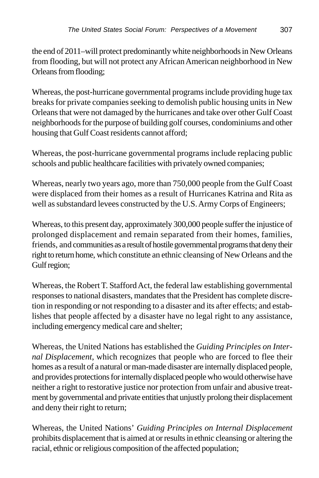the end of 2011–will protect predominantly white neighborhoods in New Orleans from flooding, but will not protect any African American neighborhood in New Orleans from flooding;

Whereas, the post-hurricane governmental programs include providing huge tax breaks for private companies seeking to demolish public housing units in New Orleans that were not damaged by the hurricanes and take over other Gulf Coast neighborhoods for the purpose of building golf courses, condominiums and other housing that Gulf Coast residents cannot afford;

Whereas, the post-hurricane governmental programs include replacing public schools and public healthcare facilities with privately owned companies;

Whereas, nearly two years ago, more than 750,000 people from the Gulf Coast were displaced from their homes as a result of Hurricanes Katrina and Rita as well as substandard levees constructed by the U.S. Army Corps of Engineers;

Whereas, to this present day, approximately 300,000 people suffer the injustice of prolonged displacement and remain separated from their homes, families, friends, and communities as a result of hostile governmental programs that deny their right to return home, which constitute an ethnic cleansing of New Orleans and the Gulf region;

Whereas, the Robert T. Stafford Act, the federal law establishing governmental responses to national disasters, mandates that the President has complete discretion in responding or not responding to a disaster and its after effects; and establishes that people affected by a disaster have no legal right to any assistance, including emergency medical care and shelter;

Whereas, the United Nations has established the *Guiding Principles on Internal Displacement*, which recognizes that people who are forced to flee their homes as a result of a natural or man-made disaster are internally displaced people, and provides protections for internally displaced people who would otherwise have neither a right to restorative justice nor protection from unfair and abusive treatment by governmental and private entities that unjustly prolong their displacement and deny their right to return;

Whereas, the United Nations' *Guiding Principles on Internal Displacement* prohibits displacement that is aimed at or results in ethnic cleansing or altering the racial, ethnic or religious composition of the affected population;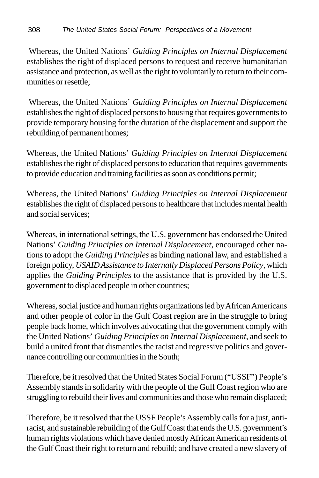Whereas, the United Nations' *Guiding Principles on Internal Displacement* establishes the right of displaced persons to request and receive humanitarian assistance and protection, as well as the right to voluntarily to return to their communities or resettle;

 Whereas, the United Nations' *Guiding Principles on Internal Displacement* establishes the right of displaced persons to housing that requires governments to provide temporary housing for the duration of the displacement and support the rebuilding of permanent homes;

Whereas, the United Nations' *Guiding Principles on Internal Displacement* establishes the right of displaced persons to education that requires governments to provide education and training facilities as soon as conditions permit;

Whereas, the United Nations' *Guiding Principles on Internal Displacement* establishes the right of displaced persons to healthcare that includes mental health and social services;

Whereas, in international settings, the U.S. government has endorsed the United Nations' *Guiding Principles on Internal Displacement*, encouraged other nations to adopt the *Guiding Principles* as binding national law, and established a foreign policy, *USAID Assistance to Internally Displaced Persons Policy*, which applies the *Guiding Principles* to the assistance that is provided by the U.S. government to displaced people in other countries;

Whereas, social justice and human rights organizations led by African Americans and other people of color in the Gulf Coast region are in the struggle to bring people back home, which involves advocating that the government comply with the United Nations' *Guiding Principles on Internal Displacement*, and seek to build a united front that dismantles the racist and regressive politics and governance controlling our communities in the South;

Therefore, be it resolved that the United States Social Forum ("USSF") People's Assembly stands in solidarity with the people of the Gulf Coast region who are struggling to rebuild their lives and communities and those who remain displaced;

Therefore, be it resolved that the USSF People's Assembly calls for a just, antiracist, and sustainable rebuilding of the Gulf Coast that ends the U.S. government's human rights violations which have denied mostly African American residents of the Gulf Coast their right to return and rebuild; and have created a new slavery of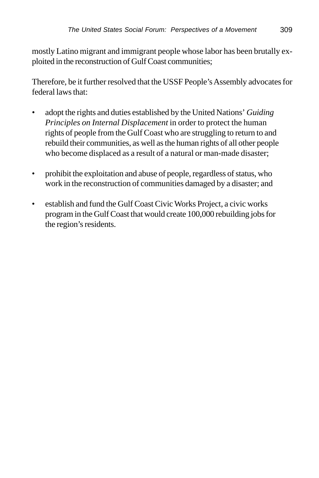mostly Latino migrant and immigrant people whose labor has been brutally exploited in the reconstruction of Gulf Coast communities;

Therefore, be it further resolved that the USSF People's Assembly advocates for federal laws that:

- adopt the rights and duties established by the United Nations' *Guiding Principles on Internal Displacement* in order to protect the human rights of people from the Gulf Coast who are struggling to return to and rebuild their communities, as well as the human rights of all other people who become displaced as a result of a natural or man-made disaster;
- prohibit the exploitation and abuse of people, regardless of status, who work in the reconstruction of communities damaged by a disaster; and
- establish and fund the Gulf Coast Civic Works Project, a civic works program in the Gulf Coast that would create 100,000 rebuilding jobs for the region's residents.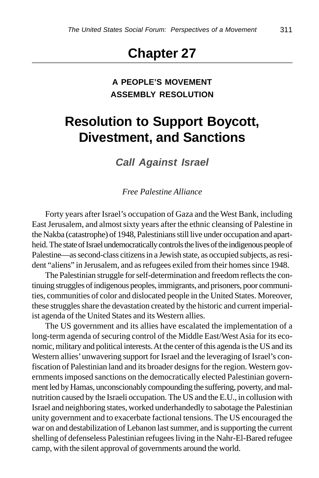## **Chapter 27**

## **A PEOPLE'S MOVEMENT ASSEMBLY RESOLUTION**

# **Resolution to Support Boycott, Divestment, and Sanctions**

*Call Against Israel*

*Free Palestine Alliance*

Forty years after Israel's occupation of Gaza and the West Bank, including East Jerusalem, and almost sixty years after the ethnic cleansing of Palestine in the Nakba (catastrophe) of 1948, Palestinians still live under occupation and apartheid. The state of Israel undemocratically controls the lives of the indigenous people of Palestine—as second-class citizens in a Jewish state, as occupied subjects, as resident "aliens" in Jerusalem, and as refugees exiled from their homes since 1948.

The Palestinian struggle for self-determination and freedom reflects the continuing struggles of indigenous peoples, immigrants, and prisoners, poor communities, communities of color and dislocated people in the United States. Moreover, these struggles share the devastation created by the historic and current imperialist agenda of the United States and its Western allies.

The US government and its allies have escalated the implementation of a long-term agenda of securing control of the Middle East/West Asia for its economic, military and political interests. At the center of this agenda is the US and its Western allies' unwavering support for Israel and the leveraging of Israel's confiscation of Palestinian land and its broader designs for the region. Western governments imposed sanctions on the democratically elected Palestinian government led by Hamas, unconscionably compounding the suffering, poverty, and malnutrition caused by the Israeli occupation. The US and the E.U., in collusion with Israel and neighboring states, worked underhandedly to sabotage the Palestinian unity government and to exacerbate factional tensions. The US encouraged the war on and destabilization of Lebanon last summer, and is supporting the current shelling of defenseless Palestinian refugees living in the Nahr-El-Bared refugee camp, with the silent approval of governments around the world.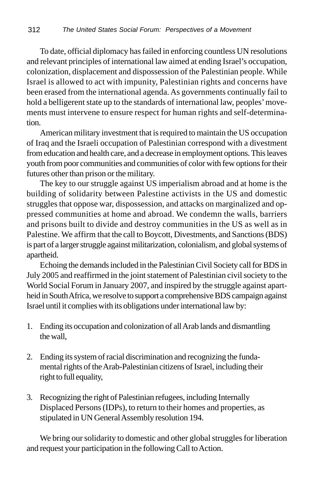To date, official diplomacy has failed in enforcing countless UN resolutions and relevant principles of international law aimed at ending Israel's occupation, colonization, displacement and dispossession of the Palestinian people. While Israel is allowed to act with impunity, Palestinian rights and concerns have been erased from the international agenda. As governments continually fail to hold a belligerent state up to the standards of international law, peoples' movements must intervene to ensure respect for human rights and self-determination.

American military investment that is required to maintain the US occupation of Iraq and the Israeli occupation of Palestinian correspond with a divestment from education and health care, and a decrease in employment options. This leaves youth from poor communities and communities of color with few options for their futures other than prison or the military.

The key to our struggle against US imperialism abroad and at home is the building of solidarity between Palestine activists in the US and domestic struggles that oppose war, dispossession, and attacks on marginalized and oppressed communities at home and abroad. We condemn the walls, barriers and prisons built to divide and destroy communities in the US as well as in Palestine. We affirm that the call to Boycott, Divestments, and Sanctions (BDS) is part of a larger struggle against militarization, colonialism, and global systems of apartheid.

Echoing the demands included in the Palestinian Civil Society call for BDS in July 2005 and reaffirmed in the joint statement of Palestinian civil society to the World Social Forum in January 2007, and inspired by the struggle against apartheid in South Africa, we resolve to support a comprehensive BDS campaign against Israel until it complies with its obligations under international law by:

- 1. Ending its occupation and colonization of all Arab lands and dismantling the wall,
- 2. Ending its system of racial discrimination and recognizing the fundamental rights of the Arab-Palestinian citizens of Israel, including their right to full equality,
- 3. Recognizing the right of Palestinian refugees, including Internally Displaced Persons (IDPs), to return to their homes and properties, as stipulated in UN General Assembly resolution 194.

We bring our solidarity to domestic and other global struggles for liberation and request your participation in the following Call to Action.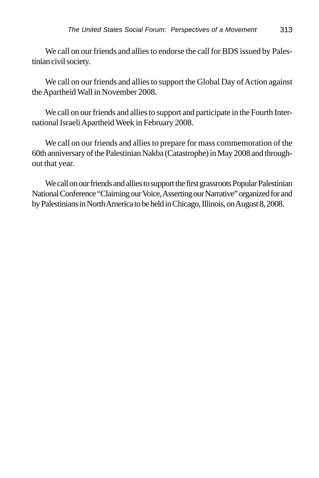We call on our friends and allies to endorse the call for BDS issued by Palestinian civil society.

We call on our friends and allies to support the Global Day of Action against the Apartheid Wall in November 2008.

We call on our friends and allies to support and participate in the Fourth International Israeli Apartheid Week in February 2008.

We call on our friends and allies to prepare for mass commemoration of the 60th anniversary of the Palestinian Nakba (Catastrophe) in May 2008 and throughout that year.

We call on our friends and allies to support the first grassroots Popular Palestinian National Conference "Claiming our Voice, Asserting our Narrative" organized for and by Palestinians in North America to be held in Chicago, Illinois, on August 8, 2008.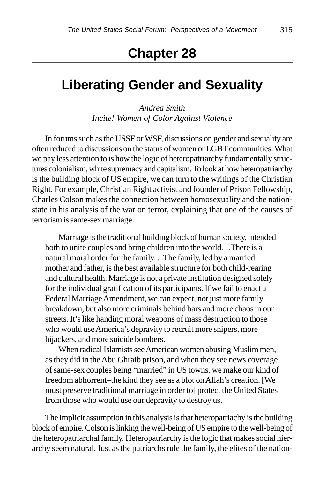# **Chapter 28**

## **Liberating Gender and Sexuality**

*Andrea Smith Incite! Women of Color Against Violence*

In forums such as the USSF or WSF, discussions on gender and sexuality are often reduced to discussions on the status of women or LGBT communities. What we pay less attention to is how the logic of heteropatriarchy fundamentally structures colonialism, white supremacy and capitalism. To look at how heteropatriarchy is the building block of US empire, we can turn to the writings of the Christian Right. For example, Christian Right activist and founder of Prison Fellowship, Charles Colson makes the connection between homosexuality and the nationstate in his analysis of the war on terror, explaining that one of the causes of terrorism is same-sex marriage:

Marriage is the traditional building block of human society, intended both to unite couples and bring children into the world. . .There is a natural moral order for the family. . .The family, led by a married mother and father, is the best available structure for both child-rearing and cultural health. Marriage is not a private institution designed solely for the individual gratification of its participants. If we fail to enact a Federal Marriage Amendment, we can expect, not just more family breakdown, but also more criminals behind bars and more chaos in our streets. It's like handing moral weapons of mass destruction to those who would use America's depravity to recruit more snipers, more hijackers, and more suicide bombers.

When radical Islamists see American women abusing Muslim men, as they did in the Abu Ghraib prison, and when they see news coverage of same-sex couples being "married" in US towns, we make our kind of freedom abhorrent–the kind they see as a blot on Allah's creation. [We must preserve traditional marriage in order to] protect the United States from those who would use our depravity to destroy us.

The implicit assumption in this analysis is that heteropatriachy is the building block of empire. Colson is linking the well-being of US empire to the well-being of the heteropatriarchal family. Heteropatriarchy is the logic that makes social hierarchy seem natural. Just as the patriarchs rule the family, the elites of the nation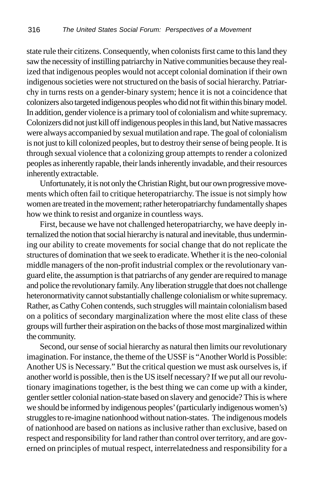state rule their citizens. Consequently, when colonists first came to this land they saw the necessity of instilling patriarchy in Native communities because they realized that indigenous peoples would not accept colonial domination if their own indigenous societies were not structured on the basis of social hierarchy. Patriarchy in turns rests on a gender-binary system; hence it is not a coincidence that colonizers also targeted indigenous peoples who did not fit within this binary model. In addition, gender violence is a primary tool of colonialism and white supremacy. Colonizers did not just kill off indigenous peoples in this land, but Native massacres were always accompanied by sexual mutilation and rape. The goal of colonialism is not just to kill colonized peoples, but to destroy their sense of being people. It is through sexual violence that a colonizing group attempts to render a colonized peoples as inherently rapable, their lands inherently invadable, and their resources inherently extractable.

Unfortunately, it is not only the Christian Right, but our own progressive movements which often fail to critique heteropatriarchy. The issue is not simply how women are treated in the movement; rather heteropatriarchy fundamentally shapes how we think to resist and organize in countless ways.

First, because we have not challenged heteropatriarchy, we have deeply internalized the notion that social hierarchy is natural and inevitable, thus undermining our ability to create movements for social change that do not replicate the structures of domination that we seek to eradicate. Whether it is the neo-colonial middle managers of the non-profit industrial complex or the revolutionary vanguard elite, the assumption is that patriarchs of any gender are required to manage and police the revolutionary family. Any liberation struggle that does not challenge heteronormativity cannot substantially challenge colonialism or white supremacy. Rather, as Cathy Cohen contends, such struggles will maintain colonialism based on a politics of secondary marginalization where the most elite class of these groups will further their aspiration on the backs of those most marginalized within the community.

Second, our sense of social hierarchy as natural then limits our revolutionary imagination. For instance, the theme of the USSF is "Another World is Possible: Another US is Necessary." But the critical question we must ask ourselves is, if another world is possible, then is the US itself necessary? If we put all our revolutionary imaginations together, is the best thing we can come up with a kinder, gentler settler colonial nation-state based on slavery and genocide? This is where we should be informed by indigenous peoples' (particularly indigenous women's) struggles to re-imagine nationhood without nation-states. The indigenous models of nationhood are based on nations as inclusive rather than exclusive, based on respect and responsibility for land rather than control over territory, and are governed on principles of mutual respect, interrelatedness and responsibility for a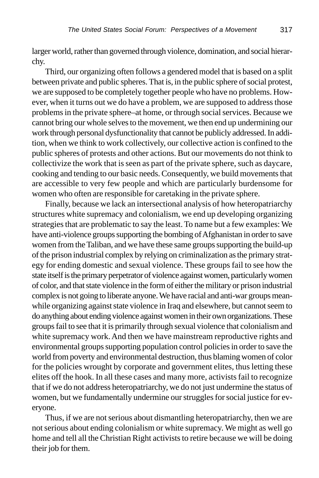larger world, rather than governed through violence, domination, and social hierarchy.

Third, our organizing often follows a gendered model that is based on a split between private and public spheres. That is, in the public sphere of social protest, we are supposed to be completely together people who have no problems. However, when it turns out we do have a problem, we are supposed to address those problems in the private sphere–at home, or through social services. Because we cannot bring our whole selves to the movement, we then end up undermining our work through personal dysfunctionality that cannot be publicly addressed. In addition, when we think to work collectively, our collective action is confined to the public spheres of protests and other actions. But our movements do not think to collectivize the work that is seen as part of the private sphere, such as daycare, cooking and tending to our basic needs. Consequently, we build movements that are accessible to very few people and which are particularly burdensome for women who often are responsible for caretaking in the private sphere.

Finally, because we lack an intersectional analysis of how heteropatriarchy structures white supremacy and colonialism, we end up developing organizing strategies that are problematic to say the least. To name but a few examples: We have anti-violence groups supporting the bombing of Afghanistan in order to save women from the Taliban, and we have these same groups supporting the build-up of the prison industrial complex by relying on criminalization as the primary strategy for ending domestic and sexual violence. These groups fail to see how the state itself is the primary perpetrator of violence against women, particularly women of color, and that state violence in the form of either the military or prison industrial complex is not going to liberate anyone. We have racial and anti-war groups meanwhile organizing against state violence in Iraq and elsewhere, but cannot seem to do anything about ending violence against women in their own organizations. These groups fail to see that it is primarily through sexual violence that colonialism and white supremacy work. And then we have mainstream reproductive rights and environmental groups supporting population control policies in order to save the world from poverty and environmental destruction, thus blaming women of color for the policies wrought by corporate and government elites, thus letting these elites off the hook. In all these cases and many more, activists fail to recognize that if we do not address heteropatriarchy, we do not just undermine the status of women, but we fundamentally undermine our struggles for social justice for everyone.

Thus, if we are not serious about dismantling heteropatriarchy, then we are not serious about ending colonialism or white supremacy. We might as well go home and tell all the Christian Right activists to retire because we will be doing their job for them.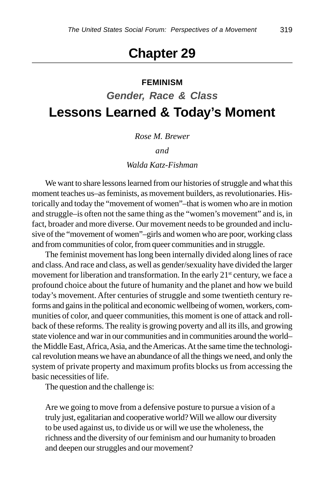## **Chapter 29**

#### **FEMINISM**

# *Gender, Race & Class* **Lessons Learned & Today's Moment**

*Rose M. Brewer*

*and*

*Walda Katz-Fishman*

We want to share lessons learned from our histories of struggle and what this moment teaches us–as feminists, as movement builders, as revolutionaries. Historically and today the "movement of women"–that is women who are in motion and struggle–is often not the same thing as the "women's movement" and is, in fact, broader and more diverse. Our movement needs to be grounded and inclusive of the "movement of women"–girls and women who are poor, working class and from communities of color, from queer communities and in struggle.

The feminist movement has long been internally divided along lines of race and class. And race and class, as well as gender/sexuality have divided the larger movement for liberation and transformation. In the early  $21<sup>st</sup>$  century, we face a profound choice about the future of humanity and the planet and how we build today's movement. After centuries of struggle and some twentieth century reforms and gains in the political and economic wellbeing of women, workers, communities of color, and queer communities, this moment is one of attack and rollback of these reforms. The reality is growing poverty and all its ills, and growing state violence and war in our communities and in communities around the world– the Middle East, Africa, Asia, and the Americas. At the same time the technological revolution means we have an abundance of all the things we need, and only the system of private property and maximum profits blocks us from accessing the basic necessities of life.

The question and the challenge is:

Are we going to move from a defensive posture to pursue a vision of a truly just, egalitarian and cooperative world? Will we allow our diversity to be used against us, to divide us or will we use the wholeness, the richness and the diversity of our feminism and our humanity to broaden and deepen our struggles and our movement?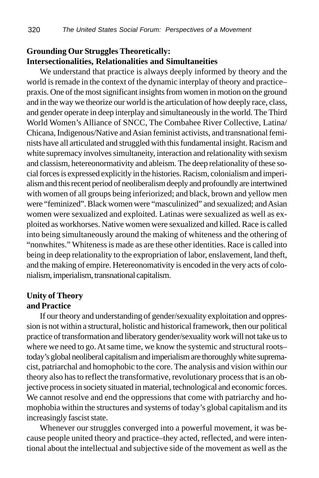## **Grounding Our Struggles Theoretically: Intersectionalities, Relationalities and Simultaneities**

We understand that practice is always deeply informed by theory and the world is remade in the context of the dynamic interplay of theory and practice– praxis. One of the most significant insights from women in motion on the ground and in the way we theorize our world is the articulation of how deeply race, class, and gender operate in deep interplay and simultaneously in the world. The Third World Women's Alliance of SNCC, The Combahee River Collective, Latina/ Chicana, Indigenous/Native and Asian feminist activists, and transnational feminists have all articulated and struggled with this fundamental insight. Racism and white supremacy involves simultaneity, interaction and relationality with sexism and classism, hetereonormativity and ableism. The deep relationality of these social forces is expressed explicitly in the histories. Racism, colonialism and imperialism and this recent period of neoliberalism deeply and profoundly are intertwined with women of all groups being inferiorized; and black, brown and yellow men were "feminized". Black women were "masculinized" and sexualized; and Asian women were sexualized and exploited. Latinas were sexualized as well as exploited as workhorses. Native women were sexualized and killed. Race is called into being simultaneously around the making of whiteness and the othering of "nonwhites." Whiteness is made as are these other identities. Race is called into being in deep relationality to the expropriation of labor, enslavement, land theft, and the making of empire. Hetereonomativity is encoded in the very acts of colonialism, imperialism, transnational capitalism.

### **Unity of Theory and Practice**

If our theory and understanding of gender/sexuality exploitation and oppression is not within a structural, holistic and historical framework, then our political practice of transformation and liberatory gender/sexuality work will not take us to where we need to go. At same time, we know the systemic and structural roots– today's global neoliberal capitalism and imperialism are thoroughly white supremacist, patriarchal and homophobic to the core. The analysis and vision within our theory also has to reflect the transformative, revolutionary process that is an objective process in society situated in material, technological and economic forces. We cannot resolve and end the oppressions that come with patriarchy and homophobia within the structures and systems of today's global capitalism and its increasingly fascist state.

Whenever our struggles converged into a powerful movement, it was because people united theory and practice–they acted, reflected, and were intentional about the intellectual and subjective side of the movement as well as the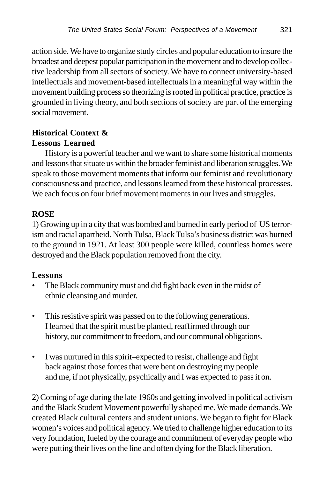action side. We have to organize study circles and popular education to insure the broadest and deepest popular participation in the movement and to develop collective leadership from all sectors of society. We have to connect university-based intellectuals and movement-based intellectuals in a meaningful way within the movement building process so theorizing is rooted in political practice, practice is grounded in living theory, and both sections of society are part of the emerging social movement.

## **Historical Context & Lessons Learned**

History is a powerful teacher and we want to share some historical moments and lessons that situate us within the broader feminist and liberation struggles. We speak to those movement moments that inform our feminist and revolutionary consciousness and practice, and lessons learned from these historical processes. We each focus on four brief movement moments in our lives and struggles.

## **ROSE**

1) Growing up in a city that was bombed and burned in early period of US terrorism and racial apartheid. North Tulsa, Black Tulsa's business district was burned to the ground in 1921. At least 300 people were killed, countless homes were destroyed and the Black population removed from the city.

## **Lessons**

- The Black community must and did fight back even in the midst of ethnic cleansing and murder.
- This resistive spirit was passed on to the following generations. I learned that the spirit must be planted, reaffirmed through our history, our commitment to freedom, and our communal obligations.
- I was nurtured in this spirit–expected to resist, challenge and fight back against those forces that were bent on destroying my people and me, if not physically, psychically and I was expected to pass it on.

2) Coming of age during the late 1960s and getting involved in political activism and the Black Student Movement powerfully shaped me. We made demands. We created Black cultural centers and student unions. We began to fight for Black women's voices and political agency. We tried to challenge higher education to its very foundation, fueled by the courage and commitment of everyday people who were putting their lives on the line and often dying for the Black liberation.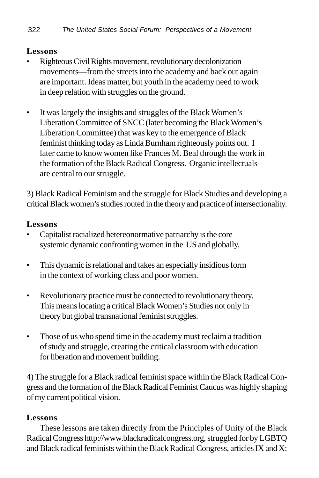## **Lessons**

- Righteous Civil Rights movement, revolutionary decolonization movements—from the streets into the academy and back out again are important. Ideas matter, but youth in the academy need to work in deep relation with struggles on the ground.
- It was largely the insights and struggles of the Black Women's Liberation Committee of SNCC (later becoming the Black Women's Liberation Committee) that was key to the emergence of Black feminist thinking today as Linda Burnham righteously points out. I later came to know women like Frances M. Beal through the work in the formation of the Black Radical Congress. Organic intellectuals are central to our struggle.

3) Black Radical Feminism and the struggle for Black Studies and developing a critical Black women's studies routed in the theory and practice of intersectionality.

## **Lessons**

- Capitalist racialized hetereonormative patriarchy is the core systemic dynamic confronting women in the US and globally.
- This dynamic is relational and takes an especially insidious form in the context of working class and poor women.
- Revolutionary practice must be connected to revolutionary theory. This means locating a critical Black Women's Studies not only in theory but global transnational feminist struggles.
- Those of us who spend time in the academy must reclaim a tradition of study and struggle, creating the critical classroom with education for liberation and movement building.

4) The struggle for a Black radical feminist space within the Black Radical Congress and the formation of the Black Radical Feminist Caucus was highly shaping of my current political vision.

## **Lessons**

These lessons are taken directly from the Principles of Unity of the Black Radical Congress http://www.blackradicalcongress.org, struggled for by LGBTQ and Black radical feminists within the Black Radical Congress, articles IX and X: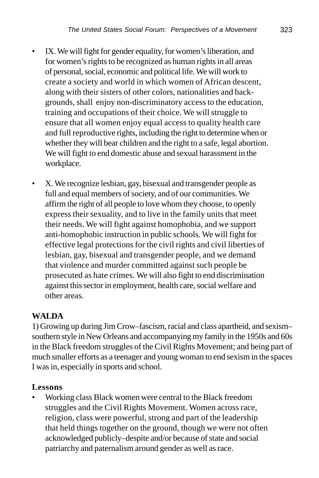- IX. We will fight for gender equality, for women's liberation, and for women's rights to be recognized as human rights in all areas of personal, social, economic and political life. We will work to create a society and world in which women of African descent, along with their sisters of other colors, nationalities and backgrounds, shall enjoy non-discriminatory access to the education, training and occupations of their choice. We will struggle to ensure that all women enjoy equal access to quality health care and full reproductive rights, including the right to determine when or whether they will bear children and the right to a safe, legal abortion. We will fight to end domestic abuse and sexual harassment in the workplace.
- X. We recognize lesbian, gay, bisexual and transgender people as full and equal members of society, and of our communities. We affirm the right of all people to love whom they choose, to openly express their sexuality, and to live in the family units that meet their needs. We will fight against homophobia, and we support anti-homophobic instruction in public schools. We will fight for effective legal protections for the civil rights and civil liberties of lesbian, gay, bisexual and transgender people, and we demand that violence and murder committed against such people be prosecuted as hate crimes. We will also fight to end discrimination against this sector in employment, health care, social welfare and other areas.

## **WALDA**

1) Growing up during Jim Crow–fascism, racial and class apartheid, and sexism– southern style in New Orleans and accompanying my family in the 1950s and 60s in the Black freedom struggles of the Civil Rights Movement; and being part of much smaller efforts as a teenager and young woman to end sexism in the spaces I was in, especially in sports and school.

## **Lessons**

• Working class Black women were central to the Black freedom struggles and the Civil Rights Movement. Women across race, religion, class were powerful, strong and part of the leadership that held things together on the ground, though we were not often acknowledged publicly–despite and/or because of state and social patriarchy and paternalism around gender as well as race.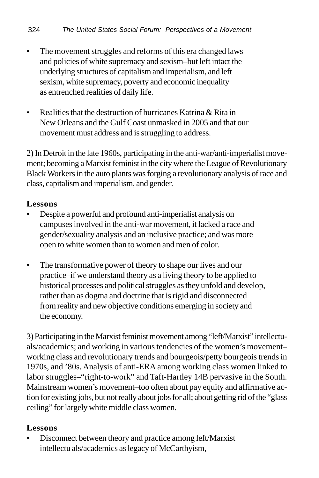- The movement struggles and reforms of this era changed laws and policies of white supremacy and sexism–but left intact the underlying structures of capitalism and imperialism, and left sexism, white supremacy, poverty and economic inequality as entrenched realities of daily life.
- Realities that the destruction of hurricanes Katrina & Rita in New Orleans and the Gulf Coast unmasked in 2005 and that our movement must address and is struggling to address.

2) In Detroit in the late 1960s, participating in the anti-war/anti-imperialist movement; becoming a Marxist feminist in the city where the League of Revolutionary Black Workers in the auto plants was forging a revolutionary analysis of race and class, capitalism and imperialism, and gender.

## **Lessons**

- Despite a powerful and profound anti-imperialist analysis on campuses involved in the anti-war movement, it lacked a race and gender/sexuality analysis and an inclusive practice; and was more open to white women than to women and men of color.
- The transformative power of theory to shape our lives and our practice–if we understand theory as a living theory to be applied to historical processes and political struggles as they unfold and develop, rather than as dogma and doctrine that is rigid and disconnected from reality and new objective conditions emerging in society and the economy.

3) Participating in the Marxist feminist movement among "left/Marxist" intellectuals/academics; and working in various tendencies of the women's movement– working class and revolutionary trends and bourgeois/petty bourgeois trends in 1970s, and '80s. Analysis of anti-ERA among working class women linked to labor struggles–"right-to-work" and Taft-Hartley 14B pervasive in the South. Mainstream women's movement–too often about pay equity and affirmative action for existing jobs, but not really about jobs for all; about getting rid of the "glass ceiling" for largely white middle class women.

## **Lessons**

• Disconnect between theory and practice among left/Marxist intellectu als/academics as legacy of McCarthyism,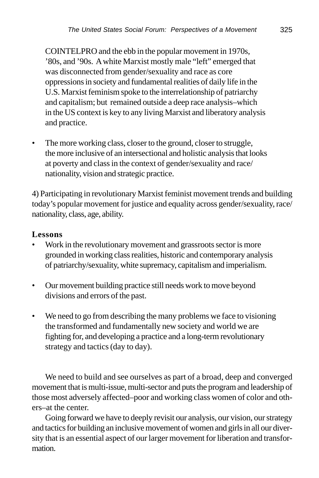COINTELPRO and the ebb in the popular movement in 1970s, '80s, and '90s. A white Marxist mostly male "left" emerged that was disconnected from gender/sexuality and race as core oppressions in society and fundamental realities of daily life in the U.S. Marxist feminism spoke to the interrelationship of patriarchy and capitalism; but remained outside a deep race analysis–which in the US context is key to any living Marxist and liberatory analysis and practice.

• The more working class, closer to the ground, closer to struggle, the more inclusive of an intersectional and holistic analysis that looks at poverty and class in the context of gender/sexuality and race/ nationality, vision and strategic practice.

4) Participating in revolutionary Marxist feminist movement trends and building today's popular movement for justice and equality across gender/sexuality, race/ nationality, class, age, ability.

## **Lessons**

- Work in the revolutionary movement and grassroots sector is more grounded in working class realities, historic and contemporary analysis of patriarchy/sexuality, white supremacy, capitalism and imperialism.
- Our movement building practice still needs work to move beyond divisions and errors of the past.
- We need to go from describing the many problems we face to visioning the transformed and fundamentally new society and world we are fighting for, and developing a practice and a long-term revolutionary strategy and tactics (day to day).

We need to build and see ourselves as part of a broad, deep and converged movement that is multi-issue, multi-sector and puts the program and leadership of those most adversely affected–poor and working class women of color and others–at the center.

Going forward we have to deeply revisit our analysis, our vision, our strategy and tactics for building an inclusive movement of women and girls in all our diversity that is an essential aspect of our larger movement for liberation and transformation.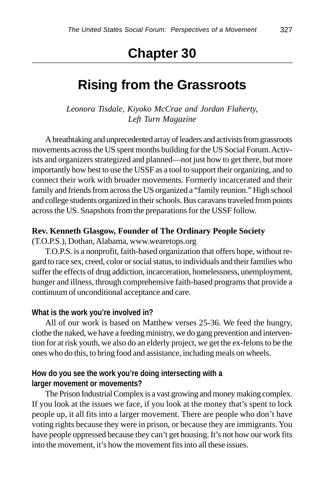## **Chapter 30**

## **Rising from the Grassroots**

*Leonora Tisdale, Kiyoko McCrae and Jordan Flaherty, Left Turn Magazine*

A breathtaking and unprecedented array of leaders and activists from grassroots movements across the US spent months building for the US Social Forum. Activists and organizers strategized and planned—not just how to get there, but more importantly how best to use the USSF as a tool to support their organizing, and to connect their work with broader movements. Formerly incarcerated and their family and friends from across the US organized a "family reunion." High school and college students organized in their schools. Bus caravans traveled from points across the US. Snapshots from the preparations for the USSF follow.

#### **Rev. Kenneth Glasgow, Founder of The Ordinary People Society**

(T.O.P.S.), Dothan, Alabama, www.wearetops.org

T.O.P.S. is a nonprofit, faith-based organization that offers hope, without regard to race sex, creed, color or social status, to individuals and their families who suffer the effects of drug addiction, incarceration, homelessness, unemployment, hunger and illness, through comprehensive faith-based programs that provide a continuum of unconditional acceptance and care.

#### **What is the work you're involved in?**

All of our work is based on Matthew verses 25-36. We feed the hungry, clothe the naked, we have a feeding ministry, we do gang prevention and intervention for at risk youth, we also do an elderly project, we get the ex-felons to be the ones who do this, to bring food and assistance, including meals on wheels.

### **How do you see the work you're doing intersecting with a larger movement or movements?**

The Prison Industrial Complex is a vast growing and money making complex. If you look at the issues we face, if you look at the money that's spent to lock people up, it all fits into a larger movement. There are people who don't have voting rights because they were in prison, or because they are immigrants. You have people oppressed because they can't get housing. It's not how our work fits into the movement, it's how the movement fits into all these issues.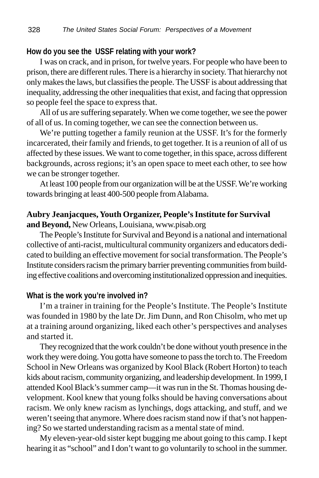#### **How do you see the USSF relating with your work?**

I was on crack, and in prison, for twelve years. For people who have been to prison, there are different rules. There is a hierarchy in society. That hierarchy not only makes the laws, but classifies the people. The USSF is about addressing that inequality, addressing the other inequalities that exist, and facing that oppression so people feel the space to express that.

All of us are suffering separately. When we come together, we see the power of all of us. In coming together, we can see the connection between us.

We're putting together a family reunion at the USSF. It's for the formerly incarcerated, their family and friends, to get together. It is a reunion of all of us affected by these issues. We want to come together, in this space, across different backgrounds, across regions; it's an open space to meet each other, to see how we can be stronger together.

At least 100 people from our organization will be at the USSF. We're working towards bringing at least 400-500 people from Alabama.

## **Aubry Jeanjacques, Youth Organizer, People's Institute for Survival and Beyond,** New Orleans, Louisiana, www.pisab.org

The People's Institute for Survival and Beyond is a national and international collective of anti-racist, multicultural community organizers and educators dedicated to building an effective movement for social transformation. The People's Institute considers racism the primary barrier preventing communities from building effective coalitions and overcoming institutionalized oppression and inequities.

#### **What is the work you're involved in?**

I'm a trainer in training for the People's Institute. The People's Institute was founded in 1980 by the late Dr. Jim Dunn, and Ron Chisolm, who met up at a training around organizing, liked each other's perspectives and analyses and started it.

They recognized that the work couldn't be done without youth presence in the work they were doing. You gotta have someone to pass the torch to. The Freedom School in New Orleans was organized by Kool Black (Robert Horton) to teach kids about racism, community organizing, and leadership development. In 1999, I attended Kool Black's summer camp—it was run in the St. Thomas housing development. Kool knew that young folks should be having conversations about racism. We only knew racism as lynchings, dogs attacking, and stuff, and we weren't seeing that anymore. Where does racism stand now if that's not happening? So we started understanding racism as a mental state of mind.

My eleven-year-old sister kept bugging me about going to this camp. I kept hearing it as "school" and I don't want to go voluntarily to school in the summer.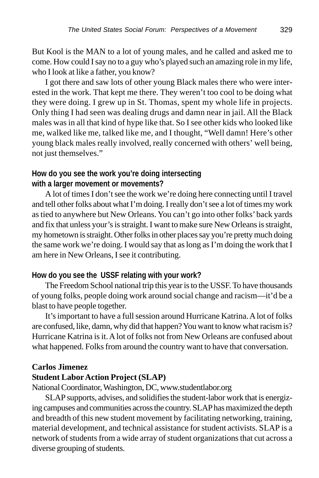But Kool is the MAN to a lot of young males, and he called and asked me to come. How could I say no to a guy who's played such an amazing role in my life, who I look at like a father, you know?

I got there and saw lots of other young Black males there who were interested in the work. That kept me there. They weren't too cool to be doing what they were doing. I grew up in St. Thomas, spent my whole life in projects. Only thing I had seen was dealing drugs and damn near in jail. All the Black males was in all that kind of hype like that. So I see other kids who looked like me, walked like me, talked like me, and I thought, "Well damn! Here's other young black males really involved, really concerned with others' well being, not just themselves."

#### **How do you see the work you're doing intersecting with a larger movement or movements?**

A lot of times I don't see the work we're doing here connecting until I travel and tell other folks about what I'm doing. I really don't see a lot of times my work as tied to anywhere but New Orleans. You can't go into other folks' back yards and fix that unless your's is straight. I want to make sure New Orleans is straight, my hometown is straight. Other folks in other places say you're pretty much doing the same work we're doing. I would say that as long as I'm doing the work that I am here in New Orleans, I see it contributing.

#### **How do you see the USSF relating with your work?**

The Freedom School national trip this year is to the USSF. To have thousands of young folks, people doing work around social change and racism—it'd be a blast to have people together.

It's important to have a full session around Hurricane Katrina. A lot of folks are confused, like, damn, why did that happen? You want to know what racism is? Hurricane Katrina is it. A lot of folks not from New Orleans are confused about what happened. Folks from around the country want to have that conversation.

#### **Carlos Jimenez**

#### **Student Labor Action Project (SLAP)**

National Coordinator, Washington, DC, www.studentlabor.org

SLAP supports, advises, and solidifies the student-labor work that is energizing campuses and communities across the country. SLAP has maximized the depth and breadth of this new student movement by facilitating networking, training, material development, and technical assistance for student activists. SLAP is a network of students from a wide array of student organizations that cut across a diverse grouping of students.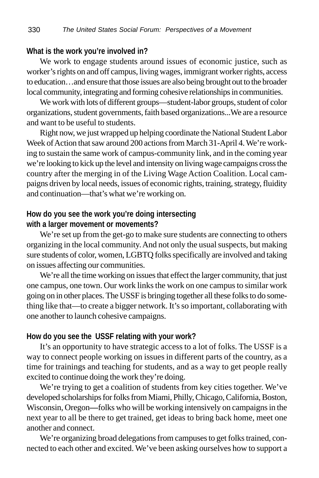#### **What is the work you're involved in?**

We work to engage students around issues of economic justice, such as worker's rights on and off campus, living wages, immigrant worker rights, access to education…and ensure that those issues are also being brought out to the broader local community, integrating and forming cohesive relationships in communities.

We work with lots of different groups—student-labor groups, student of color organizations, student governments, faith based organizations...We are a resource and want to be useful to students.

Right now, we just wrapped up helping coordinate the National Student Labor Week of Action that saw around 200 actions from March 31-April 4. We're working to sustain the same work of campus-community link, and in the coming year we're looking to kick up the level and intensity on living wage campaigns cross the country after the merging in of the Living Wage Action Coalition. Local campaigns driven by local needs, issues of economic rights, training, strategy, fluidity and continuation—that's what we're working on.

### **How do you see the work you're doing intersecting with a larger movement or movements?**

We're set up from the get-go to make sure students are connecting to others organizing in the local community. And not only the usual suspects, but making sure students of color, women, LGBTQ folks specifically are involved and taking on issues affecting our communities.

We're all the time working on issues that effect the larger community, that just one campus, one town. Our work links the work on one campus to similar work going on in other places. The USSF is bringing together all these folks to do something like that—to create a bigger network. It's so important, collaborating with one another to launch cohesive campaigns.

#### **How do you see the USSF relating with your work?**

It's an opportunity to have strategic access to a lot of folks. The USSF is a way to connect people working on issues in different parts of the country, as a time for trainings and teaching for students, and as a way to get people really excited to continue doing the work they're doing.

We're trying to get a coalition of students from key cities together. We've developed scholarships for folks from Miami, Philly, Chicago, California, Boston, Wisconsin, Oregon**—**folks who will be working intensively on campaigns in the next year to all be there to get trained, get ideas to bring back home, meet one another and connect.

We're organizing broad delegations from campuses to get folks trained, connected to each other and excited. We've been asking ourselves how to support a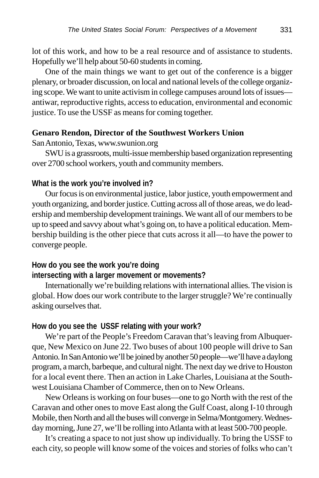lot of this work, and how to be a real resource and of assistance to students. Hopefully we'll help about 50-60 students in coming.

One of the main things we want to get out of the conference is a bigger plenary, or broader discussion, on local and national levels of the college organizing scope. We want to unite activism in college campuses around lots of issues antiwar, reproductive rights, access to education, environmental and economic justice. To use the USSF as means for coming together.

#### **Genaro Rendon, Director of the Southwest Workers Union**

San Antonio, Texas, www.swunion.org

SWU is a grassroots, multi-issue membership based organization representing over 2700 school workers, youth and community members.

#### **What is the work you're involved in?**

Our focus is on environmental justice, labor justice, youth empowerment and youth organizing, and border justice. Cutting across all of those areas, we do leadership and membership development trainings. We want all of our members to be up to speed and savvy about what's going on, to have a political education. Membership building is the other piece that cuts across it all—to have the power to converge people.

## **How do you see the work you're doing intersecting with a larger movement or movements?**

Internationally we're building relations with international allies. The vision is global. How does our work contribute to the larger struggle? We're continually asking ourselves that.

#### **How do you see the USSF relating with your work?**

We're part of the People's Freedom Caravan that's leaving from Albuquerque, New Mexico on June 22. Two buses of about 100 people will drive to San Antonio. In San Antonio we'll be joined by another 50 people—we'll have a daylong program, a march, barbeque, and cultural night. The next day we drive to Houston for a local event there. Then an action in Lake Charles, Louisiana at the Southwest Louisiana Chamber of Commerce, then on to New Orleans.

New Orleans is working on four buses—one to go North with the rest of the Caravan and other ones to move East along the Gulf Coast, along I-10 through Mobile, then North and all the buses will converge in Selma/Montgomery. Wednesday morning, June 27, we'll be rolling into Atlanta with at least 500-700 people.

It's creating a space to not just show up individually. To bring the USSF to each city, so people will know some of the voices and stories of folks who can't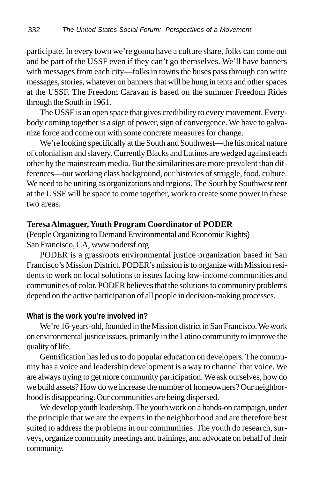participate. In every town we're gonna have a culture share, folks can come out and be part of the USSF even if they can't go themselves. We'll have banners with messages from each city—folks in towns the buses pass through can write messages, stories, whatever on banners that will be hung in tents and other spaces at the USSF. The Freedom Caravan is based on the summer Freedom Rides through the South in 1961.

The USSF is an open space that gives credibility to every movement. Everybody coming together is a sign of power, sign of convergence. We have to galvanize force and come out with some concrete measures for change.

We're looking specifically at the South and Southwest—the historical nature of colonialism and slavery. Currently Blacks and Latinos are wedged against each other by the mainstream media. But the similarities are more prevalent than differences—our working class background, our histories of struggle, food, culture. We need to be uniting as organizations and regions. The South by Southwest tent at the USSF will be space to come together, work to create some power in these two areas.

#### **Teresa Almaguer, Youth Program Coordinator of PODER**

(People Organizing to Demand Environmental and Economic Rights) San Francisco, CA, www.podersf.org

PODER is a grassroots environmental justice organization based in San Francisco's Mission District. PODER's mission is to organize with Mission residents to work on local solutions to issues facing low-income communities and communities of color. PODER believes that the solutions to community problems depend on the active participation of all people in decision-making processes.

#### **What is the work you're involved in?**

We're 16-years-old, founded in the Mission district in San Francisco. We work on environmental justice issues, primarily in the Latino community to improve the quality of life.

Gentrification has led us to do popular education on developers. The community has a voice and leadership development is a way to channel that voice. We are always trying to get more community participation. We ask ourselves, how do we build assets? How do we increase the number of homeowners? Our neighborhood is disappearing. Our communities are being dispersed.

We develop youth leadership. The youth work on a hands-on campaign, under the principle that we are the experts in the neighborhood and are therefore best suited to address the problems in our communities. The youth do research, surveys, organize community meetings and trainings, and advocate on behalf of their community.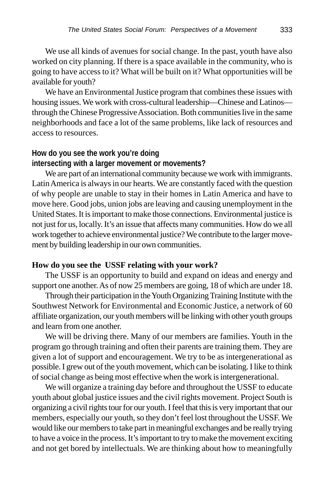We use all kinds of avenues for social change. In the past, youth have also worked on city planning. If there is a space available in the community, who is going to have access to it? What will be built on it? What opportunities will be available for youth?

We have an Environmental Justice program that combines these issues with housing issues. We work with cross-cultural leadership—Chinese and Latinos through the Chinese Progressive Association. Both communities live in the same neighborhoods and face a lot of the same problems, like lack of resources and access to resources.

### **How do you see the work you're doing intersecting with a larger movement or movements?**

We are part of an international community because we work with immigrants. Latin America is always in our hearts. We are constantly faced with the question of why people are unable to stay in their homes in Latin America and have to move here. Good jobs, union jobs are leaving and causing unemployment in the United States. It is important to make those connections. Environmental justice is not just for us, locally. It's an issue that affects many communities. How do we all work together to achieve environmental justice? We contribute to the larger movement by building leadership in our own communities.

#### **How do you see the USSF relating with your work?**

The USSF is an opportunity to build and expand on ideas and energy and support one another. As of now 25 members are going, 18 of which are under 18.

Through their participation in the Youth Organizing Training Institute with the Southwest Network for Environmental and Economic Justice, a network of 60 affiliate organization, our youth members will be linking with other youth groups and learn from one another.

We will be driving there. Many of our members are families. Youth in the program go through training and often their parents are training them. They are given a lot of support and encouragement. We try to be as intergenerational as possible. I grew out of the youth movement, which can be isolating. I like to think of social change as being most effective when the work is intergenerational.

We will organize a training day before and throughout the USSF to educate youth about global justice issues and the civil rights movement. Project South is organizing a civil rights tour for our youth. I feel that this is very important that our members, especially our youth, so they don't feel lost throughout the USSF. We would like our members to take part in meaningful exchanges and be really trying to have a voice in the process. It's important to try to make the movement exciting and not get bored by intellectuals. We are thinking about how to meaningfully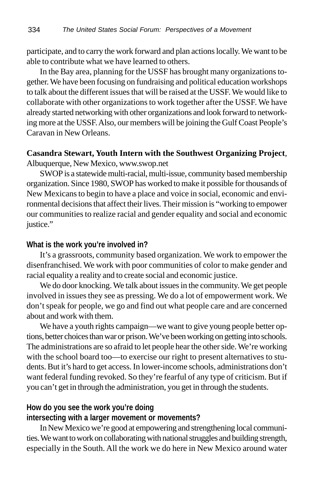participate, and to carry the work forward and plan actions locally. We want to be able to contribute what we have learned to others.

In the Bay area, planning for the USSF has brought many organizations together. We have been focusing on fundraising and political education workshops to talk about the different issues that will be raised at the USSF. We would like to collaborate with other organizations to work together after the USSF. We have already started networking with other organizations and look forward to networking more at the USSF. Also, our members will be joining the Gulf Coast People's Caravan in New Orleans.

#### **Casandra Stewart, Youth Intern with the Southwest Organizing Project**, Albuquerque, New Mexico, www.swop.net

SWOP is a statewide multi-racial, multi-issue, community based membership organization. Since 1980, SWOP has worked to make it possible for thousands of New Mexicans to begin to have a place and voice in social, economic and environmental decisions that affect their lives. Their mission is "working to empower our communities to realize racial and gender equality and social and economic justice."

#### **What is the work you're involved in?**

It's a grassroots, community based organization. We work to empower the disenfranchised. We work with poor communities of color to make gender and racial equality a reality and to create social and economic justice.

We do door knocking. We talk about issues in the community. We get people involved in issues they see as pressing. We do a lot of empowerment work. We don't speak for people, we go and find out what people care and are concerned about and work with them.

We have a youth rights campaign—we want to give young people better options, better choices than war or prison. We've been working on getting into schools. The administrations are so afraid to let people hear the other side. We're working with the school board too—to exercise our right to present alternatives to students. But it's hard to get access. In lower-income schools, administrations don't want federal funding revoked. So they're fearful of any type of criticism. But if you can't get in through the administration, you get in through the students.

## **How do you see the work you're doing intersecting with a larger movement or movements?**

In New Mexico we're good at empowering and strengthening local communities. We want to work on collaborating with national struggles and building strength, especially in the South. All the work we do here in New Mexico around water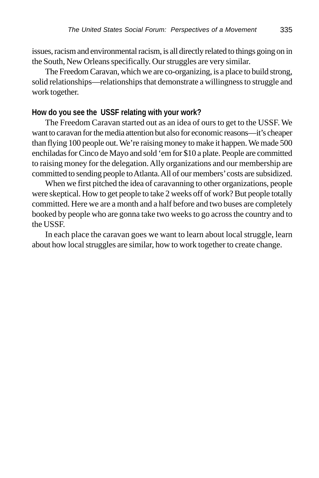issues, racism and environmental racism, is all directly related to things going on in the South, New Orleans specifically. Our struggles are very similar.

The Freedom Caravan, which we are co-organizing, is a place to build strong, solid relationships—relationships that demonstrate a willingness to struggle and work together.

#### **How do you see the USSF relating with your work?**

The Freedom Caravan started out as an idea of ours to get to the USSF. We want to caravan for the media attention but also for economic reasons—it's cheaper than flying 100 people out. We're raising money to make it happen. We made 500 enchiladas for Cinco de Mayo and sold 'em for \$10 a plate. People are committed to raising money for the delegation. Ally organizations and our membership are committed to sending people to Atlanta. All of our members' costs are subsidized.

When we first pitched the idea of caravanning to other organizations, people were skeptical. How to get people to take 2 weeks off of work? But people totally committed. Here we are a month and a half before and two buses are completely booked by people who are gonna take two weeks to go across the country and to the USSF.

In each place the caravan goes we want to learn about local struggle, learn about how local struggles are similar, how to work together to create change.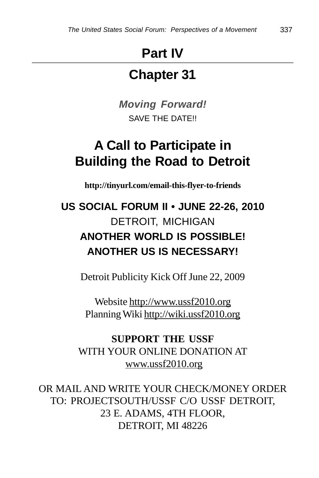# **Part IV**

# **Chapter 31**

*Moving Forward!* SAVE THE DATE!!

# **A Call to Participate in Building the Road to Detroit**

**http://tinyurl.com/email-this-flyer-to-friends**

## **US SOCIAL FORUM II • JUNE 22-26, 2010** DETROIT, MICHIGAN **ANOTHER WORLD IS POSSIBLE! ANOTHER US IS NECESSARY!**

Detroit Publicity Kick Off June 22, 2009

Website http://www.ussf2010.org Planning Wiki http://wiki.ussf2010.org

**SUPPORT THE USSF** WITH YOUR ONLINE DONATION AT www.ussf2010.org

OR MAIL AND WRITE YOUR CHECK/MONEY ORDER TO: PROJECTSOUTH/USSF C/O USSF DETROIT, 23 E. ADAMS, 4TH FLOOR, DETROIT, MI 48226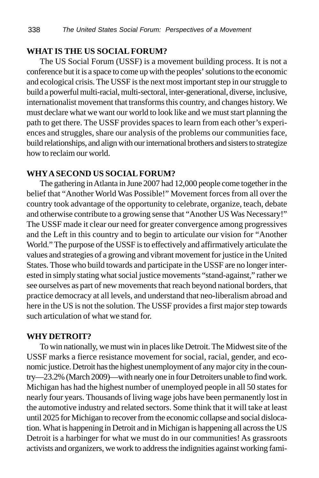#### **WHAT IS THE US SOCIAL FORUM?**

The US Social Forum (USSF) is a movement building process. It is not a conference but it is a space to come up with the peoples' solutions to the economic and ecological crisis. The USSF is the next most important step in our struggle to build a powerful multi-racial, multi-sectoral, inter-generational, diverse, inclusive, internationalist movement that transforms this country, and changes history. We must declare what we want our world to look like and we must start planning the path to get there. The USSF provides spaces to learn from each other's experiences and struggles, share our analysis of the problems our communities face, build relationships, and align with our international brothers and sisters to strategize how to reclaim our world.

### **WHY A SECOND US SOCIAL FORUM?**

The gathering in Atlanta in June 2007 had 12,000 people come together in the belief that "Another World Was Possible!" Movement forces from all over the country took advantage of the opportunity to celebrate, organize, teach, debate and otherwise contribute to a growing sense that "Another US Was Necessary!" The USSF made it clear our need for greater convergence among progressives and the Left in this country and to begin to articulate our vision for "Another World." The purpose of the USSF is to effectively and affirmatively articulate the values and strategies of a growing and vibrant movement for justice in the United States. Those who build towards and participate in the USSF are no longer interested in simply stating what social justice movements "stand-against," rather we see ourselves as part of new movements that reach beyond national borders, that practice democracy at all levels, and understand that neo-liberalism abroad and here in the US is not the solution. The USSF provides a first major step towards such articulation of what we stand for.

#### **WHY DETROIT?**

To win nationally, we must win in places like Detroit. The Midwest site of the USSF marks a fierce resistance movement for social, racial, gender, and economic justice. Detroit has the highest unemployment of any major city in the country—23.2% (March 2009)—with nearly one in four Detroiters unable to find work. Michigan has had the highest number of unemployed people in all 50 states for nearly four years. Thousands of living wage jobs have been permanently lost in the automotive industry and related sectors. Some think that it will take at least until 2025 for Michigan to recover from the economic collapse and social dislocation. What is happening in Detroit and in Michigan is happening all across the US Detroit is a harbinger for what we must do in our communities! As grassroots activists and organizers, we work to address the indignities against working fami-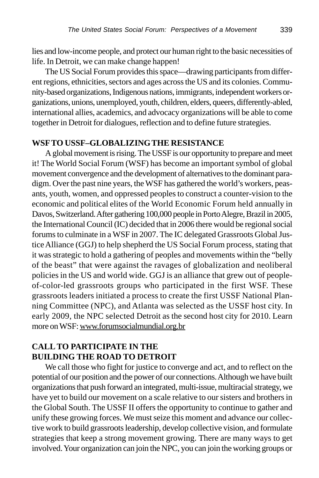lies and low-income people, and protect our human right to the basic necessities of life. In Detroit, we can make change happen!

The US Social Forum provides this space—drawing participants from different regions, ethnicities, sectors and ages across the US and its colonies. Community-based organizations, Indigenous nations, immigrants, independent workers organizations, unions, unemployed, youth, children, elders, queers, differently-abled, international allies, academics, and advocacy organizations will be able to come together in Detroit for dialogues, reflection and to define future strategies.

#### **WSF TO USSF–GLOBALIZING THE RESISTANCE**

A global movement is rising. The USSF is our opportunity to prepare and meet it! The World Social Forum (WSF) has become an important symbol of global movement convergence and the development of alternatives to the dominant paradigm. Over the past nine years, the WSF has gathered the world's workers, peasants, youth, women, and oppressed peoples to construct a counter-vision to the economic and political elites of the World Economic Forum held annually in Davos, Switzerland. After gathering 100,000 people in Porto Alegre, Brazil in 2005, the International Council (IC) decided that in 2006 there would be regional social forums to culminate in a WSF in 2007. The IC delegated Grassroots Global Justice Alliance (GGJ) to help shepherd the US Social Forum process, stating that it was strategic to hold a gathering of peoples and movements within the "belly of the beast" that were against the ravages of globalization and neoliberal policies in the US and world wide. GGJ is an alliance that grew out of peopleof-color-led grassroots groups who participated in the first WSF. These grassroots leaders initiated a process to create the first USSF National Planning Committee (NPC), and Atlanta was selected as the USSF host city. In early 2009, the NPC selected Detroit as the second host city for 2010. Learn more on WSF: www.forumsocialmundial.org.br

## **CALL TO PARTICIPATE IN THE BUILDING THE ROAD TO DETROIT**

We call those who fight for justice to converge and act, and to reflect on the potential of our position and the power of our connections. Although we have built organizations that push forward an integrated, multi-issue, multiracial strategy, we have yet to build our movement on a scale relative to our sisters and brothers in the Global South. The USSF II offers the opportunity to continue to gather and unify these growing forces. We must seize this moment and advance our collective work to build grassroots leadership, develop collective vision, and formulate strategies that keep a strong movement growing. There are many ways to get involved. Your organization can join the NPC, you can join the working groups or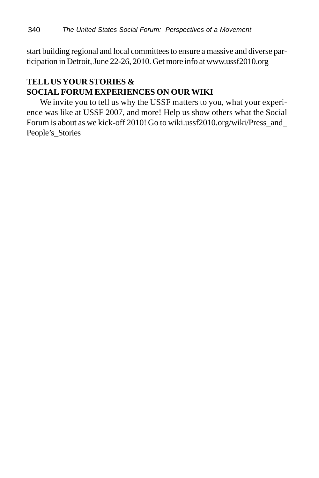start building regional and local committees to ensure a massive and diverse participation in Detroit, June 22-26, 2010. Get more info at www.ussf2010.org

## **TELL US YOUR STORIES & SOCIAL FORUM EXPERIENCES ON OUR WIKI**

We invite you to tell us why the USSF matters to you, what your experience was like at USSF 2007, and more! Help us show others what the Social Forum is about as we kick-off 2010! Go to wiki.ussf2010.org/wiki/Press\_and\_ People's Stories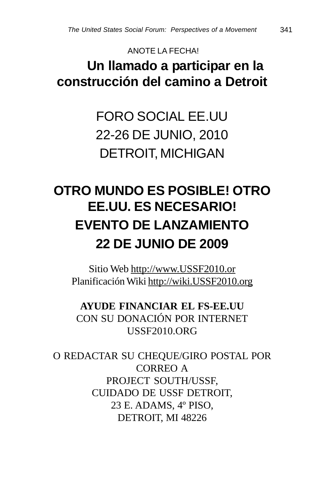# ANOTE LA FECHA! **Un llamado a participar en la construcción del camino a Detroit**

FORO SOCIAL EE.UU 22-26 DE JUNIO, 2010 DETROIT, MICHIGAN

# **OTRO MUNDO ES POSIBLE! OTRO EE.UU. ES NECESARIO! EVENTO DE LANZAMIENTO 22 DE JUNIO DE 2009**

Sitio Web http://www.USSF2010.or Planificación Wiki http://wiki.USSF2010.org

**AYUDE FINANCIAR EL FS-EE.UU** CON SU DONACIÓN POR INTERNET USSF2010.ORG

O REDACTAR SU CHEQUE/GIRO POSTAL POR CORREO A PROJECT SOUTH/USSF, CUIDADO DE USSF DETROIT, 23 E. ADAMS, 4º PISO, DETROIT, MI 48226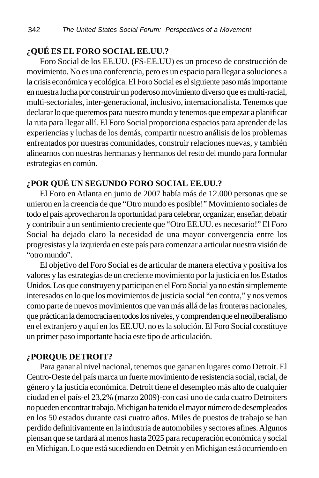## **¿QUÉ ES EL FORO SOCIAL EE.UU.?**

Foro Social de los EE.UU. (FS-EE.UU) es un proceso de construcción de movimiento. No es una conferencia, pero es un espacio para llegar a soluciones a la crisis económica y ecológica. El Foro Social es el siguiente paso más importante en nuestra lucha por construir un poderoso movimiento diverso que es multi-racial, multi-sectoriales, inter-generacional, inclusivo, internacionalista. Tenemos que declarar lo que queremos para nuestro mundo y tenemos que empezar a planificar la ruta para llegar allí. El Foro Social proporciona espacios para aprender de las experiencias y luchas de los demás, compartir nuestro análisis de los problemas enfrentados por nuestras comunidades, construir relaciones nuevas, y también alinearnos con nuestras hermanas y hermanos del resto del mundo para formular estrategias en común.

## **¿POR QUÉ UN SEGUNDO FORO SOCIAL EE.UU.?**

El Foro en Atlanta en junio de 2007 había más de 12.000 personas que se unieron en la creencia de que "Otro mundo es posible!" Movimiento sociales de todo el país aprovecharon la oportunidad para celebrar, organizar, enseñar, debatir y contribuir a un sentimiento creciente que "Otro EE.UU. es necesario!" El Foro Social ha dejado claro la necesidad de una mayor convergencia entre los progresistas y la izquierda en este país para comenzar a articular nuestra visión de "otro mundo".

El objetivo del Foro Social es de articular de manera efectiva y positiva los valores y las estrategias de un creciente movimiento por la justicia en los Estados Unidos. Los que construyen y participan en el Foro Social ya no están simplemente interesados en lo que los movimientos de justicia social "en contra," y nos vemos como parte de nuevos movimientos que van más allá de las fronteras nacionales, que práctican la democracia en todos los niveles, y comprenden que el neoliberalismo en el extranjero y aquí en los EE.UU. no es la solución. El Foro Social constituye un primer paso importante hacia este tipo de articulación.

## **¿PORQUE DETROIT?**

Para ganar al nivel nacional, tenemos que ganar en lugares como Detroit. El Centro-Oeste del país marca un fuerte movimiento de resistencia social, racial, de género y la justicia económica. Detroit tiene el desempleo más alto de cualquier ciudad en el país-el 23,2% (marzo 2009)-con casi uno de cada cuatro Detroiters no pueden encontrar trabajo. Michigan ha tenido el mayor número de desempleados en los 50 estados durante casi cuatro años. Miles de puestos de trabajo se han perdido definitivamente en la industria de automobiles y sectores afines. Algunos piensan que se tardará al menos hasta 2025 para recuperación económica y social en Michigan. Lo que está sucediendo en Detroit y en Michigan está ocurriendo en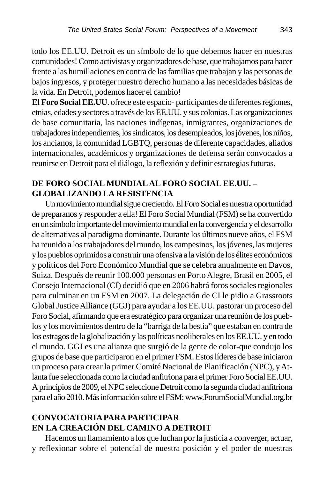todo los EE.UU. Detroit es un símbolo de lo que debemos hacer en nuestras comunidades! Como activistas y organizadores de base, que trabajamos para hacer frente a las humillaciones en contra de las familias que trabajan y las personas de bajos ingresos, y proteger nuestro derecho humano a las necesidades básicas de la vida. En Detroit, podemos hacer el cambio!

**El Foro Social EE.UU**. ofrece este espacio- participantes de diferentes regiones, etnias, edades y sectores a través de los EE.UU. y sus colonias. Las organizaciones de base comunitaria, las naciones indígenas, inmigrantes, organizaciones de trabajadores independientes, los sindicatos, los desempleados, los jóvenes, los niños, los ancianos, la comunidad LGBTQ, personas de diferente capacidades, aliados internacionales, académicos y organizaciones de defensa serán convocados a reunirse en Detroit para el diálogo, la reflexión y definir estrategias futuras.

## **DE FORO SOCIAL MUNDIAL AL FORO SOCIAL EE.UU. – GLOBALIZANDO LA RESISTENCIA**

Un movimiento mundial sigue creciendo. El Foro Social es nuestra oportunidad de preparanos y responder a ella! El Foro Social Mundial (FSM) se ha convertido en un símbolo importante del movimiento mundial en la convergencia y el desarrollo de alternativas al paradigma dominante. Durante los últimos nueve años, el FSM ha reunido a los trabajadores del mundo, los campesinos, los jóvenes, las mujeres y los pueblos oprimidos a construir una ofensiva a la visión de los élites económicos y políticos del Foro Económico Mundial que se celebra anualmente en Davos, Suiza. Después de reunir 100.000 personas en Porto Alegre, Brasil en 2005, el Consejo Internacional (CI) decidió que en 2006 habrá foros sociales regionales para culminar en un FSM en 2007. La delegación de CI le pidio a Grassroots Global Justice Alliance (GGJ) para ayudar a los EE.UU. pastorar un proceso del Foro Social, afirmando que era estratégico para organizar una reunión de los pueblos y los movimientos dentro de la "barriga de la bestia" que estaban en contra de los estragos de la globalización y las políticas neoliberales en los EE.UU. y en todo el mundo. GGJ es una alianza que surgió de la gente de color-que condujo los grupos de base que participaron en el primer FSM. Estos líderes de base iniciaron un proceso para crear la primer Comité Nacional de Planificación (NPC), y Atlanta fue seleccionada como la ciudad anfitriona para el primer Foro Social EE.UU. A principios de 2009, el NPC seleccione Detroit como la segunda ciudad anfitriona para el año 2010. Más información sobre el FSM: www.ForumSocialMundial.org.br

## **CONVOCATORIA PARA PARTICIPAR EN LA CREACIÓN DEL CAMINO A DETROIT**

Hacemos un llamamiento a los que luchan por la justicia a converger, actuar, y reflexionar sobre el potencial de nuestra posición y el poder de nuestras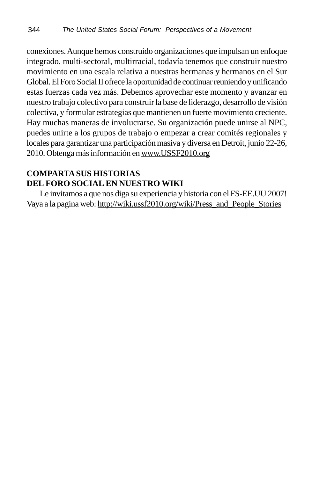conexiones. Aunque hemos construido organizaciones que impulsan un enfoque integrado, multi-sectoral, multirracial, todavía tenemos que construir nuestro movimiento en una escala relativa a nuestras hermanas y hermanos en el Sur Global. El Foro Social II ofrece la oportunidad de continuar reuniendo y unificando estas fuerzas cada vez más. Debemos aprovechar este momento y avanzar en nuestro trabajo colectivo para construir la base de liderazgo, desarrollo de visión colectiva, y formular estrategias que mantienen un fuerte movimiento creciente. Hay muchas maneras de involucrarse. Su organización puede unirse al NPC, puedes unirte a los grupos de trabajo o empezar a crear comités regionales y locales para garantizar una participación masiva y diversa en Detroit, junio 22-26, 2010. Obtenga más información en www.USSF2010.org

### **COMPARTA SUS HISTORIAS DEL FORO SOCIAL EN NUESTRO WIKI**

Le invitamos a que nos diga su experiencia y historia con el FS-EE.UU 2007! Vaya a la pagina web: http://wiki.ussf2010.org/wiki/Press\_and\_People\_Stories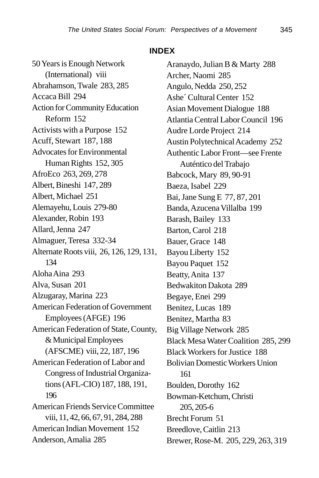#### **INDEX**

50 Years is Enough Network (International) viii Abrahamson, Twale 283, 285 Accaca Bill 294 Action for Community Education Reform 152 Activists with a Purpose 152 Acuff, Stewart 187, 188 Advocates for Environmental Human Rights 152, 305 AfroEco 263, 269, 278 Albert, Bineshi 147, 289 Albert, Michael 251 Alemayehu, Louis 279-80 Alexander, Robin 193 Allard, Jenna 247 Almaguer, Teresa 332-34 Alternate Roots viii, 26, 126, 129, 131, 134 Aloha Aina 293 Alva, Susan 201 Alzugaray, Marina 223 American Federation of Government Employees (AFGE) 196 American Federation of State, County, & Municipal Employees (AFSCME) viii, 22, 187, 196 American Federation of Labor and Congress of Industrial Organizations (AFL-CIO) 187, 188, 191, 196 American Friends Service Committee viii, 11, 42, 66, 67, 91, 284, 288 American Indian Movement 152 Anderson, Amalia 285

Aranaydo, Julian B & Marty 288 Archer, Naomi 285 Angulo, Nedda 250, 252 Ashe´ Cultural Center 152 Asian Movement Dialogue 188 Atlantia Central Labor Council 196 Audre Lorde Project 214 Austin Polytechnical Academy 252 Authentic Labor Front—see Frente Auténtico del Trabajo Babcock, Mary 89, 90-91 Baeza, Isabel 229 Bai, Jane Sung E 77, 87, 201 Banda, Azucena Villalba 199 Barash, Bailey 133 Barton, Carol 218 Bauer, Grace 148 Bayou Liberty 152 Bayou Paquet 152 Beatty, Anita 137 Bedwakiton Dakota 289 Begaye, Enei 299 Benitez, Lucas 189 Benitez, Martha 83 Big Village Network 285 Black Mesa Water Coalition 285, 299 Black Workers for Justice 188 Bolivian Domestic Workers Union 161 Boulden, Dorothy 162 Bowman-Ketchum, Christi 205, 205-6 Brecht Forum 51 Breedlove, Caitlin 213 Brewer, Rose-M. 205, 229, 263, 319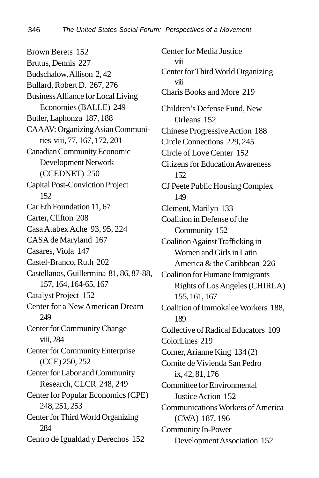Brown Berets 152 Brutus, Dennis 227 Budschalow, Allison 2, 42 Bullard, Robert D. 267, 276 Business Alliance for Local Living Economies (BALLE) 249 Butler, Laphonza 187, 188 CAAAV: Organizing Asian Communities viii, 77, 167, 172, 201 Canadian Community Economic Development Network (CCEDNET) 250 Capital Post-Conviction Project 152 Car Eth Foundation 11, 67 Carter, Clifton 208 Casa Atabex Ache 93, 95, 224 CASA de Maryland 167 Casares, Viola 147 Castel-Branco, Ruth 202 Castellanos, Guillermina 81, 86, 87-88, 157, 164, 164-65, 167 Catalyst Project 152 Center for a New American Dream 249 Center for Community Change viii, 284 Center for Community Enterprise (CCE) 250, 252 Center for Labor and Community Research, CLCR 248, 249 Center for Popular Economics (CPE) 248, 251, 253 Center for Third World Organizing 284 Centro de Igualdad y Derechos 152

Center for Media Justice viii Center for Third World Organizing viii Charis Books and More 219 Children's Defense Fund, New Orleans 152 Chinese Progressive Action 188 Circle Connections 229, 245 Circle of Love Center 152 Citizens for Education Awareness 152 CJ Peete Public Housing Complex 149 Clement, Marilyn 133 Coalition in Defense of the Community 152 Coalition Against Trafficking in Women and Girls in Latin America & the Caribbean 226 Coalition for Humane Immigrants Rights of Los Angeles (CHIRLA) 155, 161, 167 Coalition of Immokalee Workers 188, 189 Collective of Radical Educators 109 ColorLines 219 Comer, Arianne King 134 (2) Comite de Vívienda San Pedro ix, 42, 81, 176 Committee for Environmental Justice Action 152 Communications Workers of America (CWA) 187, 196 Community In-Power Development Association 152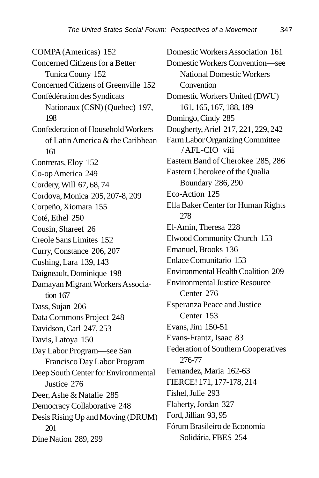COMPA (Americas) 152 Concerned Citizens for a Better Tunica Couny 152 Concerned Citizens of Greenville 152 Confédération des Syndicats Nationaux (CSN) (Quebec) 197, 198 Confederation of Household Workers of Latin America & the Caribbean 161 Contreras, Eloy 152 Co-op America 249 Cordery, Will 67, 68, 74 Cordova, Monica 205, 207-8, 209 Corpeño, Xiomara 155 Coté, Ethel 250 Cousin, Shareef 26 Creole Sans Limites 152 Curry, Constance 206, 207 Cushing, Lara 139, 143 Daigneault, Dominique 198 Damayan Migrant Workers Association 167 Dass, Sujan 206 Data Commons Project 248 Davidson, Carl 247, 253 Davis, Latoya 150 Day Labor Program—see San Francisco Day Labor Program Deep South Center for Environmental Justice 276 Deer, Ashe & Natalie 285 Democracy Collaborative 248 Desis Rising Up and Moving (DRUM) 201 Dine Nation 289, 299

Domestic Workers Association 161 Domestic Workers Convention—see National Domestic Workers **Convention** Domestic Workers United (DWU) 161, 165, 167, 188, 189 Domingo, Cindy 285 Dougherty, Ariel 217, 221, 229, 242 Farm Labor Organizing Committee / AFL-CIO viii Eastern Band of Cherokee 285, 286 Eastern Cherokee of the Qualia Boundary 286, 290 Eco-Action 125 Ella Baker Center for Human Rights 278 El-Amin, Theresa 228 Elwood Community Church 153 Emanuel, Brooks 136 Enlace Comunitario 153 Environmental Health Coalition 209 Environmental Justice Resource Center 276 Esperanza Peace and Justice Center 153 Evans, Jim 150-51 Evans-Frantz, Isaac 83 Federation of Southern Cooperatives 276-77 Fernandez, Maria 162-63 FIERCE! 171, 177-178, 214 Fishel, Julie 293 Flaherty, Jordan 327 Ford, Jillian 93, 95 Fórum Brasileiro de Economia Solidária, FBES 254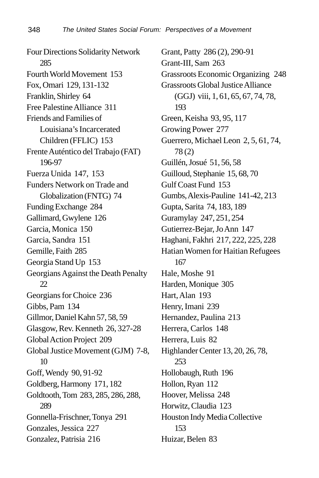Four Directions Solidarity Network 285 Fourth World Movement 153 Fox, Omari 129, 131-132 Franklin, Shirley 64 Free Palestine Alliance 311 Friends and Families of Louisiana's Incarcerated Children (FFLIC) 153 Frente Auténtico del Trabajo (FAT) 196-97 Fuerza Unida 147, 153 Funders Network on Trade and Globalization (FNTG) 74 Funding Exchange 284 Gallimard, Gwylene 126 Garcia, Monica 150 Garcia, Sandra 151 Gemille, Faith 285 Georgia Stand Up 153 Georgians Against the Death Penalty 22 Georgians for Choice 236 Gibbs, Pam 134 Gillmor, Daniel Kahn 57, 58, 59 Glasgow, Rev. Kenneth 26, 327-28 Global Action Project 209 Global Justice Movement (GJM) 7-8, 10 Goff, Wendy 90, 91-92 Goldberg, Harmony 171, 182 Goldtooth, Tom 283, 285, 286, 288, 289 Gonnella-Frischner, Tonya 291 Gonzales, Jessica 227 Gonzalez, Patrisia 216

Grant, Patty 286 (2), 290-91 Grant-III, Sam 263 Grassroots Economic Organizing 248 Grassroots Global Justice Alliance (GGJ) viii, 1, 61, 65, 67, 74, 78, 193 Green, Keisha 93, 95, 117 Growing Power 277 Guerrero, Michael Leon 2, 5, 61, 74, 78 (2) Guillén, Josué 51, 56, 58 Guilloud, Stephanie 15, 68, 70 Gulf Coast Fund 153 Gumbs, Alexis-Pauline 141-42, 213 Gupta, Sarita 74, 183, 189 Guramylay 247, 251, 254 Gutierrez-Bejar, Jo Ann 147 Haghani, Fakhri 217, 222, 225, 228 Hatian Women for Haitian Refugees 167 Hale, Moshe 91 Harden, Monique 305 Hart, Alan 193 Henry, Imani 239 Hernandez, Paulina 213 Herrera, Carlos 148 Herrera, Luis 82 Highlander Center 13, 20, 26, 78, 253 Hollobaugh, Ruth 196 Hollon, Ryan 112 Hoover, Melissa 248 Horwitz, Claudia 123 Houston Indy Media Collective 153 Huizar, Belen 83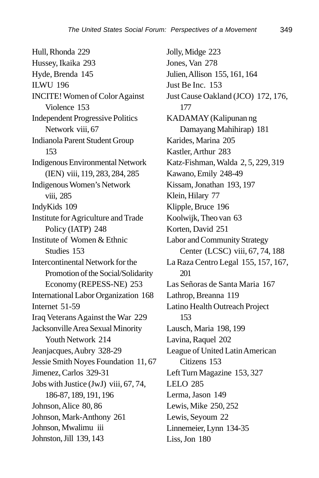Hull, Rhonda 229 Hussey, Ikaika 293 Hyde, Brenda 145 ILWU 196 INCITE! Women of Color Against Violence 153 Independent Progressive Politics Network viii, 67 Indianola Parent Student Group 153 Indigenous Environmental Network (IEN) viii, 119, 283, 284, 285 Indigenous Women's Network viii, 285 IndyKids 109 Institute for Agriculture and Trade Policy (IATP) 248 Institute of Women & Ethnic Studies 153 Intercontinental Network for the Promotion of the Social/Solidarity Economy (REPESS-NE) 253 International Labor Organization 168 Internet 51-59 Iraq Veterans Against the War 229 Jacksonville Area Sexual Minority Youth Network 214 Jeanjacques, Aubry 328-29 Jessie Smith Noyes Foundation 11, 67 Jimenez, Carlos 329-31 Jobs with Justice (JwJ) viii, 67, 74, 186-87, 189, 191, 196 Johnson, Alice 80, 86 Johnson, Mark-Anthony 261 Johnson, Mwalimu iii Johnston, Jill 139, 143

Jolly, Midge 223 Jones, Van 278 Julien, Allison 155, 161, 164 Just Be Inc. 153 Just Cause Oakland (JCO) 172, 176, 177 KADAMAY (Kalipunan ng Damayang Mahihirap) 181 Karides, Marina 205 Kastler, Arthur 283 Katz-Fishman, Walda 2, 5, 229, 319 Kawano, Emily 248-49 Kissam, Jonathan 193, 197 Klein, Hilary 77 Klipple, Bruce 196 Koolwijk, Theo van 63 Korten, David 251 Labor and Community Strategy Center (LCSC) viii, 67, 74, 188 La Raza Centro Legal 155, 157, 167, 201 Las Señoras de Santa Maria 167 Lathrop, Breanna 119 Latino Health Outreach Project 153 Lausch, Maria 198, 199 Lavina, Raquel 202 League of United Latin American Citizens 153 Left Turn Magazine 153, 327 LELO 285 Lerma, Jason 149 Lewis, Mike 250, 252 Lewis, Seyoum 22 Linnemeier, Lynn 134-35 Liss, Jon 180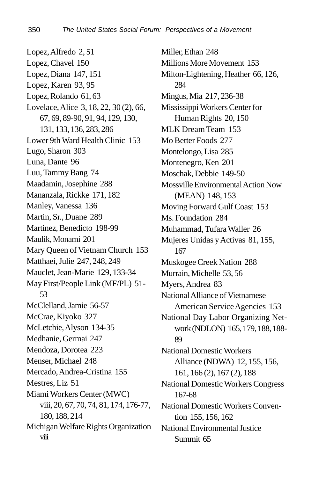Lopez, Alfredo 2, 51 Lopez, Chavel 150 Lopez, Diana 147, 151 Lopez, Karen 93, 95 Lopez, Rolando 61, 63 Lovelace, Alice 3, 18, 22, 30 (2), 66, 67, 69, 89-90, 91, 94, 129, 130, 131, 133, 136, 283, 286 Lower 9th Ward Health Clinic 153 Lugo, Sharon 303 Luna, Dante 96 Luu, Tammy Bang 74 Maadamin, Josephine 288 Mananzala, Rickke 171, 182 Manley, Vanessa 136 Martin, Sr., Duane 289 Martinez, Benedicto 198-99 Maulik, Monami 201 Mary Queen of Vietnam Church 153 Matthaei, Julie 247, 248, 249 Mauclet, Jean-Marie 129, 133-34 May First/People Link (MF/PL) 51- 53 McClelland, Jamie 56-57 McCrae, Kiyoko 327 McLetchie, Alyson 134-35 Medhanie, Germai 247 Mendoza, Dorotea 223 Menser, Michael 248 Mercado, Andrea-Cristina 155 Mestres, Liz 51 Miami Workers Center (MWC) viii, 20, 67, 70, 74, 81, 174, 176-77, 180, 188, 214 Michigan Welfare Rights Organization viii

Miller, Ethan 248 Millions More Movement 153 Milton-Lightening, Heather 66, 126, 284 Mingus, Mia 217, 236-38 Mississippi Workers Center for Human Rights 20, 150 MLK Dream Team 153 Mo Better Foods 277 Montelongo, Lisa 285 Montenegro, Ken 201 Moschak, Debbie 149-50 Mossville Environmental Action Now (MEAN) 148, 153 Moving Forward Gulf Coast 153 Ms. Foundation 284 Muhammad, Tufara Waller 26 Mujeres Unidas y Activas 81, 155, 167 Muskogee Creek Nation 288 Murrain, Michelle 53, 56 Myers, Andrea 83 National Alliance of Vietnamese American Service Agencies 153 National Day Labor Organizing Network (NDLON) 165, 179, 188, 188- 89 National Domestic Workers Alliance (NDWA) 12, 155, 156, 161, 166 (2), 167 (2), 188 National Domestic Workers Congress 167-68 National Domestic Workers Convention 155, 156, 162 National Environmental Justice Summit 65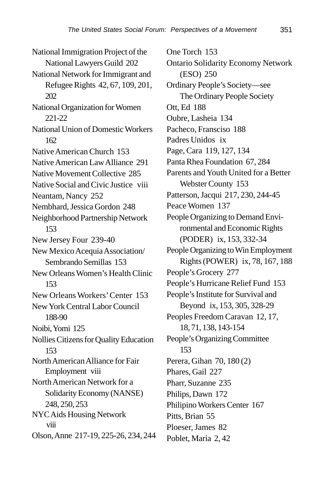National Immigration Project of the National Lawyers Guild 202 National Network for Immigrant and Refugee Rights 42, 67, 109, 201, 202 National Organization for Women 221-22 National Union of Domestic Workers 162 Native American Church 153 Native American Law Alliance 291 Native Movement Collective 285 Native Social and Civic Justice viii Neantam, Nancy 252 Nembhard, Jessica Gordon 248 Neighborhood Partnership Network 153 New Jersey Four 239-40 New Mexico Acequia Association/ Sembrando Semillas 153 New Orleans Women's Health Clinic 153 New Orleans Workers' Center 153 New York Central Labor Council 188-90 Noibi, Yomi 125 Nollies Citizens for Quality Education 153 North American Alliance for Fair Employment viii North American Network for a Solidarity Economy (NANSE) 248, 250, 253 NYC Aids Housing Network viii Olson, Anne 217-19, 225-26, 234, 244 One Torch 153 Ontario Solidarity Economy Network (ESO) 250 Ordinary People's Society—see The Ordinary People Society Ott, Ed 188 Oubre, Lasheia 134 Pacheco, Fransciso 188 Padres Unidos ix Page, Cara 119, 127, 134 Panta Rhea Foundation 67, 284 Parents and Youth United for a Better Webster County 153 Patterson, Jacqui 217, 230, 244-45 Peace Women 137 People Organizing to Demand Environmental and Economic Rights (PODER) ix, 153, 332-34 People Organizing to Win Employment Rights (POWER) ix, 78, 167, 188 People's Grocery 277 People's Hurricane Relief Fund 153 People's Institute for Survival and Beyond ix, 153, 305, 328-29 Peoples Freedom Caravan 12, 17, 18, 71, 138, 143-154 People's Organizing Committee 153 Perera, Gihan 70, 180 (2) Phares, Gail 227 Pharr, Suzanne 235 Philips, Dawn 172 Philipino Workers Center 167 Pitts, Brian 55 Ploeser, James 82 Poblet, Maria 2, 42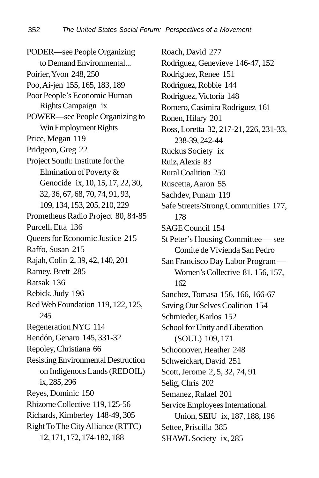PODER—see People Organizing to Demand Environmental... Poirier, Yvon 248, 250 Poo, Ai-jen 155, 165, 183, 189 Poor People's Economic Human Rights Campaign ix POWER—see People Organizing to Win Employment Rights Price, Megan 119 Pridgeon, Greg 22 Project South: Institute for the Elmination of Poverty & Genocide ix, 10, 15, 17, 22, 30, 32, 36, 67, 68, 70, 74, 91, 93, 109, 134, 153, 205, 210, 229 Prometheus Radio Project 80, 84-85 Purcell, Etta 136 Queers for Economic Justice 215 Raffo, Susan 215 Rajah, Colin 2, 39, 42, 140, 201 Ramey, Brett 285 Ratsak 136 Rebick, Judy 196 Red Web Foundation 119, 122, 125, 245 Regeneration NYC 114 Rendón, Genaro 145, 331-32 Repoley, Christiana 66 Resisting Environmental Destruction on Indigenous Lands (REDOIL) ix, 285, 296 Reyes, Dominic 150 Rhizome Collective 119, 125-56 Richards, Kimberley 148-49, 305 Right To The City Alliance (RTTC) 12, 171, 172, 174-182, 188

Roach, David 277 Rodriguez, Genevieve 146-47, 152 Rodriguez, Renee 151 Rodriguez, Robbie 144 Rodriguez, Victoria 148 Romero, Casimira Rodriguez 161 Ronen, Hilary 201 Ross, Loretta 32, 217-21, 226, 231-33, 238-39, 242-44 Ruckus Society ix Ruiz, Alexis 83 Rural Coalition 250 Ruscetta, Aaron 55 Sachdev, Punam 119 Safe Streets/Strong Communities 177, 178 SAGE Council 154 St Peter's Housing Committee — see Comite de Vívienda San Pedro San Francisco Day Labor Program — Women's Collective 81, 156, 157, 162 Sanchez, Tomasa 156, 166, 166-67 Saving Our Selves Coalition 154 Schmieder, Karlos 152 School for Unity and Liberation (SOUL) 109, 171 Schoonover, Heather 248 Schweickart, David 251 Scott, Jerome 2, 5, 32, 74, 91 Selig, Chris 202 Semanez, Rafael 201 Service Employees International Union, SEIU ix, 187, 188, 196 Settee, Priscilla 385 SHAWL Society ix, 285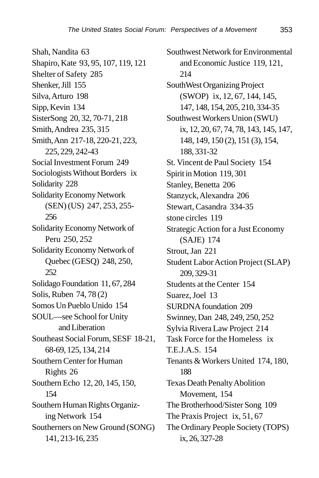Shah, Nandita 63 Shapiro, Kate 93, 95, 107, 119, 121 Shelter of Safety 285 Shenker, Jill 155 Silva, Arturo 198 Sipp, Kevin 134 SisterSong 20, 32, 70-71, 218 Smith, Andrea 235, 315 Smith, Ann 217-18, 220-21, 223, 225, 229, 242-43 Social Investment Forum 249 Sociologists Without Borders ix Solidarity 228 Solidarity Economy Network (SEN) (US) 247, 253, 255- 256 Solidarity Economy Network of Peru 250, 252 Solidarity Economy Network of Quebec (GESQ) 248, 250, 252 Solidago Foundation 11, 67, 284 Solis, Ruben 74, 78 (2) Somos Un Pueblo Unido 154 SOUL—see School for Unity and Liberation Southeast Social Forum, SESF 18-21, 68-69, 125, 134, 214 Southern Center for Human Rights 26 Southern Echo 12, 20, 145, 150, 154 Southern Human Rights Organizing Network 154 Southerners on New Ground (SONG) 141, 213-16, 235

Southwest Network for Environmental and Economic Justice 119, 121, 214 SouthWest Organizing Project (SWOP) ix, 12, 67, 144, 145, 147, 148, 154, 205, 210, 334-35 Southwest Workers Union (SWU) ix, 12, 20, 67, 74, 78, 143, 145, 147, 148, 149, 150 (2), 151 (3), 154, 188, 331-32 St. Vincent de Paul Society 154 Spirit in Motion 119, 301 Stanley, Benetta 206 Stanzyck, Alexandra 206 Stewart, Casandra 334-35 stone circles 119 Strategic Action for a Just Economy (SAJE) 174 Strout, Jan 221 Student Labor Action Project (SLAP) 209, 329-31 Students at the Center 154 Suarez, Joel 13 SURDNA foundation 209 Swinney, Dan 248, 249, 250, 252 Sylvia Rivera Law Project 214 Task Force for the Homeless ix T.E.J.A.S. 154 Tenants & Workers United 174, 180, 188 Texas Death Penalty Abolition Movement, 154 The Brotherhood/Sister Song 109 The Praxis Project ix, 51, 67 The Ordinary People Society (TOPS) ix, 26, 327-28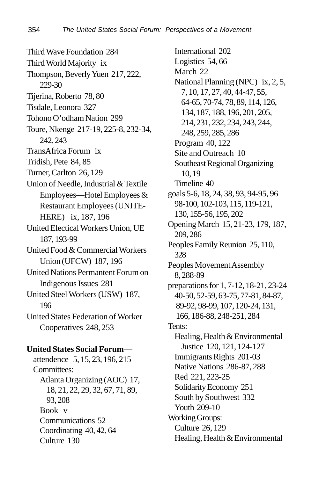Third Wave Foundation 284 Third World Majority ix Thompson, Beverly Yuen 217, 222, 229-30 Tijerina, Roberto 78, 80 Tisdale, Leonora 327 Tohono O'odham Nation 299 Toure, Nkenge 217-19, 225-8, 232-34, 242, 243 TransAfrica Forum ix Tridish, Pete 84, 85 Turner, Carlton 26, 129 Union of Needle, Industrial & Textile Employees—Hotel Employees & Restaurant Employees (UNITE-HERE) ix, 187, 196 United Electical Workers Union, UE 187, 193-99 United Food & Commercial Workers Union (UFCW) 187, 196 United Nations Permantent Forum on Indigenous Issues 281 United Steel Workers (USW) 187, 196 United States Federation of Worker Cooperatives 248, 253 **United States Social Forum** attendence 5, 15, 23, 196, 215 Committees: Atlanta Organizing (AOC) 17, 18, 21, 22, 29, 32, 67, 71, 89, 93, 208 Book v

Communications 52 Coordinating 40, 42, 64 Culture 130

International 202 Logistics 54, 66 March 22 National Planning (NPC) ix, 2, 5, 7, 10, 17, 27, 40, 44-47, 55, 64-65, 70-74, 78, 89, 114, 126, 134, 187, 188, 196, 201, 205, 214, 231, 232, 234, 243, 244, 248, 259, 285, 286 Program 40, 122 Site and Outreach 10 Southeast Regional Organizing 10, 19 Timeline 40 goals 5-6, 18, 24, 38, 93, 94-95, 96 98-100, 102-103, 115, 119-121, 130, 155-56, 195, 202 Opening March 15, 21-23, 179, 187, 209, 286 Peoples Family Reunion 25, 110, 328 Peoples Movement Assembly 8, 288-89 preparations for 1, 7-12, 18-21, 23-24 40-50, 52-59, 63-75, 77-81, 84-87, 89-92, 98-99, 107, 120-24, 131, 166, 186-88, 248-251, 284 Tents: Healing, Health & Environmental Justice 120, 121, 124-127 Immigrants Rights 201-03 Native Nations 286-87, 288 Red 221, 223-25 Solidarity Economy 251 South by Southwest 332 Youth 209-10 Working Groups: Culture 26, 129 Healing, Health & Environmental